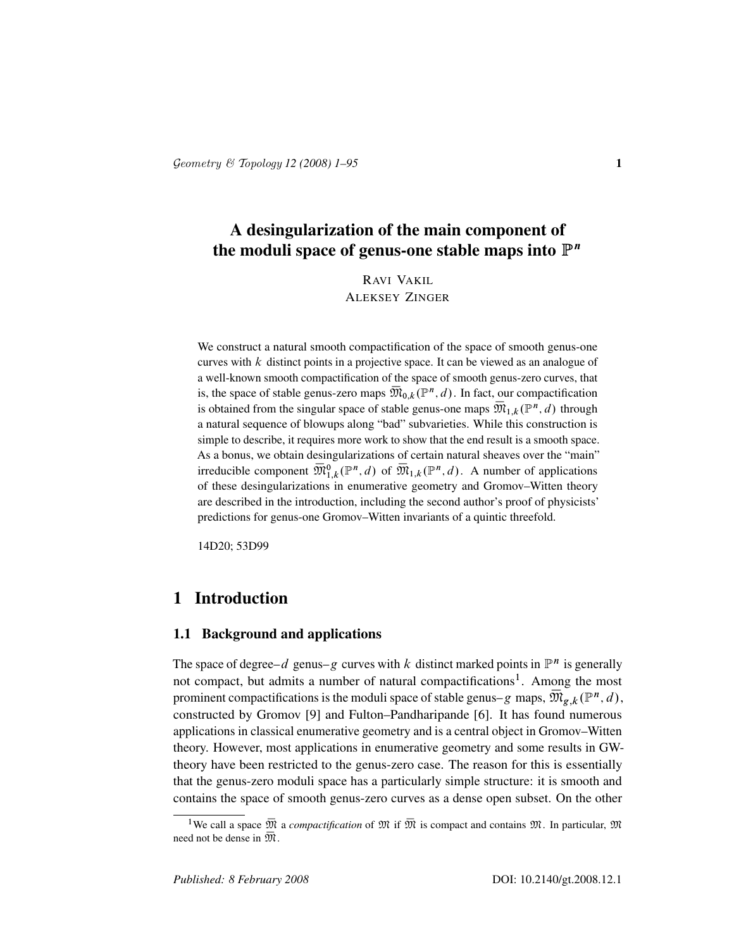# A desingularization of the main component of the moduli space of genus-one stable maps into  $\mathbb{P}^n$

RAVI VAKIL ALEKSEY ZINGER

We construct a natural smooth compactification of the space of smooth genus-one curves with  $k$  distinct points in a projective space. It can be viewed as an analogue of a well-known smooth compactification of the space of smooth genus-zero curves, that is, the space of stable genus-zero maps  $\overline{\mathfrak{M}}_{0,k}(\mathbb{P}^n,d)$ . In fact, our compactification is obtained from the singular space of stable genus-one maps  $\overline{\mathfrak{M}}_{1,k}(\mathbb{P}^n,d)$  through a natural sequence of blowups along "bad" subvarieties. While this construction is simple to describe, it requires more work to show that the end result is a smooth space. As a bonus, we obtain desingularizations of certain natural sheaves over the "main" irreducible component  $\overline{\mathfrak{M}}_{1,k}^0(\mathbb{P}^n,d)$  of  $\overline{\mathfrak{M}}_{1,k}(\mathbb{P}^n,d)$ . A number of applications of these desingularizations in enumerative geometry and Gromov–Witten theory are described in the introduction, including the second author's proof of physicists' predictions for genus-one Gromov–Witten invariants of a quintic threefold.

14D20; 53D99

# 1 Introduction

## 1.1 Background and applications

The space of degree–d genus–g curves with k distinct marked points in  $\mathbb{P}^n$  is generally not compact, but admits a number of natural compactifications<sup>1</sup>. Among the most prominent compactifications is the moduli space of stable genus–g maps,  $\bar{\mathfrak{M}}_{g,k}(\mathbb{P}^n,d)$  , constructed by Gromov [9] and Fulton–Pandharipande [6]. It has found numerous applications in classical enumerative geometry and is a central object in Gromov–Witten theory. However, most applications in enumerative geometry and some results in GWtheory have been restricted to the genus-zero case. The reason for this is essentially that the genus-zero moduli space has a particularly simple structure: it is smooth and contains the space of smooth genus-zero curves as a dense open subset. On the other

<sup>&</sup>lt;sup>1</sup>We call a space  $\overline{M}$  a *compactification* of  $\overline{M}$  if  $\overline{M}$  is compact and contains  $\overline{M}$ . In particular,  $\overline{M}$ need not be dense in  $\overline{\mathfrak{M}}$ .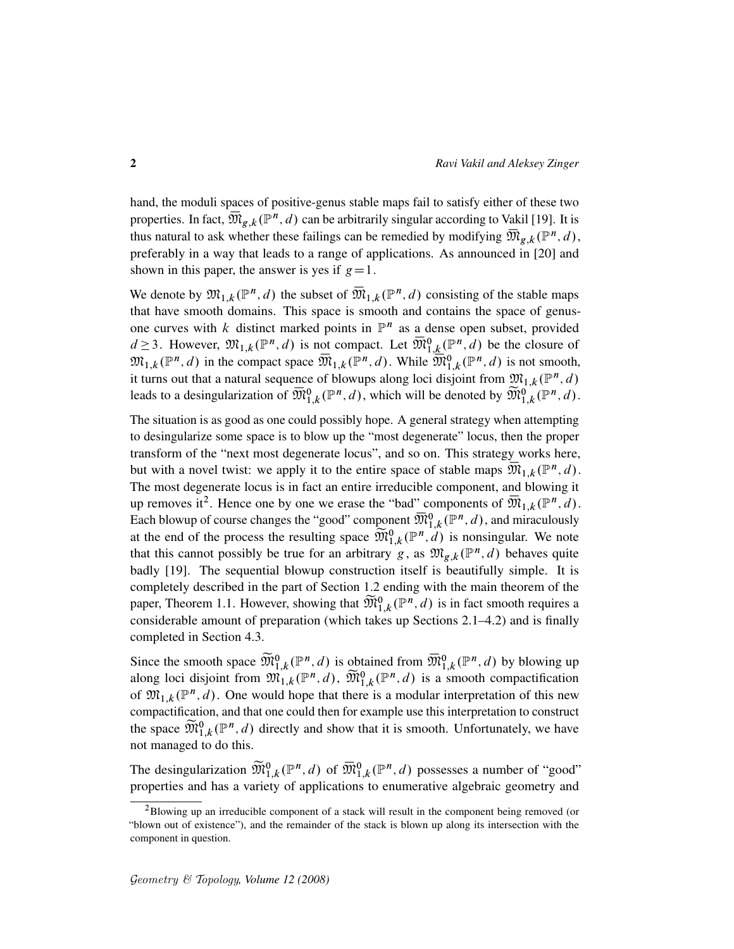hand, the moduli spaces of positive-genus stable maps fail to satisfy either of these two properties. In fact,  $\overline{\mathfrak{M}}_{g,k}(\mathbb{P}^n,d)$  can be arbitrarily singular according to Vakil [19]. It is thus natural to ask whether these failings can be remedied by modifying  $\overline{\mathfrak{M}}_{g,k}(\mathbb{P}^n,d)$ , preferably in a way that leads to a range of applications. As announced in [20] and shown in this paper, the answer is yes if  $g=1$ .

We denote by  $\mathfrak{M}_{1,k}(\mathbb{P}^n,d)$  the subset of  $\overline{\mathfrak{M}}_{1,k}(\mathbb{P}^n,d)$  consisting of the stable maps that have smooth domains. This space is smooth and contains the space of genusone curves with k distinct marked points in  $\mathbb{P}^n$  as a dense open subset, provided  $d \geq 3$ . However,  $\mathfrak{M}_{1,k}(\mathbb{P}^n,d)$  is not compact. Let  $\overline{\mathfrak{M}}_{1,k}^0(\mathbb{P}^n,d)$  be the closure of  $\mathfrak{M}_{1,k}(\mathbb{P}^n,d)$  in the compact space  $\overline{\mathfrak{M}}_{1,k}(\mathbb{P}^n,d)$ . While  $\overline{\mathfrak{M}}_{1,k}^0(\mathbb{P}^n,d)$  is not smooth, it turns out that a natural sequence of blowups along loci disjoint from  $\mathfrak{M}_{1,k}(\mathbb{P}^n,d)$ leads to a desingularization of  $\overline{\mathfrak{M}}_{1,k}^{0}(\mathbb{P}^n,d)$ , which will be denoted by  $\widetilde{\mathfrak{M}}_{1,k}^{0}(\mathbb{P}^n,d)$ .

The situation is as good as one could possibly hope. A general strategy when attempting to desingularize some space is to blow up the "most degenerate" locus, then the proper transform of the "next most degenerate locus", and so on. This strategy works here, but with a novel twist: we apply it to the entire space of stable maps  $\overline{\mathfrak{M}}_{1,k}(\mathbb{P}^n,d)$ . The most degenerate locus is in fact an entire irreducible component, and blowing it up removes it<sup>2</sup>. Hence one by one we erase the "bad" components of  $\overline{\mathfrak{M}}_{1,k}(\mathbb{P}^n,d)$ . Each blowup of course changes the "good" component  $\overline{\mathfrak{M}}_{1,k}^{0}(\mathbb{P}^n,d)$ , and miraculously at the end of the process the resulting space  $\widetilde{\mathfrak{M}}_{1,k}^0(\mathbb{P}^n, d)$  is nonsingular. We note that this cannot possibly be true for an arbitrary g, as  $\mathfrak{M}_{g,k}(\mathbb{P}^n,d)$  behaves quite badly [19]. The sequential blowup construction itself is beautifully simple. It is completely described in the part of Section 1.2 ending with the main theorem of the paper, Theorem 1.1. However, showing that  $\widetilde{\mathfrak{M}}_{1,k}^0(\mathbb{P}^n,d)$  is in fact smooth requires a considerable amount of preparation (which takes up Sections 2.1–4.2) and is finally completed in Section 4.3.

Since the smooth space  $\widetilde{\mathfrak{M}}_{1,k}^0(\mathbb{P}^n,d)$  is obtained from  $\overline{\mathfrak{M}}_{1,k}^0(\mathbb{P}^n,d)$  by blowing up along loci disjoint from  $\mathfrak{M}_{1,k}^{\cdot}(\mathbb{P}^n,d)$ ,  $\widetilde{\mathfrak{M}}_{1,k}^0(\mathbb{P}^n,d)$  is a smooth compactification of  $\mathfrak{M}_{1,k}(\mathbb{P}^n,d)$ . One would hope that there is a modular interpretation of this new compactification, and that one could then for example use this interpretation to construct the space  $\widetilde{\mathfrak{M}}_{1,k}^{0}(\mathbb{P}^n,d)$  directly and show that it is smooth. Unfortunately, we have not managed to do this.

The desingularization  $\widetilde{M}_{1,k}^0(\mathbb{P}^n,d)$  of  $\overline{M}_{1,k}^0(\mathbb{P}^n,d)$  possesses a number of "good" properties and has a variety of applications to enumerative algebraic geometry and

<sup>2</sup>Blowing up an irreducible component of a stack will result in the component being removed (or "blown out of existence"), and the remainder of the stack is blown up along its intersection with the component in question.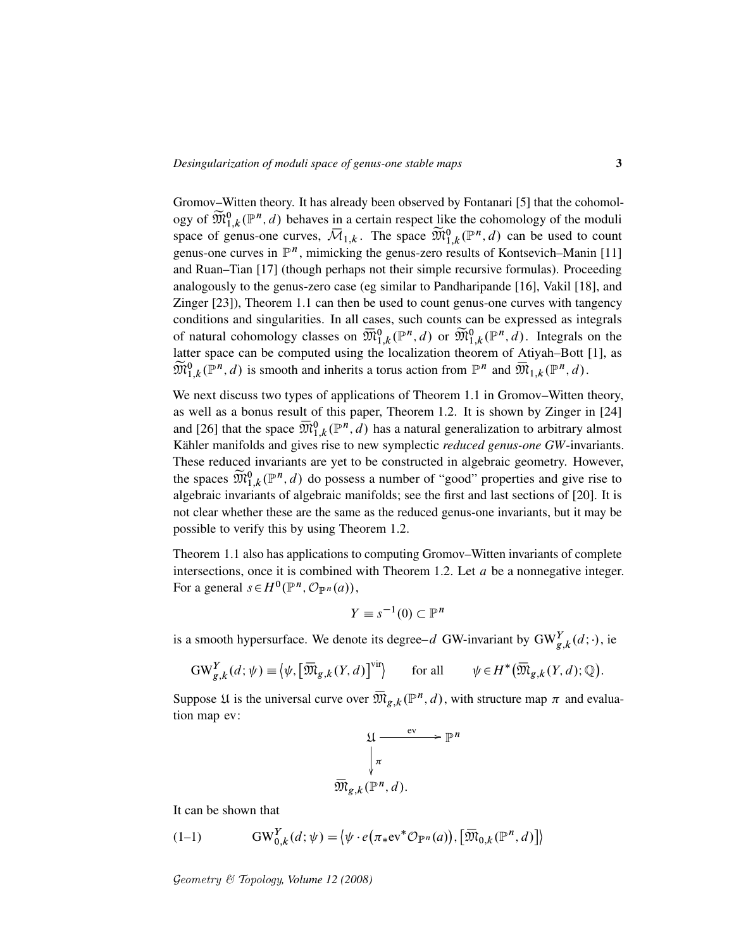Gromov–Witten theory. It has already been observed by Fontanari [5] that the cohomology of  $\widetilde{\mathfrak{M}}_{1,k}^0(\mathbb{P}^n,d)$  behaves in a certain respect like the cohomology of the moduli space of genus-one curves,  $\overline{\mathcal{M}}_{1,k}$ . The space  $\widetilde{\mathfrak{M}}_{1,k}^0(\mathbb{P}^n,d)$  can be used to count genus-one curves in  $\mathbb{P}^n$ , mimicking the genus-zero results of Kontsevich–Manin [11] and Ruan–Tian [17] (though perhaps not their simple recursive formulas). Proceeding analogously to the genus-zero case (eg similar to Pandharipande [16], Vakil [18], and Zinger [23]), Theorem 1.1 can then be used to count genus-one curves with tangency conditions and singularities. In all cases, such counts can be expressed as integrals of natural cohomology classes on  $\overline{\mathfrak{M}}_{1,k}^0(\mathbb{P}^n,d)$  or  $\widetilde{\mathfrak{M}}_{1,k}^0(\mathbb{P}^n,d)$ . Integrals on the latter space can be computed using the localization theorem of Atiyah–Bott [1], as  $\widetilde{\mathfrak{M}}_{1,k}^0(\mathbb{P}^n,d)$  is smooth and inherits a torus action from  $\mathbb{P}^n$  and  $\overline{\mathfrak{M}}_{1,k}(\mathbb{P}^n,d)$ .

We next discuss two types of applications of Theorem 1.1 in Gromov–Witten theory, as well as a bonus result of this paper, Theorem 1.2. It is shown by Zinger in [24] and [26] that the space  $\overline{\mathfrak{M}}_{1,k}^{0}(\mathbb{P}^{n},d)$  has a natural generalization to arbitrary almost Kähler manifolds and gives rise to new symplectic *reduced genus-one GW*-invariants. These reduced invariants are yet to be constructed in algebraic geometry. However, the spaces  $\widetilde{\mathfrak{M}}_{1,k}^0(\mathbb{P}^n,d)$  do possess a number of "good" properties and give rise to algebraic invariants of algebraic manifolds; see the first and last sections of [20]. It is not clear whether these are the same as the reduced genus-one invariants, but it may be possible to verify this by using Theorem 1.2.

Theorem 1.1 also has applications to computing Gromov–Witten invariants of complete intersections, once it is combined with Theorem 1.2. Let  $a$  be a nonnegative integer. For a general  $s \in H^0(\mathbb{P}^n, \mathcal{O}_{\mathbb{P}^n}(a)),$ 

$$
Y \equiv s^{-1}(0) \subset \mathbb{P}^n
$$

is a smooth hypersurface. We denote its degree–d GW-invariant by  $GW_{g,k}^Y(d; \cdot)$ , ie

$$
GW_{g,k}^Y(d; \psi) \equiv \left\langle \psi, \left[ \overline{\mathfrak{M}}_{g,k}(Y, d) \right]^{vir} \right\rangle \qquad \text{for all} \qquad \psi \in H^*(\overline{\mathfrak{M}}_{g,k}(Y, d); \mathbb{Q}).
$$

Suppose *L* is the universal curve over  $\overline{\mathfrak{M}}_{g,k}(\mathbb{P}^n,d)$ , with structure map  $\pi$  and evaluation map ev:



It can be shown that

(1-1) 
$$
GW_{0,k}^Y(d; \psi) = \langle \psi \cdot e(\pi_* \mathrm{ev}^* \mathcal{O}_{\mathbb{P}^n}(a)), [\overline{\mathfrak{M}}_{0,k}(\mathbb{P}^n, d)] \rangle
$$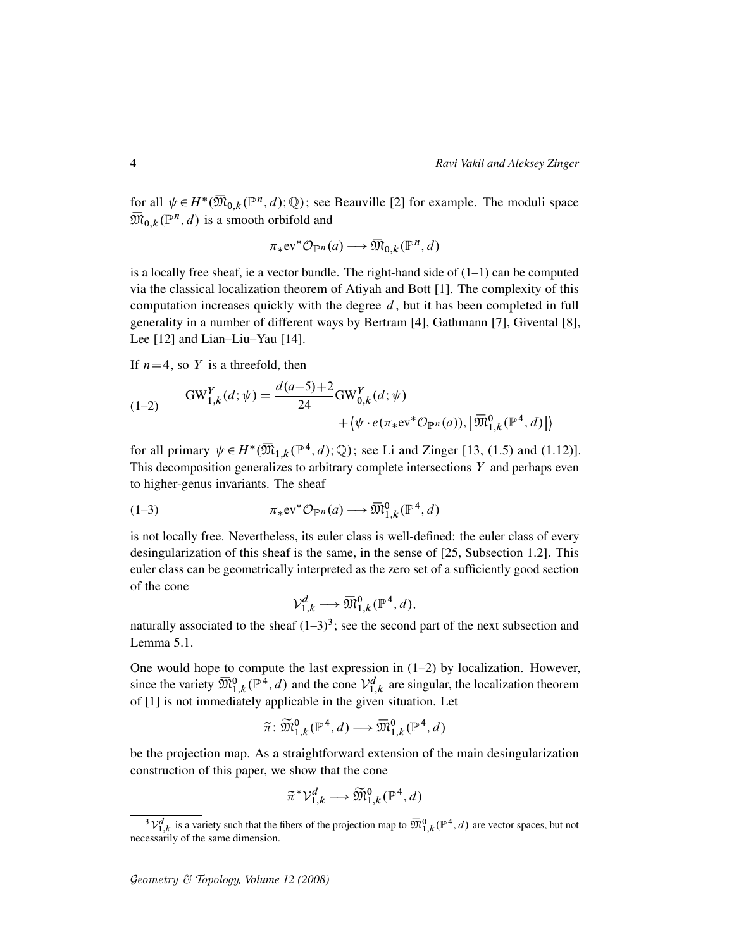for all  $\psi \in H^*(\overline{\mathfrak{M}}_{0,k}(\mathbb{P}^n,d);\mathbb{Q})$ ; see Beauville [2] for example. The moduli space  $\overline{\mathfrak{M}}_{0,k}(\mathbb{P}^n,d)$  is a smooth orbifold and

 $\pi_*$ ev<sup>\*</sup> $\mathcal{O}_{\mathbb{P}^n}(a) \longrightarrow \overline{\mathfrak{M}}_{0,k}(\mathbb{P}^n, d)$ 

is a locally free sheaf, ie a vector bundle. The right-hand side of  $(1-1)$  can be computed via the classical localization theorem of Atiyah and Bott [1]. The complexity of this computation increases quickly with the degree  $d$ , but it has been completed in full generality in a number of different ways by Bertram [4], Gathmann [7], Givental [8], Lee [12] and Lian–Liu–Yau [14].

If  $n=4$ , so Y is a threefold, then

(1-2) 
$$
GW_{1,k}^Y(d; \psi) = \frac{d(a-5)+2}{24} GW_{0,k}^Y(d; \psi) + \langle \psi \cdot e(\pi_* e^{i\psi} \mathcal{O}_{\mathbb{P}^n}(a)), [\overline{\mathfrak{M}}_{1,k}^0(\mathbb{P}^4, d)] \rangle
$$

for all primary  $\psi \in H^*(\overline{\mathfrak{M}}_{1,k}(\mathbb{P}^4,d);\mathbb{Q})$ ; see Li and Zinger [13, (1.5) and (1.12)]. This decomposition generalizes to arbitrary complete intersections  $Y$  and perhaps even to higher-genus invariants. The sheaf

$$
(1-3) \qquad \qquad \pi_* \mathrm{ev}^* \mathcal{O}_{\mathbb{P}^n}(a) \longrightarrow \overline{\mathfrak{M}}^0_{1,k}(\mathbb{P}^4, d)
$$

is not locally free. Nevertheless, its euler class is well-defined: the euler class of every desingularization of this sheaf is the same, in the sense of [25, Subsection 1.2]. This euler class can be geometrically interpreted as the zero set of a sufficiently good section of the cone

$$
\mathcal{V}_{1,k}^d \longrightarrow \overline{\mathfrak{M}}_{1,k}^0(\mathbb{P}^4,d),
$$

naturally associated to the sheaf  $(1-3)^3$ ; see the second part of the next subsection and Lemma 5.1.

One would hope to compute the last expression in  $(1-2)$  by localization. However, since the variety  $\overline{\mathfrak{M}}_{1,k}^0(\mathbb{P}^4,d)$  and the cone  $\mathcal{V}_{1,k}^d$  are singular, the localization theorem of [1] is not immediately applicable in the given situation. Let

$$
\widetilde{\pi} \colon \widetilde{\mathfrak{M}}_{1,k}^0(\mathbb{P}^4,d) \longrightarrow \overline{\mathfrak{M}}_{1,k}^0(\mathbb{P}^4,d)
$$

be the projection map. As a straightforward extension of the main desingularization construction of this paper, we show that the cone

$$
\widetilde{\pi}^* \mathcal{V}_{1,k}^d \longrightarrow \widetilde{\mathfrak{M}}_{1,k}^0(\mathbb{P}^4, d)
$$

<sup>&</sup>lt;sup>3</sup> $V_{1,k}^d$  is a variety such that the fibers of the projection map to  $\overline{\mathfrak{M}}_{1,k}^0(\mathbb{P}^4,d)$  are vector spaces, but not necessarily of the same dimension.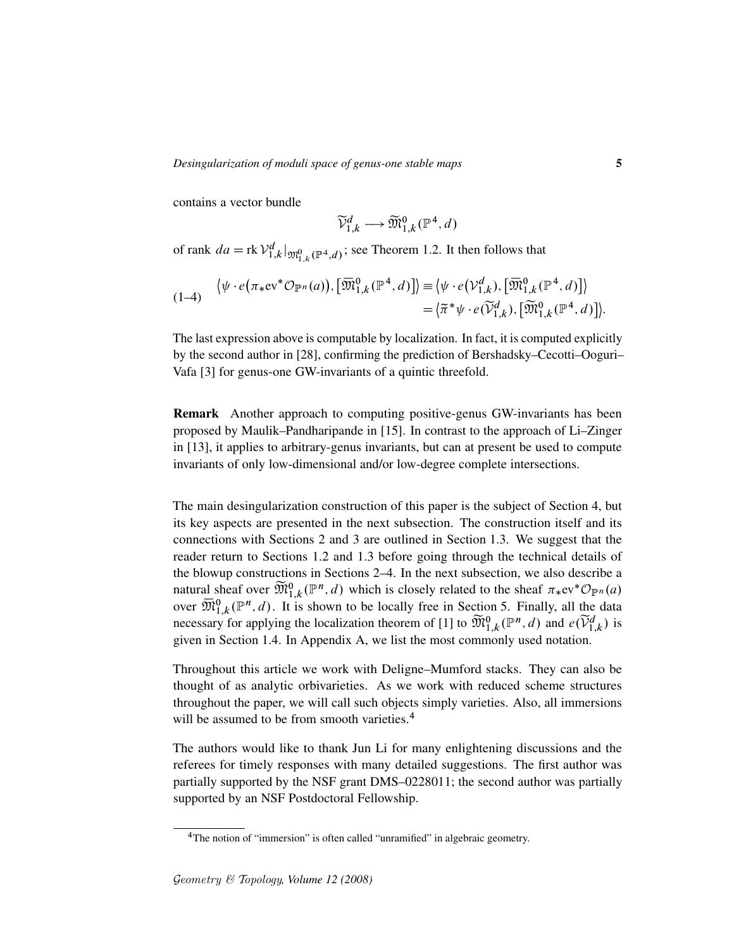contains a vector bundle

$$
\widetilde{\mathcal{V}}_{1,k}^d \longrightarrow \widetilde{\mathfrak{M}}_{1,k}^0(\mathbb{P}^4, d)
$$

of rank  $da = \text{rk } \mathcal{V}_{1,k}^d \vert_{\mathfrak{M}_{1,k}^0(\mathbb{P}^4,d)}$ ; see Theorem 1.2. It then follows that

$$
\langle \psi \cdot e(\pi_* \mathrm{ev}^* \mathcal{O}_{\mathbb{P}^n}(a)), [\overline{\mathfrak{M}}_{1,k}^0(\mathbb{P}^4, d)] \rangle \equiv \langle \psi \cdot e(\mathcal{V}_{1,k}^d), [\overline{\mathfrak{M}}_{1,k}^0(\mathbb{P}^4, d)] \rangle = \langle \widetilde{\pi}^* \psi \cdot e(\widetilde{\mathcal{V}}_{1,k}^d), [\widetilde{\mathfrak{M}}_{1,k}^0(\mathbb{P}^4, d)] \rangle.
$$

The last expression above is computable by localization. In fact, it is computed explicitly by the second author in [28], confirming the prediction of Bershadsky–Cecotti–Ooguri– Vafa [3] for genus-one GW-invariants of a quintic threefold.

Remark Another approach to computing positive-genus GW-invariants has been proposed by Maulik–Pandharipande in [15]. In contrast to the approach of Li–Zinger in [13], it applies to arbitrary-genus invariants, but can at present be used to compute invariants of only low-dimensional and/or low-degree complete intersections.

The main desingularization construction of this paper is the subject of Section 4, but its key aspects are presented in the next subsection. The construction itself and its connections with Sections 2 and 3 are outlined in Section 1.3. We suggest that the reader return to Sections 1.2 and 1.3 before going through the technical details of the blowup constructions in Sections 2–4. In the next subsection, we also describe a natural sheaf over  $\widetilde{\mathfrak{M}}_{1,k}^{0}(\mathbb{P}^n,d)$  which is closely related to the sheaf  $\pi_{*}ev^{*}\mathcal{O}_{\mathbb{P}^n}(a)$ over  $\overline{\mathfrak{M}}_{1,k}^{0}(\mathbb{P}^{n},d)$ . It is shown to be locally free in Section 5. Finally, all the data necessary for applying the localization theorem of [1] to  $\widetilde{\mathfrak{M}}_{1,k}^0(\mathbb{P}^n,d)$  and  $e(\widetilde{V}_{1,k}^d)$  is given in Section 1.4. In Appendix A, we list the most commonly used notation.

Throughout this article we work with Deligne–Mumford stacks. They can also be thought of as analytic orbivarieties. As we work with reduced scheme structures throughout the paper, we will call such objects simply varieties. Also, all immersions will be assumed to be from smooth varieties.<sup>4</sup>

The authors would like to thank Jun Li for many enlightening discussions and the referees for timely responses with many detailed suggestions. The first author was partially supported by the NSF grant DMS–0228011; the second author was partially supported by an NSF Postdoctoral Fellowship.

<sup>&</sup>lt;sup>4</sup>The notion of "immersion" is often called "unramified" in algebraic geometry.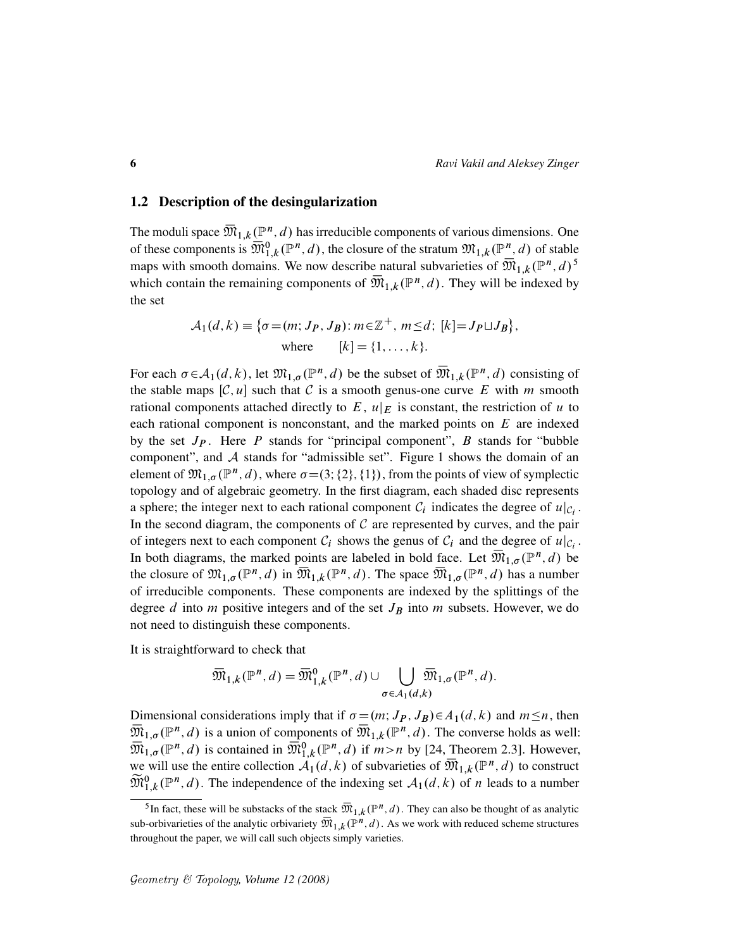### 1.2 Description of the desingularization

The moduli space  $\overline{\mathfrak{M}}_{1,k}({\mathbb P}^n,d)$  has irreducible components of various dimensions. One of these components is  $\overline{\mathfrak{M}}_{1,k}^0(\mathbb{P}^n,d)$ , the closure of the stratum  $\mathfrak{M}_{1,k}(\mathbb{P}^n,d)$  of stable maps with smooth domains. We now describe natural subvarieties of  $\overline{\mathfrak{M}}_{1,k}(\mathbb{P}^n,d)^5$ which contain the remaining components of  $\overline{\mathfrak{M}}_{1,k}(\mathbb{P}^n,d)$ . They will be indexed by the set

$$
A_1(d, k) \equiv \{ \sigma = (m; J_P, J_B) : m \in \mathbb{Z}^+, m \le d; [k] = J_P \sqcup J_B \},
$$
  
where  $[k] = \{1, ..., k\}.$ 

For each  $\sigma \in A_1(d, k)$ , let  $\mathfrak{M}_{1,\sigma}(\mathbb{P}^n, d)$  be the subset of  $\overline{\mathfrak{M}}_{1,k}(\mathbb{P}^n, d)$  consisting of the stable maps  $[C, u]$  such that C is a smooth genus-one curve E with m smooth rational components attached directly to E,  $u|_E$  is constant, the restriction of u to each rational component is nonconstant, and the marked points on  $E$  are indexed by the set  $J_P$ . Here  $P$  stands for "principal component",  $B$  stands for "bubble component", and A stands for "admissible set". Figure 1 shows the domain of an element of  $\mathfrak{M}_{1,\sigma}(\mathbb{P}^n,d)$ , where  $\sigma = (3;\{2\},\{1\})$ , from the points of view of symplectic topology and of algebraic geometry. In the first diagram, each shaded disc represents a sphere; the integer next to each rational component  $C_i$  indicates the degree of  $u|_{C_i}$ . In the second diagram, the components of  $C$  are represented by curves, and the pair of integers next to each component  $C_i$  shows the genus of  $C_i$  and the degree of  $u|_{C_i}$ . In both diagrams, the marked points are labeled in bold face. Let  $\overline{\mathfrak{M}}_{1,\sigma}(\mathbb{P}^n,d)$  be the closure of  $\mathfrak{M}_{1,\sigma}(\mathbb{P}^n,d)$  in  $\overline{\mathfrak{M}}_{1,k}(\mathbb{P}^n,d)$ . The space  $\overline{\mathfrak{M}}_{1,\sigma}(\mathbb{P}^n,d)$  has a number of irreducible components. These components are indexed by the splittings of the degree  $d$  into  $m$  positive integers and of the set  $J_B$  into  $m$  subsets. However, we do not need to distinguish these components.

It is straightforward to check that

$$
\overline{\mathfrak{M}}_{1,k}(\mathbb{P}^n,d)=\overline{\mathfrak{M}}_{1,k}^0(\mathbb{P}^n,d)\cup\bigcup_{\sigma\in\mathcal{A}_1(d,k)}\overline{\mathfrak{M}}_{1,\sigma}(\mathbb{P}^n,d).
$$

Dimensional considerations imply that if  $\sigma = (m; J_P, J_B) \in A_1(d, k)$  and  $m \le n$ , then  $\overline{\mathfrak{M}}_{1,\sigma}(\mathbb{P}^n,d)$  is a union of components of  $\overline{\mathfrak{M}}_{1,k}(\mathbb{P}^n,d)$ . The converse holds as well:  $\overline{\mathfrak{M}}_{1,\sigma}(\mathbb{P}^n,d)$  is contained in  $\overline{\mathfrak{M}}_{1,k}^0(\mathbb{P}^n,d)$  if  $m>n$  by [24, Theorem 2.3]. However, we will use the entire collection  $\mathcal{A}_1(d,k)$  of subvarieties of  $\overline{\mathfrak{M}}_{1,k}(\mathbb{P}^n,d)$  to construct  $\widetilde{\mathfrak{M}}_{1,k}^0(\mathbb{P}^n,d)$ . The independence of the indexing set  $\mathcal{A}_1(d,k)$  of *n* leads to a number

<sup>&</sup>lt;sup>5</sup>In fact, these will be substacks of the stack  $\overline{\mathfrak{M}}_{1,k}(\mathbb{P}^n,d)$ . They can also be thought of as analytic sub-orbivarieties of the analytic orbivariety  $\overline{\mathfrak{M}}_{1,k}(\mathbb{P}^n,d)$ . As we work with reduced scheme structures throughout the paper, we will call such objects simply varieties.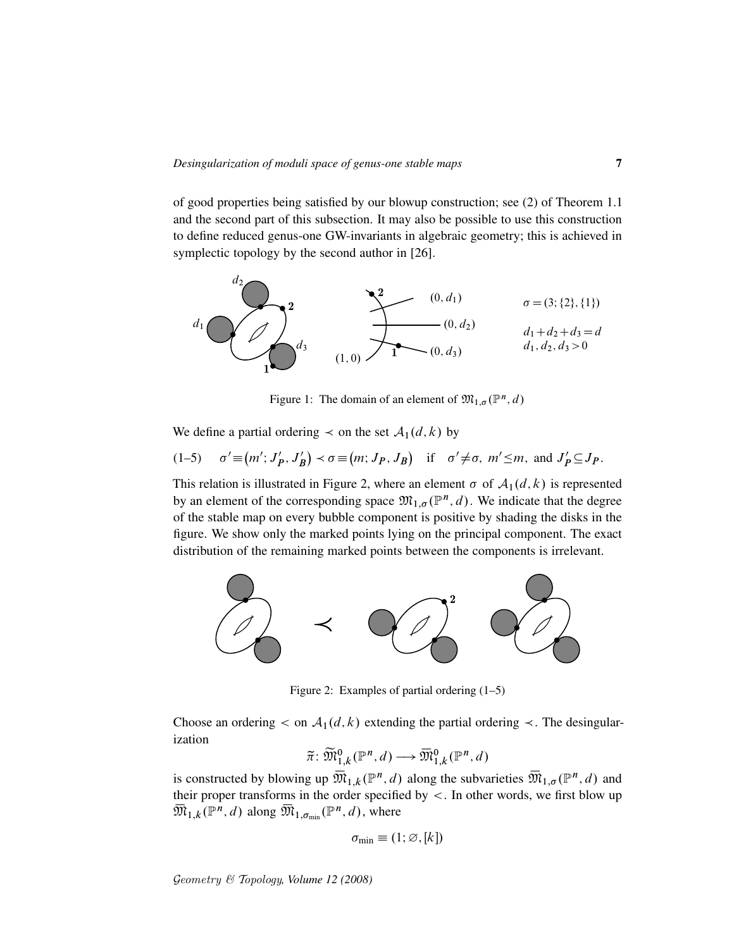of good properties being satisfied by our blowup construction; see (2) of Theorem 1.1 and the second part of this subsection. It may also be possible to use this construction to define reduced genus-one GW-invariants in algebraic geometry; this is achieved in symplectic topology by the second author in [26].



Figure 1: The domain of an element of  $\mathfrak{M}_{1,\sigma}(\mathbb{P}^n,d)$ 

We define a partial ordering  $\prec$  on the set  $\mathcal{A}_1(d, k)$  by

$$
(1-5) \quad \sigma' \equiv (m'; J_P', J_B') \prec \sigma \equiv (m; J_P, J_B) \quad \text{if} \quad \sigma' \neq \sigma, \ m' \leq m, \text{ and } J_P' \subseteq J_P.
$$

This relation is illustrated in Figure 2, where an element  $\sigma$  of  $\mathcal{A}_1(d, k)$  is represented by an element of the corresponding space  $\mathfrak{M}_{1,\sigma}(\mathbb{P}^n,d)$ . We indicate that the degree of the stable map on every bubble component is positive by shading the disks in the figure. We show only the marked points lying on the principal component. The exact distribution of the remaining marked points between the components is irrelevant.



Figure 2: Examples of partial ordering (1–5)

Choose an ordering  $\lt$  on  $\mathcal{A}_1(d, k)$  extending the partial ordering  $\lt$ . The desingularization

$$
\widetilde{\pi} \colon \widetilde{\mathfrak{M}}_{1,k}^0(\mathbb{P}^n,d) \longrightarrow \overline{\mathfrak{M}}_{1,k}^0(\mathbb{P}^n,d)
$$

is constructed by blowing up  $\overline{\mathfrak{M}}_{1,k}(\mathbb{P}^n,d)$  along the subvarieties  $\overline{\mathfrak{M}}_{1,\sigma}(\mathbb{P}^n,d)$  and their proper transforms in the order specified by <. In other words, we first blow up  $\overline{\mathfrak{M}}_{1,k}(\mathbb{P}^n,d)$  along  $\overline{\mathfrak{M}}_{1,\sigma_{\min}}(\mathbb{P}^n,d)$ , where

$$
\sigma_{\min} \equiv (1; \varnothing, [k])
$$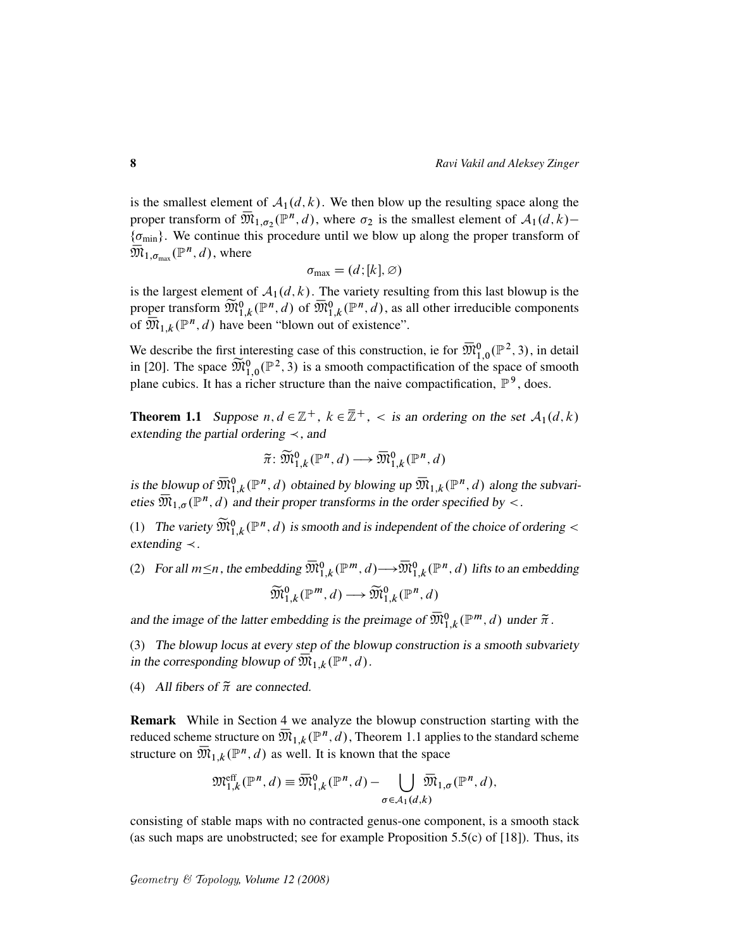is the smallest element of  $A_1(d, k)$ . We then blow up the resulting space along the proper transform of  $\overline{\mathfrak{M}}_{1,\sigma_2}(\mathbb{P}^n,d)$ , where  $\sigma_2$  is the smallest element of  $\mathcal{A}_1(d,k)$  $\{\sigma_{\min}\}\$ . We continue this procedure until we blow up along the proper transform of  $\overline{\mathfrak{M}}_{1,\sigma_{\max}}(\mathbb{P}^n,d)$ , where

$$
\sigma_{\max} = (d; [k], \varnothing)
$$

is the largest element of  $A_1(d, k)$ . The variety resulting from this last blowup is the proper transform  $\widetilde{\mathfrak{M}}_{1,k}^0(\mathbb{P}^n,d)$  of  $\overline{\mathfrak{M}}_{1,k}^0(\mathbb{P}^n,d)$ , as all other irreducible components of  $\overline{\mathfrak{M}}_{1,k}(\mathbb{P}^n,d)$  have been "blown out of existence".

We describe the first interesting case of this construction, ie for  $\overline{\mathfrak{M}}_{1,0}^{0}(\mathbb{P}^{2},3)$ , in detail in [20]. The space  $\widetilde{\mathfrak{M}}_{1,0}^{0}(\mathbb{P}^2,3)$  is a smooth compactification of the space of smooth plane cubics. It has a richer structure than the naive compactification,  $\mathbb{P}^9$ , does.

**Theorem 1.1** Suppose  $n, d \in \mathbb{Z}^+$ ,  $k \in \mathbb{Z}^+$ ,  $\lt$  is an ordering on the set  $A_1(d, k)$ extending the partial ordering  $\prec$ , and

$$
\widetilde{\pi} \colon \widetilde{\mathfrak{M}}_{1,k}^0(\mathbb{P}^n,d) \longrightarrow \overline{\mathfrak{M}}_{1,k}^0(\mathbb{P}^n,d)
$$

is the blowup of  $\overline{\mathfrak{M}}_{1,k}^0(\mathbb{P}^n,d)$  obtained by blowing up  $\overline{\mathfrak{M}}_{1,k}(\mathbb{P}^n,d)$  along the subvarieties  $\overline{\mathfrak{M}}_{1,\sigma}(\mathbb{P}^n,d)$  and their proper transforms in the order specified by <.

(1) The variety  $\widetilde{\mathfrak{M}}_{1,k}^{0}(\mathbb{P}^n,d)$  is smooth and is independent of the choice of ordering < extending  $\prec$ .

(2) For all  $m \le n$ , the embedding  $\overline{\mathfrak{M}}_{1,k}^0(\mathbb{P}^m,d) \longrightarrow \overline{\mathfrak{M}}_{1,k}^0(\mathbb{P}^n,d)$  lifts to an embedding  $\widetilde{\mathfrak{M}}^{0}_{1,k}(\mathbb{P}^m,d) \longrightarrow \widetilde{\mathfrak{M}}^{0}_{1,k}(\mathbb{P}^n,d)$ 

and the image of the latter embedding is the preimage of  $\overline{\mathfrak{M}}_{1,k}^0(\mathbb{P}^m,d)$  under  $\tilde{\pi}$ .

(3) The blowup locus at every step of the blowup construction is a smooth subvariety in the corresponding blowup of  $\overline{\mathfrak{M}}_{1,k}(\mathbb{P}^n,d)$ .

(4) All fibers of  $\tilde{\pi}$  are connected.

Remark While in Section 4 we analyze the blowup construction starting with the reduced scheme structure on  $\overline{\mathfrak{M}}_{1,k}({\mathbb P}^n,d),$  Theorem 1.1 applies to the standard scheme structure on  $\overline{\mathfrak{M}}_{1,k}(\mathbb{P}^n,d)$  as well. It is known that the space

$$
\mathfrak{M}^{\text{eff}}_{1,k}(\mathbb{P}^n,d)=\overline{\mathfrak{M}}^0_{1,k}(\mathbb{P}^n,d)-\bigcup_{\sigma\in\mathcal{A}_1(d,k)}\overline{\mathfrak{M}}_{1,\sigma}(\mathbb{P}^n,d),
$$

consisting of stable maps with no contracted genus-one component, is a smooth stack (as such maps are unobstructed; see for example Proposition 5.5(c) of [18]). Thus, its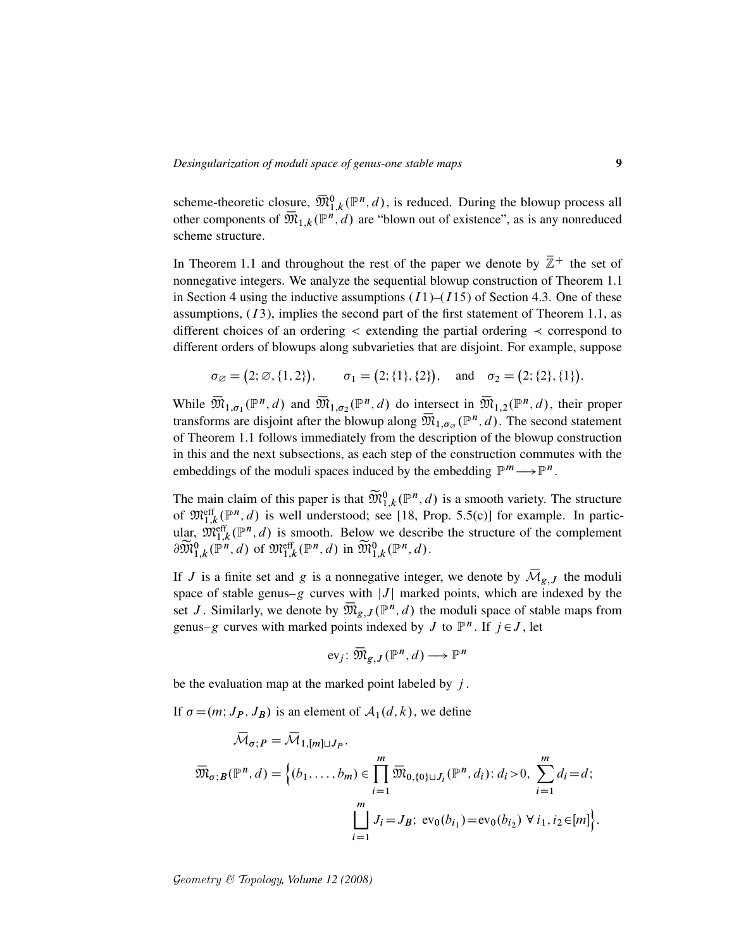scheme-theoretic closure,  $\overline{\mathfrak{M}}_{1,k}^{0}(\mathbb{P}^n,d)$ , is reduced. During the blowup process all other components of  $\overline{\mathfrak{M}}_{1,k}(\mathbb{P}^{n},d)$  are "blown out of existence", as is any nonreduced scheme structure.

In Theorem 1.1 and throughout the rest of the paper we denote by  $\overline{\mathbb{Z}}$ <sup>+</sup> the set of nonnegative integers. We analyze the sequential blowup construction of Theorem 1.1 in Section 4 using the inductive assumptions  $(I1)$ – $(I15)$  of Section 4.3. One of these assumptions,  $(13)$ , implies the second part of the first statement of Theorem 1.1, as different choices of an ordering  $\lt$  extending the partial ordering  $\lt$  correspond to different orders of blowups along subvarieties that are disjoint. For example, suppose

$$
\sigma_{\varnothing} = (2; \varnothing, \{1, 2\}), \quad \sigma_1 = (2; \{1\}, \{2\}), \quad \text{and} \quad \sigma_2 = (2; \{2\}, \{1\}).
$$

While  $\overline{\mathfrak{M}}_{1,\sigma_1}(\mathbb{P}^n,d)$  and  $\overline{\mathfrak{M}}_{1,\sigma_2}(\mathbb{P}^n,d)$  do intersect in  $\overline{\mathfrak{M}}_{1,2}(\mathbb{P}^n,d)$ , their proper transforms are disjoint after the blowup along  $\overline{\mathfrak{M}}_{1,\sigma_{\varnothing}}(\mathbb{P}^n,d)$ . The second statement of Theorem 1.1 follows immediately from the description of the blowup construction in this and the next subsections, as each step of the construction commutes with the embeddings of the moduli spaces induced by the embedding  $\mathbb{P}^m \longrightarrow \mathbb{P}^n$ .

The main claim of this paper is that  $\widetilde{\mathfrak{M}}_{1,k}^0(\mathbb{P}^n,d)$  is a smooth variety. The structure of  $\mathfrak{M}^{\text{eff}}_{1,k}(\mathbb{P}^n,d)$  is well understood; see [18, Prop. 5.5(c)] for example. In particor  $\mathcal{M}_{1,k}^{\text{eff}}(\mathbb{P}^n, d)$  is wen understood, see [16, Prop. 3.3(c)] for example. In particular,  $\mathfrak{M}_{1,k}^{\text{eff}}(\mathbb{P}^n, d)$  is smooth. Below we describe the structure of the complement  $\partial \widetilde{\mathfrak{M}}_{1,k}^0(\mathbb{P}^n,d)$  of  $\mathfrak{M}^{\text{eff}}_{1,k}(\mathbb{P}^n,d)$  in  $\widetilde{\mathfrak{M}}_{1,k}^0(\mathbb{P}^n,d)$ .

If J is a finite set and g is a nonnegative integer, we denote by  $\overline{\mathcal{M}}_{g,J}$  the moduli space of stable genus–g curves with  $|J|$  marked points, which are indexed by the set J. Similarly, we denote by  $\overline{\mathfrak{M}}_{g,J}(\mathbb{P}^n,d)$  the moduli space of stable maps from genus–g curves with marked points indexed by J to  $\mathbb{P}^n$ . If  $j \in J$ , let

$$
\text{ev}_j \colon \overline{\mathfrak{M}}_{g,J}(\mathbb{P}^n,d) \longrightarrow \mathbb{P}^n
$$

be the evaluation map at the marked point labeled by  $j$ .

If  $\sigma = (m; J_P, J_B)$  is an element of  $A_1(d, k)$ , we define

$$
\overline{\mathcal{M}}_{\sigma; P} = \overline{\mathcal{M}}_{1, [m] \sqcup J_P},
$$
\n
$$
\overline{\mathcal{M}}_{\sigma; B}(\mathbb{P}^n, d) = \left\{ (b_1, \dots, b_m) \in \prod_{i=1}^m \overline{\mathcal{M}}_{0, \{0\} \sqcup J_i}(\mathbb{P}^n, d_i) : d_i > 0, \sum_{i=1}^m d_i = d; \right\}
$$
\n
$$
\prod_{i=1}^m J_i = J_B; \text{ ev}_0(b_{i_1}) = \text{ev}_0(b_{i_2}) \ \forall \ i_1, i_2 \in [m] \right\}.
$$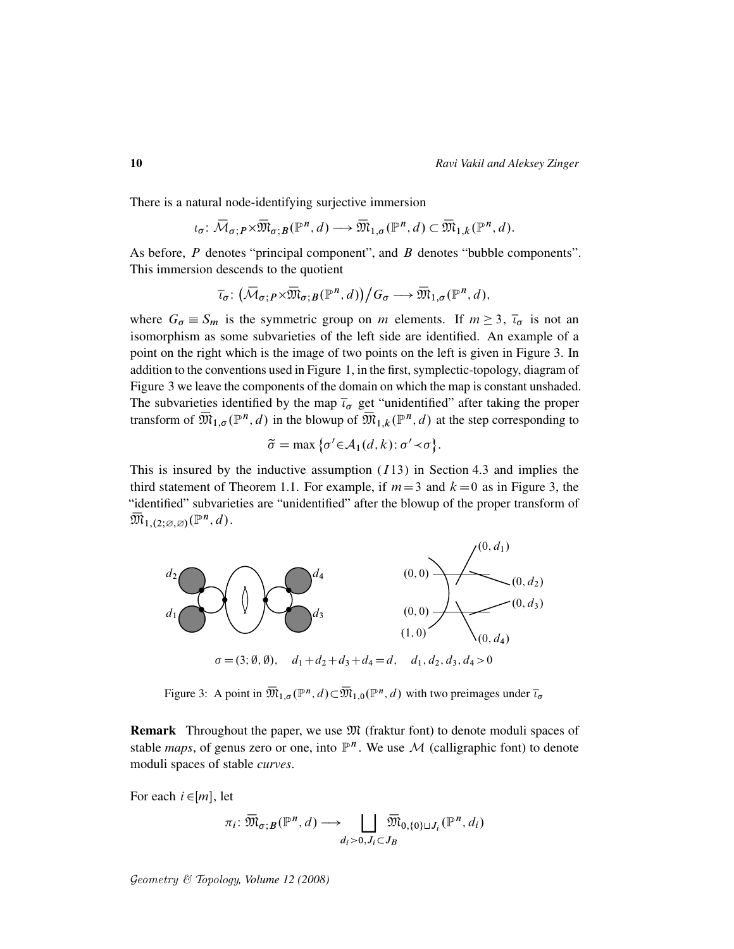There is a natural node-identifying surjective immersion

$$
\iota_\sigma\colon \overline{\mathcal{M}}_{\sigma;P} \times \overline{\mathfrak{M}}_{\sigma;B}(\mathbb{P}^n,d) \longrightarrow \overline{\mathfrak{M}}_{1,\sigma}(\mathbb{P}^n,d) \subset \overline{\mathfrak{M}}_{1,k}(\mathbb{P}^n,d).
$$

As before,  $P$  denotes "principal component", and  $B$  denotes "bubble components". This immersion descends to the quotient

$$
\overline{\iota}_{\sigma} \colon (\overline{\mathcal{M}}_{\sigma; P} \times \overline{\mathfrak{M}}_{\sigma; B}(\mathbb{P}^n, d)) / G_{\sigma} \longrightarrow \overline{\mathfrak{M}}_{1, \sigma}(\mathbb{P}^n, d),
$$

where  $G_{\sigma} \equiv S_m$  is the symmetric group on m elements. If  $m \geq 3$ ,  $\bar{t}_{\sigma}$  is not an isomorphism as some subvarieties of the left side are identified. An example of a point on the right which is the image of two points on the left is given in Figure 3. In addition to the conventions used in Figure 1, in the first, symplectic-topology, diagram of Figure 3 we leave the components of the domain on which the map is constant unshaded. The subvarieties identified by the map  $\bar{t}_{\sigma}$  get "unidentified" after taking the proper transform of  $\overline{\mathfrak{M}}_{1,\sigma}(\mathbb{P}^n,d)$  in the blowup of  $\overline{\mathfrak{M}}_{1,k}(\mathbb{P}^n,d)$  at the step corresponding to

$$
\widetilde{\sigma} = \max \{ \sigma' \in \mathcal{A}_1(d, k) : \sigma' \prec \sigma \}.
$$

This is insured by the inductive assumption  $(113)$  in Section 4.3 and implies the third statement of Theorem 1.1. For example, if  $m=3$  and  $k=0$  as in Figure 3, the "identified" subvarieties are "unidentified" after the blowup of the proper transform of  $\overline{\mathfrak{M}}_{1,(2;\varnothing,\varnothing)}(\mathbb{P}^n,d).$ 



Figure 3: A point in  $\overline{\mathfrak{M}}_{1,\sigma}(\mathbb{P}^n,d) \subset \overline{\mathfrak{M}}_{1,0}(\mathbb{P}^n,d)$  with two preimages under  $\overline{\iota}_{\sigma}$ 

**Remark** Throughout the paper, we use  $\mathfrak{M}$  (fraktur font) to denote moduli spaces of stable *maps*, of genus zero or one, into  $\mathbb{P}^n$ . We use M (calligraphic font) to denote moduli spaces of stable *curves*.

For each  $i \in [m]$ , let

$$
\pi_i \colon \overline{\mathfrak{M}}_{\sigma; B}(\mathbb{P}^n, d) \longrightarrow \bigsqcup_{d_i > 0, J_i \subset J_B} \overline{\mathfrak{M}}_{0, \{0\} \sqcup J_i}(\mathbb{P}^n, d_i)
$$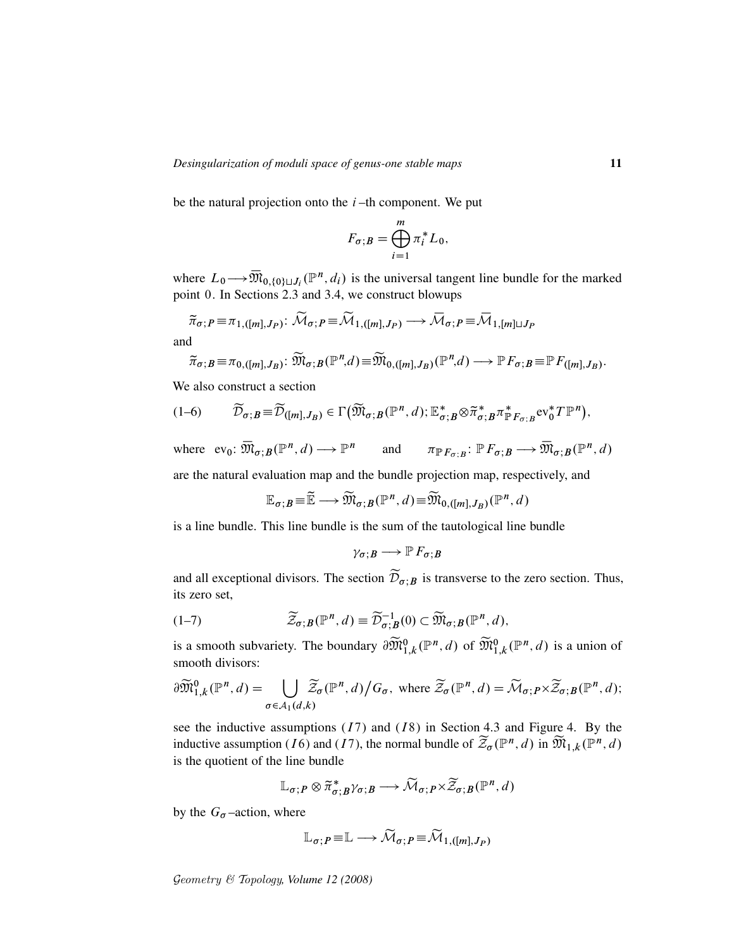be the natural projection onto the  $i$ -th component. We put

$$
F_{\sigma;B} = \bigoplus_{i=1}^{m} \pi_i^* L_0,
$$

where  $L_0 \rightarrow \overline{\mathfrak{M}}_{0,\{0\}\sqcup J_i}(\mathbb{P}^n, d_i)$  is the universal tangent line bundle for the marked point 0. In Sections 2.3 and 3.4, we construct blowups

$$
\widetilde{\pi}_{\sigma; P} \equiv \pi_{1,([m], J_P)} \colon \widetilde{\mathcal{M}}_{\sigma; P} \equiv \widetilde{\mathcal{M}}_{1,([m], J_P)} \longrightarrow \widetilde{\mathcal{M}}_{\sigma; P} \equiv \widetilde{\mathcal{M}}_{1, [m] \sqcup J_P}
$$

and

$$
\widetilde{\pi}_{\sigma; B} \equiv \pi_{0,([m], J_B)}: \widetilde{\mathfrak{M}}_{\sigma; B}(\mathbb{P}^n, d) \equiv \widetilde{\mathfrak{M}}_{0,([m], J_B)}(\mathbb{P}^n, d) \longrightarrow \mathbb{P}F_{\sigma; B} \equiv \mathbb{P}F_{([m], J_B)}.
$$

We also construct a section

$$
(1-6) \qquad \widetilde{\mathcal{D}}_{\sigma; B} \equiv \widetilde{\mathcal{D}}_{([m], J_B)} \in \Gamma\big(\widetilde{\mathfrak{M}}_{\sigma; B}(\mathbb{P}^n, d);\mathbb{E}^*_{\sigma; B} \otimes \widetilde{\pi}^*_{\sigma; B} \pi^*_{\mathbb{P} F_{\sigma; B}} \mathrm{ev}_0^* T \mathbb{P}^n\big),
$$

where  $ev_0: \overline{\mathfrak{M}}_{\sigma; B}(\mathbb{P}^n, d) \longrightarrow \mathbb{P}^n$  and  $\pi_{\mathbb{P} F_{\sigma; B}}: \mathbb{P} F_{\sigma; B} \longrightarrow \overline{\mathfrak{M}}_{\sigma; B}(\mathbb{P}^n, d)$ are the natural evaluation map and the bundle projection map, respectively, and

$$
\mathbb{E}_{\sigma; B} = \widetilde{\mathbb{E}} \longrightarrow \widetilde{\mathfrak{M}}_{\sigma; B}(\mathbb{P}^n, d) = \widetilde{\mathfrak{M}}_{0, ([m], J_B)}(\mathbb{P}^n, d)
$$

is a line bundle. This line bundle is the sum of the tautological line bundle

 $\gamma_{\sigma:B}\longrightarrow \mathbb{P} F_{\sigma:B}$ 

and all exceptional divisors. The section  $\widetilde{\mathcal{D}}_{\sigma}$  is transverse to the zero section. Thus, its zero set,

$$
(1-7) \qquad \qquad \widetilde{\mathcal{Z}}_{\sigma;B}(\mathbb{P}^n,d) \equiv \widetilde{\mathcal{D}}_{\sigma;B}^{-1}(0) \subset \widetilde{\mathfrak{M}}_{\sigma;B}(\mathbb{P}^n,d),
$$

is a smooth subvariety. The boundary  $\partial \widetilde{\mathfrak{M}}_{1,k}^0(\mathbb{P}^n,d)$  of  $\widetilde{\mathfrak{M}}_{1,k}^0(\mathbb{P}^n,d)$  is a union of smooth divisors:

$$
\partial \widetilde{\mathfrak{M}}_{1,k}^{0}(\mathbb{P}^n,d) = \bigcup_{\sigma \in \mathcal{A}_1(d,k)} \widetilde{\mathcal{Z}}_{\sigma}(\mathbb{P}^n,d) \big/ G_{\sigma}, \text{ where } \widetilde{\mathcal{Z}}_{\sigma}(\mathbb{P}^n,d) = \widetilde{\mathcal{M}}_{\sigma;P} \times \widetilde{\mathcal{Z}}_{\sigma;B}(\mathbb{P}^n,d);
$$

see the inductive assumptions  $(17)$  and  $(18)$  in Section 4.3 and Figure 4. By the inductive assumption (16) and (17), the normal bundle of  $\widetilde{\mathcal{Z}}_{\sigma}(\mathbb{P}^n,d)$  in  $\widetilde{\mathfrak{M}}_{1,k}(\mathbb{P}^n,d)$ is the quotient of the line bundle

$$
\mathbb{L}_{\sigma; P} \otimes \widetilde{\pi}_{\sigma; B}^* \gamma_{\sigma; B} \longrightarrow \widetilde{\mathcal{M}}_{\sigma; P} \times \widetilde{\mathcal{Z}}_{\sigma; B}(\mathbb{P}^n, d)
$$

by the  $G_{\sigma}$ -action, where

$$
\mathbb{L}_{\sigma; P} \equiv \mathbb{L} \longrightarrow \widetilde{\mathcal{M}}_{\sigma; P} \equiv \widetilde{\mathcal{M}}_{1,([m], J_P)}
$$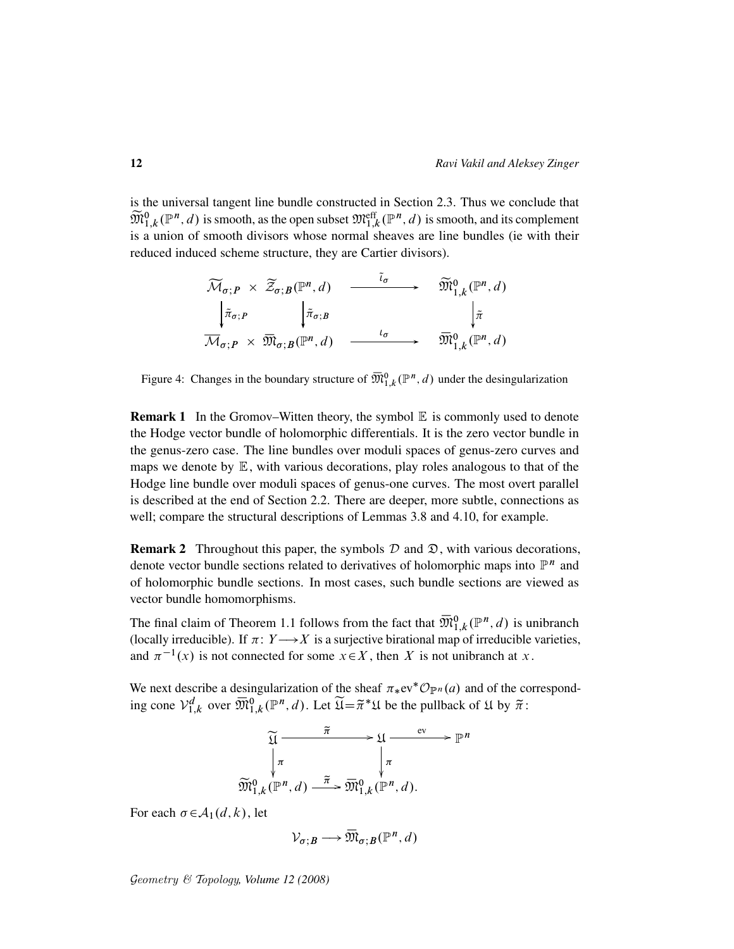is the universal tangent line bundle constructed in Section 2.3. Thus we conclude that  $\widetilde{\mathfrak{M}}^{0}_{1,k}(\mathbb{P}^n,d)$  is smooth, as the open subset  $\mathfrak{M}^{\text{eff}}_{1,k}(\mathbb{P}^n,d)$  is smooth, and its complement is a union of smooth divisors whose normal sheaves are line bundles (ie with their reduced induced scheme structure, they are Cartier divisors).

$$
\widetilde{\mathcal{M}}_{\sigma; P} \times \widetilde{\mathcal{Z}}_{\sigma; B}(\mathbb{P}^n, d) \xrightarrow{\tilde{\iota}_{\sigma}} \widetilde{\mathfrak{M}}_{1,k}^0(\mathbb{P}^n, d)
$$
\n
$$
\begin{array}{ccc}\n\downarrow \tilde{\pi}_{\sigma; P} & \downarrow \tilde{\pi}_{\sigma; B} & \downarrow \tilde{\pi} \\
\hline\n\overline{\mathcal{M}}_{\sigma; P} \times \overline{\mathfrak{M}}_{\sigma; B}(\mathbb{P}^n, d) & \xrightarrow{\iota_{\sigma}} & \overline{\mathfrak{M}}_{1,k}^0(\mathbb{P}^n, d)\n\end{array}
$$

Figure 4: Changes in the boundary structure of  $\overline{\mathfrak{M}}_{1,k}^{0}(\mathbb{P}^{n},d)$  under the desingularization

**Remark 1** In the Gromov–Witten theory, the symbol  $\mathbb E$  is commonly used to denote the Hodge vector bundle of holomorphic differentials. It is the zero vector bundle in the genus-zero case. The line bundles over moduli spaces of genus-zero curves and maps we denote by  $E$ , with various decorations, play roles analogous to that of the Hodge line bundle over moduli spaces of genus-one curves. The most overt parallel is described at the end of Section 2.2. There are deeper, more subtle, connections as well; compare the structural descriptions of Lemmas 3.8 and 4.10, for example.

**Remark 2** Throughout this paper, the symbols  $D$  and  $\mathfrak{D}$ , with various decorations, denote vector bundle sections related to derivatives of holomorphic maps into  $\mathbb{P}^n$  and of holomorphic bundle sections. In most cases, such bundle sections are viewed as vector bundle homomorphisms.

The final claim of Theorem 1.1 follows from the fact that  $\overline{\mathfrak{M}}_{1,k}^{0}(\mathbb{P}^{n},d)$  is unibranch (locally irreducible). If  $\pi: Y \longrightarrow X$  is a surjective birational map of irreducible varieties, and  $\pi^{-1}(x)$  is not connected for some  $x \in X$ , then X is not unibranch at x.

We next describe a desingularization of the sheaf  $\pi_*ev^*{\mathcal{O}}_{\mathbb{P}^n}(a)$  and of the corresponding cone  $\mathcal{V}_{1,k}^d$  over  $\overline{\mathfrak{M}}_{1,k}^0(\mathbb{P}^n,d)$ . Let  $\widetilde{\mathfrak{U}} = \widetilde{\pi}^* \mathfrak{U}$  be the pullback of  $\mathfrak{U}$  by  $\widetilde{\pi}$ :

$$
\widetilde{\mathfrak{U}} \xrightarrow{\widetilde{\pi}} \mathfrak{U} \xrightarrow{\mathrm{ev}} \mathbb{P}^n
$$
\n
$$
\downarrow \pi \qquad \qquad \downarrow \pi
$$
\n
$$
\widetilde{\mathfrak{M}}_{1,k}^0(\mathbb{P}^n, d) \xrightarrow{\widetilde{\pi}} \widetilde{\mathfrak{M}}_{1,k}^0(\mathbb{P}^n, d).
$$

For each  $\sigma \in \mathcal{A}_1(d, k)$ , let

$$
\mathcal{V}_{\sigma;B}\longrightarrow \overline{\mathfrak{M}}_{\sigma;B}(\mathbb{P}^n,d)
$$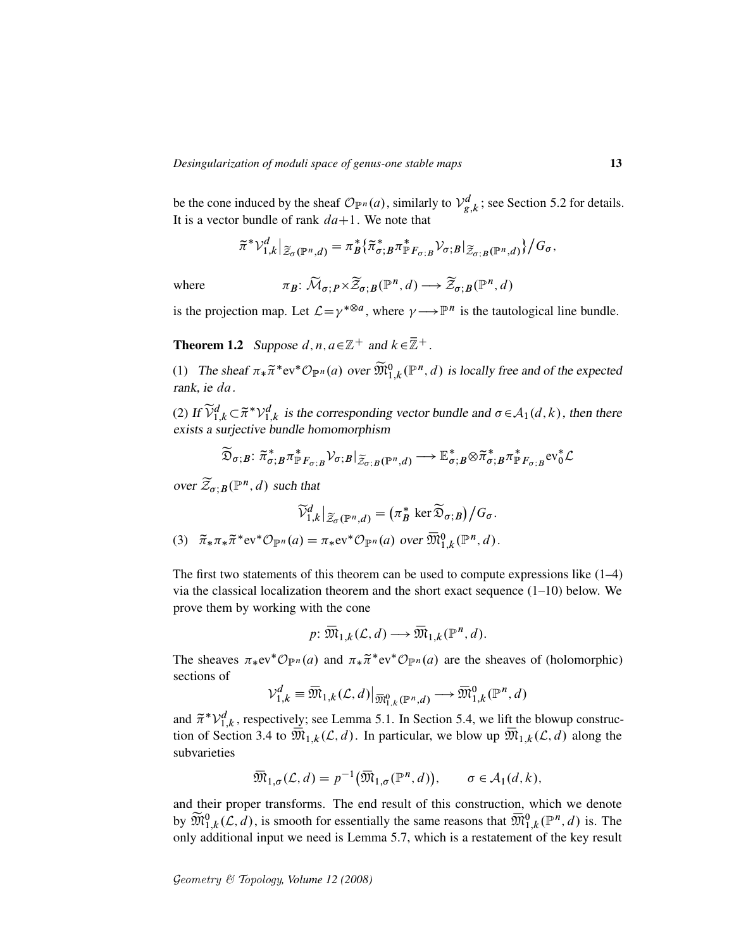be the cone induced by the sheaf  $\mathcal{O}_{\mathbb{P}^n}(a)$ , similarly to  $\mathcal{V}_g^d$  $g_{g,k}^{d}$ ; see Section 5.2 for details. It is a vector bundle of rank  $da+1$ . We note that

$$
\widetilde{\pi}^* \mathcal{V}_{1,k}^d|_{\widetilde{\mathcal{Z}}_{\sigma}(\mathbb{P}^n,d)} = \pi_B^* \{\widetilde{\pi}_{\sigma,B}^* \pi_{\mathbb{P}F_{\sigma,B}}^* \mathcal{V}_{\sigma,B}|_{\widetilde{\mathcal{Z}}_{\sigma,B}(\mathbb{P}^n,d)}\}/G_{\sigma},
$$

where

$$
\pi_B \colon \widetilde{\mathcal{M}}_{\sigma; P} \times \widetilde{\mathcal{Z}}_{\sigma; B}(\mathbb{P}^n, d) \longrightarrow \widetilde{\mathcal{Z}}_{\sigma; B}(\mathbb{P}^n, d)
$$

is the projection map. Let  $\mathcal{L} = \gamma^{*\otimes a}$ , where  $\gamma \longrightarrow \mathbb{P}^n$  is the tautological line bundle.

**Theorem 1.2** Suppose d, n,  $a \in \mathbb{Z}^+$  and  $k \in \overline{\mathbb{Z}}^+$ .

(1) The sheaf  $\pi_*\tilde{\pi}^*$ ev ${}^*{\mathcal{O}}_{\mathbb{P}^n}(a)$  over  $\widetilde{\mathfrak{M}}_{1,k}^0(\mathbb{P}^n,d)$  is locally free and of the expected rank, ie da.

(2) If  $\widetilde{\mathcal{V}}^d_{1,k} \subset \widetilde{\pi}^* \mathcal{V}^d_{1,k}$  is the corresponding vector bundle and  $\sigma \in \mathcal{A}_1(d,k)$ , then there exists a surjective bundle homomorphism

$$
\widetilde{\mathfrak{D}}_{\sigma;B}\colon \widetilde{\pi}_{\sigma;B}^* \pi_{\mathbb{P}F_{\sigma;B}}^* \mathcal{V}_{\sigma;B}|_{\widetilde{\mathcal{Z}}_{\sigma;B}(\mathbb{P}^n,d)} \longrightarrow \mathbb{E}_{\sigma;B}^* \otimes \widetilde{\pi}_{\sigma;B}^* \pi_{\mathbb{P}F_{\sigma;B}}^* \text{ev}_0^* \mathcal{L}
$$

over  $\widetilde{\mathcal{Z}}_{\sigma; B}(\mathbb{P}^n, d)$  such that

$$
\widetilde{\mathcal{V}}_{1,k}^d|_{\widetilde{\mathcal{Z}}_{\sigma}(\mathbb{P}^n,d)} = (\pi_B^* \ker \widetilde{\mathfrak{D}}_{\sigma;B})/G_{\sigma}.
$$

(3)  $\widetilde{\pi}_*\pi_*\widetilde{\pi}^*\mathrm{ev}^*\mathcal{O}_{\mathbb{P}^n}(a) = \pi_*\mathrm{ev}^*\mathcal{O}_{\mathbb{P}^n}(a)$  over  $\overline{\mathfrak{M}}_{1,k}^0(\mathbb{P}^n,d)$ .

The first two statements of this theorem can be used to compute expressions like  $(1-4)$ via the classical localization theorem and the short exact sequence  $(1-10)$  below. We prove them by working with the cone

$$
p: \overline{\mathfrak{M}}_{1,k}(\mathcal{L},d) \longrightarrow \overline{\mathfrak{M}}_{1,k}(\mathbb{P}^n,d).
$$

The sheaves  $\pi_*ev^*{\mathcal O}_{\mathbb P^n}(a)$  and  $\pi_*\tilde{\pi}^*ev^*{\mathcal O}_{\mathbb P^n}(a)$  are the sheaves of (holomorphic) sections of

$$
\mathcal{V}_{1,k}^d \equiv \overline{\mathfrak{M}}_{1,k}(\mathcal{L},d)\big|_{\overline{\mathfrak{M}}_{1,k}^0(\mathbb{P}^n,d)} \longrightarrow \overline{\mathfrak{M}}_{1,k}^0(\mathbb{P}^n,d)
$$

and  $\tilde{\pi}^* \mathcal{V}_{1,k}^d$ , respectively; see Lemma 5.1. In Section 5.4, we lift the blowup construction of Section 3.4 to  $\overline{\mathfrak{M}}_{1,k}(\mathcal{L},d)$ . In particular, we blow up  $\overline{\mathfrak{M}}_{1,k}(\mathcal{L},d)$  along the subvarieties

$$
\overline{\mathfrak{M}}_{1,\sigma}(\mathcal{L},d) = p^{-1}(\overline{\mathfrak{M}}_{1,\sigma}(\mathbb{P}^n,d)), \qquad \sigma \in \mathcal{A}_1(d,k),
$$

and their proper transforms. The end result of this construction, which we denote by  $\widetilde{\mathfrak{M}}_{1,k}^0(\mathcal{L},d)$ , is smooth for essentially the same reasons that  $\overline{\mathfrak{M}}_{1,k}^0(\mathbb{P}^n,d)$  is. The only additional input we need is Lemma 5.7, which is a restatement of the key result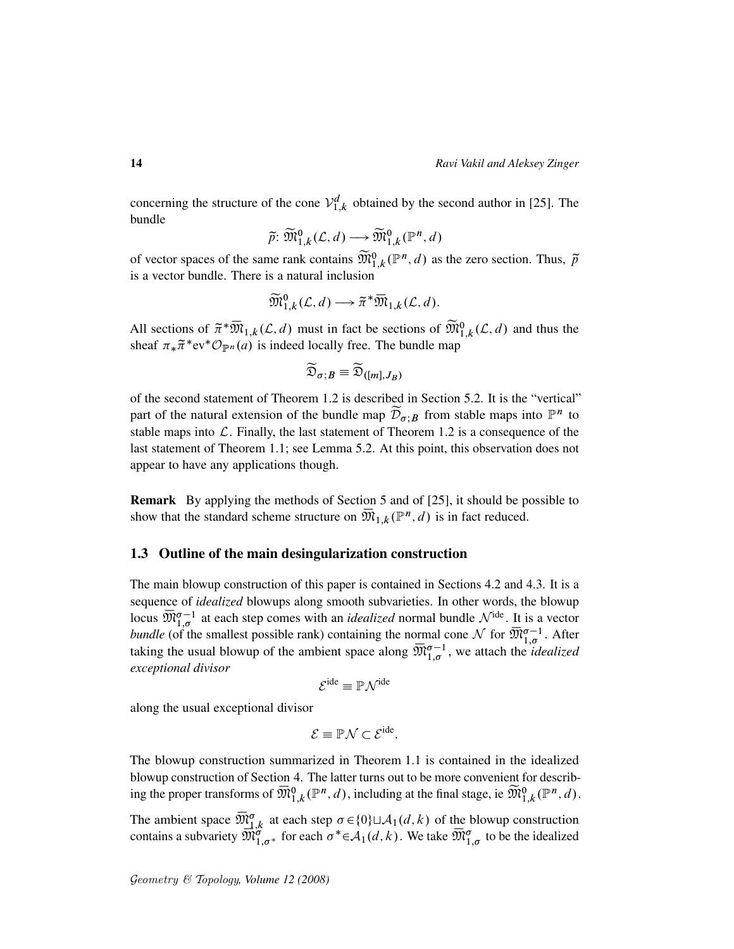concerning the structure of the cone  $\mathcal{V}_{1,k}^d$  obtained by the second author in [25]. The bundle

$$
\widetilde{p} \colon \widetilde{\mathfrak{M}}_{1,k}^0(\mathcal{L}, d) \longrightarrow \widetilde{\mathfrak{M}}_{1,k}^0(\mathbb{P}^n, d)
$$

of vector spaces of the same rank contains  $\widetilde{\mathfrak{M}}_{1,k}^0(\mathbb{P}^n,d)$  as the zero section. Thus,  $\widetilde{p}$ is a vector bundle. There is a natural inclusion

$$
\widetilde{\mathfrak{M}}_{1,k}^0(\mathcal{L},d) \longrightarrow \widetilde{\pi}^* \overline{\mathfrak{M}}_{1,k}(\mathcal{L},d).
$$

All sections of  $\tilde{\pi}^* \overline{\mathfrak{M}}_{1,k}(\mathcal{L}, d)$  must in fact be sections of  $\widetilde{\mathfrak{M}}_{1,k}^0(\mathcal{L}, d)$  and thus the sheaf  $\pi_* \tilde{\pi}^*$ ev ${}^* \mathcal{O}_{\mathbb{P}^n}(a)$  is indeed locally free. The bundle map

$$
\widetilde{\mathfrak{D}}_{\sigma;\boldsymbol{B}}\equiv\widetilde{\mathfrak{D}}_{([m],J_{\boldsymbol{B}})}
$$

of the second statement of Theorem 1.2 is described in Section 5.2. It is the "vertical" part of the natural extension of the bundle map  $\widetilde{\mathcal{D}}_{\sigma,B}$  from stable maps into  $\mathbb{P}^n$  to stable maps into  $\mathcal L$ . Finally, the last statement of Theorem 1.2 is a consequence of the last statement of Theorem 1.1; see Lemma 5.2. At this point, this observation does not appear to have any applications though.

Remark By applying the methods of Section 5 and of [25], it should be possible to show that the standard scheme structure on  $\overline{\mathfrak{M}}_{1,k}(\mathbb{P}^n,d)$  is in fact reduced.

### 1.3 Outline of the main desingularization construction

The main blowup construction of this paper is contained in Sections 4.2 and 4.3. It is a sequence of *idealized* blowups along smooth subvarieties. In other words, the blowup locus  $\overline{\mathfrak{M}}_{1,\sigma}^{\sigma-1}$  at each step comes with an *idealized* normal bundle  $\mathcal{N}^{\text{ide}}$ . It is a vector *bundle* (of the smallest possible rank) containing the normal cone  $\mathcal N$  for  $\overline{\mathfrak M}_{1,\sigma}^{\sigma-1}$ . After taking the usual blowup of the ambient space along  $\overline{\mathfrak{M}}_{1,\sigma}^{\sigma-1}$ , we attach the *idealized exceptional divisor*

$$
\mathcal{E}^{\text{ide}} \equiv \mathbb{P}\mathcal{N}^{\text{ide}}
$$

along the usual exceptional divisor

$$
\mathcal{E} \equiv \mathbb{P}\mathcal{N} \subset \mathcal{E}^{\text{ide}}.
$$

The blowup construction summarized in Theorem 1.1 is contained in the idealized blowup construction of Section 4. The latter turns out to be more convenient for describing the proper transforms of  $\overline{\mathfrak{M}}_{1,k}^{0}(\mathbb{P}^n,d)$ , including at the final stage, ie  $\widetilde{\mathfrak{M}}_{1,k}^{0}(\mathbb{P}^n,d)$ .

The ambient space  $\overline{\mathfrak{M}}_{1,k}^{\sigma}$  at each step  $\sigma \in \{0\} \sqcup \mathcal{A}_1(d, k)$  of the blowup construction contains a subvariety  $\overline{\mathfrak{M}}_{1,\sigma}^{\sigma}$  for each  $\sigma^* \in \mathcal{A}_1(d,k)$ . We take  $\overline{\mathfrak{M}}_{1,\sigma}^{\sigma}$  to be the idealized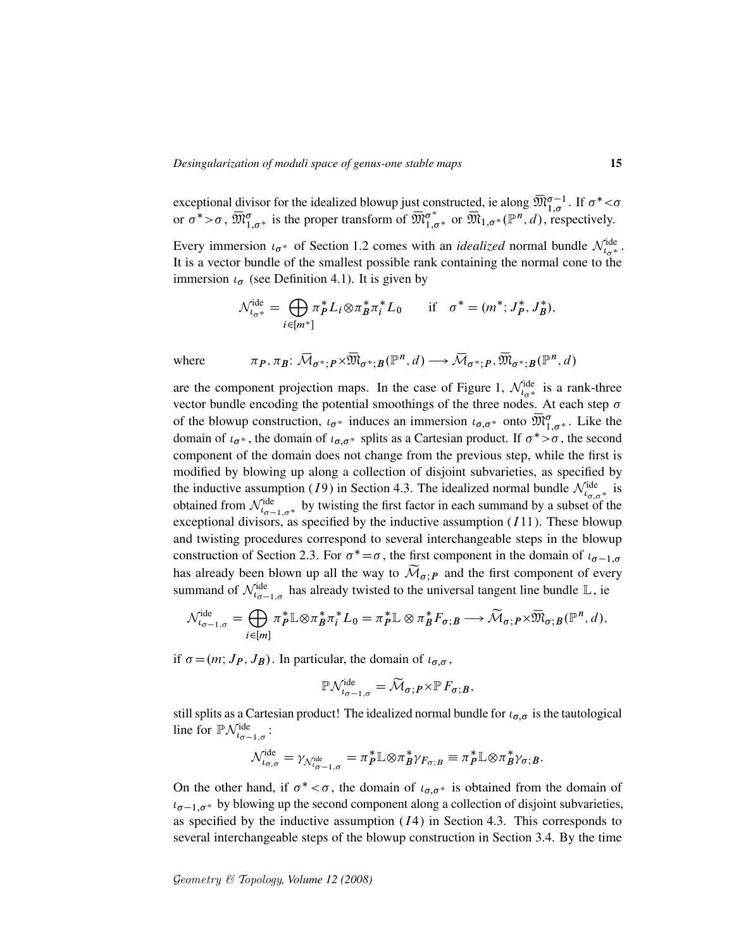exceptional divisor for the idealized blowup just constructed, ie along  $\overline{\mathfrak{M}}_{1,\sigma}^{\sigma-1}$ . If  $\sigma^*<\sigma$ or  $\sigma^* > \sigma$ ,  $\overline{\mathfrak{M}}_{1,\sigma^*}^{\sigma}$  is the proper transform of  $\overline{\mathfrak{M}}_{1,\sigma^*}^{\sigma^*}$  or  $\overline{\mathfrak{M}}_{1,\sigma^*}(\mathbb{P}^n,d)$ , respectively.

Every immersion  $\iota_{\sigma^*}$  of Section 1.2 comes with an *idealized* normal bundle  $\mathcal{N}_{\iota_{\sigma^*}}^{ide}$ . It is a vector bundle of the smallest possible rank containing the normal cone to the immersion  $\iota_{\sigma}$  (see Definition 4.1). It is given by

$$
\mathcal{N}_{\iota_{\sigma^*}}^{\text{ide}} = \bigoplus_{i \in [m^*]} \pi_P^* L_i \otimes \pi_B^* \pi_i^* L_0 \quad \text{if} \quad \sigma^* = (m^*; J_P^*, J_B^*),
$$

where 
$$
\pi_P, \pi_B: \overline{\mathcal{M}}_{\sigma^*; P} \times \overline{\mathfrak{M}}_{\sigma^*; B}(\mathbb{P}^n, d) \longrightarrow \overline{\mathcal{M}}_{\sigma^*; P}, \overline{\mathfrak{M}}_{\sigma^*; B}(\mathbb{P}^n, d)
$$

are the component projection maps. In the case of Figure 1,  $\mathcal{N}^{\text{ide}}_{t_{\sigma^*}}$  is a rank-three vector bundle encoding the potential smoothings of the three nodes. At each step  $\sigma$ of the blowup construction,  $\iota_{\sigma^*}$  induces an immersion  $\iota_{\sigma,\sigma^*}$  onto  $\overline{\mathfrak{M}}_{1,\sigma^*}^{\sigma}$ . Like the domain of  $\iota_{\sigma^*}$ , the domain of  $\iota_{\sigma,\sigma^*}$  splits as a Cartesian product. If  $\sigma^* > \sigma$ , the second component of the domain does not change from the previous step, while the first is modified by blowing up along a collection of disjoint subvarieties, as specified by the inductive assumption (19) in Section 4.3. The idealized normal bundle  $\mathcal{N}_{t_{\sigma,\sigma^*}}^{\text{ide}}$  is obtained from  $\mathcal{N}_{t_{\sigma-1,\sigma^*}}^{ide}$  by twisting the first factor in each summand by a subset of the exceptional divisors, as specified by the inductive assumption  $(111)$ . These blowup and twisting procedures correspond to several interchangeable steps in the blowup construction of Section 2.3. For  $\sigma^* = \sigma$ , the first component in the domain of  $\iota_{\sigma-1,\sigma}$ has already been blown up all the way to  $\widetilde{\mathcal{M}}_{\sigma,P}$  and the first component of every summand of  $\mathcal{N}_{t_{\sigma-1,\sigma}}^{\text{ide}}$  has already twisted to the universal tangent line bundle  $\mathbb{L}$ , ie

$$
\mathcal{N}^{\text{ide}}_{\iota_{\sigma-1,\sigma}} = \bigoplus_{i \in [m]} \pi_P^* \mathbb{L} \otimes \pi_B^* \pi_i^* L_0 = \pi_P^* \mathbb{L} \otimes \pi_B^* F_{\sigma;B} \longrightarrow \widetilde{\mathcal{M}}_{\sigma;P} \times \overline{\mathfrak{M}}_{\sigma;B}(\mathbb{P}^n,d),
$$

if  $\sigma = (m; J_P, J_B)$ . In particular, the domain of  $\iota_{\sigma, \sigma}$ ,

$$
\mathbb{P}\mathcal{N}_{\iota_{\sigma-1,\sigma}}^{\text{ide}} = \widetilde{\mathcal{M}}_{\sigma; P} \times \mathbb{P} F_{\sigma; B},
$$

still splits as a Cartesian product! The idealized normal bundle for  $\iota_{\sigma,\sigma}$  is the tautological line for  $\mathbb{P}\mathcal{N}_{t_{\sigma-1,\sigma}}^{\text{ide}}$ :

$$
\mathcal{N}^{\text{ide}}_{\iota_{\sigma,\sigma}} = \gamma_{\mathcal{N}^{\text{ide}}_{\iota_{\sigma-1,\sigma}}} = \pi_P^* \mathbb{L} \otimes \pi_B^* \gamma_{F_{\sigma;B}} \equiv \pi_P^* \mathbb{L} \otimes \pi_B^* \gamma_{\sigma;B}.
$$

On the other hand, if  $\sigma^* < \sigma$ , the domain of  $\iota_{\sigma,\sigma^*}$  is obtained from the domain of  $t_{\sigma-1,\sigma^*}$  by blowing up the second component along a collection of disjoint subvarieties, as specified by the inductive assumption  $(14)$  in Section 4.3. This corresponds to several interchangeable steps of the blowup construction in Section 3.4. By the time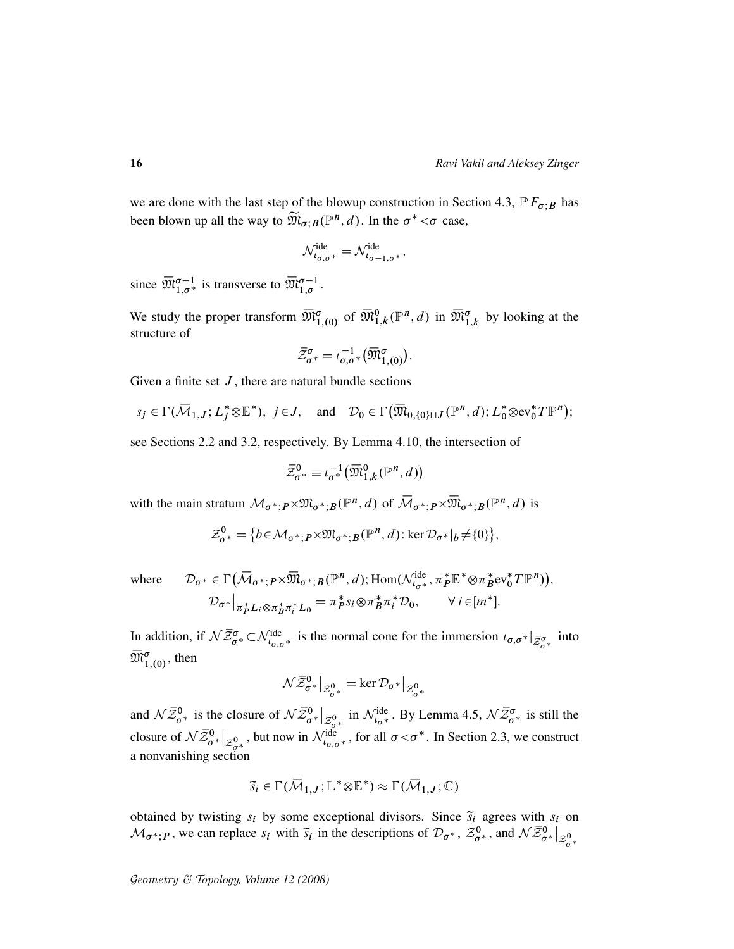we are done with the last step of the blowup construction in Section 4.3,  $\mathbb{P} F_{\sigma}$  has been blown up all the way to  $\widetilde{\mathfrak{M}}_{\sigma;B}(\mathbb{P}^n,d)$ . In the  $\sigma^*<\sigma$  case,

$$
\mathcal{N}^{\text{ide}}_{\iota_{\sigma,\sigma^*}} = \mathcal{N}^{\text{ide}}_{\iota_{\sigma-1,\sigma^*}},
$$

since  $\overline{\mathfrak{M}}_{1,\sigma^*}^{\sigma-1}$  is transverse to  $\overline{\mathfrak{M}}_{1,\sigma}^{\sigma-1}$ .

We study the proper transform  $\overline{\mathfrak{M}}_{1,(0)}^{\sigma}$  of  $\overline{\mathfrak{M}}_{1,k}^{0}(\mathbb{P}^{n},d)$  in  $\overline{\mathfrak{M}}_{1,k}^{\sigma}$  by looking at the structure of

$$
\bar{\mathcal{Z}}_{\sigma^*}^{\sigma} = \iota_{\sigma,\sigma^*}^{-1}(\bar{\mathfrak{M}}_{1,(0)}^{\sigma}).
$$

Given a finite set  $J$ , there are natural bundle sections

$$
s_j \in \Gamma(\overline{\mathcal{M}}_{1,J}; L_j^* \otimes \mathbb{E}^*), j \in J
$$
, and  $\mathcal{D}_0 \in \Gamma(\overline{\mathcal{M}}_{0,\{0\}\sqcup J}(\mathbb{P}^n, d); L_0^* \otimes \text{ev}_0^* T \mathbb{P}^n);$ 

see Sections 2.2 and 3.2, respectively. By Lemma 4.10, the intersection of

$$
\bar{\mathcal{Z}}_{\sigma^*}^0 \equiv \iota_{\sigma^*}^{-1} \big( \overline{\mathfrak{M}}_{1,k}^0(\mathbb{P}^n,d) \big)
$$

with the main stratum  $\mathcal{M}_{\sigma^*; P} \times \mathfrak{M}_{\sigma^*; B}(\mathbb{P}^n, d)$  of  $\overline{\mathcal{M}}_{\sigma^*; P} \times \overline{\mathfrak{M}}_{\sigma^*; B}(\mathbb{P}^n, d)$  is

$$
\mathcal{Z}_{\sigma^*}^0 = \{b \in \mathcal{M}_{\sigma^*; P} \times \mathfrak{M}_{\sigma^*; B}(\mathbb{P}^n, d) : \ker \mathcal{D}_{\sigma^*}|_{b} \neq \{0\}\},\
$$

where 
$$
\mathcal{D}_{\sigma^*} \in \Gamma\big(\overline{\mathcal{M}}_{\sigma^*; P} \times \overline{\mathfrak{M}}_{\sigma^*; B}(\mathbb{P}^n, d); \text{Hom}(\mathcal{N}_{\iota_{\sigma^*}}^{\text{ide}}, \pi_P^* \mathbb{E}^* \otimes \pi_B^* \text{ev}_0^* T \mathbb{P}^n)\big),
$$

$$
\mathcal{D}_{\sigma^*}\big|_{\pi_P^* L_i \otimes \pi_B^* \pi_i^* L_0} = \pi_P^* s_i \otimes \pi_B^* \pi_i^* \mathcal{D}_0, \qquad \forall i \in [m^*].
$$

In addition, if  $\mathcal{N}_{\sigma}^{\overline{z}\sigma} \subset \mathcal{N}_{\iota_{\sigma,\sigma^*}}^{\text{ide}}$  is the normal cone for the immersion  $\iota_{\sigma,\sigma^*}|_{\overline{\mathcal{Z}}_{\sigma^*}^{\sigma}}$  into  $\overline{\mathfrak{M}}_{1,(0)}^{\sigma}$ , then

$$
\mathcal{N}\bar{\mathcal{Z}}_{\sigma^*}^0\big|_{\mathcal{Z}_{\sigma^*}^0} = \ker \mathcal{D}_{\sigma^*}\big|_{\mathcal{Z}_{\sigma^*}^0}
$$

and  $\mathcal{N}\bar{\mathcal{Z}}_{\sigma^*}^0$  is the closure of  $\mathcal{N}\bar{\mathcal{Z}}_{\sigma^*}^0|_{\mathcal{Z}_{\sigma^*}^0}$  in  $\mathcal{N}_{t_{\sigma^*}}^{\text{ide}}$ . By Lemma 4.5,  $\mathcal{N}\bar{\mathcal{Z}}_{\sigma^*}^{\sigma}$  is still the closure of  $\mathcal{N}\bar{\mathcal{Z}}_{\sigma^*}^0|_{\mathcal{Z}_{\sigma^*}^0}$ , but now in  $\mathcal{N}_{\iota_{\sigma,\sigma^*}}^{\text{ide}}$ , for all  $\sigma < \sigma^*$ . In Section 2.3, we construct a nonvanishing section

$$
\widetilde{s}_i \in \Gamma(\overline{\mathcal{M}}_{1,J}; \mathbb{L}^* \otimes \mathbb{E}^*) \approx \Gamma(\overline{\mathcal{M}}_{1,J}; \mathbb{C})
$$

obtained by twisting  $s_i$  by some exceptional divisors. Since  $\tilde{s}_i$  agrees with  $s_i$  on  $\mathcal{M}_{\sigma^*;P}$ , we can replace  $s_i$  with  $\tilde{s}_i$  in the descriptions of  $\mathcal{D}_{\sigma^*}, \mathcal{Z}_{\sigma^*}^0$ , and  $\mathcal{N}\bar{\mathcal{Z}}_{\sigma^*}^0|_{\mathcal{Z}_{\sigma^*}^0}$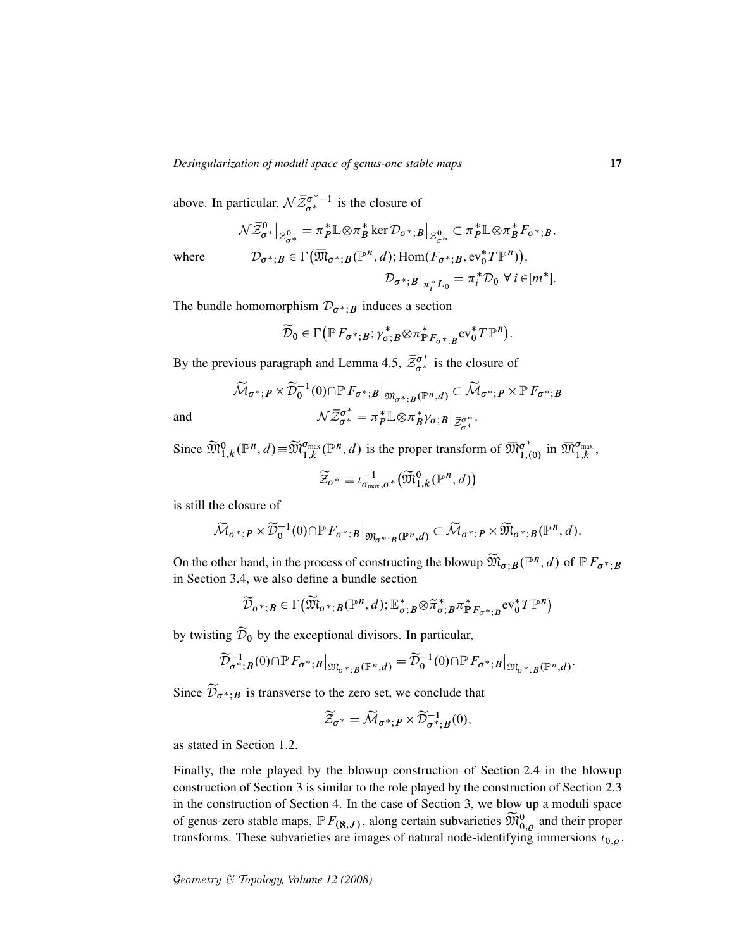above. In particular,  $\mathcal{N}\bar{Z}_{\sigma^*}^{\sigma^*-1}$  is the closure of

$$
\mathcal{N}\bar{Z}_{\sigma^*}^0\big|_{\mathcal{Z}_{\sigma^*}^0} = \pi_P^* \mathbb{L} \otimes \pi_B^* \ker \mathcal{D}_{\sigma^*;B}\big|_{\mathcal{Z}_{\sigma^*}^0} \subset \pi_P^* \mathbb{L} \otimes \pi_B^* F_{\sigma^*;B},
$$

where 
$$
\mathcal{D}_{\sigma^*;B} \in \Gamma\big(\overline{\mathfrak{M}}_{\sigma^*;B}(\mathbb{P}^n,d); \text{Hom}(F_{\sigma^*;B}, \text{ev}_0^*T\mathbb{P}^n)\big),
$$

$$
\mathcal{D}_{\sigma^*;B}\big|_{\pi_i^*L_0} = \pi_i^*\mathcal{D}_0 \,\forall\, i \in [m^*].
$$

The bundle homomorphism  $\mathcal{D}_{\sigma^*;B}$  induces a section

$$
\widetilde{\mathcal{D}}_0 \in \Gamma\big(\mathbb{P}\, F_{\sigma^*;B};\gamma_{\sigma;B}^* \otimes \pi_{\mathbb{P}\, F_{\sigma^*;B}}^* \mathrm{ev}_0^* T\mathbb{P}^n\big).
$$

By the previous paragraph and Lemma 4.5,  $\bar{Z}_{\sigma^*}^{\sigma^*}$  is the closure of

$$
\widetilde{\mathcal{M}}_{\sigma^*; P} \times \widetilde{\mathcal{D}}_0^{-1}(0) \cap \mathbb{P} F_{\sigma^*; B}|_{\mathfrak{M}_{\sigma^*; B}(\mathbb{P}^n, d)} \subset \widetilde{\mathcal{M}}_{\sigma^*; P} \times \mathbb{P} F_{\sigma^*; B}
$$
\nand\n
$$
\mathcal{N}\overline{\mathcal{Z}}_{\sigma^*}^{\sigma^*} = \pi_P^* \mathbb{L} \otimes \pi_B^* \gamma_{\sigma; B}|_{\overline{\mathcal{Z}}_{\sigma^*}^{\sigma^*}}.
$$

Since  $\widetilde{\mathfrak{M}}_{1,k}^0(\mathbb{P}^n,d) \equiv \widetilde{\mathfrak{M}}_{1,k}^{\sigma_{\text{max}}}(\mathbb{P}^n,d)$  is the proper transform of  $\overline{\mathfrak{M}}_{1,(k)}^{\sigma^*}$  $\sigma_{1,(0)}^*$  in  $\overline{\mathfrak{M}}_{1,k}^{\sigma_{\text{max}}}$ ,  $-1$ n

$$
\widetilde{\mathcal{Z}}_{\sigma^*} \equiv \iota_{\sigma_{\max}, \sigma^*}^{-1}(\widetilde{\mathfrak{M}}_{1,k}^0(\mathbb{P}^n,d))
$$

is still the closure of

$$
\widetilde{\mathcal{M}}_{\sigma^*;P}\times \widetilde{\mathcal{D}}_0^{-1}(0)\cap \mathbb{P} F_{\sigma^*;B}\big|_{\mathfrak{M}_{\sigma^*;B}(\mathbb{P}^n,d)}\subset \widetilde{\mathcal{M}}_{\sigma^*;P}\times \widetilde{\mathfrak{M}}_{\sigma^*;B}(\mathbb{P}^n,d).
$$

On the other hand, in the process of constructing the blowup  $\widetilde{M}_{\sigma,B}(\mathbb{P}^n,d)$  of  $\mathbb{P} F_{\sigma^*;B}$ in Section 3.4, we also define a bundle section

$$
\widetilde{\mathcal{D}}_{\sigma^*;B} \in \Gamma(\widetilde{\mathfrak{M}}_{\sigma^*;B}(\mathbb{P}^n,d);\mathbb{E}^*_{\sigma;B} \otimes \widetilde{\pi}_{\sigma;B}^* \pi^*_{\mathbb{P} F_{\sigma^*;B}} \text{ev}_0^* T \mathbb{P}^n)
$$

by twisting  $\widetilde{\mathcal{D}}_0$  by the exceptional divisors. In particular,

$$
\widetilde{\mathcal{D}}_{\sigma^*;B}^{-1}(0) \cap \mathbb{P} F_{\sigma^*;B}\big|_{\mathfrak{M}_{\sigma^*;B}(\mathbb{P}^n,d)} = \widetilde{\mathcal{D}}_0^{-1}(0) \cap \mathbb{P} F_{\sigma^*;B}\big|_{\mathfrak{M}_{\sigma^*;B}(\mathbb{P}^n,d)}.
$$

Since  $\widetilde{\mathcal{D}}_{\sigma^*,B}$  is transverse to the zero set, we conclude that

$$
\widetilde{\mathcal{Z}}_{\sigma^*} = \widetilde{\mathcal{M}}_{\sigma^*; P} \times \widetilde{\mathcal{D}}_{\sigma^*; B}^{-1}(0),
$$

as stated in Section 1.2.

Finally, the role played by the blowup construction of Section 2.4 in the blowup construction of Section 3 is similar to the role played by the construction of Section 2.3 in the construction of Section 4. In the case of Section 3, we blow up a moduli space of genus-zero stable maps,  $\mathbb{P}F_{(\mathbf{X},J)}$ , along certain subvarieties  $\widetilde{\mathfrak{M}}_{0,\varrho}^{0}$  and their proper transforms. These subvarieties are images of natural node-identifying immersions  $\iota_{0,\rho}$ .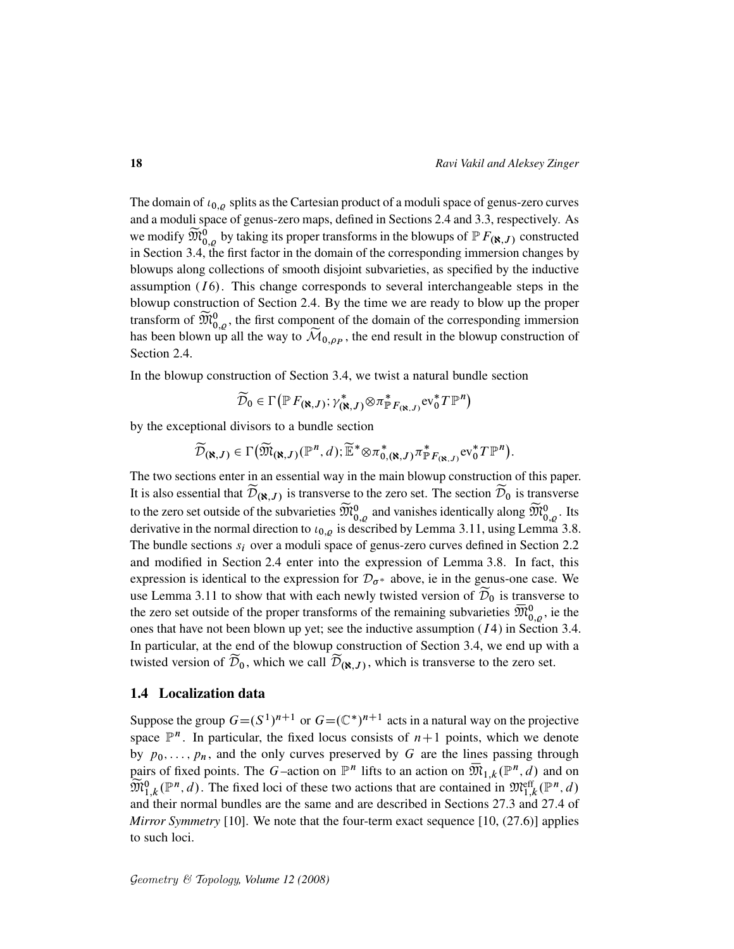The domain of  $\iota_{0,\rho}$  splits as the Cartesian product of a moduli space of genus-zero curves and a moduli space of genus-zero maps, defined in Sections 2.4 and 3.3, respectively. As we modify  $\widetilde{M}_{0,\varrho}^0$  by taking its proper transforms in the blowups of  $\mathbb{P}F_{(\aleph,J)}$  constructed in Section 3.4, the first factor in the domain of the corresponding immersion changes by blowups along collections of smooth disjoint subvarieties, as specified by the inductive assumption  $(I6)$ . This change corresponds to several interchangeable steps in the blowup construction of Section 2.4. By the time we are ready to blow up the proper transform of  $\widetilde{M}_{0,\varrho}^0$ , the first component of the domain of the corresponding immersion has been blown up all the way to  $\mathcal{M}_{0,\rho_P}$ , the end result in the blowup construction of Section 2.4.

In the blowup construction of Section 3.4, we twist a natural bundle section

$$
\widetilde{\mathcal{D}}_0 \in \Gamma\left(\mathbb{P} F_{(\aleph,J)}; \gamma^*_{(\aleph,J)} \otimes \pi^*_{\mathbb{P} F_{(\aleph,J)}} \mathrm{ev}_0^* T \mathbb{P}^n\right)
$$

by the exceptional divisors to a bundle section

$$
\widetilde{\mathcal{D}}_{(\aleph,J)} \in \Gamma\big(\widetilde{\mathfrak{M}}_{(\aleph,J)}(\mathbb{P}^n,d); \widetilde{\mathbb{E}}^* \otimes \pi_{0,(\aleph,J)}^* \pi_{\mathbb{P}F_{(\aleph,J)}}^* \mathrm{ev}_0^* T \mathbb{P}^n\big).
$$

The two sections enter in an essential way in the main blowup construction of this paper. It is also essential that  $\mathcal{D}_{(\mathbf{R},J)}$  is transverse to the zero set. The section  $\mathcal{D}_0$  is transverse to the zero set outside of the subvarieties  $\widetilde{M}_{0,\varrho}^0$  and vanishes identically along  $\widetilde{M}_{0,\varrho}^0$ . Its derivative in the normal direction to  $t_{0,\rho}$  is described by Lemma 3.11, using Lemma 3.8. The bundle sections  $s_i$  over a moduli space of genus-zero curves defined in Section 2.2 and modified in Section 2.4 enter into the expression of Lemma 3.8. In fact, this expression is identical to the expression for  $\mathcal{D}_{\sigma^*}$  above, ie in the genus-one case. We use Lemma 3.11 to show that with each newly twisted version of  $\mathcal{D}_0$  is transverse to the zero set outside of the proper transforms of the remaining subvarieties  $\overline{\mathfrak{M}}_{0,\varrho}^0$ , ie the ones that have not been blown up yet; see the inductive assumption  $(I4)$  in Section 3.4. In particular, at the end of the blowup construction of Section 3.4, we end up with a twisted version of  $\mathcal{D}_0$ , which we call  $\mathcal{D}_{(\aleph,J)}$ , which is transverse to the zero set.

## 1.4 Localization data

Suppose the group  $G = (S^1)^{n+1}$  or  $G = (\mathbb{C}^*)^{n+1}$  acts in a natural way on the projective space  $\mathbb{P}^n$ . In particular, the fixed locus consists of  $n+1$  points, which we denote by  $p_0, \ldots, p_n$ , and the only curves preserved by G are the lines passing through pairs of fixed points. The G-action on  $\mathbb{P}^n$  lifts to an action on  $\overline{\mathfrak{M}}_{1,k}(\mathbb{P}^n,d)$  and on  $\widetilde{\mathfrak{M}}_{1,k}^0(\mathbb{P}^n,d)$ . The fixed loci of these two actions that are contained in  $\mathfrak{M}^{\text{eff}}_{1,k}(\mathbb{P}^n,d)$ and their normal bundles are the same and are described in Sections 27.3 and 27.4 of *Mirror Symmetry* [10]. We note that the four-term exact sequence [10, (27.6)] applies to such loci.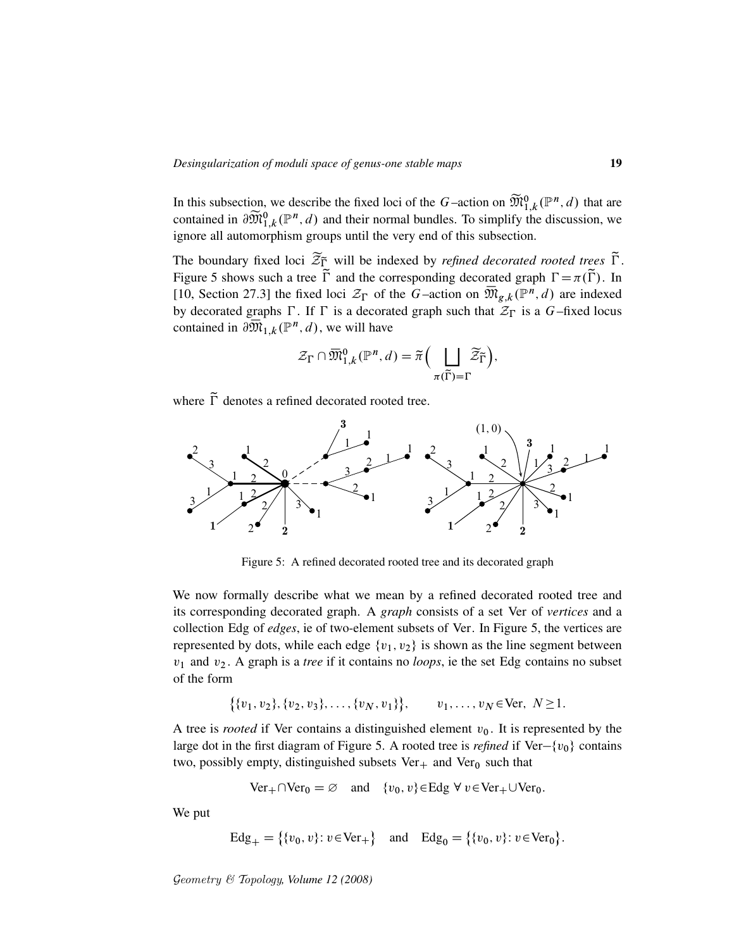In this subsection, we describe the fixed loci of the G-action on  $\widetilde{\mathfrak{M}}_{1,k}^{0}(\mathbb{P}^n,d)$  that are contained in  $\partial \widetilde{\mathfrak{M}}_{1,k}^0(\mathbb{P}^n,d)$  and their normal bundles. To simplify the discussion, we ignore all automorphism groups until the very end of this subsection.

The boundary fixed loci  $\widetilde{\mathcal{Z}}_{\overline{\mathbb{L}}}$  will be indexed by *refined decorated rooted trees*  $\widetilde{\Gamma}$ . Figure 5 shows such a tree  $\tilde{\Gamma}$  and the corresponding decorated graph  $\Gamma = \pi(\tilde{\Gamma})$ . In [10, Section 27.3] the fixed loci  $\mathcal{Z}_{\Gamma}$  of the G-action on  $\overline{\mathfrak{M}}_{g,k}(\mathbb{P}^n,d)$  are indexed by decorated graphs  $\Gamma$ . If  $\Gamma$  is a decorated graph such that  $\mathcal{Z}_{\Gamma}$  is a G-fixed locus contained in  $\partial \overline{\mathfrak{M}}_{1,k}({\mathbb P}^n,d)$ , we will have

$$
\mathcal{Z}_{\Gamma} \cap \overline{\mathfrak{M}}^{0}_{1,k}(\mathbb{P}^n,d) = \widetilde{\pi} \Big( \bigsqcup_{\pi(\widetilde{\Gamma}) = \Gamma} \widetilde{\mathcal{Z}}_{\widetilde{\Gamma}} \Big),
$$

where  $\tilde{\Gamma}$  denotes a refined decorated rooted tree.



Figure 5: A refined decorated rooted tree and its decorated graph

We now formally describe what we mean by a refined decorated rooted tree and its corresponding decorated graph. A *graph* consists of a set Ver of *vertices* and a collection Edg of *edges*, ie of two-element subsets of Ver. In Figure 5, the vertices are represented by dots, while each edge  $\{v_1, v_2\}$  is shown as the line segment between v<sup>1</sup> and v<sup>2</sup> . A graph is a *tree* if it contains no *loops*, ie the set Edg contains no subset of the form

$$
\{\{v_1, v_2\}, \{v_2, v_3\}, \ldots, \{v_N, v_1\}\}, \qquad v_1, \ldots, v_N \in \text{Ver}, N \ge 1.
$$

A tree is *rooted* if Ver contains a distinguished element  $v_0$ . It is represented by the large dot in the first diagram of Figure 5. A rooted tree is *refined* if Ver- $\{v_0\}$  contains two, possibly empty, distinguished subsets Ver $_+$  and Ver<sub>0</sub> such that

$$
\text{Ver}_{+} \cap \text{Ver}_{0} = \varnothing \quad \text{and} \quad \{v_{0}, v\} \in \text{Edg} \ \forall \ v \in \text{Ver}_{+} \cup \text{Ver}_{0}.
$$

We put

$$
Edg_{+} = \{ \{v_0, v\} : v \in \text{Ver}_{+} \} \quad \text{and} \quad Edg_{0} = \{ \{v_0, v\} : v \in \text{Ver}_{0} \}.
$$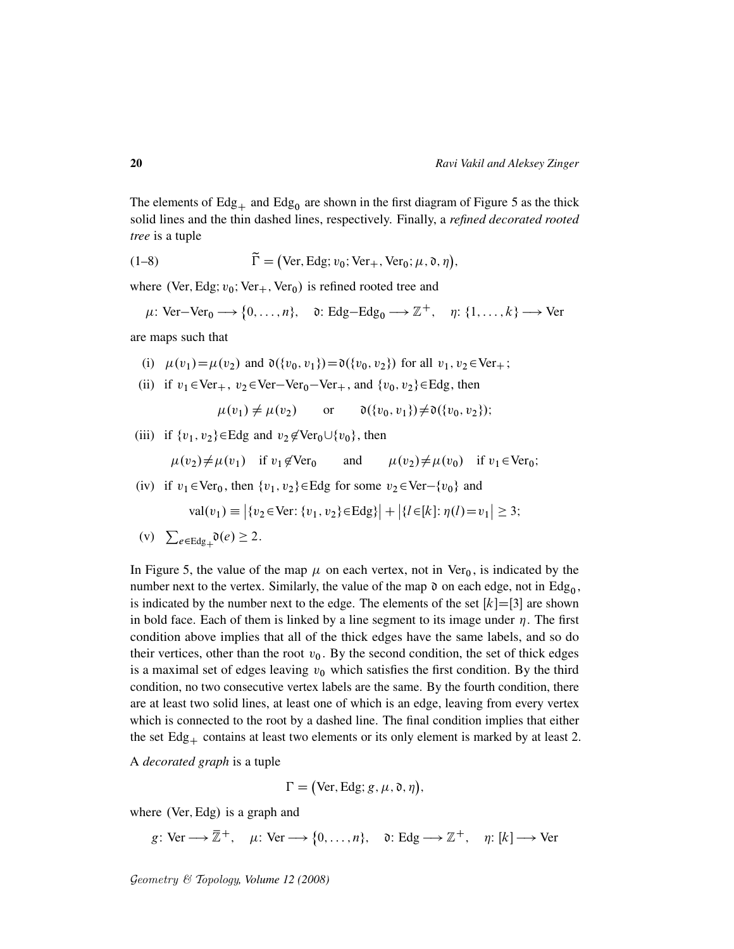The elements of  $Edg_+$  and  $Edg_0$  are shown in the first diagram of Figure 5 as the thick solid lines and the thin dashed lines, respectively. Finally, a *refined decorated rooted tree* is a tuple

(1–8) 
$$
\widetilde{\Gamma} = (\text{Ver}, \text{Edg}; v_0; \text{Ver}_+, \text{Ver}_0; \mu, \mathfrak{d}, \eta),
$$

where (Ver, Edg;  $v_0$ ; Ver<sub>+</sub>, Ver<sub>0</sub>) is refined rooted tree and

$$
\mu\colon \text{Ver}-\text{Ver}_0 \longrightarrow \{0,\ldots,n\}, \quad \mathfrak{d}\colon \text{Edg}-\text{Edg}_0 \longrightarrow \mathbb{Z}^+, \quad \eta\colon \{1,\ldots,k\} \longrightarrow \text{Ver}
$$

are maps such that

- (i)  $\mu(v_1) = \mu(v_2)$  and  $\mathfrak{d}(\{v_0, v_1\}) = \mathfrak{d}(\{v_0, v_2\})$  for all  $v_1, v_2 \in \text{Ver}_+$ ;
- (ii) if  $v_1 \in \text{Ver}_+$ ,  $v_2 \in \text{Ver}-\text{Ver}_0-\text{Ver}_+$ , and  $\{v_0, v_2\} \in \text{Edg}$ , then

 $\mu(v_1) \neq \mu(v_2)$  or  $\mathfrak{d}(\{v_0, v_1\}) \neq \mathfrak{d}(\{v_0, v_2\})$ ;

(iii) if  $\{v_1, v_2\} \in \text{Edg}$  and  $v_2 \notin \text{Ver}_0 \cup \{v_0\}$ , then

$$
\mu(v_2) \neq \mu(v_1)
$$
 if  $v_1 \notin \text{Ver}_0$  and  $\mu(v_2) \neq \mu(v_0)$  if  $v_1 \in \text{Ver}_0$ ;

(iv) if  $v_1 \in \text{Ver}_0$ , then  $\{v_1, v_2\} \in \text{Edg}$  for some  $v_2 \in \text{Ver}-\{v_0\}$  and

$$
\text{val}(v_1) \equiv |\{v_2 \in \text{Ver}: \{v_1, v_2\} \in \text{Edg}\}| + |\{l \in [k] : \eta(l) = v_1| \ge 3;
$$

(v)  $\sum_{e \in \text{Edg}_+} \mathfrak{d}(e) \geq 2$ .

In Figure 5, the value of the map  $\mu$  on each vertex, not in Ver<sub>0</sub>, is indicated by the number next to the vertex. Similarly, the value of the map  $\mathfrak d$  on each edge, not in Edg<sub>0</sub>, is indicated by the number next to the edge. The elements of the set  $[k]=[3]$  are shown in bold face. Each of them is linked by a line segment to its image under  $\eta$ . The first condition above implies that all of the thick edges have the same labels, and so do their vertices, other than the root  $v_0$ . By the second condition, the set of thick edges is a maximal set of edges leaving  $v_0$  which satisfies the first condition. By the third condition, no two consecutive vertex labels are the same. By the fourth condition, there are at least two solid lines, at least one of which is an edge, leaving from every vertex which is connected to the root by a dashed line. The final condition implies that either the set  $Edg<sub>+</sub>$  contains at least two elements or its only element is marked by at least 2.

A *decorated graph* is a tuple

$$
\Gamma = (\text{Ver}, \text{Edg}; g, \mu, \mathfrak{d}, \eta),
$$

where  $(Ver, Edg)$  is a graph and

g: Ver  $\longrightarrow \overline{\mathbb{Z}}^+$ ,  $\mu:$  Ver  $\longrightarrow \{0, \ldots, n\}$ ,  $\mathfrak{d}:$  Edg  $\longrightarrow \mathbb{Z}^+$ ,  $\eta: [k] \longrightarrow$  Ver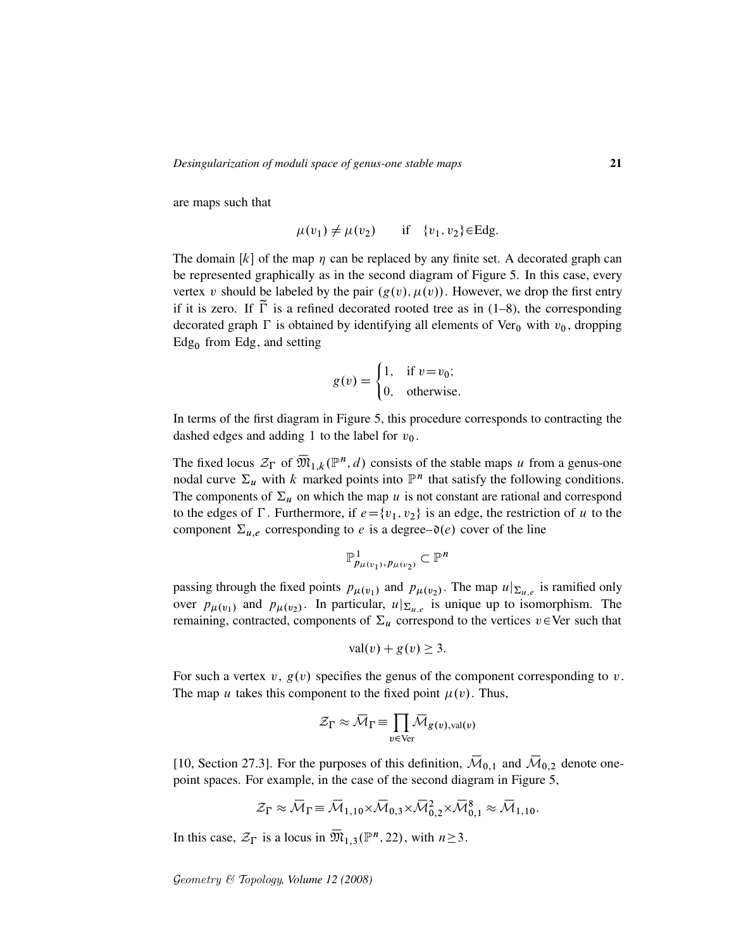are maps such that

$$
\mu(v_1) \neq \mu(v_2) \quad \text{if} \quad \{v_1, v_2\} \in \text{Edg.}
$$

The domain  $[k]$  of the map  $\eta$  can be replaced by any finite set. A decorated graph can be represented graphically as in the second diagram of Figure 5. In this case, every vertex v should be labeled by the pair  $(g(v), \mu(v))$ . However, we drop the first entry if it is zero. If  $\tilde{\Gamma}$  is a refined decorated rooted tree as in (1–8), the corresponding decorated graph  $\Gamma$  is obtained by identifying all elements of Ver<sub>0</sub> with  $v_0$ , dropping  $Edg_0$  from Edg, and setting

$$
g(v) = \begin{cases} 1, & \text{if } v = v_0; \\ 0, & \text{otherwise.} \end{cases}
$$

In terms of the first diagram in Figure 5, this procedure corresponds to contracting the dashed edges and adding 1 to the label for  $v_0$ .

The fixed locus  $\mathcal{Z}_{\Gamma}$  of  $\overline{\mathfrak{M}}_{1,k}(\mathbb{P}^n,d)$  consists of the stable maps u from a genus-one nodal curve  $\Sigma_u$  with k marked points into  $\mathbb{P}^n$  that satisfy the following conditions. The components of  $\Sigma_u$  on which the map u is not constant are rational and correspond to the edges of  $\Gamma$ . Furthermore, if  $e = \{v_1, v_2\}$  is an edge, the restriction of u to the component  $\Sigma_{u,e}$  corresponding to e is a degree– $\mathfrak{d}(e)$  cover of the line

$$
\mathbb{P}^{1}_{p_{\mu(v_{1})},p_{\mu(v_{2})}}\subset\mathbb{P}^{n}
$$

passing through the fixed points  $p_{\mu(v_1)}$  and  $p_{\mu(v_2)}$ . The map  $u|_{\Sigma_{u,e}}$  is ramified only over  $p_{\mu(v_1)}$  and  $p_{\mu(v_2)}$ . In particular,  $u|_{\Sigma_{u,e}}$  is unique up to isomorphism. The remaining, contracted, components of  $\Sigma_u$  correspond to the vertices  $v \in \text{Ver}$  such that

$$
\operatorname{val}(v) + g(v) \ge 3.
$$

For such a vertex v,  $g(v)$  specifies the genus of the component corresponding to v. The map u takes this component to the fixed point  $\mu(v)$ . Thus,

$$
\mathcal{Z}_{\Gamma} \approx \bar{\mathcal{M}}_{\Gamma} \equiv \prod_{v \in \text{Ver}} \bar{\mathcal{M}}_{g(v), \text{val}(v)}
$$

[10, Section 27.3]. For the purposes of this definition,  $\overline{M}_{0,1}$  and  $\overline{M}_{0,2}$  denote onepoint spaces. For example, in the case of the second diagram in Figure 5,

$$
\mathcal{Z}_{\Gamma} \approx \overline{\mathcal{M}}_{\Gamma} \equiv \overline{\mathcal{M}}_{1,10} \times \overline{\mathcal{M}}_{0,3} \times \overline{\mathcal{M}}_{0,2}^2 \times \overline{\mathcal{M}}_{0,1}^8 \approx \overline{\mathcal{M}}_{1,10}.
$$

In this case,  $\mathcal{Z}_{\Gamma}$  is a locus in  $\overline{\mathfrak{M}}_{1,3}(\mathbb{P}^n, 22)$ , with  $n \ge 3$ .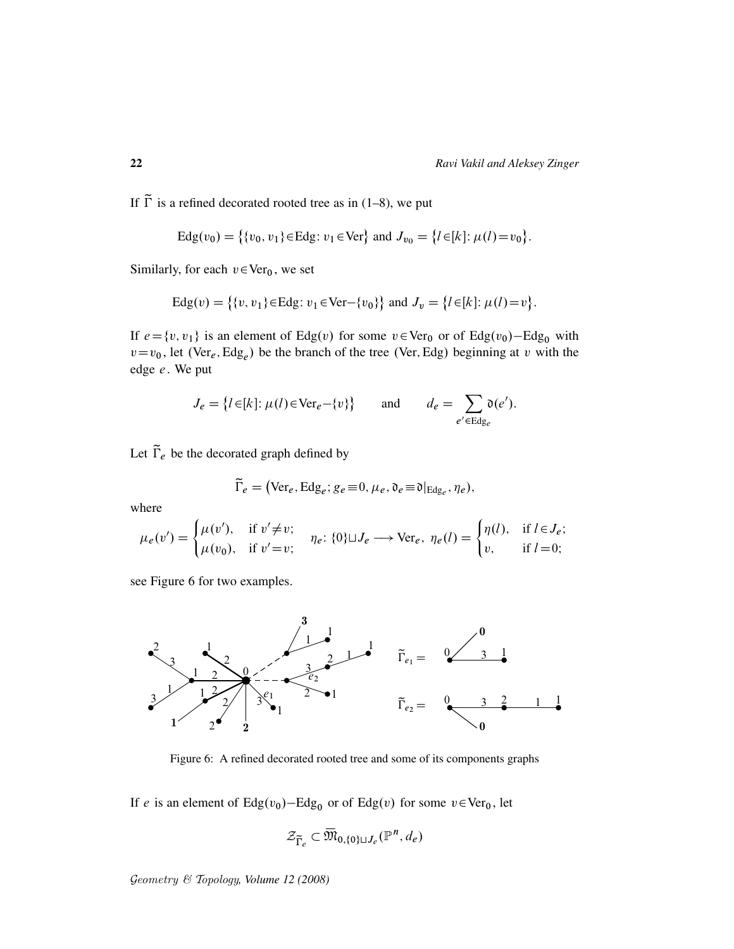If  $\tilde{\Gamma}$  is a refined decorated rooted tree as in (1–8), we put

Edg(v<sub>0</sub>) = {
$$
\{v_0, v_1\}
$$
 ∈ Edg:  $v_1$  ∈ Ver} and  $J_{v_0}$  = { $l$  ∈ [ $k$ ]:  $\mu$ ( $l$ ) =  $v_0$ }.

Similarly, for each  $v \in \text{Ver}_0$ , we set

$$
Edg(v) = \{ \{v, v_1\} \in Edg : v_1 \in Ver - \{v_0\} \} \text{ and } J_v = \{l \in [k] : \mu(l) = v \}.
$$

If  $e = \{v, v_1\}$  is an element of Edg $(v)$  for some  $v \in \text{Ver}_0$  or of Edg $(v_0)$ –Edg<sub>0</sub> with  $v=v_0$ , let (Ver<sub>e</sub>, Edg<sub>e</sub>) be the branch of the tree (Ver, Edg) beginning at v with the edge e. We put

$$
J_e = \{l \in [k] : \mu(l) \in \text{Ver}_e - \{v\}\} \quad \text{and} \quad d_e = \sum_{e' \in \text{Edg}_e} \mathfrak{d}(e').
$$

Let  $\widetilde{\Gamma}_e$  be the decorated graph defined by

$$
\widetilde{\Gamma}_e = (\text{Ver}_e, \text{Edg}_e; g_e \equiv 0, \mu_e, \mathfrak{d}_e \equiv \mathfrak{d}|_{\text{Edg}_e}, \eta_e),
$$

where

$$
\mu_e(v') = \begin{cases} \mu(v'), & \text{if } v' \neq v; \\ \mu(v_0), & \text{if } v' = v; \end{cases} \quad \eta_e: \{0\} \sqcup J_e \longrightarrow \text{Ver}_e, \ \eta_e(l) = \begin{cases} \eta(l), & \text{if } l \in J_e; \\ v, & \text{if } l = 0; \end{cases}
$$

see Figure 6 for two examples.



Figure 6: A refined decorated rooted tree and some of its components graphs

If *e* is an element of  $Edg(v_0) - Edg_0$  or of  $Edg(v)$  for some  $v \in Ver_0$ , let

$$
\mathcal{Z}_{\widetilde{\Gamma}_e} \subset \overline{\mathfrak{M}}_{0,\{0\}\sqcup J_e}(\mathbb{P}^n, d_e)
$$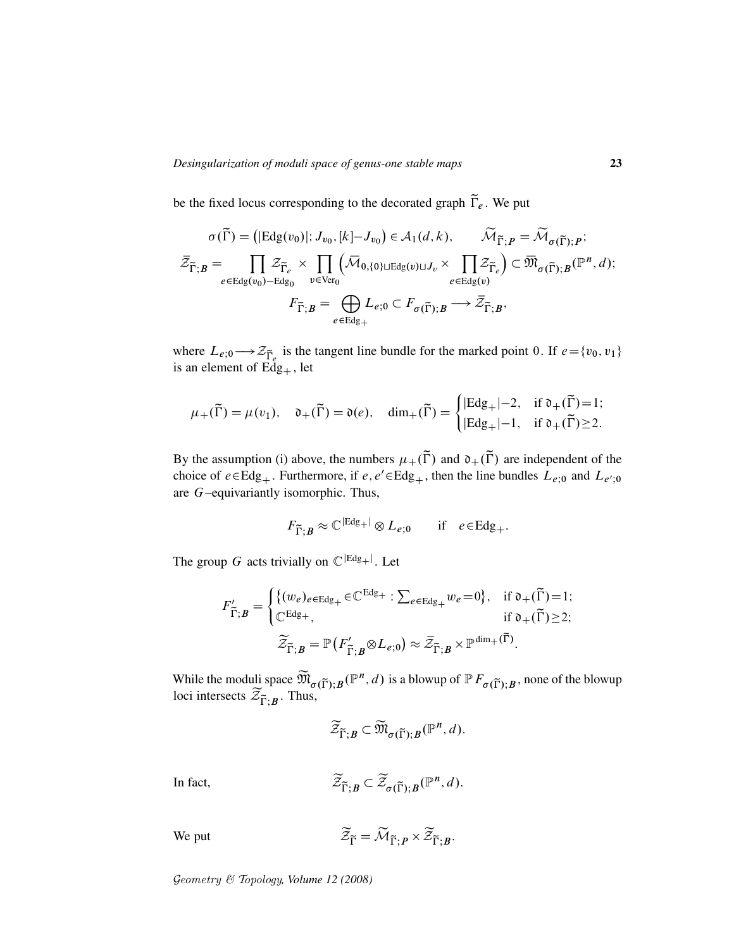be the fixed locus corresponding to the decorated graph  $\widetilde{\Gamma}_e$ . We put

$$
\sigma(\widetilde{\Gamma}) = (|\mathrm{Edg}(v_0)|; J_{v_0}, [k] - J_{v_0}) \in \mathcal{A}_1(d, k), \qquad \widetilde{\mathcal{M}}_{\widetilde{\Gamma}; P} = \widetilde{\mathcal{M}}_{\sigma(\widetilde{\Gamma}); P};
$$
\n
$$
\overline{\mathcal{Z}}_{\widetilde{\Gamma}; B} = \prod_{e \in \mathrm{Edg}(v_0) - \mathrm{Edg}_0} \mathcal{Z}_{v \in \mathrm{Ver}_0} \left( \overline{\mathcal{M}}_{0, \{0\} \cup \mathrm{Edg}(v) \cup J_v} \times \prod_{e \in \mathrm{Edg}(v)} \mathcal{Z}_{\widetilde{\Gamma}_e} \right) \subset \overline{\mathfrak{M}}_{\sigma(\widetilde{\Gamma}); B}(\mathbb{P}^n, d);
$$
\n
$$
F_{\widetilde{\Gamma}; B} = \bigoplus_{e \in \mathrm{Edg}_+} L_{e;0} \subset F_{\sigma(\widetilde{\Gamma}); B} \longrightarrow \overline{\mathcal{Z}}_{\widetilde{\Gamma}; B},
$$

where  $L_{e,0} \longrightarrow \mathcal{Z}_{\widetilde{\Gamma}_e}$  is the tangent line bundle for the marked point 0. If  $e = \{v_0, v_1\}$ is an element of  $Edg<sub>+</sub>$ , let

$$
\mu_+(\widetilde{\Gamma}) = \mu(v_1), \quad \mathfrak{d}_+(\widetilde{\Gamma}) = \mathfrak{d}(e), \quad \dim_+(\widetilde{\Gamma}) = \begin{cases} |\mathrm{Edg}_+| - 2, & \text{if } \mathfrak{d}_+(\widetilde{\Gamma}) = 1; \\ |\mathrm{Edg}_+| - 1, & \text{if } \mathfrak{d}_+(\widetilde{\Gamma}) \ge 2. \end{cases}
$$

By the assumption (i) above, the numbers  $\mu_+(\tilde{\Gamma})$  and  $\mathfrak{d}_+(\tilde{\Gamma})$  are independent of the choice of  $e \in Edg_+$ . Furthermore, if  $e, e' \in Edg_+$ , then the line bundles  $L_{e,0}$  and  $L_{e',0}$ are G–equivariantly isomorphic. Thus,

$$
F_{\widetilde{\Gamma};B} \approx \mathbb{C}^{|Edg_+|} \otimes L_{e;0} \quad \text{if} \quad e \in Edg_+.
$$

The group G acts trivially on  $\mathbb{C}^{|Edg_+|}$ . Let

$$
F'_{\widetilde{\Gamma};B} = \begin{cases} \{ (w_e)_{e \in \text{Edg}_+} \in \mathbb{C}^{\text{Edg}_+} : \sum_{e \in \text{Edg}_+} w_e = 0 \}, & \text{if } \mathfrak{d}_+(\widetilde{\Gamma}) = 1; \\ \mathbb{C}^{\text{Edg}_+}, & \text{if } \mathfrak{d}_+(\widetilde{\Gamma}) \ge 2; \end{cases}
$$

$$
\widetilde{\mathcal{Z}}_{\widetilde{\Gamma};B} = \mathbb{P}\left( F'_{\widetilde{\Gamma};B} \otimes L_{e;0} \right) \approx \widetilde{\mathcal{Z}}_{\widetilde{\Gamma};B} \times \mathbb{P}^{\dim_+(\widetilde{\Gamma})}.
$$

While the moduli space  $\widetilde{\mathfrak{M}}_{\sigma(\widetilde{\Gamma});B}(\mathbb{P}^n,d)$  is a blowup of  $\mathbb{P} F_{\sigma(\widetilde{\Gamma});B}$ , none of the blowup loci intersects  $\mathcal{Z}_{\widetilde{\Gamma};B}$ . Thus,

$$
\widetilde{\mathcal{Z}}_{\widetilde{\Gamma};B} \subset \widetilde{\mathfrak{M}}_{\sigma(\widetilde{\Gamma});B}(\mathbb{P}^n,d).
$$

In fact,

$$
\widetilde{\mathcal{Z}}_{\widetilde{\Gamma};B} \subset \widetilde{\mathcal{Z}}_{\sigma(\widetilde{\Gamma});B}(\mathbb{P}^n,d).
$$

We put

$$
\mathcal{Z}_{\widetilde{\Gamma}} = \mathcal{M}_{\widetilde{\Gamma};P} \times \mathcal{Z}_{\widetilde{\Gamma};B}.
$$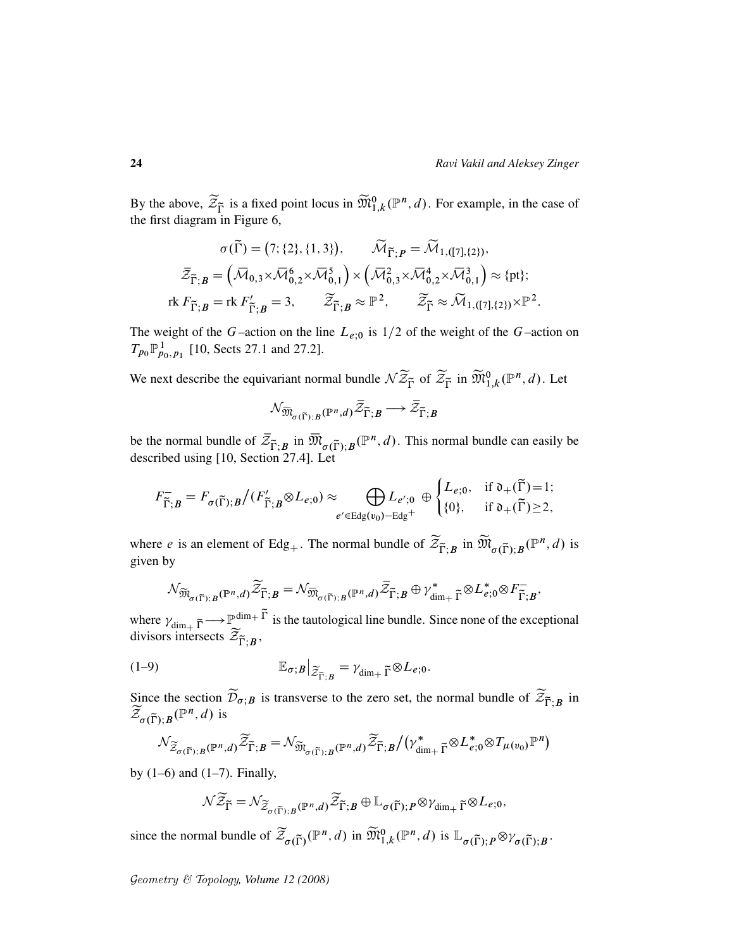By the above,  $\widetilde{\mathcal{Z}}_{\widetilde{\Gamma}}$  is a fixed point locus in  $\widetilde{\mathfrak{M}}_{1,k}^0(\mathbb{P}^n,d)$ . For example, in the case of the first diagram in Figure 6,

$$
\sigma(\widetilde{\Gamma}) = (7; \{2\}, \{1, 3\}), \qquad \widetilde{\mathcal{M}}_{\widetilde{\Gamma}; P} = \widetilde{\mathcal{M}}_{1, ([7], \{2\})},
$$

$$
\bar{\mathcal{Z}}_{\widetilde{\Gamma}; B} = (\overline{\mathcal{M}}_{0,3} \times \overline{\mathcal{M}}_{0,2}^6 \times \overline{\mathcal{M}}_{0,1}^5) \times (\overline{\mathcal{M}}_{0,3}^2 \times \overline{\mathcal{M}}_{0,2}^4 \times \overline{\mathcal{M}}_{0,1}^3) \approx \{\text{pt}\};
$$
rk  $F_{\widetilde{\Gamma}; B} = \text{rk } F'_{\widetilde{\Gamma}; B} = 3, \qquad \widetilde{\mathcal{Z}}_{\widetilde{\Gamma}; B} \approx \mathbb{P}^2, \qquad \widetilde{\mathcal{Z}}_{\widetilde{\Gamma}} \approx \widetilde{\mathcal{M}}_{1, ([7], \{2\})} \times \mathbb{P}^2.$ 

The weight of the G–action on the line  $L_{e,0}$  is  $1/2$  of the weight of the G–action on  $T_{p_0} \mathbb{P}^1_{p_0, p_1}$  [10, Sects 27.1 and 27.2].

We next describe the equivariant normal bundle  $\mathcal{N} \widetilde{Z}_{\widetilde{\Gamma}}$  of  $\widetilde{Z}_{\widetilde{\Gamma}}$  in  $\widetilde{\mathfrak{M}}_{1,k}^0(\mathbb{P}^n,d)$ . Let

$$
\mathcal{N}_{\overline{\mathfrak{M}}_{\sigma(\widetilde{\Gamma});B}(\mathbb{P}^n,d)}\bar{\mathcal{Z}}_{\widetilde{\Gamma};B}\longrightarrow\bar{\mathcal{Z}}_{\widetilde{\Gamma};B}
$$

be the normal bundle of  $\bar{z}_{\tilde{\Gamma};B}$  in  $\bar{\mathfrak{M}}_{\sigma(\tilde{\Gamma});B}(\mathbb{P}^n,d)$ . This normal bundle can easily be described using [10, Section 27.4]. Let

$$
F_{\widetilde{\Gamma};B}^- = F_{\sigma(\widetilde{\Gamma});B}/(F_{\widetilde{\Gamma};B}' \otimes L_{e;0}) \approx \bigoplus_{e' \in \text{Edg}(v_0) - \text{Edg}^+} L_{e';0} \oplus \begin{cases} L_{e;0}, & \text{if } \mathfrak{d}_+(\widetilde{\Gamma}) = 1; \\ \{0\}, & \text{if } \mathfrak{d}_+(\widetilde{\Gamma}) \ge 2, \end{cases}
$$

where *e* is an element of Edg<sub>+</sub>. The normal bundle of  $\widetilde{\mathcal{Z}}_{\widetilde{\Gamma};B}$  in  $\widetilde{\mathfrak{M}}_{\sigma(\widetilde{\Gamma});B}(\mathbb{P}^n,d)$  is given by

$$
\mathcal{N}_{\widetilde{\mathfrak{M}}_{\sigma(\widetilde{\Gamma});B}(\mathbb{P}^n,d)}\widetilde{\mathcal{Z}}_{\widetilde{\Gamma};B}=\mathcal{N}_{\overline{\mathfrak{M}}_{\sigma(\widetilde{\Gamma});B}(\mathbb{P}^n,d)}\widetilde{\mathcal{Z}}_{\widetilde{\Gamma};B}\oplus \gamma_{\dim_+ \widetilde{\Gamma}}^*\otimes L_{e;0}^*\otimes F_{\widetilde{\Gamma};B}^-,
$$

where  $\gamma_{\text{dim}_+ \tilde{\Gamma}} \longrightarrow \mathbb{P}_{\sim}^{\text{dim}_+ \tilde{\Gamma}}$  is the tautological line bundle. Since none of the exceptional divisors intersects  $\mathcal{Z}_{\widetilde{\Gamma};B}$ ,

(1-9) 
$$
\mathbb{E}_{\sigma;B}|_{\widetilde{\mathcal{Z}}_{\widetilde{\Gamma};B}} = \gamma_{\dim_+ \widetilde{\Gamma}} \otimes L_{e;0}.
$$

Since the section  $\mathcal{D}_{\sigma,B}$  is transverse to the zero set, the normal bundle of  $\mathcal{Z}_{\widetilde{\Gamma},B}$  in  $\widetilde{\mathcal{Z}}_{\sigma(\widetilde{\Gamma});B}(\mathbb{P}^n,d)$  is

$$
\mathcal{N}_{\widetilde{\mathcal{Z}}_{\sigma(\widetilde{\Gamma});B}(\mathbb{P}^n,d)}\widetilde{\mathcal{Z}}_{\widetilde{\Gamma};B}=\mathcal{N}_{\widetilde{\mathfrak{M}}_{\sigma(\widetilde{\Gamma});B}(\mathbb{P}^n,d)}\widetilde{\mathcal{Z}}_{\widetilde{\Gamma};B}\big/\big(\gamma_{\dim_+ \widetilde{\Gamma}}^*\otimes L_{e;0}^*\otimes T_{\mu(v_0)}\mathbb{P}^n\big)
$$

by  $(1-6)$  and  $(1-7)$ . Finally,

$$
\mathcal{N}\widetilde{\mathcal{Z}}_{\widetilde{\Gamma}}=\mathcal{N}_{\widetilde{\mathcal{Z}}_{\sigma(\widetilde{\Gamma});B}(\mathbb{P}^n,d)}\widetilde{\mathcal{Z}}_{\widetilde{\Gamma};B}\oplus\mathbb{L}_{\sigma(\widetilde{\Gamma});P}\otimes\gamma_{\dim_{+}\widetilde{\Gamma}}\otimes L_{e;0},
$$

since the normal bundle of  $\widetilde{\mathcal{Z}}_{\sigma(\widetilde{\Gamma})}(\mathbb{P}^n, d)$  in  $\widetilde{\mathfrak{M}}_{1,k}^0(\mathbb{P}^n, d)$  is  $\mathbb{L}_{\sigma(\widetilde{\Gamma}); P} \otimes \gamma_{\sigma(\widetilde{\Gamma}); B}$ .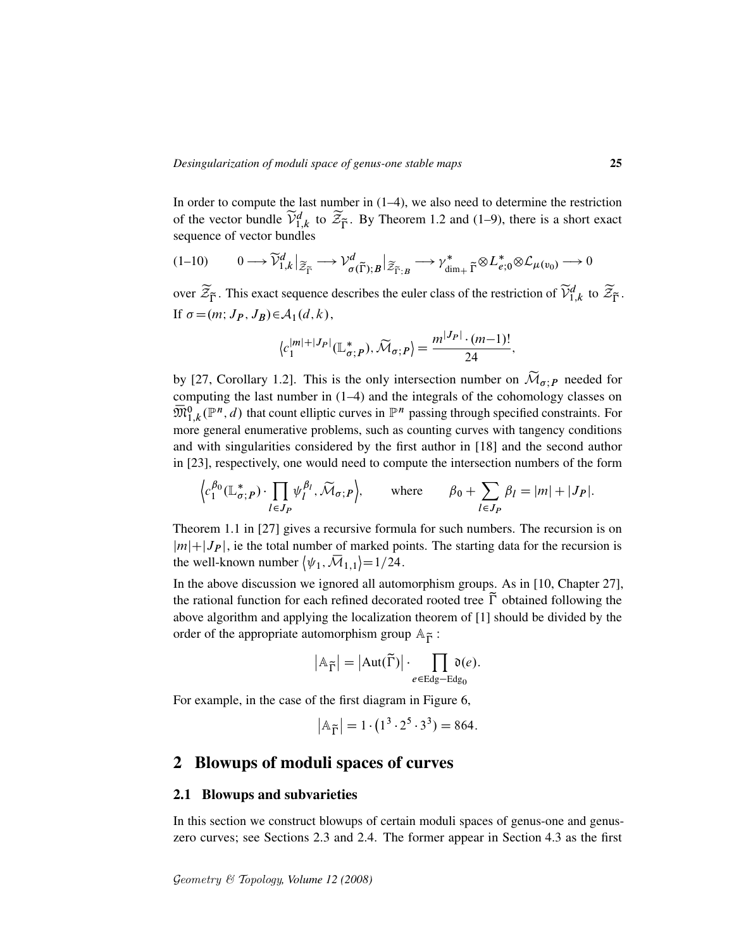In order to compute the last number in (1–4), we also need to determine the restriction of the vector bundle  $\widetilde{\mathcal{V}}_{1,k}^d$  to  $\widetilde{\mathcal{Z}}_{\widetilde{\Gamma}}$ . By Theorem 1.2 and (1–9), there is a short exact sequence of vector bundles

$$
(1-10) \qquad 0 \longrightarrow \widetilde{\mathcal{V}}_{1,k}^d \big|_{\widetilde{\mathcal{Z}}_{\widetilde{\Gamma}}} \longrightarrow \mathcal{V}_{\sigma(\widetilde{\Gamma});B}^d \big|_{\widetilde{\mathcal{Z}}_{\widetilde{\Gamma};B}} \longrightarrow \mathcal{V}_{\dim_+ \widetilde{\Gamma}}^* \otimes L_{e;0}^* \otimes \mathcal{L}_{\mu(v_0)} \longrightarrow 0
$$

over  $\widetilde{\mathcal{Z}}_{\widetilde{\Gamma}}$ . This exact sequence describes the euler class of the restriction of  $\widetilde{\mathcal{V}}^d_{1,k}$  to  $\widetilde{\mathcal{Z}}_{\widetilde{\Gamma}}$ . If  $\sigma = (m; J_P, J_B) \in A_1(d, k),$ 

$$
\langle c_1^{|m|+|J_P|}(\mathbb{L}_{\sigma;P}^*), \widetilde{\mathcal{M}}_{\sigma;P}\rangle = \frac{m^{|J_P|} \cdot (m-1)!}{24},
$$

by [27, Corollary 1.2]. This is the only intersection number on  $\widetilde{\mathcal{M}}_{\sigma,P}$  needed for computing the last number in (1–4) and the integrals of the cohomology classes on  $\overline{\mathfrak{M}}_{1,k}^{0}(\mathbb{P}^n,d)$  that count elliptic curves in  $\mathbb{P}^n$  passing through specified constraints. For more general enumerative problems, such as counting curves with tangency conditions and with singularities considered by the first author in [18] and the second author in [23], respectively, one would need to compute the intersection numbers of the form

$$
\left\langle c_1^{\beta_0}(\mathbb{L}_{\sigma;P}^*)\cdot \prod_{l\in J_P}\psi_l^{\beta_l},\widetilde{\mathcal{M}}_{\sigma;P}\right\rangle,\qquad\text{where}\qquad \beta_0+\sum_{l\in J_P}\beta_l=|m|+|J_P|.
$$

Theorem 1.1 in [27] gives a recursive formula for such numbers. The recursion is on  $|m|+|J_P|$ , ie the total number of marked points. The starting data for the recursion is the well-known number  $\langle \psi_1, \overline{\mathcal{M}}_{1,1} \rangle = 1/24$ .

In the above discussion we ignored all automorphism groups. As in [10, Chapter 27], the rational function for each refined decorated rooted tree  $\tilde{\Gamma}$  obtained following the above algorithm and applying the localization theorem of [1] should be divided by the order of the appropriate automorphism group  $A_{\tilde{\Gamma}}$ :

$$
|\mathbb{A}_{\widetilde{\Gamma}}| = |\text{Aut}(\widetilde{\Gamma})| \cdot \prod_{e \in \text{Edg} - \text{Edg}_0} \mathfrak{d}(e).
$$

For example, in the case of the first diagram in Figure 6,

$$
|\mathbb{A}_{\widetilde{\Gamma}}| = 1 \cdot (1^3 \cdot 2^5 \cdot 3^3) = 864.
$$

# 2 Blowups of moduli spaces of curves

### 2.1 Blowups and subvarieties

In this section we construct blowups of certain moduli spaces of genus-one and genuszero curves; see Sections 2.3 and 2.4. The former appear in Section 4.3 as the first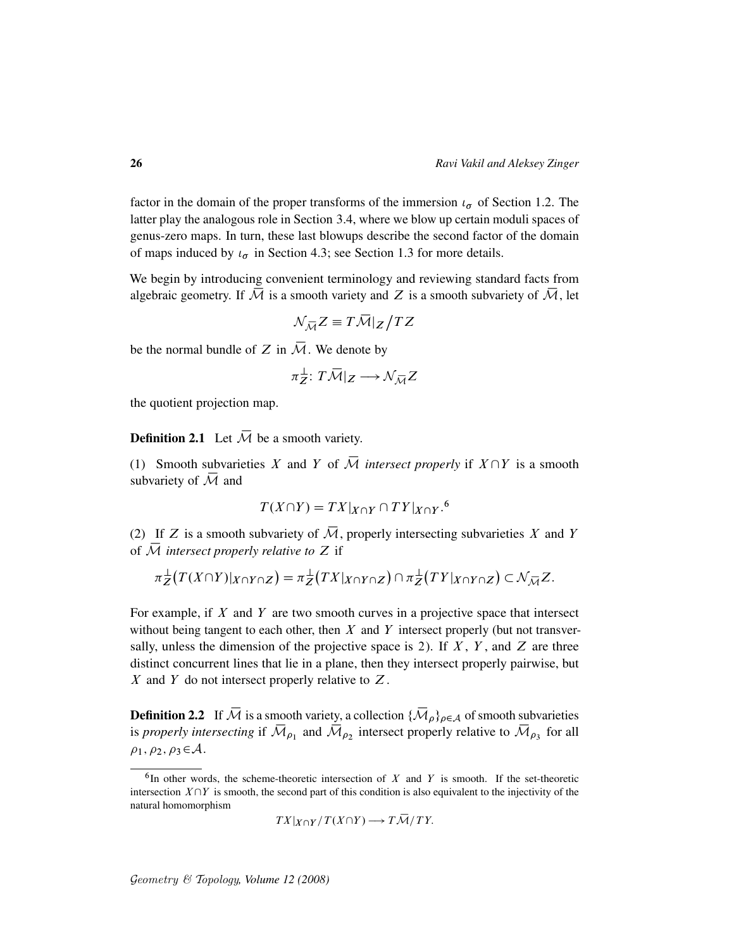factor in the domain of the proper transforms of the immersion  $\iota_{\sigma}$  of Section 1.2. The latter play the analogous role in Section 3.4, where we blow up certain moduli spaces of genus-zero maps. In turn, these last blowups describe the second factor of the domain of maps induced by  $\iota_{\sigma}$  in Section 4.3; see Section 1.3 for more details.

We begin by introducing convenient terminology and reviewing standard facts from algebraic geometry. If  $\overline{M}$  is a smooth variety and Z is a smooth subvariety of  $\overline{M}$ , let

$$
\mathcal{N}_{\mathcal{\overline{M}}}Z\equiv T\mathcal{\overline{M}}|_Z\big/TZ
$$

be the normal bundle of Z in  $\overline{\mathcal{M}}$ . We denote by

$$
\pi_Z^{\perp}: T\overline{\mathcal{M}}|_Z \longrightarrow \mathcal{N}_{\overline{\mathcal{M}}} Z
$$

the quotient projection map.

**Definition 2.1** Let  $\overline{\mathcal{M}}$  be a smooth variety.

(1) Smooth subvarieties X and Y of  $\overline{\mathcal{M}}$  *intersect properly* if  $X \cap Y$  is a smooth subvariety of  $\overline{\mathcal{M}}$  and

$$
T(X \cap Y) = TX|_{X \cap Y} \cap TY|_{X \cap Y}.
$$
<sup>6</sup>

(2) If Z is a smooth subvariety of  $\overline{\mathcal{M}}$ , properly intersecting subvarieties X and Y of  $\overline{M}$  *intersect properly relative to*  $Z$  if

$$
\pi_Z^{\perp}(T(X\cap Y)|_{X\cap Y\cap Z})=\pi_Z^{\perp}(TX|_{X\cap Y\cap Z})\cap \pi_Z^{\perp}(TY|_{X\cap Y\cap Z})\subset \mathcal{N}_{\overline{\mathcal{M}}}Z.
$$

For example, if  $X$  and  $Y$  are two smooth curves in a projective space that intersect without being tangent to each other, then  $X$  and  $Y$  intersect properly (but not transversally, unless the dimension of the projective space is 2). If  $X$ ,  $Y$ , and  $Z$  are three distinct concurrent lines that lie in a plane, then they intersect properly pairwise, but X and Y do not intersect properly relative to  $Z$ .

**Definition 2.2** If  $\overline{\mathcal{M}}$  is a smooth variety, a collection  $\{\overline{\mathcal{M}}_{\rho}\}_{\rho \in \mathcal{A}}$  of smooth subvarieties is *properly intersecting* if  $\overline{M}_{\rho_1}$  and  $\overline{M}_{\rho_2}$  intersect properly relative to  $\overline{M}_{\rho_3}$  for all  $\rho_1, \rho_2, \rho_3 \in \mathcal{A}.$ 

$$
TX|_{X\cap Y}/T(X\cap Y)\longrightarrow T\mathcal{\overline{M}}/TY.
$$

 ${}^6$ In other words, the scheme-theoretic intersection of X and Y is smooth. If the set-theoretic intersection  $X\cap Y$  is smooth, the second part of this condition is also equivalent to the injectivity of the natural homomorphism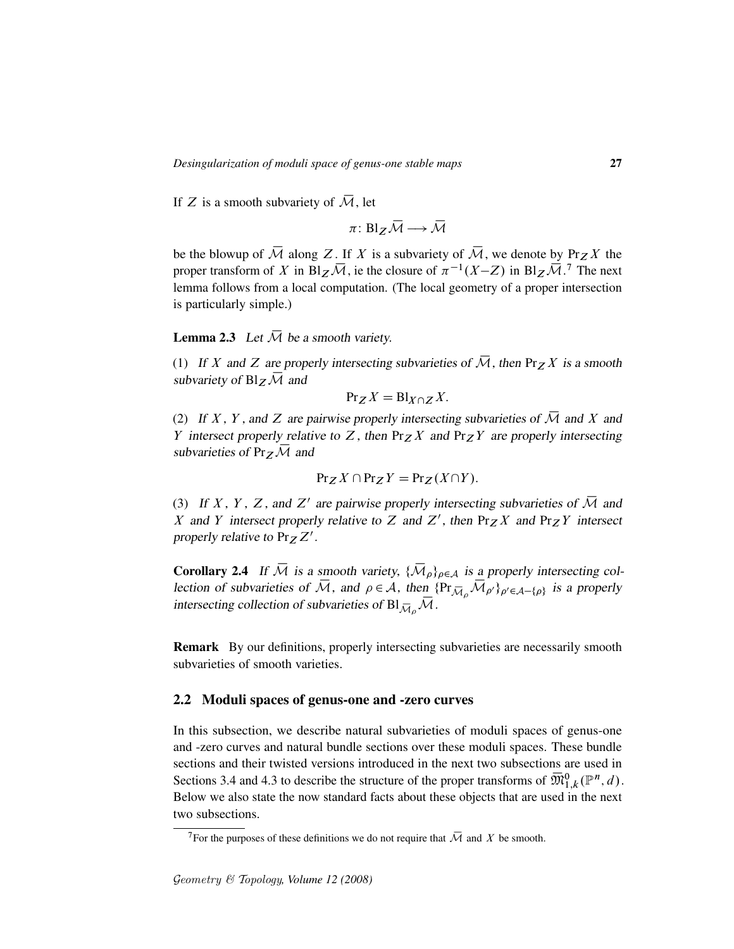If Z is a smooth subvariety of  $\overline{M}$ , let

$$
\pi\colon Bl_Z\,\overline{\mathcal{M}}\longrightarrow\overline{\mathcal{M}}
$$

be the blowup of  $\overline{\mathcal{M}}$  along Z. If X is a subvariety of  $\overline{\mathcal{M}}$ , we denote by Prz X the proper transform of X in Bl $_Z\overline{\mathcal{M}}$ , ie the closure of  $\pi^{-1}(X-Z)$  in Bl $_Z\overline{\mathcal{M}}$ .<sup>7</sup> The next lemma follows from a local computation. (The local geometry of a proper intersection is particularly simple.)

**Lemma 2.3** Let  $\overline{\mathcal{M}}$  be a smooth variety.

(1) If X and Z are properly intersecting subvarieties of  $\overline{\mathcal{M}}$ , then Pr<sub>Z</sub> X is a smooth subvariety of  $Bl_Z\overline{\mathcal{M}}$  and

$$
\Pr_Z X = \text{Bl}_{X \cap Z} X.
$$

(2) If X, Y, and Z are pairwise properly intersecting subvarieties of  $\overline{\mathcal{M}}$  and X and Y intersect properly relative to Z, then  $Pr_Z X$  and  $Pr_Z Y$  are properly intersecting subvarieties of  $Pr_Z\overline{\mathcal{M}}$  and

$$
Pr_Z X \cap Pr_Z Y = Pr_Z(X \cap Y).
$$

(3) If X, Y, Z, and Z' are pairwise properly intersecting subvarieties of  $\overline{\mathcal{M}}$  and X and Y intersect properly relative to Z and Z', then  $Pr_Z X$  and  $Pr_Z Y$  intersect properly relative to  $Pr_Z Z'$ .

**Corollary 2.4** If  $\overline{\mathcal{M}}$  is a smooth variety,  $\{\overline{\mathcal{M}}_{\rho}\}_{{\rho}\in\mathcal{A}}$  is a properly intersecting collection of subvarieties of  $\overline{M}$ , and  $\rho \in A$ , then  $\{Pr_{\overline{M}_{\rho}}, \overline{M}_{\rho'}\}_{\rho' \in A-\{\rho\}}$  is a properly intersecting collection of subvarieties of  $Bl_{\overline{\mathcal{M}}_0}\mathcal{M}$ .

Remark By our definitions, properly intersecting subvarieties are necessarily smooth subvarieties of smooth varieties.

### 2.2 Moduli spaces of genus-one and -zero curves

In this subsection, we describe natural subvarieties of moduli spaces of genus-one and -zero curves and natural bundle sections over these moduli spaces. These bundle sections and their twisted versions introduced in the next two subsections are used in Sections 3.4 and 4.3 to describe the structure of the proper transforms of  $\overline{\mathfrak{M}}_{1,k}^0(\mathbb{P}^n,d)$ . Below we also state the now standard facts about these objects that are used in the next two subsections.

<sup>&</sup>lt;sup>7</sup>For the purposes of these definitions we do not require that  $\overline{\mathcal{M}}$  and X be smooth.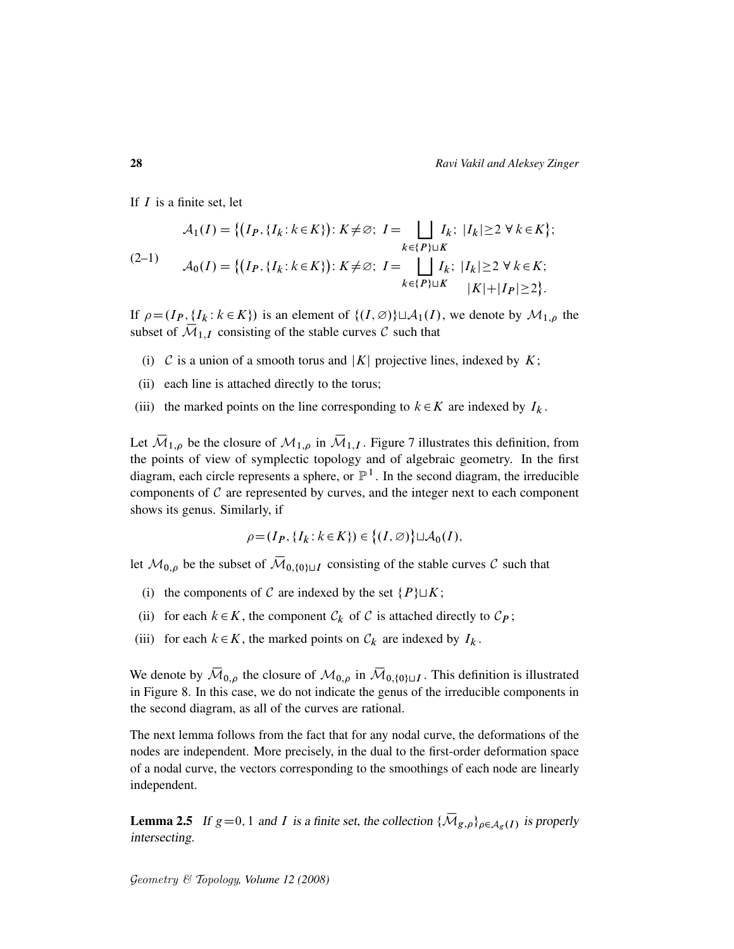If  $I$  is a finite set, let

$$
A_1(I) = \{ (I_P, \{I_k : k \in K\}) : K \neq \emptyset; I = \bigsqcup_{k \in \{P\} \sqcup K} I_k; \ |I_k| \geq 2 \ \forall \ k \in K \};
$$
  
(2-1)  

$$
A_0(I) = \{ (I_P, \{I_k : k \in K\}) : K \neq \emptyset; I = \bigsqcup_{k \in \{P\} \sqcup K} I_k; \ |I_k| \geq 2 \ \forall \ k \in K; \ |K| + |I_P| \geq 2 \}.
$$

If  $\rho = (I_P, \{I_k : k \in K\})$  is an element of  $\{(I, \emptyset)\}\sqcup \mathcal{A}_1(I)$ , we denote by  $\mathcal{M}_{1,\rho}$  the subset of  $\overline{\mathcal{M}}_{1,I}$  consisting of the stable curves C such that

- (i) C is a union of a smooth torus and |K| projective lines, indexed by K;
- (ii) each line is attached directly to the torus;
- (iii) the marked points on the line corresponding to  $k \in K$  are indexed by  $I_k$ .

Let  $\overline{M}_{1,\rho}$  be the closure of  $M_{1,\rho}$  in  $\overline{M}_{1,I}$ . Figure 7 illustrates this definition, from the points of view of symplectic topology and of algebraic geometry. In the first diagram, each circle represents a sphere, or  $\mathbb{P}^1$ . In the second diagram, the irreducible components of  $C$  are represented by curves, and the integer next to each component shows its genus. Similarly, if

$$
\rho = (I_P, \{I_k : k \in K\}) \in \big\{(I, \varnothing)\big\} \sqcup \mathcal{A}_0(I),
$$

let  $\mathcal{M}_{0,\rho}$  be the subset of  $\overline{\mathcal{M}}_{0,\{0\}\sqcup I}$  consisting of the stable curves C such that

- (i) the components of C are indexed by the set  $\{P\} \sqcup K$ ;
- (ii) for each  $k \in K$ , the component  $C_k$  of C is attached directly to  $C_P$ ;
- (iii) for each  $k \in K$ , the marked points on  $C_k$  are indexed by  $I_k$ .

We denote by  $\overline{\mathcal{M}}_{0,\rho}$  the closure of  $\mathcal{M}_{0,\rho}$  in  $\overline{\mathcal{M}}_{0,\{0\}\sqcup I}$ . This definition is illustrated in Figure 8. In this case, we do not indicate the genus of the irreducible components in the second diagram, as all of the curves are rational.

The next lemma follows from the fact that for any nodal curve, the deformations of the nodes are independent. More precisely, in the dual to the first-order deformation space of a nodal curve, the vectors corresponding to the smoothings of each node are linearly independent.

**Lemma 2.5** If  $g=0, 1$  and I is a finite set, the collection  $\{\overline{\mathcal{M}}_{g,\rho}\}_{\rho \in A_g(I)}$  is properly intersecting.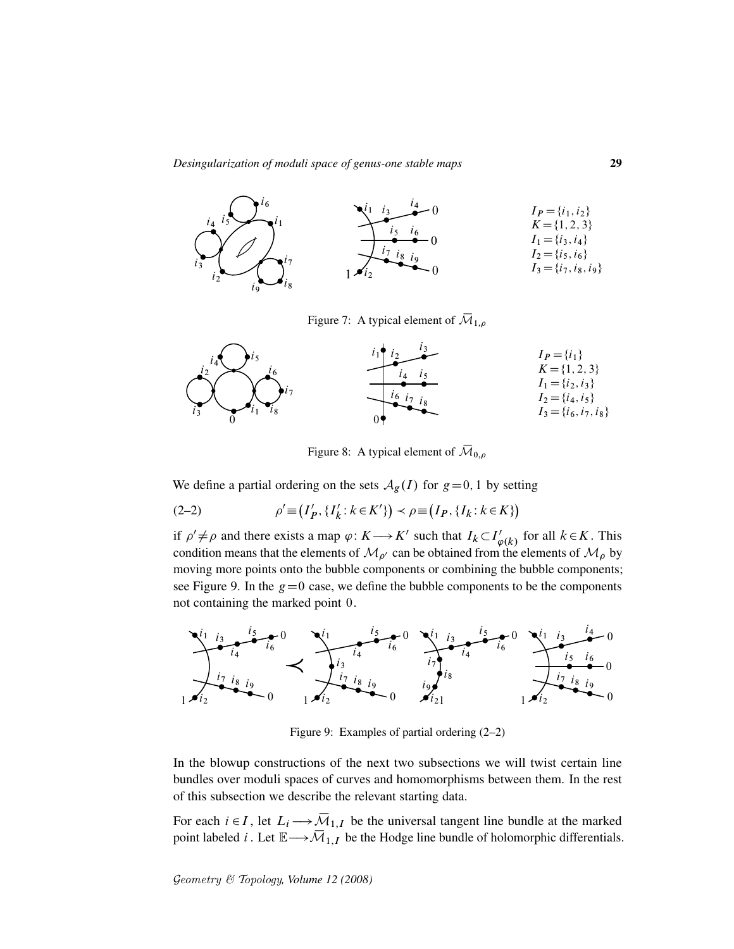

Figure 7: A typical element of  $\overline{\mathcal{M}}_{1,\rho}$ 



Figure 8: A typical element of  $\overline{\mathcal{M}}_{0,\rho}$ 

We define a partial ordering on the sets  $A_g(I)$  for  $g=0, 1$  by setting

(2-2) 
$$
\rho' \equiv (I'_P, \{I'_k : k \in K'\}) \prec \rho \equiv (I_P, \{I_k : k \in K\})
$$

if  $\rho' \neq \rho$  and there exists a map  $\varphi: K \longrightarrow K'$  such that  $I_k \subset I'_\rho$  $\psi_{\varphi(k)}'$  for all  $k \in K$ . This condition means that the elements of  $\mathcal{M}_{\rho'}$  can be obtained from the elements of  $\mathcal{M}_{\rho}$  by moving more points onto the bubble components or combining the bubble components; see Figure 9. In the  $g=0$  case, we define the bubble components to be the components not containing the marked point 0.



Figure 9: Examples of partial ordering (2–2)

In the blowup constructions of the next two subsections we will twist certain line bundles over moduli spaces of curves and homomorphisms between them. In the rest of this subsection we describe the relevant starting data.

For each  $i \in I$ , let  $L_i \longrightarrow \overline{\mathcal{M}}_{1,I}$  be the universal tangent line bundle at the marked point labeled *i*. Let  $\mathbb{E} \longrightarrow \overline{\mathcal{M}}_{1,I}$  be the Hodge line bundle of holomorphic differentials.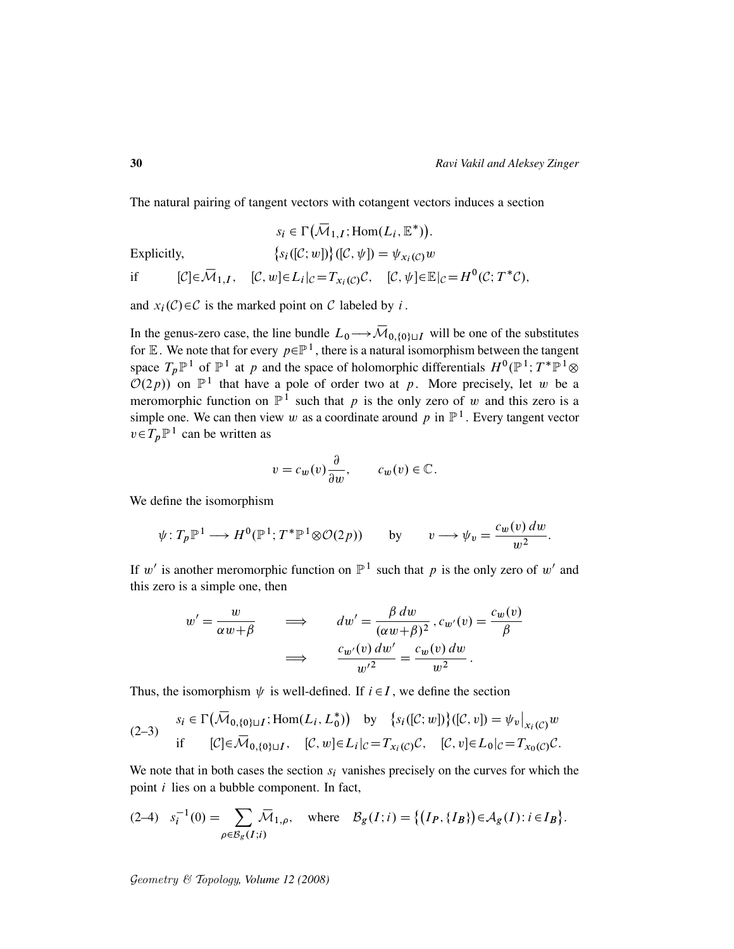The natural pairing of tangent vectors with cotangent vectors induces a section

$$
s_i \in \Gamma(\overline{\mathcal{M}}_{1,I}; \text{Hom}(L_i, \mathbb{E}^*))
$$
  
Explicitly,  

$$
\{s_i([C; w])\}([C, \psi]) = \psi_{x_i(C)}w
$$
  
if  $[C] \in \overline{\mathcal{M}}_{1,I}, [C, w] \in L_i|_C = T_{x_i(C)}C, [C, \psi] \in \mathbb{E}|_C = H^0(C; T^*C),$ 

and  $x_i(\mathcal{C}) \in \mathcal{C}$  is the marked point on  $\mathcal C$  labeled by i.

In the genus-zero case, the line bundle  $L_0 \rightarrow \overline{\mathcal{M}}_{0,\{0\}\sqcup I}$  will be one of the substitutes for E. We note that for every  $p \in \mathbb{P}^1$ , there is a natural isomorphism between the tangent space  $T_p \mathbb{P}^1$  of  $\mathbb{P}^1$  at p and the space of holomorphic differentials  $H^0(\mathbb{P}^1;T^*\mathbb{P}^1\otimes$  $\mathcal{O}(2p)$  on  $\mathbb{P}^1$  that have a pole of order two at p. More precisely, let w be a meromorphic function on  $\mathbb{P}^1$  such that p is the only zero of w and this zero is a simple one. We can then view w as a coordinate around p in  $\mathbb{P}^1$ . Every tangent vector  $v \in T_p \mathbb{P}^1$  can be written as

$$
v = c_w(v)\frac{\partial}{\partial w}, \qquad c_w(v) \in \mathbb{C}.
$$

We define the isomorphism

$$
\psi: T_p \mathbb{P}^1 \longrightarrow H^0(\mathbb{P}^1; T^* \mathbb{P}^1 \otimes \mathcal{O}(2p)) \qquad \text{by} \qquad v \longrightarrow \psi_v = \frac{c_w(v) \, dw}{w^2}.
$$

If w' is another meromorphic function on  $\mathbb{P}^1$  such that p is the only zero of w' and this zero is a simple one, then

$$
w' = \frac{w}{\alpha w + \beta} \qquad \Longrightarrow \qquad dw' = \frac{\beta dw}{(\alpha w + \beta)^2}, c_{w'}(v) = \frac{c_w(v)}{\beta}
$$

$$
\Longrightarrow \qquad \frac{c_{w'}(v) dw'}{w'^2} = \frac{c_w(v) dw}{w^2}.
$$

Thus, the isomorphism  $\psi$  is well-defined. If  $i \in I$ , we define the section

(2-3) 
$$
s_i \in \Gamma(\overline{\mathcal{M}}_{0,\{0\}\sqcup I}; \text{Hom}(L_i, L_0^*))
$$
 by  $\{s_i([\mathcal{C}; w])\}([\mathcal{C}, v]) = \psi_v|_{x_i(\mathcal{C})}w$   
if  $[\mathcal{C}] \in \overline{\mathcal{M}}_{0,\{0\}\sqcup I}$ ,  $[\mathcal{C}, w] \in L_i|_{\mathcal{C}} = T_{x_i(\mathcal{C})}\mathcal{C}$ ,  $[\mathcal{C}, v] \in L_0|_{\mathcal{C}} = T_{x_0(\mathcal{C})}\mathcal{C}$ .

We note that in both cases the section  $s_i$  vanishes precisely on the curves for which the point i lies on a bubble component. In fact,

$$
(2-4) \quad s_i^{-1}(0) = \sum_{\rho \in \mathcal{B}_g(I;i)} \overline{\mathcal{M}}_{1,\rho}, \quad \text{where} \quad \mathcal{B}_g(I;i) = \left\{ \left( I_P, \{I_B\} \right) \in \mathcal{A}_g(I) : i \in I_B \right\}.
$$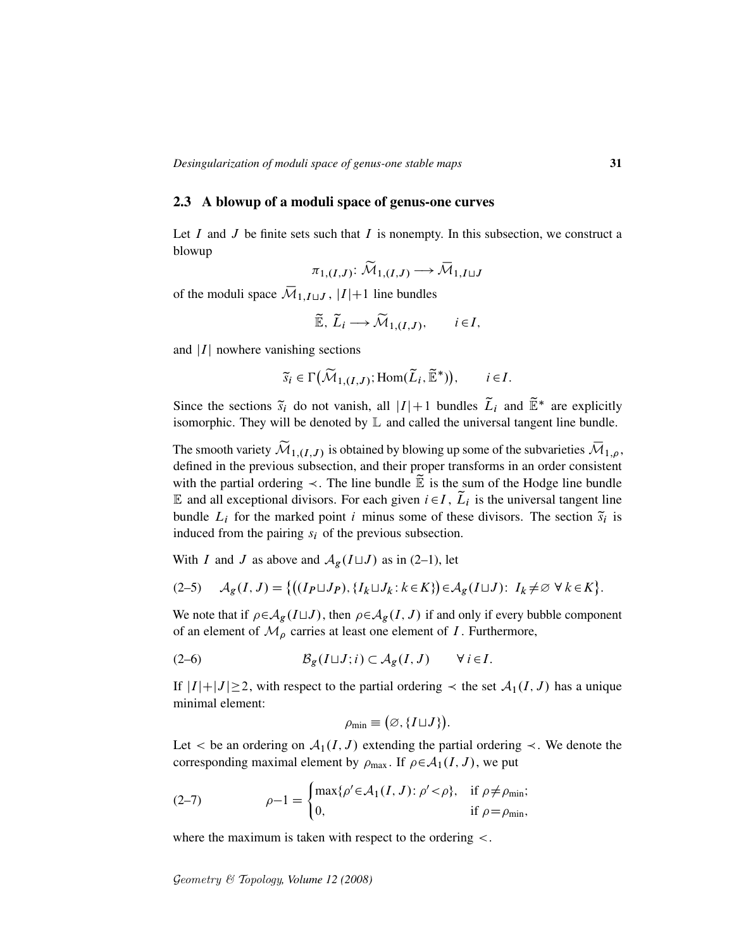### 2.3 A blowup of a moduli space of genus-one curves

Let I and J be finite sets such that I is nonempty. In this subsection, we construct a blowup

$$
\pi_{1,(I,J)}\colon \widetilde{\mathcal{M}}_{1,(I,J)}\longrightarrow \overline{\mathcal{M}}_{1,I\sqcup J}
$$

of the moduli space  $\overline{\mathcal{M}}_{1,I\sqcup J}$ ,  $|I|+1$  line bundles

$$
\widetilde{\mathbb{E}}, \widetilde{L}_i \longrightarrow \widetilde{\mathcal{M}}_{1,(I,J)}, \qquad i \in I,
$$

and  $|I|$  nowhere vanishing sections

$$
\widetilde{s}_i \in \Gamma\big(\widetilde{\mathcal{M}}_{1,(I,J)}; \text{Hom}(\widetilde{L}_i, \widetilde{\mathbb{E}}^*)\big), \qquad i \in I.
$$

Since the sections  $\tilde{s}_i$  do not vanish, all  $|I|+1$  bundles  $\tilde{L}_i$  and  $\tilde{\mathbb{E}}^*$  are explicitly isomorphic. They will be denoted by  $\mathbb L$  and called the universal tangent line bundle.

The smooth variety  $\widetilde{\mathcal{M}}_{1,(I,J)}$  is obtained by blowing up some of the subvarieties  $\overline{\mathcal{M}}_{1,\rho}$ , defined in the previous subsection, and their proper transforms in an order consistent with the partial ordering  $\prec$ . The line bundle  $\widetilde{E}$  is the sum of the Hodge line bundle E and all exceptional divisors. For each given  $i \in I$ ,  $\tilde{L}_i$  is the universal tangent line bundle  $L_i$  for the marked point i minus some of these divisors. The section  $\tilde{s}_i$  is induced from the pairing  $s_i$  of the previous subsection.

With I and J as above and  $A_g(I \sqcup J)$  as in (2–1), let

$$
(2-5) \qquad \mathcal{A}_g(I,J) = \left\{ \left( (I_P \sqcup J_P), \{ I_k \sqcup J_k : k \in K \} \right) \in \mathcal{A}_g(I \sqcup J) : I_k \neq \varnothing \ \forall \ k \in K \right\}.
$$

We note that if  $\rho \in A_g(L \sqcup J)$ , then  $\rho \in A_g(I, J)$  if and only if every bubble component of an element of  $\mathcal{M}_{\rho}$  carries at least one element of I. Furthermore,

$$
(2-6) \t\t\t\t\mathcal{B}_g(I \sqcup J; i) \subset \mathcal{A}_g(I, J) \t\t\t\t\forall i \in I.
$$

If  $|I|+|J|\geq 2$ , with respect to the partial ordering  $\prec$  the set  $\mathcal{A}_1(I, J)$  has a unique minimal element:

$$
\rho_{\min} \equiv \big(\varnothing, \{I \sqcup J\}\big).
$$

Let  $\lt$  be an ordering on  $\mathcal{A}_1(I, J)$  extending the partial ordering  $\lt$ . We denote the corresponding maximal element by  $\rho_{\text{max}}$ . If  $\rho \in A_1(I, J)$ , we put

(2-7) 
$$
\rho - 1 = \begin{cases} \max\{\rho' \in \mathcal{A}_1(I, J) : \rho' < \rho\}, & \text{if } \rho \neq \rho_{\min}; \\ 0, & \text{if } \rho = \rho_{\min}, \end{cases}
$$

where the maximum is taken with respect to the ordering  $\lt$ .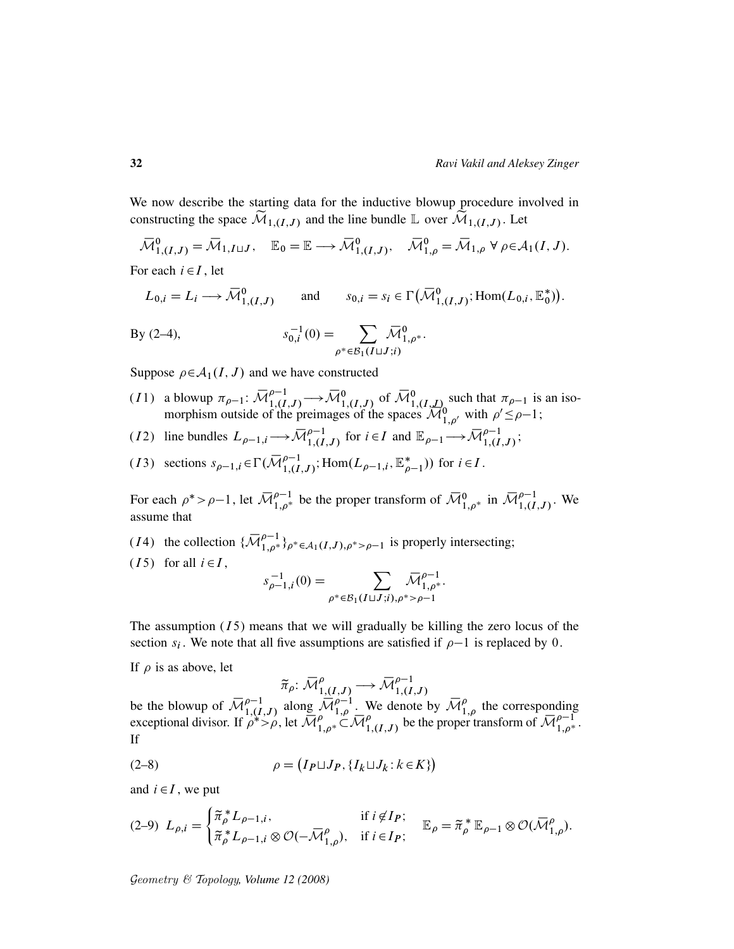We now describe the starting data for the inductive blowup procedure involved in constructing the space  $\mathcal{M}_{1,(I,J)}$  and the line bundle  $\mathbb{L}$  over  $\mathcal{M}_{1,(I,J)}$ . Let

 $\overline{\mathcal{M}}_{1,(I,J)}^0 = \overline{\mathcal{M}}_{1,I\sqcup J}, \quad \mathbb{E}_0 = \mathbb{E} \longrightarrow \overline{\mathcal{M}}_{1,(I,J)}^0, \quad \overline{\mathcal{M}}_{1,\rho}^0 = \overline{\mathcal{M}}_{1,\rho} \ \forall \ \rho \in \mathcal{A}_1(I,J).$ 

For each  $i \in I$ , let

$$
L_{0,i} = L_i \longrightarrow \overline{\mathcal{M}}_{1,(I,J)}^0 \quad \text{and} \quad s_{0,i} = s_i \in \Gamma\big(\overline{\mathcal{M}}_{1,(I,J)}^0; \text{Hom}(L_{0,i}, \mathbb{E}_0^*)\big).
$$

By (2-4), 
$$
s_{0,i}^{-1}(0) = \sum_{\rho^* \in \mathcal{B}_1(I \sqcup J; i)} \overline{\mathcal{M}}_{1,\rho^*}^0.
$$

Suppose  $\rho \in A_1(I, J)$  and we have constructed

- (11) a blowup  $\pi_{\rho-1}$ :  $\overline{\mathcal{M}}_{1,(I,J)}^{\rho-1} \longrightarrow \overline{\mathcal{M}}_{1,(I,J)}^0$  of  $\overline{\mathcal{M}}_{1,(I,J)}^0$  such that  $\pi_{\rho-1}$  is an isomorphism outside of the preimages of the spaces  $\mathcal{M}^0_{1,\rho'}$  with  $\rho' \leq \rho-1$ ;
- (12) line bundles  $L_{\rho-1,i} \longrightarrow \overline{\mathcal{M}}_{1,(I,J)}^{\rho-1}$  for  $i \in I$  and  $\mathbb{E}_{\rho-1} \longrightarrow \overline{\mathcal{M}}_{1,(I,J)}^{\rho-1}$ ;
- (13) sections  $s_{\rho-1,i} \in \Gamma(\overline{\mathcal{M}}_{1,(I,J)}^{\rho-1}; \text{Hom}(L_{\rho-1,i}, \mathbb{E}_{\rho-1}^*))$  for  $i \in I$ .

For each  $\rho^* > \rho - 1$ , let  $\overline{\mathcal{M}}_{1,\rho^*}^{\rho-1}$  be the proper transform of  $\overline{\mathcal{M}}_{1,\rho^*}^0$  in  $\overline{\mathcal{M}}_{1,(I,J)}^{\rho-1}$ . We assume that

- (14) the collection  $\{\overline{\mathcal{M}}_{1,\rho^*}^{\rho-1}\}_{\rho^*\in\mathcal{A}_1(I,J),\rho^*> \rho-1}$  is properly intersecting;
- (15) for all  $i \in I$ ,

$$
s_{\rho-1,i}^{-1}(0) = \sum_{\rho^* \in \mathcal{B}_1(I \sqcup J; i), \rho^* > \rho-1} \overline{\mathcal{M}}_{1,\rho^*}^{\rho-1}.
$$

The assumption  $(15)$  means that we will gradually be killing the zero locus of the section  $s_i$ . We note that all five assumptions are satisfied if  $\rho-1$  is replaced by 0.

If  $\rho$  is as above, let

$$
\widetilde{\pi}_{\rho}: \overline{\mathcal{M}}_{1,(I,J)}^{\rho} \longrightarrow \overline{\mathcal{M}}_{1,(I,J)}^{\rho-1}
$$

 $\pi_{\rho}: \overline{\mathcal{M}}_{1,(I,J)}^{\rho} \longrightarrow \overline{\mathcal{M}}_{1,(I,J)}^{\rho-1}$ <br>be the blowup of  $\overline{\mathcal{M}}_{1,(I,J)}^{\rho-1}$  along  $\overline{\mathcal{M}}_{1,\rho}^{\rho-1}$ . We denote by  $\overline{\mathcal{M}}_{1,\rho}^{\rho}$  the corresponding exceptional divisor. If  $\rho^* > \rho$ , let  $\overline{M}_{1,\rho^*}^{\rho} \subset \overline{M}_{1,(I,J)}^{\rho}$  be the proper transform of  $\overline{M}_{1,\rho^*}^{\rho-1}$ . If

$$
\rho = (I_P \sqcup J_P, \{I_k \sqcup J_k : k \in K\})
$$

and  $i \in I$ , we put

$$
(2-9)\ L_{\rho,i} = \begin{cases} \tilde{\pi}_{\rho}^* L_{\rho-1,i}, & \text{if } i \notin I_P; \\ \tilde{\pi}_{\rho}^* L_{\rho-1,i} \otimes \mathcal{O}(-\overline{\mathcal{M}}_{1,\rho}^{\rho}), & \text{if } i \in I_P; \end{cases} \quad \mathbb{E}_{\rho} = \tilde{\pi}_{\rho}^* \mathbb{E}_{\rho-1} \otimes \mathcal{O}(\overline{\mathcal{M}}_{1,\rho}^{\rho}).
$$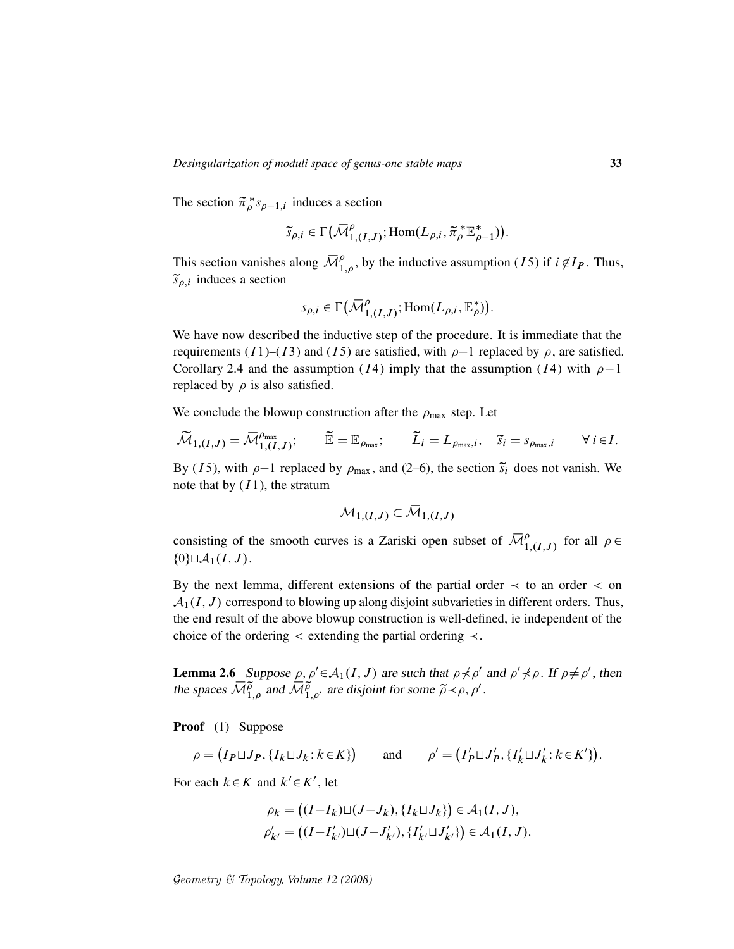The section  $\tilde{\pi}_{\rho}^* s_{\rho-1,i}$  induces a section

$$
\widetilde{\mathfrak{s}}_{\rho,i} \in \Gamma\big(\overline{\mathcal{M}}_{1,(I,J)}^{\rho}; \text{Hom}(L_{\rho,i}, \widetilde{\pi}_{\rho}^* \mathbb{E}_{\rho-1}^*)\big).
$$

This section vanishes along  $\overline{\mathcal{M}}_{1,\rho}^{\rho}$ , by the inductive assumption (15) if  $i \notin I_P$ . Thus,  $\tilde{s}_{\rho,i}$  induces a section

$$
s_{\rho,i} \in \Gamma\big(\overline{\mathcal{M}}_{1,(I,J)}^{\rho}; \text{Hom}(L_{\rho,i}, \mathbb{E}_{\rho}^*)\big).
$$

We have now described the inductive step of the procedure. It is immediate that the requirements (I1)–(I3) and (I5) are satisfied, with  $\rho$ –1 replaced by  $\rho$ , are satisfied. Corollary 2.4 and the assumption (*I*4) imply that the assumption (*I*4) with  $\rho-1$ replaced by  $\rho$  is also satisfied.

We conclude the blowup construction after the  $\rho_{\text{max}}$  step. Let

$$
\widetilde{\mathcal{M}}_{1,(I,J)} = \overline{\mathcal{M}}_{1,(I,J)}^{\rho_{\text{max}}}; \qquad \widetilde{\mathbb{E}} = \mathbb{E}_{\rho_{\text{max}}}; \qquad \widetilde{L}_i = L_{\rho_{\text{max}},i}, \quad \widetilde{s}_i = s_{\rho_{\text{max}},i} \qquad \forall i \in I.
$$

By (15), with  $\rho$ -1 replaced by  $\rho_{\text{max}}$ , and (2–6), the section  $\tilde{s}_i$  does not vanish. We note that by  $(I1)$ , the stratum

$$
\mathcal{M}_{1,(I,J)}\subset \mathcal{\bar M}_{1,(I,J)}
$$

consisting of the smooth curves is a Zariski open subset of  $\overline{\mathcal{M}}_{1,(I,J)}^{\rho}$  for all  $\rho \in$  $\{0\} \sqcup \mathcal{A}_1(I,J).$ 

By the next lemma, different extensions of the partial order  $\prec$  to an order  $\prec$  on  $\mathcal{A}_1(I, J)$  correspond to blowing up along disjoint subvarieties in different orders. Thus, the end result of the above blowup construction is well-defined, ie independent of the choice of the ordering  $\lt$  extending the partial ordering  $\lt$ .

**Lemma 2.6** Suppose  $\rho, \rho' \in A_1(I, J)$  are such that  $\rho \neq \rho'$  and  $\rho' \neq \rho$ . If  $\rho \neq \rho'$ , then the spaces  $\overline{\mathcal{M}}_{1,\rho}^{\tilde{\rho}}$  and  $\overline{\mathcal{M}}_{1,\rho'}^{\tilde{\rho}}$  are disjoint for some  $\tilde{\rho} \prec \rho, \rho'.$ 

Proof (1) Suppose

$$
\rho = (I_P \sqcup J_P, \{I_k \sqcup J_k : k \in K\}) \qquad \text{and} \qquad \rho' = (I'_P \sqcup J'_P, \{I'_k \sqcup J'_k : k \in K'\}).
$$

For each  $k \in K$  and  $k' \in K'$ , let

$$
\rho_k = ((I - I_k) \sqcup (J - J_k), \{I_k \sqcup J_k\}) \in \mathcal{A}_1(I, J),
$$
  

$$
\rho'_{k'} = ((I - I'_{k'}) \sqcup (J - J'_{k'}), \{I'_{k'} \sqcup J'_{k'}\}) \in \mathcal{A}_1(I, J).
$$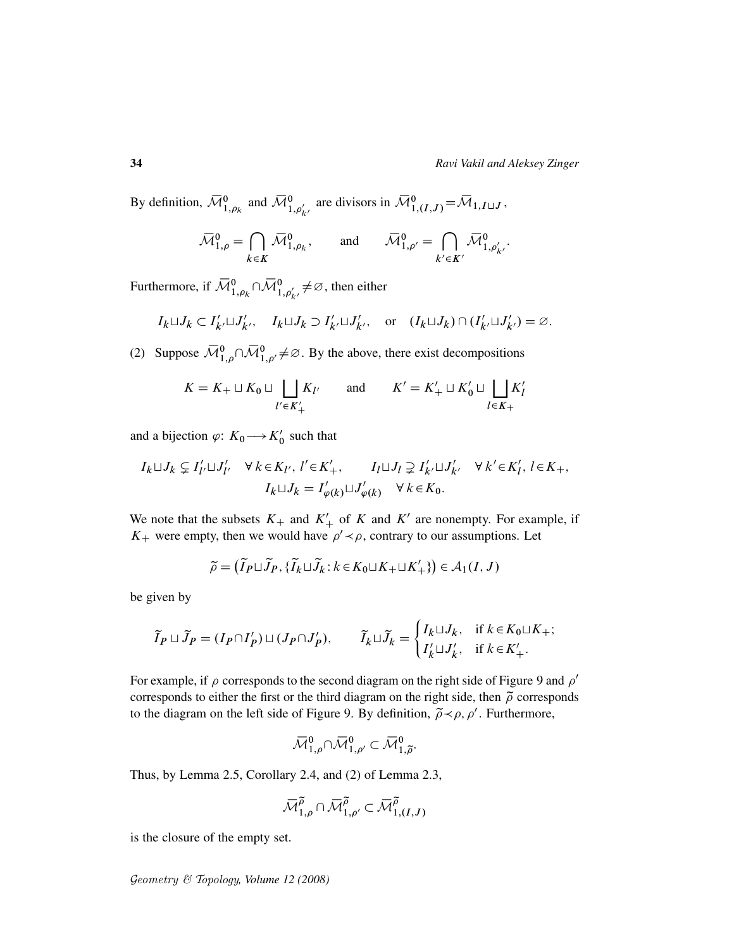By definition,  $\overline{\mathcal{M}}_{1,\rho_k}^0$  and  $\overline{\mathcal{M}}_{1,\rho'_{k'}}^0$  are divisors in  $\overline{\mathcal{M}}_{1,(I,J)}^0 = \overline{\mathcal{M}}_{1,I\sqcup J}$ ,

$$
\overline{\mathcal{M}}_{1,\rho}^{0} = \bigcap_{k \in K} \overline{\mathcal{M}}_{1,\rho_k}^{0}, \quad \text{and} \quad \overline{\mathcal{M}}_{1,\rho'}^{0} = \bigcap_{k' \in K'} \overline{\mathcal{M}}_{1,\rho'_{k'}}^{0}.
$$

Furthermore, if  $\bar{\mathcal{M}}_{1,\rho_k}^0 \cap \bar{\mathcal{M}}_{1,\rho'_{k'}}^0 \neq \varnothing$ , then either

$$
I_k \sqcup J_k \subset I'_{k'} \sqcup J'_{k'}, \quad I_k \sqcup J_k \supset I'_{k'} \sqcup J'_{k'}, \quad \text{or} \quad (I_k \sqcup J_k) \cap (I'_{k'} \sqcup J'_{k'}) = \varnothing.
$$

(2) Suppose  $\overline{\mathcal{M}}_{1,\rho}^{0} \cap \overline{\mathcal{M}}_{1,\rho'}^{0} \neq \emptyset$ . By the above, there exist decompositions

$$
K = K_+ \sqcup K_0 \sqcup \bigsqcup_{l' \in K'_+} K_{l'} \qquad \text{and} \qquad K' = K'_+ \sqcup K'_0 \sqcup \bigsqcup_{l \in K_+} K'_l
$$

and a bijection  $\varphi: K_0 \longrightarrow K'_0$  such that

$$
\begin{array}{lll} I_k\sqcup J_k\subsetneq I'_{l'}\sqcup J'_{l'} & \forall\; k\!\in\! K_{l'},\; l'\!\in\! K'_+, \qquad I_l\!\sqcup\! J_l\supsetneq I'_{k'}\sqcup J'_{k'} & \forall\; k'\!\in\! K'_l,\; l\!\in\! K_+,\\ & I_k\!\sqcup\! J_k=I'_{\varphi(k)}\!\sqcup\! J'_{\varphi(k)} & \forall\; k\!\in\! K_0. \end{array}
$$

We note that the subsets  $K_+$  and  $K'_+$  of K and K' are nonempty. For example, if  $K_{+}$  were empty, then we would have  $\rho' \prec \rho$ , contrary to our assumptions. Let

$$
\widetilde{\rho} = (\widetilde{I}_P \sqcup \widetilde{J}_P, \{\widetilde{I}_k \sqcup \widetilde{J}_k : k \in K_0 \sqcup K_+ \sqcup K'_+ \}) \in \mathcal{A}_1(I, J)
$$

be given by

$$
\widetilde{I}_P \sqcup \widetilde{J}_P = (I_P \cap I'_P) \sqcup (J_P \cap J'_P), \qquad \widetilde{I}_k \sqcup \widetilde{J}_k = \begin{cases} I_k \sqcup J_k, & \text{if } k \in K_0 \sqcup K_+; \\ I'_k \sqcup J'_k, & \text{if } k \in K'_+.\end{cases}
$$

For example, if  $\rho$  corresponds to the second diagram on the right side of Figure 9 and  $\rho'$ corresponds to either the first or the third diagram on the right side, then  $\tilde{\rho}$  corresponds to the diagram on the left side of Figure 9. By definition,  $\tilde{\rho} \prec \rho$ ,  $\rho'$ . Furthermore,

$$
{\mathbin{\smash{\,\,\overline{\!\!\mathcal M\!}\,}}}_{1,\rho}^0\cap{\mathbin{\smash{\,\,\overline{\!\!\mathcal M\!}\,}}}_{1,\rho'}^0\subset{\mathbin{\smash{\,\,\overline{\!\!\mathcal M\!}\,}}}_{1,\widetilde\rho}^0.
$$

Thus, by Lemma 2.5, Corollary 2.4, and (2) of Lemma 2.3,

$$
{\mathbin{\smash{\,\,\overline{\!\!\mathcal M\!}\,}}}_{1,\rho}^{\widetilde\rho}\cap{\mathbin{\smash{\,\,\overline{\!\!\mathcal M\!}\,}}}_{1,\rho'}^{\widetilde\rho}\subset{\mathbin{\smash{\,\,\overline{\!\!\mathcal M\!}\,}}}_{1,(I,J)}^{\widetilde\rho}
$$

is the closure of the empty set.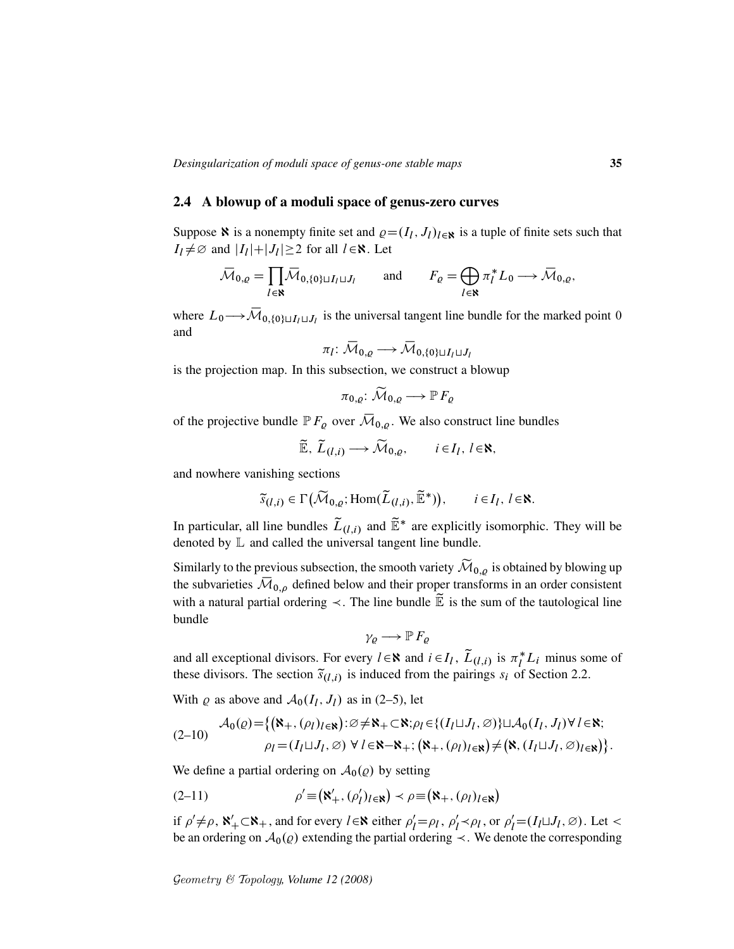### 2.4 A blowup of a moduli space of genus-zero curves

Suppose **N** is a nonempty finite set and  $\varrho = (I_l, J_l)_{l \in \mathbb{N}}$  is a tuple of finite sets such that  $I_l \neq \emptyset$  and  $|I_l|+|J_l| \geq 2$  for all  $l \in \mathbb{N}$ . Let

$$
\overline{\mathcal{M}}_{0,\varrho} = \prod_{l \in \mathbf{N}} \overline{\mathcal{M}}_{0,\{0\} \sqcup I_l \sqcup J_l} \quad \text{and} \quad F_{\varrho} = \bigoplus_{l \in \mathbf{N}} \pi_l^* L_0 \longrightarrow \overline{\mathcal{M}}_{0,\varrho},
$$

where  $L_0 \rightarrow \overline{\mathcal{M}}_{0,\{0\} \sqcup I_l \sqcup J_l}$  is the universal tangent line bundle for the marked point 0 and

$$
\pi_l\colon \overline{\mathcal{M}}_{0,\varrho}\longrightarrow \overline{\mathcal{M}}_{0,\{0\}\sqcup I_l\sqcup J_l}
$$

is the projection map. In this subsection, we construct a blowup

$$
\pi_{0,\varrho}\colon \widetilde{\mathcal{M}}_{0,\varrho}\longrightarrow \mathbb{P} F_{\varrho}
$$

of the projective bundle  $\mathbb{P} F_{\varrho}$  over  $\overline{\mathcal{M}}_{0,\varrho}$ . We also construct line bundles

$$
\widetilde{\mathbb{E}}, \ \widetilde{L}_{(l,i)} \longrightarrow \widetilde{\mathcal{M}}_{0,\varrho}, \qquad i \in I_l, \ l \in \aleph,
$$

and nowhere vanishing sections

$$
\widetilde{s}_{(l,i)} \in \Gamma\big(\widetilde{\mathcal{M}}_{0,\varrho};\text{Hom}(\widetilde{L}_{(l,i)},\widetilde{\mathbb{E}}^*)\big), \qquad i \in I_l, \ l \in \aleph.
$$

In particular, all line bundles  $\tilde{L}_{(l,i)}$  and  $\tilde{\mathbb{E}}^*$  are explicitly isomorphic. They will be denoted by  $\mathbb L$  and called the universal tangent line bundle.

Similarly to the previous subsection, the smooth variety  $\widetilde{\mathcal{M}}_{0,\varrho}$  is obtained by blowing up the subvarieties  $\overline{\mathcal{M}}_{0,\rho}$  defined below and their proper transforms in an order consistent with a natural partial ordering  $\prec$ . The line bundle  $\widetilde{\mathbb{E}}$  is the sum of the tautological line bundle

$$
\gamma_{\varrho} \longrightarrow \mathbb{P} F_{\varrho}
$$

and all exceptional divisors. For every  $l \in \mathbb{N}$  and  $i \in I_l$ ,  $\tilde{L}_{(l,i)}$  is  $\pi_l^* L_i$  minus some of these divisors. The section  $\tilde{s}_{(l,i)}$  is induced from the pairings  $s_i$  of Section 2.2.

With  $\varrho$  as above and  $\mathcal{A}_0(I_l, J_l)$  as in (2–5), let

$$
(2-10) \quad \mathcal{A}_0(\varrho) = \{ (\mathbf{\aleph}_+, (\rho_l)_{l \in \mathbf{N}}) : \varnothing \neq \mathbf{\aleph}_+ \subset \mathbf{\aleph}; \rho_l \in \{ (I_l \sqcup J_l, \varnothing) \} \sqcup \mathcal{A}_0(I_l, J_l) \forall l \in \mathbf{\aleph};
$$
  

$$
\rho_l = (I_l \sqcup J_l, \varnothing) \ \forall \ l \in \mathbf{\aleph} - \mathbf{\aleph}_+; (\mathbf{\aleph}_+, (\rho_l)_{l \in \mathbf{\aleph}}) \neq (\mathbf{\aleph}, (I_l \sqcup J_l, \varnothing)_{l \in \mathbf{\aleph}}) \}.
$$

We define a partial ordering on  $\mathcal{A}_0(\varrho)$  by setting

(2-11) 
$$
\rho' \equiv (\aleph'_+, (\rho'_l)_{l \in \aleph}) \prec \rho \equiv (\aleph_+, (\rho_l)_{l \in \aleph})
$$

if  $\rho' \neq \rho$ ,  $\aleph'_+ \subset \aleph_+$ , and for every  $l \in \aleph$  either  $\rho'_l = \rho_l$ ,  $\rho'_l$  $\ell_l' \prec \rho_l$ , or  $\rho_l' = (I_l \sqcup J_l, \varnothing)$ . Let < be an ordering on  $A_0(\rho)$  extending the partial ordering  $\prec$ . We denote the corresponding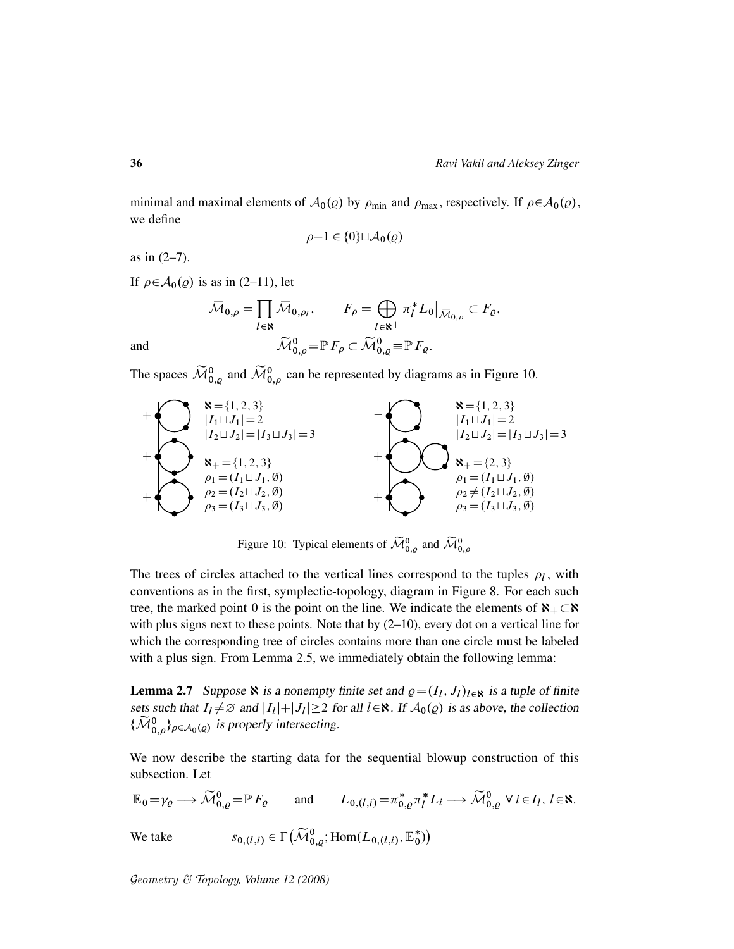minimal and maximal elements of  $A_0(\varrho)$  by  $\rho_{\text{min}}$  and  $\rho_{\text{max}}$ , respectively. If  $\rho \in A_0(\varrho)$ , we define

$$
\rho - 1 \in \{0\} \sqcup \mathcal{A}_0(\varrho)
$$

as in (2–7).

If  $\rho \in A_0(\rho)$  is as in (2–11), let

$$
\overline{\mathcal{M}}_{0,\rho} = \prod_{l \in \mathbf{R}} \overline{\mathcal{M}}_{0,\rho_l}, \qquad F_{\rho} = \bigoplus_{l \in \mathbf{R}^+} \pi_l^* L_0 \big|_{\overline{\mathcal{M}}_{0,\rho}} \subset F_{\varrho},
$$
  
and  

$$
\widetilde{\mathcal{M}}_{0,\rho}^0 = \mathbb{P} F_{\rho} \subset \widetilde{\mathcal{M}}_{0,\varrho}^0 \equiv \mathbb{P} F_{\varrho}.
$$

The spaces  $\widetilde{\mathcal{M}}_{0,\varrho}^0$  and  $\widetilde{\mathcal{M}}_{0,\rho}^0$  can be represented by diagrams as in Figure 10.



Figure 10: Typical elements of  $\widetilde{\mathcal{M}}_{0,\rho}^0$  and  $\widetilde{\mathcal{M}}_{0,\rho}^0$ 

The trees of circles attached to the vertical lines correspond to the tuples  $\rho_l$ , with conventions as in the first, symplectic-topology, diagram in Figure 8. For each such tree, the marked point 0 is the point on the line. We indicate the elements of  $\aleph_+ \subset \aleph$ with plus signs next to these points. Note that by  $(2-10)$ , every dot on a vertical line for which the corresponding tree of circles contains more than one circle must be labeled with a plus sign. From Lemma 2.5, we immediately obtain the following lemma:

**Lemma 2.7** Suppose  $\aleph$  is a nonempty finite set and  $\varrho = (I_l, J_l)_{l \in \aleph}$  is a tuple of finite sets such that  $I_l \neq \emptyset$  and  $|I_l| + |J_l| \geq 2$  for all  $l \in \mathbb{R}$ . If  $\mathcal{A}_0(\varrho)$  is as above, the collection  $\{\widetilde{\mathcal{M}}_{0,\rho}^0\}_{\rho \in \mathcal{A}_0(\rho)}$  is properly intersecting.

We now describe the starting data for the sequential blowup construction of this subsection. Let

$$
\mathbb{E}_0 = \gamma_\varrho \longrightarrow \widetilde{\mathcal{M}}_{0,\varrho}^0 = \mathbb{P} F_\varrho \quad \text{and} \quad L_{0,(l,i)} = \pi_{0,\varrho}^* \pi_l^* L_i \longrightarrow \widetilde{\mathcal{M}}_{0,\varrho}^0 \ \forall \ i \in I_l, \ l \in \mathbb{N}.
$$
  
We take 
$$
s_{0,(l,i)} \in \Gamma\big(\widetilde{\mathcal{M}}_{0,\varrho}^0; \text{Hom}(L_{0,(l,i)}, \mathbb{E}_0^*)\big)
$$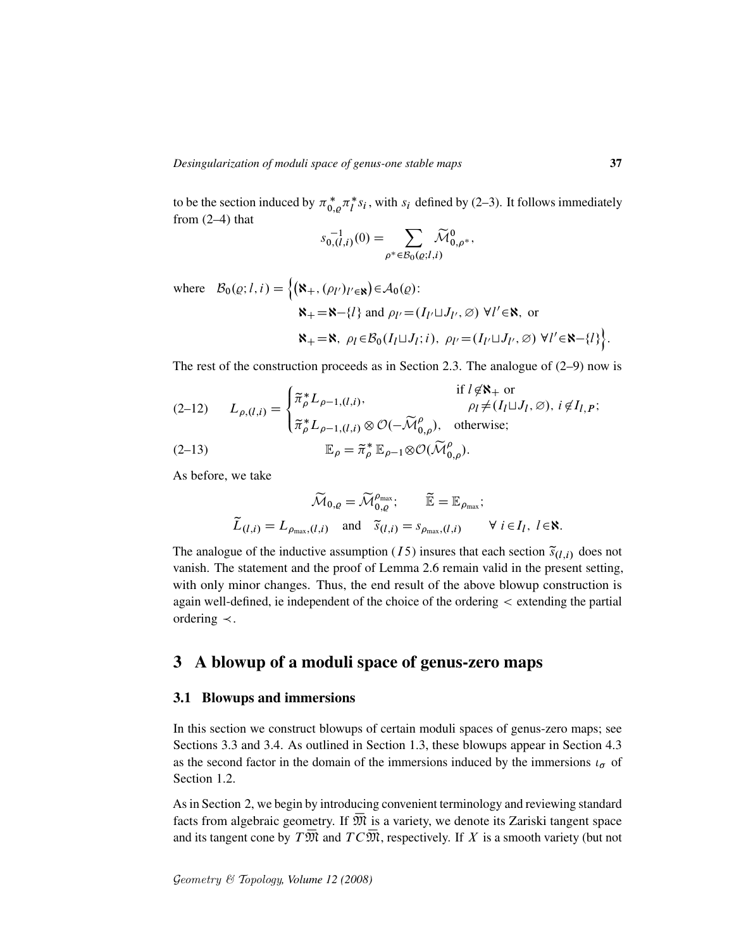to be the section induced by  $\pi_{0,\varrho}^* \pi_l^*$  $i<sub>i</sub>$  s<sub>i</sub>, with s<sub>i</sub> defined by (2–3). It follows immediately from  $(2-4)$  that

$$
s_{0,(l,i)}^{-1}(0) = \sum_{\rho^* \in \mathcal{B}_0(\varrho; l,i)} \widetilde{\mathcal{M}}_{0,\rho^*}^0,
$$

where  $\mathcal{B}_0(\varrho; l, i) = \{ (\aleph_+, (\rho_{l'})_{l' \in \aleph}) \in \mathcal{A}_0(\varrho) \colon$ 

$$
\mathbf{R}_{+} = \mathbf{R} - \{l\} \text{ and } \rho_{l'} = (I_{l'} \sqcup J_{l'}, \varnothing) \ \forall l' \in \mathbf{R}, \text{ or}
$$
\n
$$
\mathbf{R}_{+} = \mathbf{R}, \ \rho_{l} \in \mathcal{B}_{0}(I_{l} \sqcup J_{l}; i), \ \rho_{l'} = (I_{l'} \sqcup J_{l'}, \varnothing) \ \forall l' \in \mathbf{R} - \{l\}.
$$

The rest of the construction proceeds as in Section 2.3. The analogue of (2–9) now is

(2-12) 
$$
L_{\rho,(l,i)} = \begin{cases} \tilde{\pi}_{\rho}^{*} L_{\rho-1,(l,i)}, & \text{if } l \notin \mathbb{N}_{+} \text{ or } \\ \tilde{\pi}_{\rho}^{*} L_{\rho-1,(l,i)} \otimes \mathcal{O}(-\widetilde{\mathcal{M}}_{0,\rho}^{\rho}), & \text{otherwise}; \end{cases}
$$
  
(2-13) 
$$
\mathbb{E}_{\rho} = \tilde{\pi}_{\rho}^{*} \mathbb{E}_{\rho-1} \otimes \mathcal{O}(\widetilde{\mathcal{M}}_{0,\rho}^{\rho}).
$$

As before, we take

$$
\widetilde{\mathcal{M}}_{0,\varrho} = \widetilde{\mathcal{M}}_{0,\varrho}^{\rho_{\text{max}}}; \qquad \widetilde{\mathbb{E}} = \mathbb{E}_{\rho_{\text{max}}};
$$
\n
$$
\widetilde{L}_{(l,i)} = L_{\rho_{\text{max}},(l,i)} \quad \text{and} \quad \widetilde{s}_{(l,i)} = s_{\rho_{\text{max}},(l,i)} \qquad \forall \ i \in I_l, \ l \in \mathbb{N}.
$$

The analogue of the inductive assumption (15) insures that each section  $\tilde{s}_{(l,i)}$  does not vanish. The statement and the proof of Lemma 2.6 remain valid in the present setting, with only minor changes. Thus, the end result of the above blowup construction is again well-defined, ie independent of the choice of the ordering < extending the partial ordering  $\prec$ .

# 3 A blowup of a moduli space of genus-zero maps

### 3.1 Blowups and immersions

In this section we construct blowups of certain moduli spaces of genus-zero maps; see Sections 3.3 and 3.4. As outlined in Section 1.3, these blowups appear in Section 4.3 as the second factor in the domain of the immersions induced by the immersions  $\iota_{\sigma}$  of Section 1.2.

As in Section 2, we begin by introducing convenient terminology and reviewing standard facts from algebraic geometry. If  $\overline{\mathfrak{M}}$  is a variety, we denote its Zariski tangent space and its tangent cone by  $T\overline{\mathfrak{M}}$  and  $TC\overline{\mathfrak{M}}$ , respectively. If X is a smooth variety (but not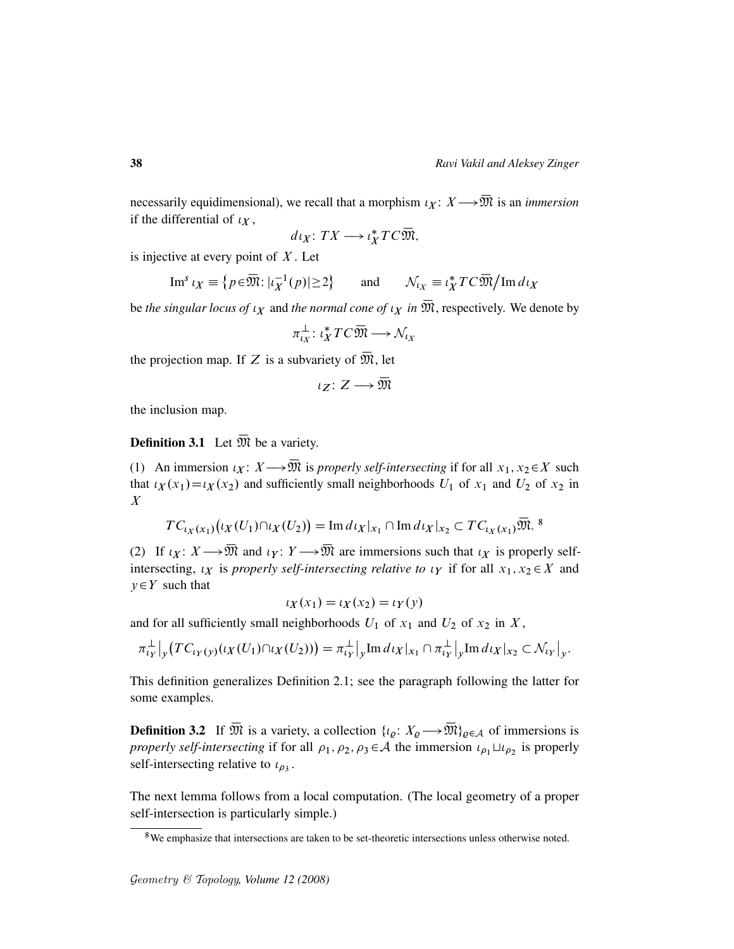necessarily equidimensional), we recall that a morphism  $\iota_X : X \longrightarrow \overline{\mathfrak{M}}$  is an *immersion* if the differential of  $\iota_X$ ,

$$
d\iota_X\colon TX\longrightarrow \iota_X^*TC\overline{\mathfrak{M}},
$$

is injective at every point of  $X$ . Let

Im<sup>s</sup> 
$$
\iota_X \equiv \{ p \in \overline{\mathfrak{M}} : |\iota_X^{-1}(p)| \ge 2 \}
$$
 and  $\mathcal{N}_{\iota_X} \equiv \iota_X^* T C \overline{\mathfrak{M}} / \text{Im } d \iota_X$ 

be *the singular locus of*  $\iota_X$  and *the normal cone of*  $\iota_X$  *in*  $\overline{\mathfrak{M}}$ , respectively. We denote by

$$
\pi_{\iota_X}^{\perp} : \iota_X^* T C \overline{\mathfrak{M}} \longrightarrow \mathcal{N}_{\iota_X}
$$

the projection map. If Z is a subvariety of  $\overline{\mathfrak{M}}$ , let

$$
\iota_Z\colon Z\longrightarrow \overline{\mathfrak M}
$$

the inclusion map.

**Definition 3.1** Let  $\overline{\mathfrak{M}}$  be a variety.

(1) An immersion  $\iota_X \colon X \longrightarrow \overline{\mathfrak{M}}$  is *properly self-intersecting* if for all  $x_1, x_2 \in X$  such that  $\iota_X(x_1) = \iota_X(x_2)$  and sufficiently small neighborhoods  $U_1$  of  $x_1$  and  $U_2$  of  $x_2$  in X

$$
TC_{\iota_X(x_1)}(\iota_X(U_1)\cap \iota_X(U_2)) = \text{Im}\, d\iota_X|_{x_1} \cap \text{Im}\, d\iota_X|_{x_2} \subset TC_{\iota_X(x_1)}\overline{\mathfrak{M}}.
$$
<sup>8</sup>

(2) If  $\iota_X \colon X \longrightarrow \overline{\mathfrak{M}}$  and  $\iota_Y \colon Y \longrightarrow \overline{\mathfrak{M}}$  are immersions such that  $\iota_X$  is properly selfintersecting,  $\iota_X$  is *properly self-intersecting relative to*  $\iota_Y$  if for all  $x_1, x_2 \in X$  and  $y \in Y$  such that

$$
\iota_X(x_1) = \iota_X(x_2) = \iota_Y(y)
$$

and for all sufficiently small neighborhoods  $U_1$  of  $x_1$  and  $U_2$  of  $x_2$  in  $X$ ,

$$
\pi_{tY}^{\perp}\big|_{y}\big(TC_{tY}(y)(tX(U_1)\cap tX(U_2))\big)=\pi_{tY}^{\perp}\big|_{y}\mathrm{Im}\,dtX|_{x_1}\cap \pi_{tY}^{\perp}\big|_{y}\mathrm{Im}\,dtX|_{x_2}\subset \mathcal{N}_{tY}\big|_{y}.
$$

This definition generalizes Definition 2.1; see the paragraph following the latter for some examples.

**Definition 3.2** If  $\overline{\mathfrak{M}}$  is a variety, a collection  $\{\iota_{\rho}: X_{\rho} \longrightarrow \overline{\mathfrak{M}}\}_{\rho \in A}$  of immersions is *properly self-intersecting* if for all  $\rho_1, \rho_2, \rho_3 \in \mathcal{A}$  the immersion  $\iota_{\rho_1} \sqcup \iota_{\rho_2}$  is properly self-intersecting relative to  $\iota_{\rho_3}$ .

The next lemma follows from a local computation. (The local geometry of a proper self-intersection is particularly simple.)

<sup>8</sup>We emphasize that intersections are taken to be set-theoretic intersections unless otherwise noted.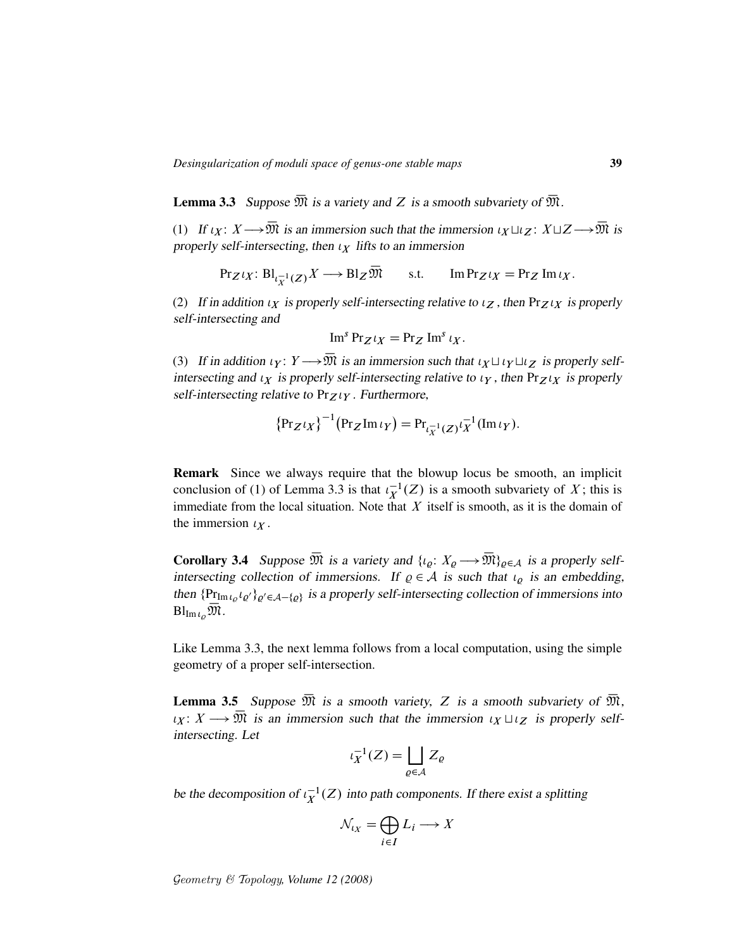**Lemma 3.3** Suppose  $\overline{\mathfrak{M}}$  is a variety and Z is a smooth subvariety of  $\overline{\mathfrak{M}}$ .

(1) If  $\iota_X \colon X \longrightarrow \overline{\mathfrak{M}}$  is an immersion such that the immersion  $\iota_X \sqcup \iota_Z \colon X \sqcup Z \longrightarrow \overline{\mathfrak{M}}$  is properly self-intersecting, then  $\iota_X$  lifts to an immersion

$$
\Pr_Z \iota_X \colon \mathrm{Bl}_{\iota_X^{-1}(Z)} X \longrightarrow \mathrm{Bl}_Z \overline{\mathfrak{M}} \qquad \text{s.t.} \qquad \mathrm{Im} \Pr_Z \iota_X = \Pr_Z \mathrm{Im} \iota_X.
$$

(2) If in addition  $\iota_X$  is properly self-intersecting relative to  $\iota_Z$ , then Pr $Z \iota_X$  is properly self-intersecting and

$$
\operatorname{Im}^s \operatorname{Pr}_{Z} \iota_X = \operatorname{Pr}_{Z} \operatorname{Im}^s \iota_X.
$$

(3) If in addition  $\iota_Y : Y \longrightarrow \overline{\mathfrak{M}}$  is an immersion such that  $\iota_X \sqcup \iota_Y \sqcup \iota_Z$  is properly selfintersecting and  $\iota_X$  is properly self-intersecting relative to  $\iota_Y$ , then  $Pr_Z \iota_X$  is properly self-intersecting relative to  $Pr_Z \wr_Y$ . Furthermore,

$$
{\left\{\Pr_Z\iota_X\right\}}^{-1}{\left(\Pr_Z\operatorname{Im}\iota_Y\right)} = \Pr_{\iota_X^{-1}(Z)}\iota_X^{-1}{\left(\operatorname{Im}\iota_Y\right)}.
$$

Remark Since we always require that the blowup locus be smooth, an implicit conclusion of (1) of Lemma 3.3 is that  $\iota_X^{-1}(Z)$  is a smooth subvariety of X; this is immediate from the local situation. Note that  $X$  itself is smooth, as it is the domain of the immersion  $\iota_X$ .

**Corollary 3.4** Suppose  $\overline{\mathfrak{M}}$  is a variety and  $\{i_{\rho}: X_{\rho} \longrightarrow \overline{\mathfrak{M}}\}_{\rho \in A}$  is a properly selfintersecting collection of immersions. If  $\rho \in A$  is such that  $\iota_{\rho}$  is an embedding, then  $\{P_{\text{Im} \iota_Q} \iota_{Q'}\}_{Q' \in \mathcal{A}-\{Q\}}$  is a properly self-intersecting collection of immersions into  $Bl_{\mathrm{Im}\iota_o}\mathfrak{M}.$ 

Like Lemma 3.3, the next lemma follows from a local computation, using the simple geometry of a proper self-intersection.

**Lemma 3.5** Suppose  $\overline{\mathfrak{M}}$  is a smooth variety, Z is a smooth subvariety of  $\overline{\mathfrak{M}}$ ,  $\iota_X \colon X \longrightarrow \overline{\mathfrak{M}}$  is an immersion such that the immersion  $\iota_X \sqcup \iota_Z$  is properly selfintersecting. Let

$$
\iota_X^{-1}(Z) = \bigsqcup_{\varrho \in \mathcal{A}} Z_{\varrho}
$$

be the decomposition of  $\iota_X^{-1}(Z)$  into path components. If there exist a splitting

$$
\mathcal{N}_{l_X} = \bigoplus_{i \in I} L_i \longrightarrow X
$$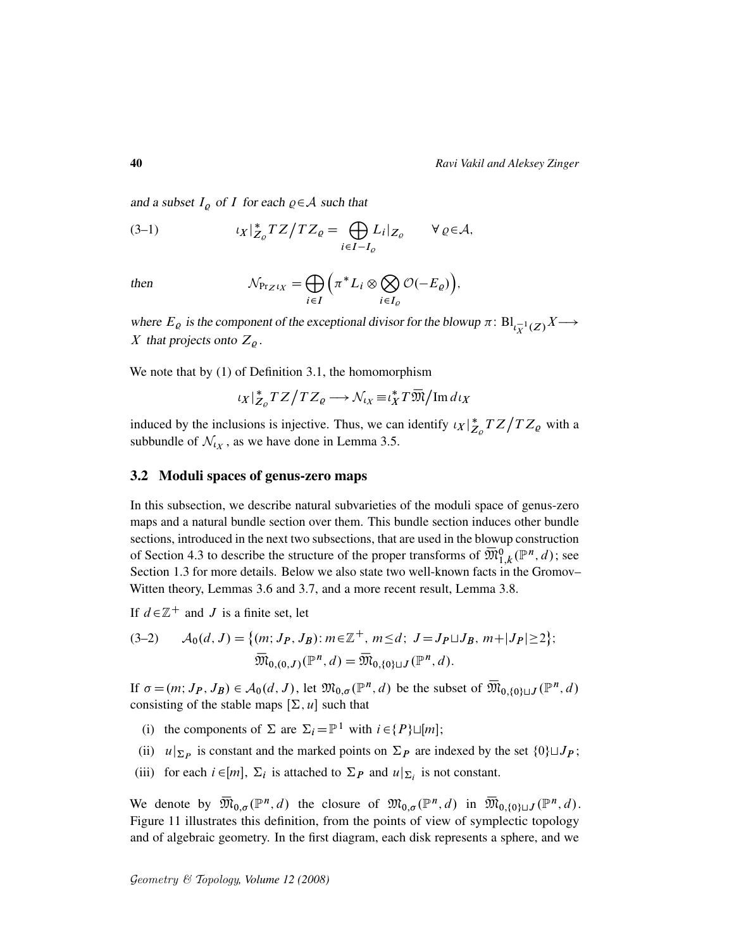and a subset  $I_{\rho}$  of I for each  $\rho \in A$  such that

(3-1) 
$$
\iota_X|_{Z_{\varrho}}^*TZ/TZ_{\varrho} = \bigoplus_{i \in I - I_{\varrho}} L_i|_{Z_{\varrho}} \quad \forall \varrho \in \mathcal{A},
$$

then 
$$
\mathcal{N}_{\Pr_Z t_X} = \bigoplus_{i \in I} \Big( \pi^* L_i \otimes \bigotimes_{i \in I_Q} \mathcal{O}(-E_Q) \Big),
$$

where  $E_{\varrho}$  is the component of the exceptional divisor for the blowup  $\pi: \text{Bl}_{\iota_X^{-1}}(Z)X \longrightarrow$ X that projects onto  $Z_{\rho}$ .

We note that by (1) of Definition 3.1, the homomorphism

$$
\iota_X|_{Z_{\varrho}}^*TZ/TZ_{\varrho}\longrightarrow \mathcal{N}_{\iota_X}\equiv \iota_X^*T\overline{\mathfrak{M}}/\mathrm{Im}\,d\iota_X
$$

induced by the inclusions is injective. Thus, we can identify  $\ell_X \vert_Z^*$  $\frac{1}{Z_{\varrho}}TZ/TZ_{\varrho}$  with a subbundle of  $\mathcal{N}_{tx}$ , as we have done in Lemma 3.5.

## 3.2 Moduli spaces of genus-zero maps

In this subsection, we describe natural subvarieties of the moduli space of genus-zero maps and a natural bundle section over them. This bundle section induces other bundle sections, introduced in the next two subsections, that are used in the blowup construction of Section 4.3 to describe the structure of the proper transforms of  $\overline{\mathfrak{M}}_{1,k}^{0}(\mathbb{P}^{n},d)$ ; see Section 1.3 for more details. Below we also state two well-known facts in the Gromov– Witten theory, Lemmas 3.6 and 3.7, and a more recent result, Lemma 3.8.

If  $d \in \mathbb{Z}^+$  and J is a finite set, let

$$
(3-2) \qquad \mathcal{A}_0(d,J) = \{ (m; J_P, J_B) : m \in \mathbb{Z}^+, m \le d; \ J = J_P \sqcup J_B, m + |J_P| \ge 2 \};
$$

$$
\overline{\mathfrak{M}}_{0,(0,J)}(\mathbb{P}^n, d) = \overline{\mathfrak{M}}_{0,\{0\} \sqcup J}(\mathbb{P}^n, d).
$$

If  $\sigma = (m; J_P, J_B) \in A_0(d, J)$ , let  $\mathfrak{M}_{0,\sigma}(\mathbb{P}^n, d)$  be the subset of  $\overline{\mathfrak{M}}_{0,\{0\}\sqcup J}(\mathbb{P}^n, d)$ consisting of the stable maps  $[\Sigma, u]$  such that

- (i) the components of  $\Sigma$  are  $\Sigma_i = \mathbb{P}^1$  with  $i \in \{P\} \sqcup [m]$ ;
- (ii)  $u|_{\Sigma_P}$  is constant and the marked points on  $\Sigma_P$  are indexed by the set  $\{0\} \sqcup J_P$ ;
- (iii) for each  $i \in [m]$ ,  $\Sigma_i$  is attached to  $\Sigma_P$  and  $u|_{\Sigma_i}$  is not constant.

We denote by  $\overline{\mathfrak{M}}_{0,\sigma}(\mathbb{P}^n,d)$  the closure of  $\mathfrak{M}_{0,\sigma}(\mathbb{P}^n,d)$  in  $\overline{\mathfrak{M}}_{0,\{0\}\sqcup J}(\mathbb{P}^n,d)$ . Figure 11 illustrates this definition, from the points of view of symplectic topology and of algebraic geometry. In the first diagram, each disk represents a sphere, and we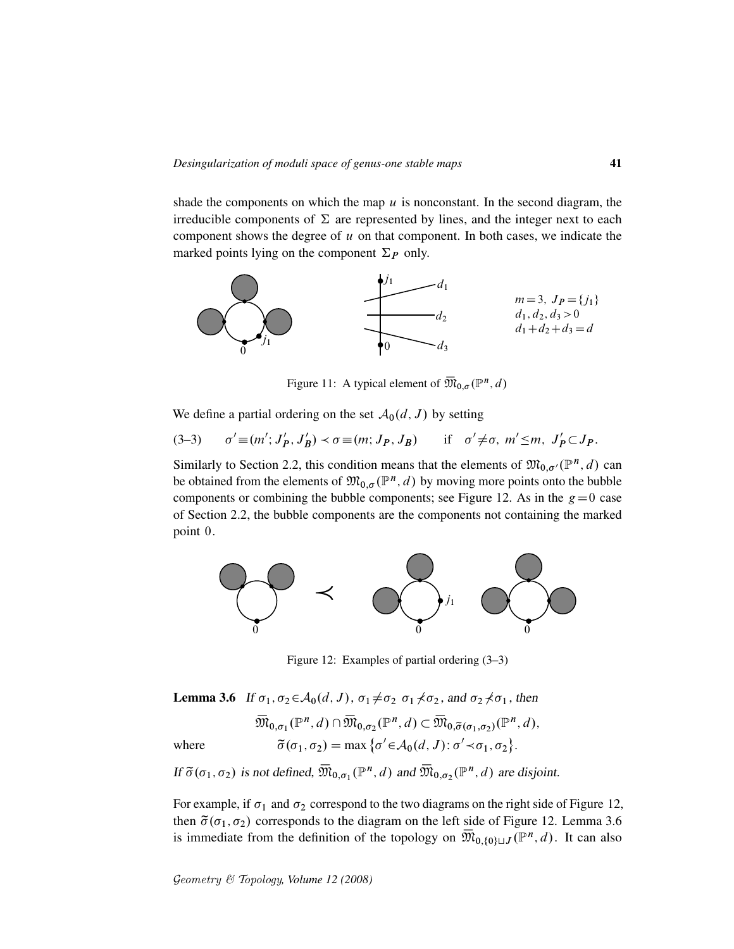shade the components on which the map  $u$  is nonconstant. In the second diagram, the irreducible components of  $\Sigma$  are represented by lines, and the integer next to each component shows the degree of  $u$  on that component. In both cases, we indicate the marked points lying on the component  $\Sigma_{P}$  only.



Figure 11: A typical element of  $\overline{\mathfrak{M}}_{0,\sigma}(\mathbb{P}^n,d)$ 

We define a partial ordering on the set  $\mathcal{A}_0(d, J)$  by setting

 $(3-3)$  $\prime \equiv (m'; J'_p)$  $j'_P, J'_P$  $S'_B$ )  $\prec \sigma \equiv (m; J_P, J_B)$  if  $\sigma' \neq \sigma$ ,  $m' \leq m$ ,  $J'_P \subset J_P$ .

Similarly to Section 2.2, this condition means that the elements of  $\mathfrak{M}_{0,\sigma'}(\mathbb{P}^n,d)$  can be obtained from the elements of  $\mathfrak{M}_{0,\sigma}(\mathbb{P}^n,d)$  by moving more points onto the bubble components or combining the bubble components; see Figure 12. As in the  $g=0$  case of Section 2.2, the bubble components are the components not containing the marked point 0.



Figure 12: Examples of partial ordering (3–3)

**Lemma 3.6** If  $\sigma_1, \sigma_2 \in A_0(d, J)$ ,  $\sigma_1 \neq \sigma_2$ ,  $\sigma_1 \neq \sigma_2$ , and  $\sigma_2 \neq \sigma_1$ , then

 $\overline{\mathfrak{M}}_{0,\sigma_1}(\mathbb{P}^n,d) \cap \overline{\mathfrak{M}}_{0,\sigma_2}(\mathbb{P}^n,d) \subset \overline{\mathfrak{M}}_{0,\widetilde{\sigma}(\sigma_1,\sigma_2)}(\mathbb{P}^n,d),$ where  $\tilde{\sigma}(\sigma_1, \sigma_2) = \max \{ \sigma' \in \mathcal{A}_0(d, J) : \sigma' \prec \sigma_1, \sigma_2 \}.$ 

If  $\tilde{\sigma}(\sigma_1, \sigma_2)$  is not defined,  $\overline{\mathfrak{M}}_{0, \sigma_1}(\mathbb{P}^n, d)$  and  $\overline{\mathfrak{M}}_{0, \sigma_2}(\mathbb{P}^n, d)$  are disjoint.

For example, if  $\sigma_1$  and  $\sigma_2$  correspond to the two diagrams on the right side of Figure 12, then  $\tilde{\sigma}(\sigma_1, \sigma_2)$  corresponds to the diagram on the left side of Figure 12. Lemma 3.6 is immediate from the definition of the topology on  $\overline{\mathfrak{M}}_{0,\{0\}\sqcup J}(\mathbb{P}^n,d)$ . It can also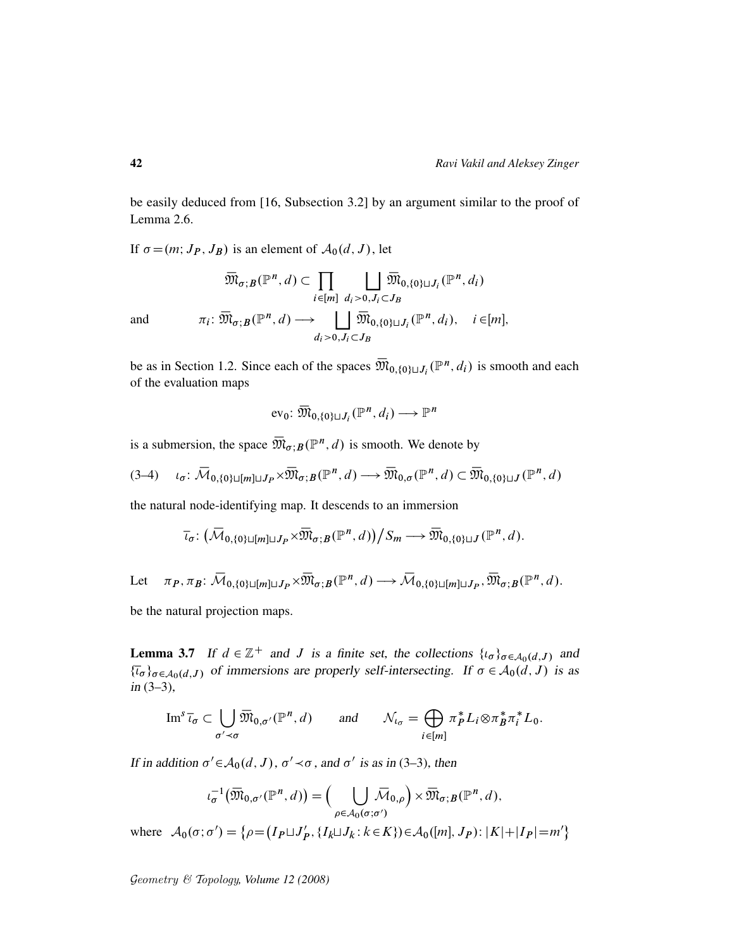be easily deduced from [16, Subsection 3.2] by an argument similar to the proof of Lemma 2.6.

If  $\sigma = (m; J_P, J_B)$  is an element of  $\mathcal{A}_0(d, J)$ , let

$$
\overline{\mathfrak{M}}_{\sigma; B}(\mathbb{P}^n, d) \subset \prod_{i \in [m]} \bigcup_{d_i > 0, J_i \subset J_B} \overline{\mathfrak{M}}_{0, \{0\} \sqcup J_i}(\mathbb{P}^n, d_i)
$$
\nand\n
$$
\pi_i \colon \overline{\mathfrak{M}}_{\sigma; B}(\mathbb{P}^n, d) \longrightarrow \bigcup_{d_i > 0, J_i \subset J_B} \overline{\mathfrak{M}}_{0, \{0\} \sqcup J_i}(\mathbb{P}^n, d_i), \quad i \in [m],
$$

be as in Section 1.2. Since each of the spaces  $\overline{\mathfrak{M}}_{0,\{0\}\sqcup J_i}(\mathbb{P}^n,d_i)$  is smooth and each of the evaluation maps

$$
\text{ev}_0 \colon \overline{\mathfrak{M}}_{0,\{0\} \sqcup J_i}(\mathbb{P}^n, d_i) \longrightarrow \mathbb{P}^n
$$

is a submersion, the space  $\overline{\mathfrak{M}}_{\sigma;B}(\mathbb{P}^n,d)$  is smooth. We denote by

$$
(3-4) \qquad \iota_{\sigma} \colon \overline{\mathcal{M}}_{0,\{0\} \sqcup [m] \sqcup J_P} \times \overline{\mathfrak{M}}_{\sigma;B}(\mathbb{P}^n,d) \longrightarrow \overline{\mathfrak{M}}_{0,\sigma}(\mathbb{P}^n,d) \subset \overline{\mathfrak{M}}_{0,\{0\} \sqcup J}(\mathbb{P}^n,d)
$$

the natural node-identifying map. It descends to an immersion

$$
\overline{\iota}_{\sigma} \colon (\overline{\mathcal{M}}_{0,\{0\}\sqcup[m]\sqcup J_P} \times \overline{\mathfrak{M}}_{\sigma;B}(\mathbb{P}^n,d)) \big/ S_m \longrightarrow \overline{\mathfrak{M}}_{0,\{0\}\sqcup J}(\mathbb{P}^n,d).
$$

Let  $\pi_P, \pi_B: \overline{\mathcal{M}}_{0,\{0\}\sqcup[m]\sqcup J_P} \times \overline{\mathfrak{M}}_{\sigma;B}(\mathbb{P}^n, d) \longrightarrow \overline{\mathcal{M}}_{0,\{0\}\sqcup[m]\sqcup J_P}, \overline{\mathfrak{M}}_{\sigma;B}(\mathbb{P}^n, d).$ 

be the natural projection maps.

**Lemma 3.7** If  $d \in \mathbb{Z}^+$  and J is a finite set, the collections  $\{t_{\sigma}\}_{{\sigma \in A_0(d, J)}}$  and  $\{\overline{\iota}_{\sigma}\}_{{\sigma}\in A_0(d,J)}$  of immersions are properly self-intersecting. If  ${\sigma}\in A_0(d,J)$  is as in (3–3),

$$
\operatorname{Im}^s \overline{\iota}_{\sigma} \subset \bigcup_{\sigma' \prec \sigma} \overline{\mathfrak{M}}_{0,\sigma'}(\mathbb{P}^n,d) \quad \text{and} \quad \mathcal{N}_{\iota_{\sigma}} = \bigoplus_{i \in [m]} \pi_P^* L_i \otimes \pi_B^* \pi_i^* L_0.
$$

If in addition  $\sigma' \in A_0(d, J)$ ,  $\sigma' \prec \sigma$ , and  $\sigma'$  is as in (3–3), then

$$
\iota_{\sigma}^{-1}(\overline{\mathfrak{M}}_{0,\sigma'}(\mathbb{P}^n,d)) = \Big(\bigcup_{\rho \in \mathcal{A}_0(\sigma;\sigma')} \overline{\mathcal{M}}_{0,\rho}\Big) \times \overline{\mathfrak{M}}_{\sigma;B}(\mathbb{P}^n,d),
$$

 $A_0(\sigma;\sigma') = {\rho = (I_P \sqcup J'_P)}$ where  $\mathcal{A}_0(\sigma; \sigma') = \{ \rho = (I_P \sqcup J_P', \{I_k \sqcup J_k : k \in K \}) \in \mathcal{A}_0([m], J_P) : |K| + |I_P| = m' \}$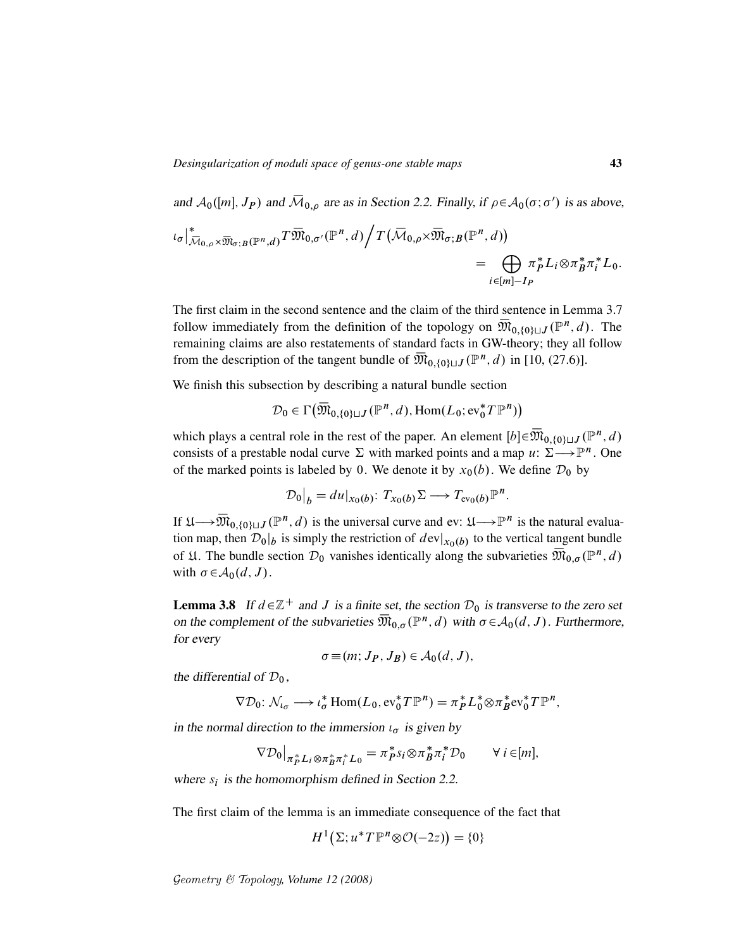and  $A_0([m], J_P)$  and  $\overline{\mathcal{M}}_{0,\rho}$  are as in Section 2.2. Finally, if  $\rho \in A_0(\sigma; \sigma')$  is as above,

$$
\iota_{\sigma} \Big|_{\overline{\mathcal{M}}_{0,\rho} \times \overline{\mathfrak{M}}_{\sigma;B}(\mathbb{P}^n,d)}^* T \overline{\mathfrak{M}}_{0,\sigma'}(\mathbb{P}^n,d) \Big/ T \big( \overline{\mathcal{M}}_{0,\rho} \times \overline{\mathfrak{M}}_{\sigma;B}(\mathbb{P}^n,d) \big) = \bigoplus_{i \in [m]-I_P} \pi_P^* L_i \otimes \pi_B^* \pi_i^* L_0.
$$

The first claim in the second sentence and the claim of the third sentence in Lemma 3.7 follow immediately from the definition of the topology on  $\overline{\mathfrak{M}}_{0,\{0\}\sqcup J}(\mathbb{P}^n,d)$ . The remaining claims are also restatements of standard facts in GW-theory; they all follow from the description of the tangent bundle of  $\overline{\mathfrak{M}}_{0,\{0\}\sqcup J}(\mathbb{P}^n, d)$  in [10, (27.6)].

We finish this subsection by describing a natural bundle section

$$
\mathcal{D}_0 \in \Gamma\big(\overline{\mathfrak{M}}_{0,\{0\}\sqcup J}(\mathbb{P}^n,d),\operatorname{Hom}(L_0; \operatorname{ev}_0^* T\mathbb{P}^n)\big)
$$

which plays a central role in the rest of the paper. An element  $[b] \in \overline{\mathfrak{M}}_{0, \{0\} \sqcup J}(\mathbb{P}^n, d)$ consists of a prestable nodal curve  $\Sigma$  with marked points and a map  $u: \Sigma \longrightarrow \mathbb{P}^n$ . One of the marked points is labeled by 0. We denote it by  $x_0(b)$ . We define  $\mathcal{D}_0$  by

$$
\mathcal{D}_0\big|_b = du|_{x_0(b)}: T_{x_0(b)}\Sigma \longrightarrow T_{\text{ev}_0(b)}\mathbb{P}^n.
$$

If  $\mathfrak{U}\longrightarrow \overline{\mathfrak{M}}_{0,\{0\}\sqcup J}(\mathbb{P}^n,d)$  is the universal curve and ev:  $\mathfrak{U}\longrightarrow \mathbb{P}^n$  is the natural evaluation map, then  $\mathcal{D}_0|_b$  is simply the restriction of  $dev|_{x_0(b)}$  to the vertical tangent bundle of  $\mathfrak U$ . The bundle section  $\mathcal D_0$  vanishes identically along the subvarieties  $\overline{\mathfrak M}_{0,\sigma}({\mathbb P}^n,d)$ with  $\sigma \in A_0(d, J)$ .

**Lemma 3.8** If  $d \in \mathbb{Z}^+$  and J is a finite set, the section  $\mathcal{D}_0$  is transverse to the zero set on the complement of the subvarieties  $\overline{\mathfrak{M}}_{0,\sigma}(\mathbb{P}^n,d)$  with  $\sigma \in \mathcal{A}_0(d,J)$ . Furthermore, for every

$$
\sigma \equiv (m; J_P, J_B) \in \mathcal{A}_0(d, J),
$$

the differential of  $\mathcal{D}_0$ ,

$$
\nabla \mathcal{D}_0: \mathcal{N}_{\iota_\sigma} \longrightarrow \iota_\sigma^* \operatorname{Hom}(L_0, \mathrm{ev}_0^* T \mathbb{P}^n) = \pi_P^* L_0^* \otimes \pi_B^* \mathrm{ev}_0^* T \mathbb{P}^n,
$$

in the normal direction to the immersion  $\iota_{\sigma}$  is given by

$$
\nabla \mathcal{D}_0|_{\pi_P^* L_i \otimes \pi_B^* \pi_i^* L_0} = \pi_P^* s_i \otimes \pi_B^* \pi_i^* \mathcal{D}_0 \qquad \forall i \in [m],
$$

where  $s_i$  is the homomorphism defined in Section 2.2.

The first claim of the lemma is an immediate consequence of the fact that

$$
H^1(\Sigma; u^*T\mathbb{P}^n \otimes \mathcal{O}(-2z)) = \{0\}
$$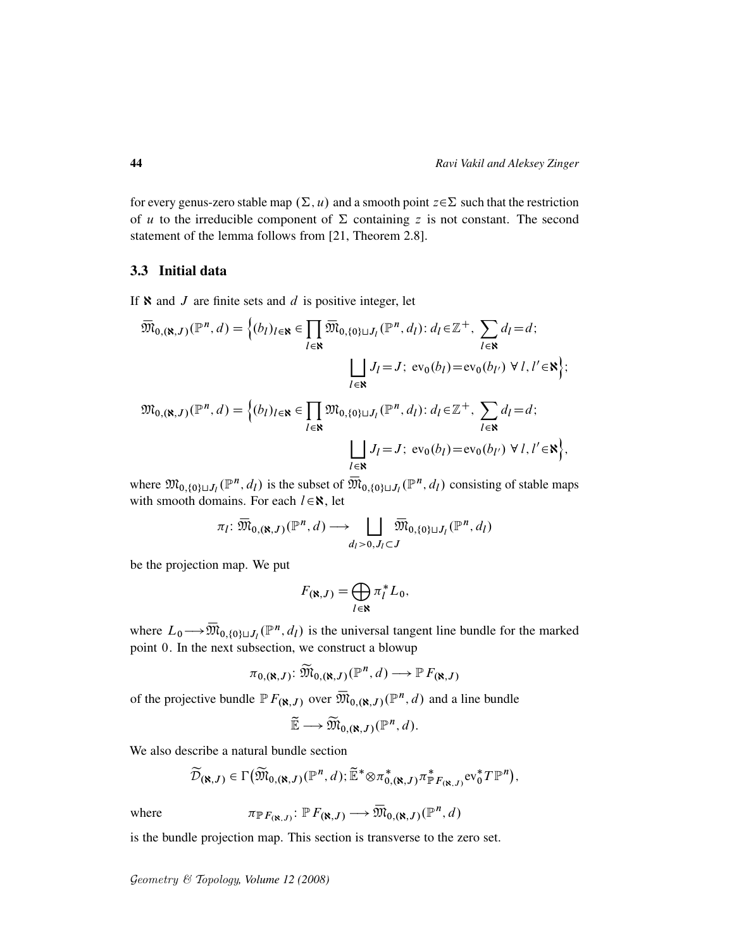for every genus-zero stable map  $(\Sigma, u)$  and a smooth point  $z \in \Sigma$  such that the restriction of u to the irreducible component of  $\Sigma$  containing z is not constant. The second statement of the lemma follows from [21, Theorem 2.8].

#### 3.3 Initial data

If  $\aleph$  and  $J$  are finite sets and  $d$  is positive integer, let

$$
\overline{\mathfrak{M}}_{0,(\aleph,J)}(\mathbb{P}^n,d) = \left\{ (b_l)_{l \in \aleph} \in \prod_{l \in \aleph} \overline{\mathfrak{M}}_{0,\{0\} \sqcup J_l}(\mathbb{P}^n,d_l) : d_l \in \mathbb{Z}^+, \sum_{l \in \aleph} d_l = d; \right\}
$$
\n
$$
\bigsqcup_{l \in \aleph} J_l = J; \text{ ev}_0(b_l) = \text{ev}_0(b_{l'}) \ \forall \ l, l' \in \aleph \right\};
$$
\n
$$
\mathfrak{M}_{0,(\aleph,J)}(\mathbb{P}^n,d) = \left\{ (b_l)_{l \in \aleph} \in \prod_{l \in \aleph} \mathfrak{M}_{0,\{0\} \sqcup J_l}(\mathbb{P}^n,d_l) : d_l \in \mathbb{Z}^+, \sum_{l \in \aleph} d_l = d; \right\}
$$
\n
$$
\bigsqcup_{l \in \aleph} J_l = J; \text{ ev}_0(b_l) = \text{ev}_0(b_{l'}) \ \forall \ l, l' \in \aleph \right\},
$$

where  $\mathfrak{M}_{0,\{0\}\sqcup J_l}(\mathbb{P}^n,d_l)$  is the subset of  $\overline{\mathfrak{M}}_{0,\{0\}\sqcup J_l}(\mathbb{P}^n,d_l)$  consisting of stable maps with smooth domains. For each  $l \in \mathbb{N}$ , let

$$
\pi_l \colon \overline{\mathfrak{M}}_{0,(\aleph,J)}(\mathbb{P}^n,d) \longrightarrow \bigsqcup_{d_l>0,J_l\subset J} \overline{\mathfrak{M}}_{0,\{0\}\sqcup J_l}(\mathbb{P}^n,d_l)
$$

be the projection map. We put

$$
F(\mathbf{x},J) = \bigoplus_{l \in \mathbf{N}} \pi_l^* L_0,
$$

where  $L_0 \rightarrow \overline{\mathfrak{M}}_{0,\{0\}\sqcup J_l}(\mathbb{P}^n,d_l)$  is the universal tangent line bundle for the marked point 0. In the next subsection, we construct a blowup

$$
\pi_{0,(\aleph,J)}\colon \widetilde{\mathfrak{M}}_{0,(\aleph,J)}(\mathbb{P}^n,d)\longrightarrow \mathbb{P} F_{(\aleph,J)}
$$

of the projective bundle  $\mathbb{P} F_{(\mathbf{X},J)}$  over  $\overline{\mathfrak{M}}_{0,(\mathbf{X},J)}(\mathbb{P}^n,d)$  and a line bundle

$$
\widetilde{\mathbb{E}} \longrightarrow \widetilde{\mathfrak{M}}_{0,(\aleph,J)}(\mathbb{P}^n,d).
$$

We also describe a natural bundle section

$$
\widetilde{\mathcal{D}}_{(\aleph,J)} \in \Gamma\big(\widetilde{\mathfrak{M}}_{0,(\aleph,J)}(\mathbb{P}^n,d); \widetilde{\mathbb{E}}^* \otimes \pi_{0,(\aleph,J)}^* \pi_{\mathbb{P}F_{(\aleph,J)}}^* \mathrm{ev}_0^* T \mathbb{P}^n\big),
$$

where

$$
\pi_{\mathbb{P} F_{(\aleph,J)}} \colon \mathbb{P} F_{(\aleph,J)} \longrightarrow \overline{\mathfrak{M}}_{0,(\aleph,J)}(\mathbb{P}^n,d)
$$

is the bundle projection map. This section is transverse to the zero set.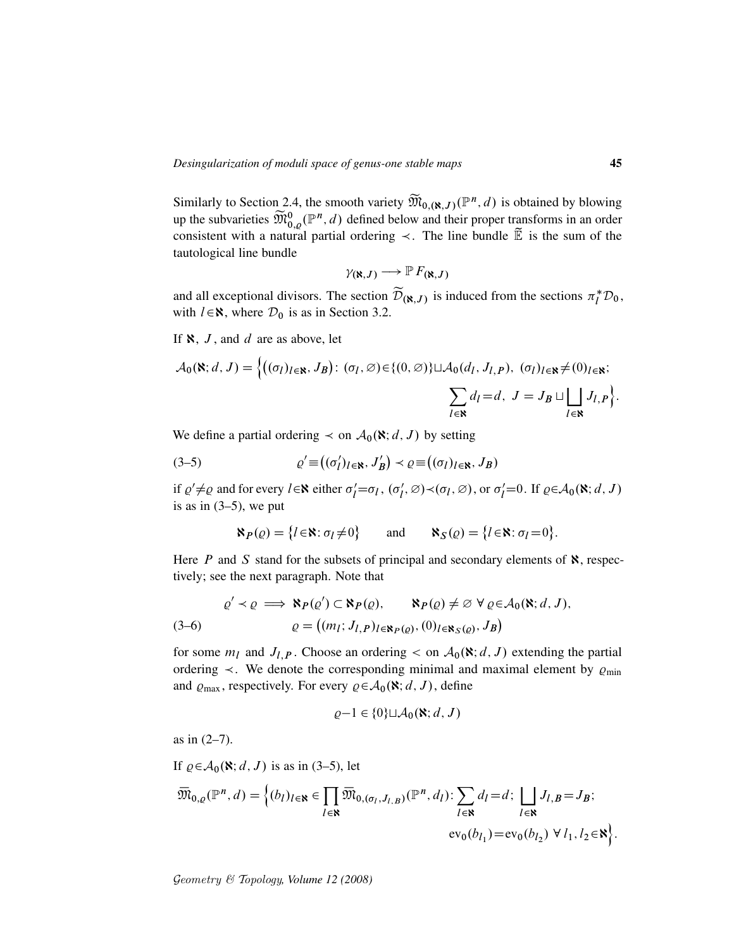Similarly to Section 2.4, the smooth variety  $\widetilde{M}_{0, (N, J)}(\mathbb{P}^n, d)$  is obtained by blowing up the subvarieties  $\widetilde{\mathfrak{M}}_{0,\varrho}^{0}(\mathbb{P}^n,d)$  defined below and their proper transforms in an order consistent with a natural partial ordering  $\prec$ . The line bundle  $\widetilde{\mathbb{E}}$  is the sum of the tautological line bundle

$$
\gamma_{(\aleph,J)} \longrightarrow \mathbb{P} F_{(\aleph,J)}
$$

and all exceptional divisors. The section  $\widetilde{\mathcal{D}}_{(\aleph,J)}$  is induced from the sections  $\pi_l^* \mathcal{D}_0$ , with  $l \in \mathbb{R}$ , where  $\mathcal{D}_0$  is as in Section 3.2.

If  $\aleph$ , J, and d are as above, let

$$
\mathcal{A}_0(\mathbf{N}; d, J) = \Big\{ \big( (\sigma_l)_{l \in \mathbf{N}}, J_B \big) \colon (\sigma_l, \varnothing) \in \{ (0, \varnothing) \} \sqcup \mathcal{A}_0(d_l, J_{l, P}), \ (\sigma_l)_{l \in \mathbf{N}} \neq (0)_{l \in \mathbf{N}}; \\ \sum_{l \in \mathbf{N}} d_l = d, \ J = J_B \sqcup \bigsqcup_{l \in \mathbf{N}} J_{l, P} \Big\}.
$$

We define a partial ordering  $\prec$  on  $\mathcal{A}_0(\mathbf{N}; d, J)$  by setting

(3-5) 
$$
\varrho' \equiv ((\sigma'_l)_{l \in \mathbf{R}}, J'_B) \prec \varrho \equiv ((\sigma_l)_{l \in \mathbf{R}}, J_B)
$$

if  $\varrho' \neq \varrho$  and for every  $l \in \mathbb{N}$  either  $\sigma'_l = \sigma_l$ ,  $(\sigma'_l, \varnothing) \prec (\sigma_l, \varnothing)$ , or  $\sigma'_l = 0$ . If  $\varrho \in \mathcal{A}_0(\mathbb{N}; d, J)$ is as in  $(3-5)$ , we put

$$
\aleph_P(\varrho) = \{l \in \aleph : \sigma_l \neq 0\} \quad \text{and} \quad \aleph_S(\varrho) = \{l \in \aleph : \sigma_l = 0\}.
$$

Here  $P$  and  $S$  stand for the subsets of principal and secondary elements of  $\aleph$ , respectively; see the next paragraph. Note that

(3-6)  
\n
$$
\varrho' \prec \varrho \implies \aleph_P(\varrho') \subset \aleph_P(\varrho), \qquad \aleph_P(\varrho) \neq \varnothing \ \forall \varrho \in \mathcal{A}_0(\aleph; d, J),
$$
\n
$$
\varrho = ((m_l; J_{l,P})_{l \in \aleph_P(\varrho)}, (0)_{l \in \aleph_S(\varrho)}, J_B)
$$

for some  $m_l$  and  $J_{l,P}$ . Choose an ordering  $\lt$  on  $\mathcal{A}_0(\mathbf{X}; d, J)$  extending the partial ordering  $\prec$ . We denote the corresponding minimal and maximal element by  $\varrho_{\min}$ and  $\varrho_{\text{max}}$ , respectively. For every  $\varrho \in A_0(\mathbf{X}; d, J)$ , define

$$
\varrho-1\in\{0\}\sqcup\mathcal{A}_0(\aleph;d,J)
$$

as in (2–7).

If  $\rho \in A_0(\mathbf{X}; d, J)$  is as in (3–5), let  $\overline{\mathfrak{M}}_{0,\varrho}(\mathbb{P}^n,d)=\Big\{(b_l)_{l\in\mathbf{N}}\in\prod$  $l$ ∈ន  $\overline{\mathfrak{M}}_{0,(\sigma_l,J_{l,B})}(\mathbb{P}^n,d_l): \sum$  $l$ EX  $d_l = d;$  | |  $l$ ∈ន  $J_{l,B}=J_{B};$  $ev_0(b_{l_1}) = ev_0(b_{l_2}) \ \forall \ l_1, l_2 \in \mathbf{R}$ .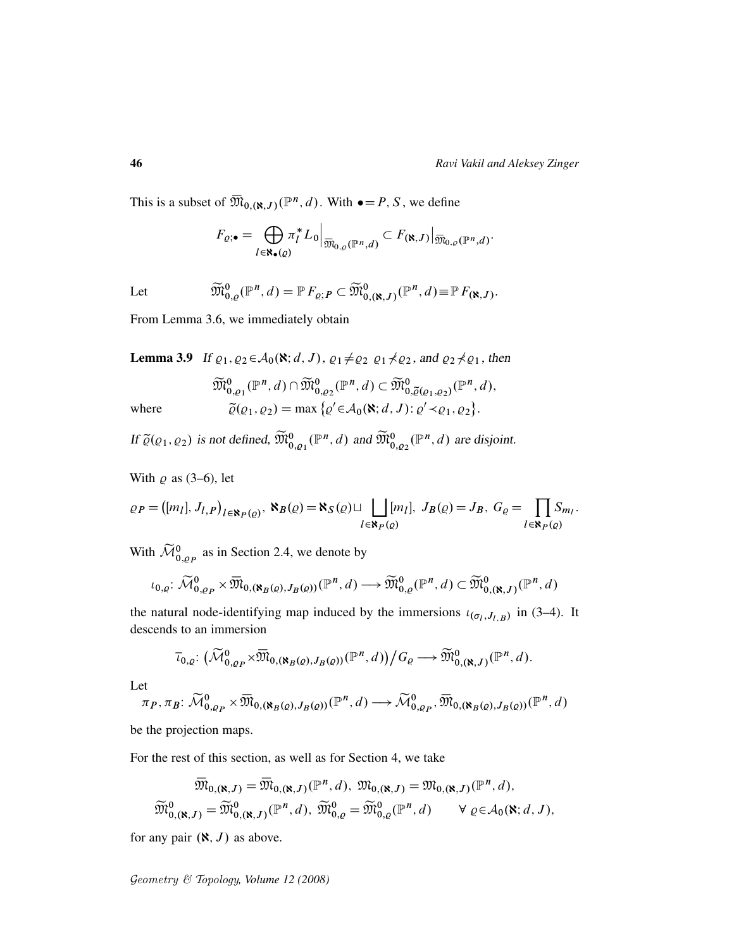This is a subset of  $\overline{\mathfrak{M}}_{0,(\aleph,J)}(\mathbb{P}^n,d)$ . With  $\bullet = P, S$ , we define

$$
F_{\varrho;\bullet} = \bigoplus_{l \in \mathbf{R}_{\bullet}(\varrho)} \pi_l^* L_0 \Big|_{\overline{\mathfrak{M}}_{0,\varrho}(\mathbb{P}^n,d)} \subset F_{(\mathbf{N},J)} \Big|_{\overline{\mathfrak{M}}_{0,\varrho}(\mathbb{P}^n,d)}.
$$

Let

$$
\widetilde{\mathfrak{M}}^{0}_{0,\varrho}(\mathbb{P}^n,d)=\mathbb{P} F_{\varrho;P}\subset \widetilde{\mathfrak{M}}^{0}_{0,(\aleph,J)}(\mathbb{P}^n,d)\equiv \mathbb{P} F_{(\aleph,J)}.
$$

From Lemma 3.6, we immediately obtain

**Lemma 3.9** If  $\varrho_1, \varrho_2 \in A_0(\mathbf{R}; d, J)$ ,  $\varrho_1 \neq \varrho_2$   $\varrho_1 \neq \varrho_2$ , and  $\varrho_2 \neq \varrho_1$ , then

$$
\widetilde{\mathfrak{M}}_{0,\varrho_1}^{0}(\mathbb{P}^n,d)\cap \widetilde{\mathfrak{M}}_{0,\varrho_2}^{0}(\mathbb{P}^n,d)\subset \widetilde{\mathfrak{M}}_{0,\widetilde{\varrho}(\varrho_1,\varrho_2)}^{0}(\mathbb{P}^n,d),
$$
  
where  

$$
\widetilde{\varrho}(\varrho_1,\varrho_2)=\max\left\{\varrho'\in \mathcal{A}_0(\mathbf{X};d,J): \varrho'\prec\varrho_1,\varrho_2\right\}.
$$

If  $\tilde{\varrho}(\varrho_1, \varrho_2)$  is not defined,  $\widetilde{\mathfrak{M}}_{0,\varrho_1}^0(\mathbb{P}^n, d)$  and  $\widetilde{\mathfrak{M}}_{0,\varrho_2}^0(\mathbb{P}^n, d)$  are disjoint.

With  $\varrho$  as (3–6), let

$$
\varrho_P = ([m_l], J_{l,P})_{l \in \mathbf{N}_P(\varrho)}, \mathbf{N}_B(\varrho) = \mathbf{N}_S(\varrho) \sqcup \bigsqcup_{l \in \mathbf{N}_P(\varrho)} [m_l], J_B(\varrho) = J_B, G_{\varrho} = \prod_{l \in \mathbf{N}_P(\varrho)} S_{m_l}.
$$

With  $\widetilde{\mathcal{M}}_{0,\varrho_P}^0$  as in Section 2.4, we denote by

$$
\iota_{0,\varrho} \colon \widetilde{\mathcal{M}}_{0,\varrho_P}^0 \times \overline{\mathfrak{M}}_{0,(\aleph_B(\varrho),J_B(\varrho))}(\mathbb{P}^n,d) \longrightarrow \widetilde{\mathfrak{M}}_{0,\varrho}^0(\mathbb{P}^n,d) \subset \widetilde{\mathfrak{M}}_{0,(\aleph,J)}^0(\mathbb{P}^n,d)
$$

the natural node-identifying map induced by the immersions  $\iota_{(\sigma_l, J_{l,B})}$  in (3–4). It descends to an immersion

$$
\overline{\iota}_{0,\varrho}\colon \big(\widetilde{\mathcal{M}}_{0,\varrho_P}^{0}\times \overline{\mathfrak{M}}_{0,(\aleph_B(\varrho),J_B(\varrho))}(\mathbb{P}^n,d)\big)\big/G_{\varrho}\longrightarrow \widetilde{\mathfrak{M}}_{0,(\aleph,J)}^{0}(\mathbb{P}^n,d).
$$

Let

$$
\pi_P, \pi_B: \widetilde{\mathcal{M}}_{0,\varrho_P}^0 \times \overline{\mathfrak{M}}_{0,(\aleph_B(\varrho),J_B(\varrho))}(\mathbb{P}^n,d) \longrightarrow \widetilde{\mathcal{M}}_{0,\varrho_P}^0, \overline{\mathfrak{M}}_{0,(\aleph_B(\varrho),J_B(\varrho))}(\mathbb{P}^n,d)
$$

be the projection maps.

For the rest of this section, as well as for Section 4, we take

$$
\overline{\mathfrak{M}}_{0,(\aleph,J)} = \overline{\mathfrak{M}}_{0,(\aleph,J)}(\mathbb{P}^n,d), \ \mathfrak{M}_{0,(\aleph,J)} = \mathfrak{M}_{0,(\aleph,J)}(\mathbb{P}^n,d), \n\widetilde{\mathfrak{M}}_{0,(\aleph,J)}^0 = \widetilde{\mathfrak{M}}_{0,(\aleph,J)}^0(\mathbb{P}^n,d), \ \widetilde{\mathfrak{M}}_{0,\varrho}^0 = \widetilde{\mathfrak{M}}_{0,\varrho}^0(\mathbb{P}^n,d) \qquad \forall \ \varrho \in \mathcal{A}_0(\aleph;d,J),
$$

for any pair  $(\aleph, J)$  as above.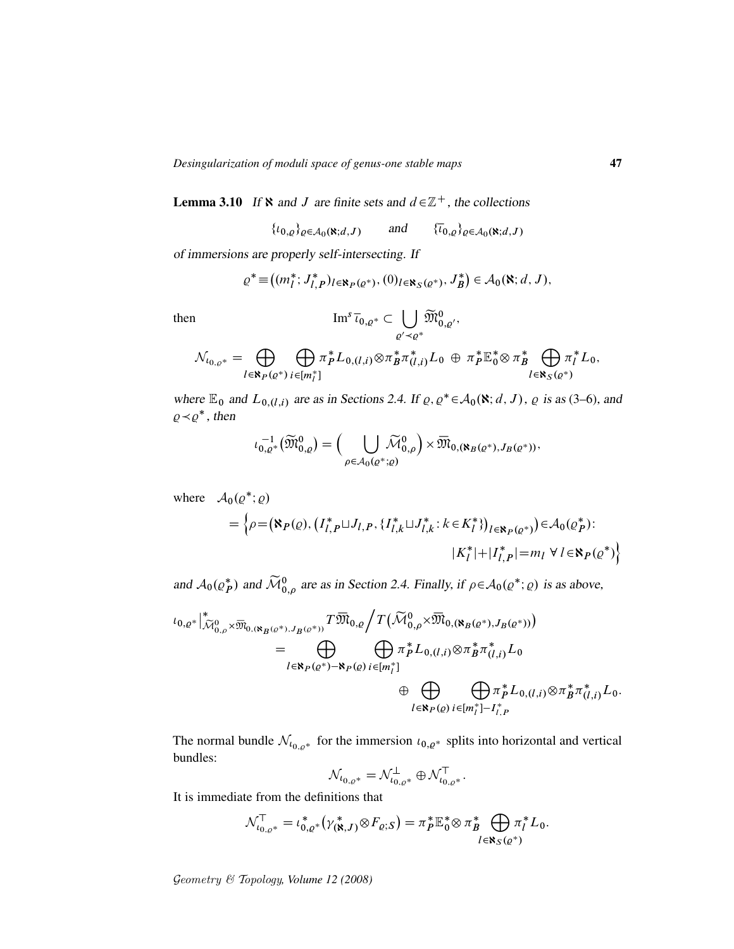**Lemma 3.10** If  $\aleph$  and J are finite sets and  $d \in \mathbb{Z}^+$ , the collections

$$
\{t_{0,\varrho}\}_{{\varrho}\in A_0(\mathbf{X};d,J)} \qquad \text{and} \qquad \{\overline{t}_{0,\varrho}\}_{{\varrho}\in A_0(\mathbf{X};d,J)}
$$

of immersions are properly self-intersecting. If

$$
\varrho^* \equiv \big((m_l^*; J_{l,P}^*)_{l \in \mathbf{R}_P(\varrho^*)}, (0)_{l \in \mathbf{R}_S(\varrho^*)}, J_B^*\big) \in \mathcal{A}_0(\mathbf{N}; d, J),
$$

then 
$$
\operatorname{Im}^s \overline{\iota}_{0,\varrho^*} \subset \bigcup_{\varrho' \prec \varrho^*} \widetilde{\mathfrak{M}}_{0,\varrho'}^0,
$$

$$
\mathcal{N}_{\iota_{0,\varrho^*}} = \bigoplus_{l \in \aleph_P(\varrho^*)} \bigoplus_{i \in [m_l^*]} \pi_P^* L_{0,(l,i)} \otimes \pi_B^* \pi_{(l,i)}^* L_0 \, \oplus \, \pi_P^* \mathbb{E}_0^* \otimes \pi_B^* \bigoplus_{l \in \aleph_S(\varrho^*)} \pi_l^* L_0,
$$

where  $\mathbb{E}_0$  and  $L_{0,(l,i)}$  are as in Sections 2.4. If  $\varrho, \varrho^* \in A_0(\mathbf{N}; d, J)$ ,  $\varrho$  is as (3–6), and  $\varrho \prec \varrho^*$ , then

$$
\iota_{0,\varrho^*}^{-1}(\widetilde{\mathfrak{M}}_{0,\varrho}^0)=\Big(\bigcup_{\rho\in\mathcal{A}_0(\varrho^*;\varrho)}\widetilde{\mathcal{M}}_{0,\rho}^0\Big)\times\overline{\mathfrak{M}}_{0,(\aleph_B(\varrho^*),J_B(\varrho^*))},
$$

where  $\mathcal{A}_0(\varrho^*; \varrho)$ 

$$
= \left\{ \rho = (\mathbf{N}_P(\varrho), (I_{l,P}^* \sqcup J_{l,P}, \{I_{l,k}^* \sqcup J_{l,k}^* : k \in K_l^* \})_{l \in \mathbf{N}_P(\varrho^*)}) \in \mathcal{A}_0(\varrho_P^*):
$$
  

$$
|K_l^*| + |I_{l,P}^*| = m_l \ \forall \ l \in \mathbf{N}_P(\varrho^*) \right\}
$$

and  $A_0(\varrho_P^*)$  and  $\widetilde{\mathcal{M}}_{0,\rho}^0$  are as in Section 2.4. Finally, if  $\rho \in A_0(\varrho^*; \varrho)$  is as above,

$$
\iota_{0,\varrho^*}|_{\widetilde{\mathcal{M}}_{0,\rho}^{0}\times \overline{\mathfrak{M}}_{0,(\aleph_{B}(\varrho^*),J_{B}(\varrho^*))}}T\overline{\mathfrak{M}}_{0,\varrho}\bigg/T(\widetilde{\mathcal{M}}_{0,\rho}^{0}\times \overline{\mathfrak{M}}_{0,(\aleph_{B}(\varrho^*),J_{B}(\varrho^*))})\n= \bigoplus_{l\in \aleph_{P}(\varrho^*)-\aleph_{P}(\varrho)}\bigoplus_{i\in [m_{l}^{*}]}\pi_{p}^{*}L_{0,(l,i)}\otimes \pi_{B}^{*}\pi_{(l,i)}^{*}L_{0}\n+ \bigoplus_{l\in \aleph_{P}(\varrho)}\bigoplus_{i\in [m_{l}^{*}]-I_{l,P}^{*}}\pi_{p}^{*}L_{0,(l,i)}\otimes \pi_{B}^{*}\pi_{(l,i)}^{*}L_{0}.
$$

The normal bundle  $\mathcal{N}_{t_{0,\rho^*}}$  for the immersion  $t_{0,\rho^*}$  splits into horizontal and vertical bundles:

$$
\mathcal{N}_{t_{0,\varrho}*} = \mathcal{N}_{t_{0,\varrho}*}^{\perp} \oplus \mathcal{N}_{t_{0,\varrho}*}^{\top}.
$$

It is immediate from the definitions that

$$
\mathcal{N}_{\iota_{0,\varrho^*}}^{\top} = \iota_{0,\varrho^*}^*(\gamma_{(\mathbf{X},J)}^*\otimes F_{\varrho;S}) = \pi_P^* \mathbb{E}_0^* \otimes \pi_B^* \bigoplus_{l \in \mathbf{X}_S(\varrho^*)} \pi_l^* L_0.
$$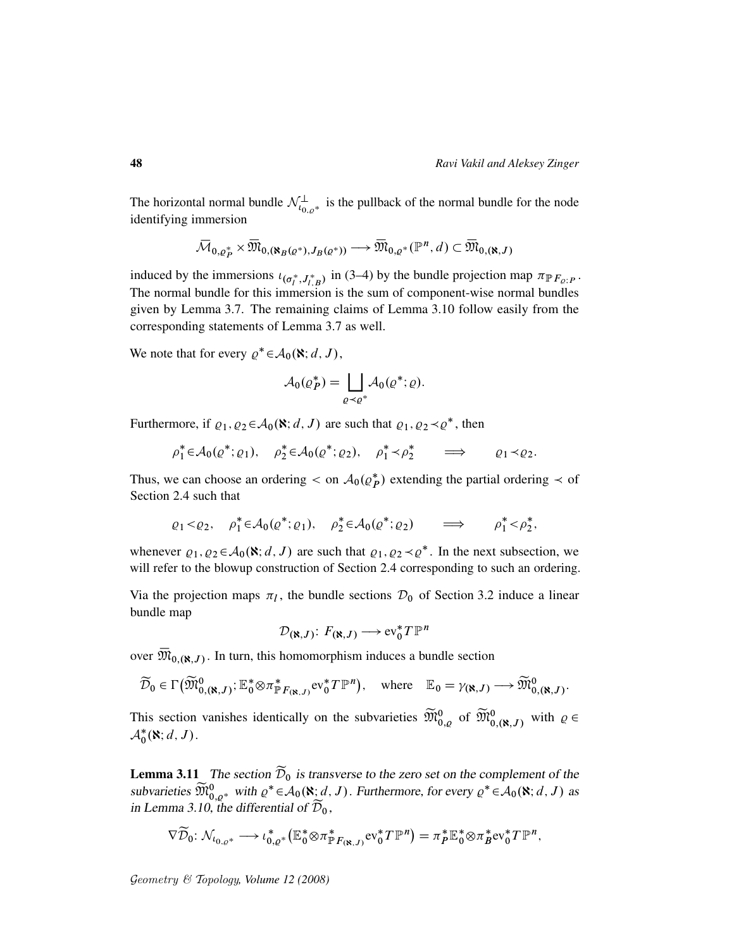The horizontal normal bundle  $\mathcal{N}_{\iota_{0,\rho^*}}^{\perp}$  is the pullback of the normal bundle for the node identifying immersion

$$
\overline{\mathcal{M}}_{0,\varrho^*_P} \times \overline{\mathfrak{M}}_{0,(\aleph_B(\varrho^*),J_B(\varrho^*))} \longrightarrow \overline{\mathfrak{M}}_{0,\varrho^*}(\mathbb{P}^n,d) \subset \overline{\mathfrak{M}}_{0,(\aleph,J)}
$$

induced by the immersions  $\iota_{(\sigma_l^*, J_{l,B}^*)}$  in (3–4) by the bundle projection map  $\pi_{\mathbb{P}F_{Q,P}}$ . The normal bundle for this immersion is the sum of component-wise normal bundles given by Lemma 3.7. The remaining claims of Lemma 3.10 follow easily from the corresponding statements of Lemma 3.7 as well.

We note that for every  $\varrho^* \in \mathcal{A}_0(\mathbf{\aleph}; d, J)$ ,

$$
\mathcal{A}_0(\varrho_P^*) = \bigsqcup_{\varrho \prec \varrho^*} \mathcal{A}_0(\varrho^*; \varrho).
$$

Furthermore, if  $\varrho_1, \varrho_2 \in A_0(\mathbf{X}; d, J)$  are such that  $\varrho_1, \varrho_2 \prec \varrho^*$ , then

$$
\rho_1^* \in \mathcal{A}_0(\varrho^*; \varrho_1), \quad \rho_2^* \in \mathcal{A}_0(\varrho^*; \varrho_2), \quad \rho_1^* \prec \rho_2^* \qquad \Longrightarrow \qquad \varrho_1 \prec \varrho_2.
$$

Thus, we can choose an ordering  $\langle$  on  $A_0(\rho_P^*)$  extending the partial ordering  $\langle$  of Section 2.4 such that

$$
\varrho_1 < \varrho_2, \quad \rho_1^* \in \mathcal{A}_0(\varrho^*; \varrho_1), \quad \rho_2^* \in \mathcal{A}_0(\varrho^*; \varrho_2) \quad \Longrightarrow \quad \rho_1^* < \rho_2^*,
$$

whenever  $\varrho_1, \varrho_2 \in A_0(\mathbf{X}; d, J)$  are such that  $\varrho_1, \varrho_2 \prec \varrho^*$ . In the next subsection, we will refer to the blowup construction of Section 2.4 corresponding to such an ordering.

Via the projection maps  $\pi_l$ , the bundle sections  $\mathcal{D}_0$  of Section 3.2 induce a linear bundle map

$$
\mathcal{D}(\mathbf{x},J) \colon F(\mathbf{x},J) \longrightarrow \text{ev}_0^* T \mathbb{P}^n
$$

over  $\overline{\mathfrak{M}}_{0,(\aleph,J)}$ . In turn, this homomorphism induces a bundle section

$$
\widetilde{\mathcal{D}}_0 \in \Gamma\big(\widetilde{\mathfrak{M}}_{0,(\aleph,J)}^0; \mathbb{E}_0^* \otimes \pi_{\mathbb{P}F_{(\aleph,J)}}^* \mathrm{ev}_0^* T \mathbb{P}^n\big), \quad \text{where} \quad \mathbb{E}_0 = \gamma_{(\aleph,J)} \longrightarrow \widetilde{\mathfrak{M}}_{0,(\aleph,J)}^0.
$$

This section vanishes identically on the subvarieties  $\widetilde{M}_{0,\varrho}^0$  of  $\widetilde{M}_{0,(\aleph,J)}^0$  with  $\varrho \in$  $\mathcal{A}_0^*(\aleph; d, J)$ .

**Lemma 3.11** The section  $\widetilde{\mathcal{D}}_0$  is transverse to the zero set on the complement of the subvarieties  $\widetilde{M}_{0,q^*}^0$  with  $\varrho^* \in \mathcal{A}_0(\aleph; d, J)$ . Furthermore, for every  $\varrho^* \in \mathcal{A}_0(\aleph; d, J)$  as in Lemma 3.10, the differential of  $\overline{\mathcal{D}}_0$ ,

$$
\nabla \widetilde{\mathcal{D}}_0 \colon \mathcal{N}_{\iota_{0,\varrho^*}} \longrightarrow \iota_{0,\varrho^*}^*(\mathbb{E}_0^* \otimes \pi^*_{\mathbb{P}F_{(\mathfrak{S},J)}} \mathrm{ev}_0^* T \mathbb{P}^n) = \pi_P^* \mathbb{E}_0^* \otimes \pi_B^* \mathrm{ev}_0^* T \mathbb{P}^n,
$$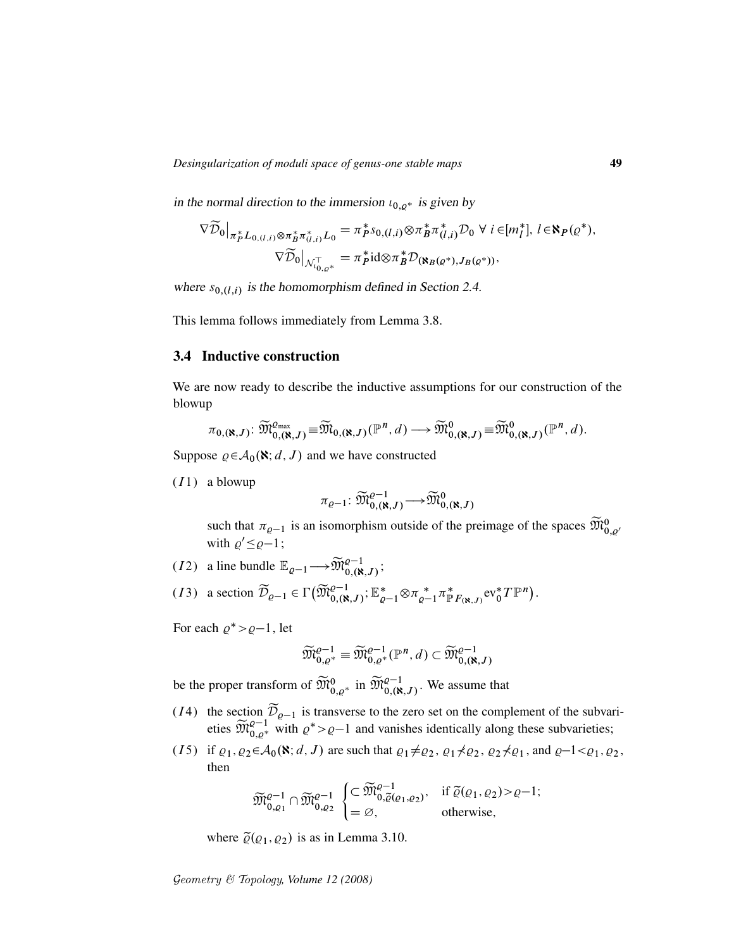in the normal direction to the immersion  $\iota_{0,\rho^*}$  is given by

$$
\nabla \widetilde{\mathcal{D}}_0|_{\pi_P^* L_{0,(l,i)} \otimes \pi_B^* \pi_{(l,i)}^* L_0} = \pi_P^* s_{0,(l,i)} \otimes \pi_B^* \pi_{(l,i)}^* \mathcal{D}_0 \ \forall \ i \in [m_l^*], \ l \in \mathbf{N}_P(\varrho^*),
$$

$$
\nabla \widetilde{\mathcal{D}}_0|_{\mathcal{N}_{0,\varrho^*}^-} = \pi_P^* \mathrm{id} \otimes \pi_B^* \mathcal{D}_{(\mathbf{N}_B(\varrho^*), J_B(\varrho^*))},
$$

where  $s_{0,(l,i)}$  is the homomorphism defined in Section 2.4.

This lemma follows immediately from Lemma 3.8.

### 3.4 Inductive construction

We are now ready to describe the inductive assumptions for our construction of the blowup

$$
\pi_{0,(\aleph,J)}\colon \widetilde{\mathfrak{M}}^{0}_{0,(\aleph,J)} \equiv \widetilde{\mathfrak{M}}_{0,(\aleph,J)}(\mathbb{P}^n,d) \longrightarrow \widetilde{\mathfrak{M}}^0_{0,(\aleph,J)} \equiv \widetilde{\mathfrak{M}}^0_{0,(\aleph,J)}(\mathbb{P}^n,d).
$$

Suppose  $\varrho \in A_0(\mathbf{N}; d, J)$  and we have constructed

 $(I1)$  a blowup

$$
\pi_{\varrho-1}\colon \widetilde{\mathfrak{M}}^{ \varrho-1}_{0,(\aleph,J)} \,{\longrightarrow}\, \widetilde{\mathfrak{M}}^{0}_{0,(\aleph,J)}
$$

such that  $\pi_{\varrho-1}$  is an isomorphism outside of the preimage of the spaces  $\widetilde{\mathfrak{M}}_{0,\varrho'}^0$ with  $\varrho' \leq \varrho - 1$ ;

- (*I*2) a line bundle  $\mathbb{E}_{\varrho-1} \longrightarrow \widetilde{\mathfrak{M}}_{0,(\aleph,J)}^{\varrho-1}$ ;
- (13) a section  $\widetilde{\mathcal{D}}_{\varrho-1} \in \Gamma\big(\widetilde{\mathfrak{M}}_{0,(\aleph,J)}^{ \varrho-1}$ ;  $\mathbb{E}_{\varrho-1}^* \otimes \pi_{\varrho-1}^* \pi_{\mathbb{P}}^*$  $_{\mathbb{P}F_{(\mathbf{R},J)}}^*$ ev $_{0}^*T\mathbb{P}^n$ .

For each  $\varrho^* > \varrho - 1$ , let

$$
\widetilde{\mathfrak{M}}^{ \varrho-1}_{0, \varrho^*}\equiv \widetilde{\mathfrak{M}}^{ \varrho-1}_{0, \varrho^*}(\mathbb{P}^n,d) \subset \widetilde{\mathfrak{M}}^{ \varrho-1}_{0,(\aleph, J)}
$$

be the proper transform of  $\widetilde{M}_{0,\rho^*}^0$  in  $\widetilde{M}_{0,(\aleph,J)}^{\rho-1}$ . We assume that

- (I4) the section  $\mathcal{D}_{\varrho-1}$  is transverse to the zero set on the complement of the subvarieties  $\widetilde{M}_{0,\varrho^*}^{\varrho-1}$  with  $\varrho^* > \varrho-1$  and vanishes identically along these subvarieties;
- (I5) if  $\varrho_1, \varrho_2 \in A_0(\mathbf{R}; d, J)$  are such that  $\varrho_1 \neq \varrho_2$ ,  $\varrho_1 \neq \varrho_2$ ,  $\varrho_2 \neq \varrho_1$ , and  $\varrho-1 < \varrho_1, \varrho_2$ , then

$$
\widetilde{\mathfrak{M}}^{\varrho-1}_{0,\varrho_1}\cap \widetilde{\mathfrak{M}}^{ \varrho-1}_{0,\varrho_2} \begin{cases} \subset \widetilde{\mathfrak{M}}^{ \varrho-1}_{0,\widetilde{\varrho}(\varrho_1,\varrho_2)}, & \text{if } \widetilde{\varrho}(\varrho_1,\varrho_2) > \varrho-1; \\ = \varnothing, & \text{otherwise}, \end{cases}
$$

where  $\tilde{\varrho}(\varrho_1, \varrho_2)$  is as in Lemma 3.10.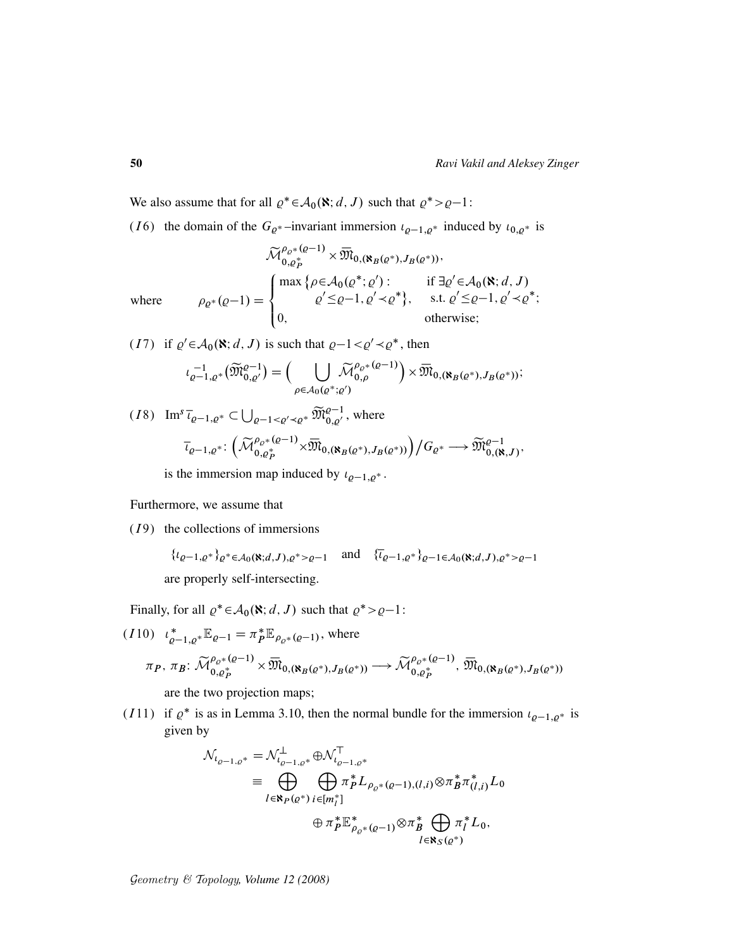We also assume that for all  $\varrho^* \in A_0(\mathbf{R}; d, J)$  such that  $\varrho^* > \varrho - 1$ :

(I6) the domain of the  $G_{\varrho^*}$  –invariant immersion  $\iota_{\varrho-1,\varrho^*}$  induced by  $\iota_{0,\varrho^*}$  is

$$
\widetilde{\mathcal{M}}_{0,\varrho_{p}^{*}}^{\rho_{\varrho^{*}}(\varrho-1)} \times \overline{\mathfrak{M}}_{0,(\aleph_{B}(\varrho^{*}),J_{B}(\varrho^{*}))},
$$
\nwhere\n
$$
\rho_{\varrho^{*}}(\varrho-1) = \begin{cases}\n\max \left\{ \rho \in \mathcal{A}_{0}(\varrho^{*};\varrho') : & \text{if } \exists \varrho' \in \mathcal{A}_{0}(\aleph; d, J) \\
\varrho' \leq \varrho - 1, \varrho' \prec \varrho^{*} \right\}, & \text{s.t. } \varrho' \leq \varrho - 1, \varrho' \prec \varrho^{*}; \\
0, & \text{otherwise};\n\end{cases}
$$

$$
(I7) \quad \text{if } \varrho' \in \mathcal{A}_0(\mathbf{N}; d, J) \text{ is such that } \varrho - 1 < \varrho' \prec \varrho^*, \text{ then}
$$
\n
$$
\iota_{\varrho-1, \varrho^*}^{-1}(\widetilde{\mathfrak{M}}_{0, \varrho'}^{\varrho-1}) = \Big( \bigcup_{\rho \in \mathcal{A}_0(\varrho^*; \varrho')} \widetilde{\mathcal{M}}_{0, \rho}^{\varrho_{\varrho^*}(\varrho-1)} \Big) \times \overline{\mathfrak{M}}_{0, (\aleph_B(\varrho^*), J_B(\varrho^*))};
$$

$$
(I8) \operatorname{Im}^s \overline{\iota}_{\varrho-1,\varrho^*} \subset \bigcup_{\varrho-1 < \varrho' < \varrho^*} \widetilde{\mathfrak{M}}_{0,\varrho'}^{\varrho-1}, \text{ where}
$$
\n
$$
\overline{\iota}_{\varrho-1,\varrho^*}: \left( \widetilde{\mathcal{M}}_{0,\varrho_P^*}^{\varrho_{\varrho^*}(\varrho-1)} \times \overline{\mathfrak{M}}_{0,(\aleph_B(\varrho^*),J_B(\varrho^*))} \right) / G_{\varrho^*} \longrightarrow \widetilde{\mathfrak{M}}_{0,(\aleph,J)}^{\varrho-1},
$$

is the immersion map induced by  $\iota_{\varrho-1,\varrho^*}$ .

Furthermore, we assume that

 $(I<sup>9</sup>)$  the collections of immersions

$$
\{t_{\varrho-1,\varrho^*}\}_\varrho^* \in \mathcal{A}_0(\mathbf{R};d,J), \varrho^* > \varrho-1 \quad \text{and} \quad \{\overline{t}_{\varrho-1,\varrho^*}\}_\varrho-1 \in \mathcal{A}_0(\mathbf{R};d,J), \varrho^* > \varrho-1
$$
\nare properly self-intersecting.

Finally, for all  $\varrho^* \in A_0(\mathbf{X}; d, J)$  such that  $\varrho^* > \varrho - 1$ :

$$
(I10) \quad \iota_{\varrho-1,\varrho^*}^* \mathbb{E}_{\varrho-1} = \pi_P^* \mathbb{E}_{\rho_{\varrho^*}(\varrho-1)}, \text{ where}
$$
\n
$$
\pi_P, \ \pi_B: \ \widetilde{\mathcal{M}}_{0,\varrho_P^*}^{\rho_{\varrho^*}(\varrho-1)} \times \overline{\mathfrak{M}}_{0,(\aleph_B(\varrho^*),J_B(\varrho^*))} \longrightarrow \widetilde{\mathcal{M}}_{0,\varrho_P^*}^{\rho_{\varrho^*}(\varrho-1)}, \ \overline{\mathfrak{M}}_{0,(\aleph_B(\varrho^*),J_B(\varrho^*))}
$$

are the two projection maps;

(I11) if  $\rho^*$  is as in Lemma 3.10, then the normal bundle for the immersion  $\iota_{\rho-1,\rho^*}$  is given by

$$
\mathcal{N}_{t_{\varrho-1,\varrho^*}} = \mathcal{N}_{t_{\varrho-1,\varrho^*}}^{\perp} \oplus \mathcal{N}_{t_{\varrho-1,\varrho^*}}^{\top}
$$
\n
$$
\equiv \bigoplus_{l \in \mathbb{N}_P(\varrho^*)} \bigoplus_{i \in [m_l^*]} \pi_P^* L_{\rho_{\varrho^*}(\varrho-1),(l,i)} \otimes \pi_B^* \pi_{(l,i)}^* L_0
$$
\n
$$
\oplus \pi_P^* \mathbb{E}_{\rho_{\varrho^*}(\varrho-1)}^* \otimes \pi_B^* \bigoplus_{l \in \mathbb{N}_S(\varrho^*)} \pi_l^* L_0,
$$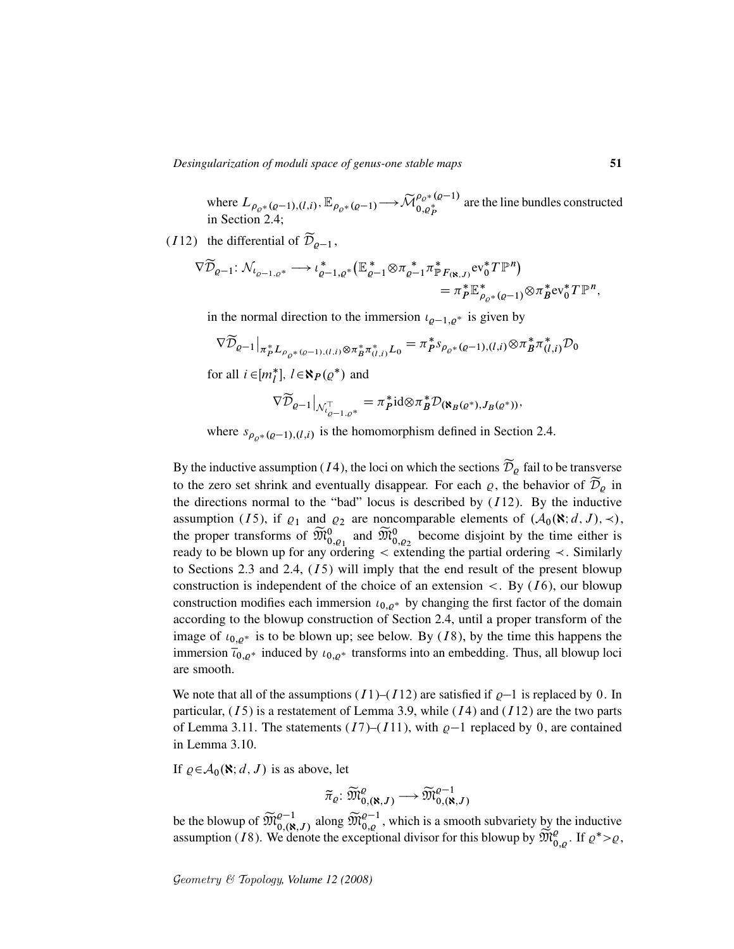*Desingularization of moduli space of genus-one stable maps* 51

where  $L_{\rho_{Q^*}(q-1),(l,i)}, \mathbb{E}_{\rho_{Q^*}(q-1)} \longrightarrow \widetilde{\mathcal{M}}_{0,q_p^*}^{\rho_{Q^*}(q-1)}$  $\begin{bmatrix} \n\mathcal{P}_{Q^*}(g) \\
0, \rho_P^* \n\end{bmatrix}$  are the line bundles constructed in Section 2.4;

(112) the differential of  $\widetilde{\mathcal{D}}_{\rho-1}$ ,

$$
\nabla \widetilde{\mathcal{D}}_{\varrho-1} : \mathcal{N}_{\iota_{\varrho-1,\varrho^*}} \longrightarrow \iota_{\varrho-1,\varrho^*}^* (\mathbb{E}_{\varrho-1}^* \otimes \pi_{\varrho-1}^* \pi_{\mathbb{P}F_{(\aleph,J)}}^* \mathrm{ev}_0^* T \mathbb{P}^n) \\
= \pi_P^* \mathbb{E}_{\rho_{\varrho^*}(\varrho-1)}^* \otimes \pi_B^* \mathrm{ev}_0^* T \mathbb{P}^n,
$$

in the normal direction to the immersion  $\iota_{\rho-1,\rho^*}$  is given by

$$
\nabla \widetilde{\mathcal{D}}_{\varrho-1}|_{\pi_P^* L_{\rho_{\varrho^*}(\varrho-1), (l,i)} \otimes \pi_B^* \pi_{(l,i)}^* L_0} = \pi_P^* s_{\rho_{\varrho^*}(\varrho-1), (l,i)} \otimes \pi_B^* \pi_{(l,i)}^* \mathcal{D}_0
$$

for all  $i \in [m_l^*], l \in \mathbf{N}_P(\varrho^*)$  and

$$
\nabla \widetilde{\mathcal{D}}_{\varrho-1}\big|_{\mathcal{N}_{\varrho-1,\varrho^*}^{\top}} = \pi_P^* \mathrm{id} \otimes \pi_B^* \mathcal{D}_{(\mathbf{R}_B(\varrho^*),J_B(\varrho^*))},
$$

where  $s_{\rho_{\rho^*}(\rho-1), (l,i)}$  is the homomorphism defined in Section 2.4.

By the inductive assumption (*I*4), the loci on which the sections  $\widetilde{\mathcal{D}}_{\rho}$  fail to be transverse to the zero set shrink and eventually disappear. For each  $\varrho$ , the behavior of  $\mathcal{D}_{\rho}$  in the directions normal to the "bad" locus is described by  $(112)$ . By the inductive assumption (15), if  $\varrho_1$  and  $\varrho_2$  are noncomparable elements of  $(\mathcal{A}_0(\mathbf{N}; d, J), \prec),$ the proper transforms of  $\widetilde{M}_{0,2}^0$  and  $\widetilde{M}_{0,2}^0$  become disjoint by the time either is ready to be blown up for any ordering  $\lt$  extending the partial ordering  $\lt$ . Similarly to Sections 2.3 and 2.4,  $(I5)$  will imply that the end result of the present blowup construction is independent of the choice of an extension  $\lt$ . By (16), our blowup construction modifies each immersion  $\iota_{0,\rho^*}$  by changing the first factor of the domain according to the blowup construction of Section 2.4, until a proper transform of the image of  $\iota_{0,\rho^*}$  is to be blown up; see below. By (*I* 8), by the time this happens the immersion  $\overline{\iota}_{0,\varrho^*}$  induced by  $\iota_{0,\varrho^*}$  transforms into an embedding. Thus, all blowup loci are smooth.

We note that all of the assumptions  $(I1)$ – $(I12)$  are satisfied if  $\rho$ –1 is replaced by 0. In particular,  $(I5)$  is a restatement of Lemma 3.9, while  $(I4)$  and  $(I12)$  are the two parts of Lemma 3.11. The statements  $(I7)$ – $(I11)$ , with  $\rho$ –1 replaced by 0, are contained in Lemma 3.10.

If  $\varrho \in A_0(\mathbf{X}; d, J)$  is as above, let

$$
\widetilde{\pi}_{\varrho} \colon \widetilde{\mathfrak{M}}^{ \varrho}_{0,(\aleph,J)} \longrightarrow \widetilde{\mathfrak{M}}^{ \varrho-1}_{0,(\aleph,J)}
$$

be the blowup of  $\widetilde{M}_{0,8}(R, J)$  along  $\widetilde{M}_{0, \varrho}^{\varrho-1}$ , which is a smooth subvariety by the inductive assumption (18). We denote the exceptional divisor for this blowup by  $\widetilde{\mathfrak{M}}_{0,\varrho}^e$ . If  $\varrho^* > \varrho$ ,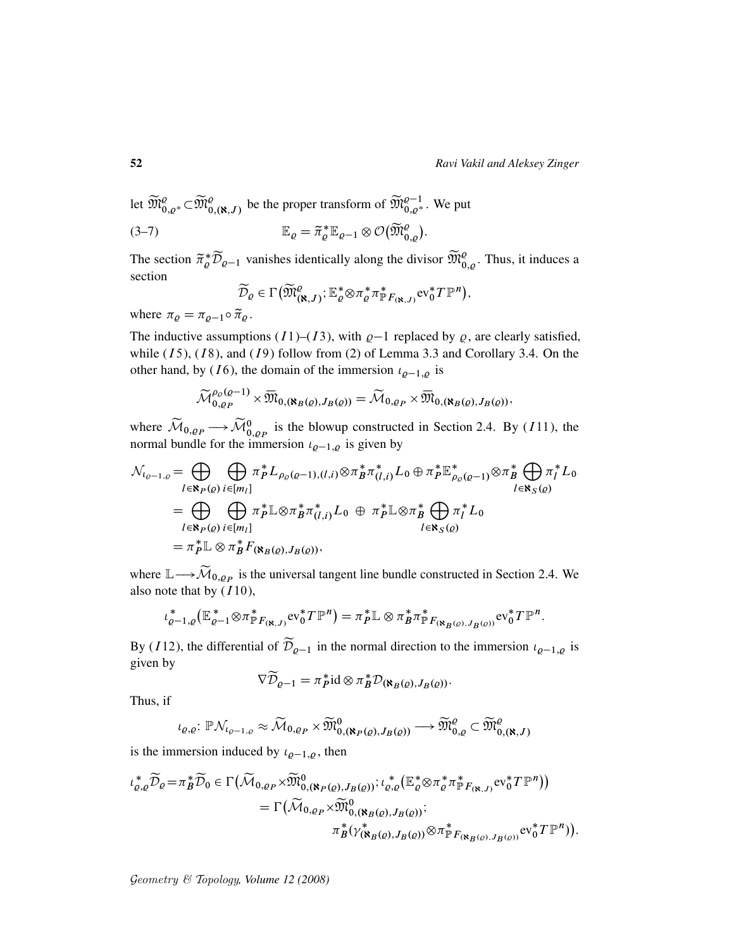let  $\widetilde{\mathfrak{M}}^{ \varrho}_{0,\varrho *} \subset \widetilde{\mathfrak{M}}^{ \varrho}_{0,(\aleph,J)}$  be the proper transform of  $\widetilde{\mathfrak{M}}^{ \varrho-1}_{0,\varrho *}$ . We put

(3-7) 
$$
\mathbb{E}_{\varrho} = \widetilde{\pi}_{\varrho}^* \mathbb{E}_{\varrho-1} \otimes \mathcal{O}(\widetilde{\mathfrak{M}}_{0,\varrho}^{\varrho}).
$$

The section  $\tilde{\pi}_{\varrho}^* \widetilde{\mathcal{D}}_{\varrho-1}$  vanishes identically along the divisor  $\widetilde{\mathfrak{M}}_{0,\varrho}^{\varrho}$ . Thus, it induces a section

$$
\widetilde{\mathcal{D}}_{\varrho} \in \Gamma\big(\widetilde{\mathfrak{M}}_{(\aleph,J)}^{\varrho}; \mathbb{E}_{\varrho}^* \otimes \pi_{\varrho}^* \pi_{\mathbb{P}F_{(\aleph,J)}}^* \mathrm{ev}_0^* T \mathbb{P}^n\big),
$$

where  $\pi_{\varrho} = \pi_{\varrho-1} \circ \tilde{\pi}_{\varrho}$ .

The inductive assumptions (I1)–(I3), with  $\varrho$ –1 replaced by  $\varrho$ , are clearly satisfied, while  $(I5)$ ,  $(I8)$ , and  $(I9)$  follow from  $(2)$  of Lemma 3.3 and Corollary 3.4. On the other hand, by (16), the domain of the immersion  $\iota_{\rho-1,\rho}$  is

$$
\widetilde{\mathcal{M}}_{0,\varrho_P}^{\rho_{\varrho}(Q-1)} \times \overline{\mathfrak{M}}_{0,(\aleph_B(\varrho),J_B(\varrho))} = \widetilde{\mathcal{M}}_{0,\varrho_P} \times \overline{\mathfrak{M}}_{0,(\aleph_B(\varrho),J_B(\varrho))},
$$

where  $\widetilde{M}_{0,\rho_P} \longrightarrow \widetilde{\mathcal{M}}_{0,\rho_P}^0$  is the blowup constructed in Section 2.4. By (111), the normal bundle for the immersion  $\iota_{\varrho-1,\varrho}$  is given by

$$
\mathcal{N}_{l_{\varrho-1,\varrho}} = \bigoplus_{l \in \mathbf{N}_P(\varrho)} \bigoplus_{i \in [m_l]} \pi_P^* L_{\rho_{\varrho}(\varrho-1), (l,i)} \otimes \pi_B^* \pi_{(l,i)}^* L_0 \oplus \pi_P^* \mathbb{E}_{\rho_{\varrho}(\varrho-1)}^* \otimes \pi_B^* \bigoplus_{l \in \mathbf{N}_S(\varrho)} \pi_l^* L_0
$$
\n
$$
= \bigoplus_{l \in \mathbf{N}_P(\varrho)} \bigoplus_{i \in [m_l]} \pi_P^* \mathbb{L} \otimes \pi_B^* \pi_{(l,i)}^* L_0 \oplus \pi_P^* \mathbb{L} \otimes \pi_B^* \bigoplus_{l \in \mathbf{N}_S(\varrho)} \pi_l^* L_0
$$
\n
$$
= \pi_P^* \mathbb{L} \otimes \pi_B^* F_{(\mathbf{N}_B(\varrho), J_B(\varrho))},
$$

where  $\mathbb{L} \longrightarrow \mathcal{M}_{0,\varrho_P}$  is the universal tangent line bundle constructed in Section 2.4. We also note that by  $(110)$ ,

$$
\iota_{\varrho-1,\varrho}^*(\mathbb{E}_{\varrho-1}^*\otimes\pi_{\mathbb{P}F_{(\mathbf{R},J)}}^*ev_0^*T\mathbb{P}^n)=\pi_P^*\mathbb{L}\otimes\pi_B^*\pi_{\mathbb{P}F_{(\mathbf{R}_B(\varrho),J_B(\varrho))}}^*ev_0^*T\mathbb{P}^n.
$$

By (112), the differential of  $\widetilde{\mathcal{D}}_{\rho-1}$  in the normal direction to the immersion  $\iota_{\rho-1,\rho}$  is given by

$$
\nabla \widetilde{\mathcal{D}}_{\varrho-1} = \pi_P^* \mathrm{id} \otimes \pi_B^* \mathcal{D}_{(\mathbf{N}_B(\varrho), J_B(\varrho))}.
$$

Thus, if

$$
\iota_{\varrho,\varrho} \colon \mathbb{P}\mathcal{N}_{\iota_{\varrho-1,\varrho}} \approx \widetilde{\mathcal{M}}_{0,\varrho_P} \times \widetilde{\mathfrak{M}}_{0,(\aleph_P(\varrho),J_B(\varrho))}^0 \longrightarrow \widetilde{\mathfrak{M}}_{0,\varrho}^{\varrho} \subset \widetilde{\mathfrak{M}}_{0,(\aleph,J)}^{\varrho}
$$

is the immersion induced by  $\iota_{\rho-1,\rho}$ , then

$$
\iota_{\varrho,q}^* \widetilde{\mathcal{D}}_{\varrho} = \pi_B^* \widetilde{\mathcal{D}}_0 \in \Gamma\big(\widetilde{\mathcal{M}}_{0,\varrho_P} \times \widetilde{\mathfrak{M}}_{0,(\mathbf{N}_P(\varrho),J_B(\varrho))}^0; \iota_{\varrho,\varrho}^* \big(\mathbb{E}_{\varrho}^* \otimes \pi_\varrho^* \pi_{\mathbb{P}F_{(\mathbf{N},J)}}^* \mathrm{ev}_0^* T \mathbb{P}^n\big)\big) \n= \Gamma\big(\widetilde{\mathcal{M}}_{0,\varrho_P} \times \widetilde{\mathfrak{M}}_{0,(\mathbf{N}_B(\varrho),J_B(\varrho))}^0; \n\pi_B^* (\gamma^*_{(\mathbf{N}_B(\varrho),J_B(\varrho))} \otimes \pi_{\mathbb{P}F_{(\mathbf{N}_B(\varrho),J_B(\varrho))}}^* \mathrm{ev}_0^* T \mathbb{P}^n)\big).
$$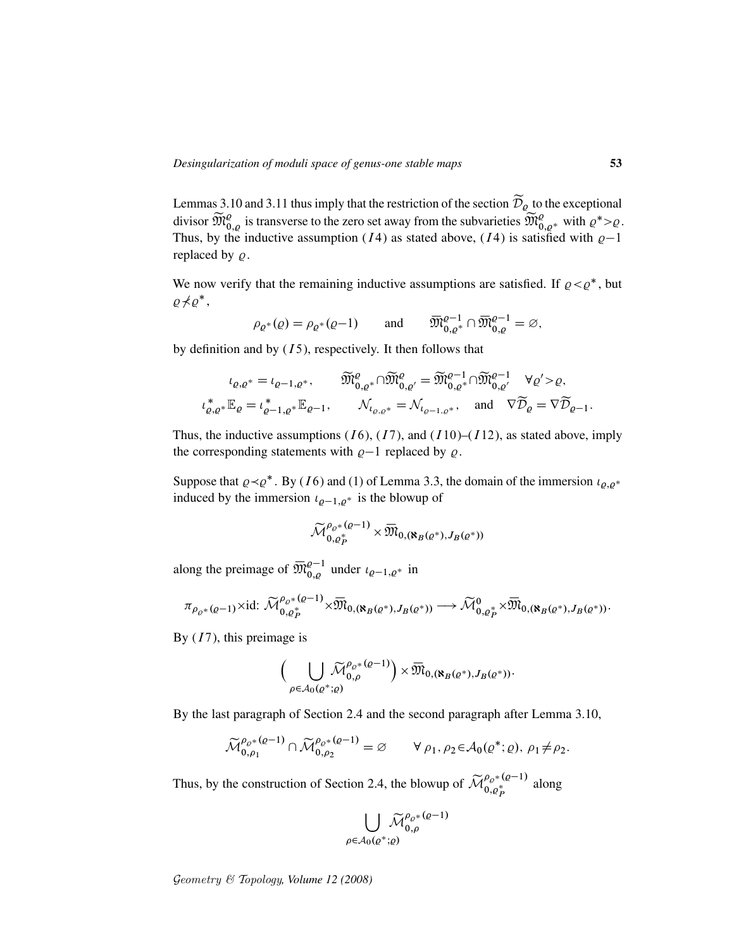Lemmas 3.10 and 3.11 thus imply that the restriction of the section  $\mathcal{D}_{\rho}$  to the exceptional divisor  $\widetilde{\mathfrak{M}}_{0,\varrho}^{\varrho}$  is transverse to the zero set away from the subvarieties  $\widetilde{\mathfrak{M}}_{0,\varrho^*}^{\varrho}$  with  $\varrho^* > \varrho$ . Thus, by the inductive assumption (*I*4) as stated above, (*I*4) is satisfied with  $\varrho-1$ replaced by  $\rho$ .

We now verify that the remaining inductive assumptions are satisfied. If  $\rho < \rho^*$ , but  $\rho \nprec \rho^*,$ 

$$
\rho_{\varrho^*}(\varrho) = \rho_{\varrho^*}(\varrho - 1) \quad \text{and} \quad \overline{\mathfrak{M}}_{0,\varrho^*}^{\varrho - 1} \cap \overline{\mathfrak{M}}_{0,\varrho}^{\varrho - 1} = \varnothing,
$$

by definition and by  $(15)$ , respectively. It then follows that

$$
\iota_{\varrho,\varrho^*} = \iota_{\varrho-1,\varrho^*}, \qquad \widetilde{\mathfrak{M}}_{0,\varrho^*}^{\varrho} \cap \widetilde{\mathfrak{M}}_{0,\varrho'}^{\varrho} = \widetilde{\mathfrak{M}}_{0,\varrho^*}^{\varrho-1} \cap \widetilde{\mathfrak{M}}_{0,\varrho'}^{\varrho-1} \quad \forall \varrho' > \varrho,
$$
  

$$
\iota_{\varrho,\varrho^*}^* \mathbb{E}_{\varrho} = \iota_{\varrho-1,\varrho^*}^* \mathbb{E}_{\varrho-1}, \qquad \mathcal{N}_{\iota_{\varrho,\varrho^*}} = \mathcal{N}_{\iota_{\varrho-1,\varrho^*}}, \quad \text{and} \quad \nabla \widetilde{\mathcal{D}}_{\varrho} = \nabla \widetilde{\mathcal{D}}_{\varrho-1}.
$$

Thus, the inductive assumptions (*I* 6), (*I* 7), and (*I* 10)–(*I* 12), as stated above, imply the corresponding statements with  $\varrho-1$  replaced by  $\varrho$ .

Suppose that  $\rho \prec \rho^*$ . By (16) and (1) of Lemma 3.3, the domain of the immersion  $\iota_{\rho,\rho^*}$ induced by the immersion  $\iota_{\varrho-1,\varrho^*}$  is the blowup of

$$
{\mathbin{\smash{\,\,\overline{\!\!\mathcal M\!}\,}}}_{0,\varrho_P^*}^{\rho_\varrho\ast(\varrho-1)}\times{\mathbin{\smash{\,\,\overline{\!\!\mathcal M\!}\,}}}_{0,({\mathbf{X}}_B(\varrho^*),J_B(\varrho^*))}
$$

along the preimage of  $\overline{\mathfrak{M}}_{0,\varrho}^{\varrho-1}$  under  $\iota_{\varrho-1,\varrho^*}$  in

$$
\pi_{\rho_{\varrho^*}(\varrho-1)} \times \mathrm{id}: \widetilde{\mathcal{M}}_{0,\varrho_P^*}^{\rho_{\varrho^*}(\varrho-1)} \times \overline{\mathfrak{M}}_{0,(\aleph_B(\varrho^*),J_B(\varrho^*))} \longrightarrow \widetilde{\mathcal{M}}_{0,\varrho_P^*}^0 \times \overline{\mathfrak{M}}_{0,(\aleph_B(\varrho^*),J_B(\varrho^*))}.
$$

By  $(I7)$ , this preimage is

$$
\bigg(\bigcup_{\rho\in\mathcal{A}_0(\varrho^*;\varrho)}\widetilde{\mathcal{M}}_{0,\rho}^{\rho_{\varrho^*}(\varrho-1)}\bigg)\times\overline{\mathfrak{M}}_{0,(\aleph_B(\varrho^*),J_B(\varrho^*))}.
$$

By the last paragraph of Section 2.4 and the second paragraph after Lemma 3.10,

$$
\widetilde{\mathcal{M}}_{0,\rho_1}^{\rho_{\varrho^*}(\varrho-1)} \cap \widetilde{\mathcal{M}}_{0,\rho_2}^{\rho_{\varrho^*}(\varrho-1)} = \varnothing \qquad \forall \ \rho_1, \rho_2 \in \mathcal{A}_0(\varrho^*; \varrho), \ \rho_1 \neq \rho_2.
$$

Thus, by the construction of Section 2.4, the blowup of  $\widetilde{\mathcal{M}}_{0,\varrho_{p}^{*}}^{\rho_{\varrho^{*}}(q-1)}$  $\begin{bmatrix} \rho \rho^* & 1 \\ 0 & \rho^* \end{bmatrix}$  along

$$
\bigcup_{\rho \in \mathcal{A}_0(\varrho^*; \varrho)} \widetilde{\mathcal{M}}_{0,\rho}^{\rho_{\varrho^*}(\varrho-1)}
$$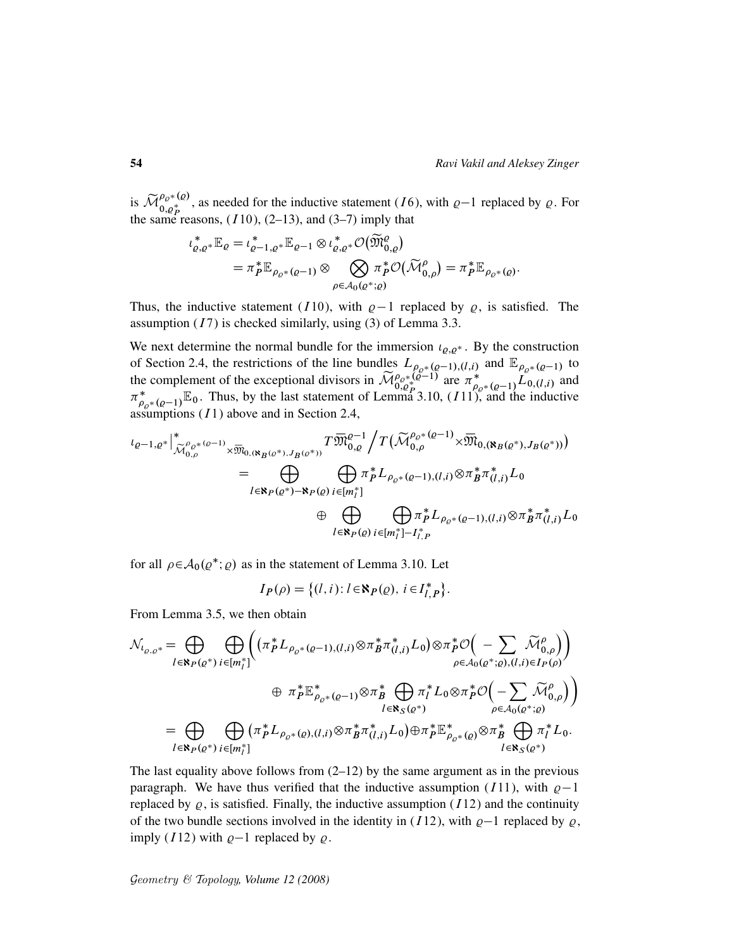is  $\widetilde{\mathcal{M}}_{0,\varrho_{\boldsymbol{p}}}^{\rho_{\varrho}*}(\varrho)}$  $\begin{bmatrix} \n\varphi_0 \ast \mathfrak{e}_\mathcal{O}, \\ \n0, \varphi_p^* \n\end{bmatrix}$ , as needed for the inductive statement (16), with  $\varrho - 1$  replaced by  $\varrho$ . For the same reasons,  $(110)$ ,  $(2-13)$ , and  $(3-7)$  imply that

$$
\iota_{\varrho,q^*}^* \mathbb{E}_{\varrho} = \iota_{\varrho-1,\varrho^*}^* \mathbb{E}_{\varrho-1} \otimes \iota_{\varrho,\varrho^*}^* \mathcal{O}(\widetilde{\mathfrak{M}}_{0,\varrho}^{\varrho})
$$
  
=  $\pi_P^* \mathbb{E}_{\rho_{\varrho^*}(\varrho-1)} \otimes \bigotimes_{\rho \in \mathcal{A}_0(\varrho^*;\varrho)} \pi_P^* \mathcal{O}(\widetilde{\mathcal{M}}_{0,\rho}^{\rho}) = \pi_P^* \mathbb{E}_{\rho_{\varrho^*}(\varrho)}.$ 

Thus, the inductive statement (110), with  $\varrho-1$  replaced by  $\varrho$ , is satisfied. The assumption  $(I7)$  is checked similarly, using  $(3)$  of Lemma 3.3.

We next determine the normal bundle for the immersion  $\iota_{\varrho,\varrho^*}$ . By the construction of Section 2.4, the restrictions of the line bundles  $L_{\rho_{Q^*}(Q-1),(l,i)}$  and  $\mathbb{E}_{\rho_{Q^*}(Q-1)}$  to the complement of the exceptional divisors in  $\widetilde{\mathcal{M}}_{0,\varrho_{P}^{*}}^{\rho_{\varrho^{*}}}(\varrho^{-1})$  are  $\pi_{0,\varrho_{P}^{*}}^{*}(\varrho^{-1})\widetilde{L}_{0,\varrho}(l,i)$  and  $\pi_{\alpha}^*$  $_{\rho_{\rho^*}(q-1)}^* \mathbb{E}_0$ . Thus, by the last statement of Lemma 3.10,  $(11)$ , and the inductive assumptions  $(I1)$  above and in Section 2.4,

$$
\iota_{\varrho-1,\varrho^{*}}\Big|_{\widetilde{\mathcal{M}}^{^{\rho}_{0,\rho}}_{0,\rho}}^{*_{\varrho^{-*}(\varrho-1)}\times \overline{\mathfrak{M}}_{0,(\aleph_{B}(\varrho^{*}),J_{B}(\varrho^{*}))}}T\overline{\mathfrak{M}}^{^{\rho-1}}_{0,\varrho}\Big/T\Big(\widetilde{\mathcal{M}}^{\rho_{\varrho^{*}}(\varrho-1)}_{0,\rho}\times \overline{\mathfrak{M}}_{0,(\aleph_{B}(\varrho^{*}),J_{B}(\varrho^{*}))}\Big)
$$
\n
$$
=\bigoplus_{l\in\aleph_{P}(\varrho^{*})-\aleph_{P}(\varrho)}\bigoplus_{i\in [m_{l}^{*}]}\pi_{p}^{*}L_{\rho_{\varrho^{*}}(\varrho-1),(l,i)}\otimes \pi_{B}^{*}\pi_{(l,i)}^{*}L_{0}
$$
\n
$$
\oplus \bigoplus_{l\in\aleph_{P}(\varrho)}\bigoplus_{i\in [m_{l}^{*}]-I_{l,P}^{*}}\pi_{l}^{*}L_{\rho_{\varrho^{*}}(\varrho-1),(l,i)}\otimes \pi_{B}^{*}\pi_{(l,i)}^{*}L_{0}
$$

for all  $\rho \in \mathcal{A}_0(\varrho^*; \varrho)$  as in the statement of Lemma 3.10. Let

$$
I_P(\rho) = \{(l, i) : l \in \mathbb{R}_P(\rho), i \in I_{l, P}^*\}.
$$

From Lemma 3.5, we then obtain

$$
\mathcal{N}_{l_{\varrho,\varrho^*}} = \bigoplus_{l \in \mathbf{R}_P(\varrho^*)} \bigoplus_{i \in [m_l^*]} \Biggl( (\pi_P^* L_{\rho_{\varrho^*}(\varrho-1),(l,i)} \otimes \pi_B^* \pi_{(l,i)}^* L_0) \otimes \pi_P^* \mathcal{O} \Big( - \sum_{\rho \in \mathcal{A}_0(\varrho^*;\varrho),(l,i) \in I_P(\rho)} \widetilde{\mathcal{M}}_{0,\rho}^{\rho} \Big) \right) \n\oplus \pi_P^* \mathbb{E}_{\rho_{\varrho^*}(\varrho-1)}^* \otimes \pi_B^* \bigoplus_{l \in \mathbf{R}_S(\varrho^*)} \pi_l^* L_0 \otimes \pi_P^* \mathcal{O} \Big( - \sum_{\rho \in \mathcal{A}_0(\varrho^*;\varrho)} \widetilde{\mathcal{M}}_{0,\rho}^{\rho} \Big) \Big) \n= \bigoplus_{l \in \mathbf{R}_P(\varrho^*)} \bigoplus_{i \in [m_l^*]} (\pi_P^* L_{\rho_{\varrho^*}(\varrho),(l,i)} \otimes \pi_B^* \pi_{(l,i)}^* L_0) \oplus \pi_P^* \mathbb{E}_{\rho_{\varrho^*}(\varrho)}^* \otimes \pi_B^* \bigoplus_{l \in \mathbf{R}_S(\varrho^*)} \pi_l^* L_0.
$$

The last equality above follows from  $(2-12)$  by the same argument as in the previous paragraph. We have thus verified that the inductive assumption (111), with  $\rho-1$ replaced by  $\varrho$ , is satisfied. Finally, the inductive assumption (*I*12) and the continuity of the two bundle sections involved in the identity in (I12), with  $\rho-1$  replaced by  $\rho$ , imply (112) with  $\rho-1$  replaced by  $\rho$ .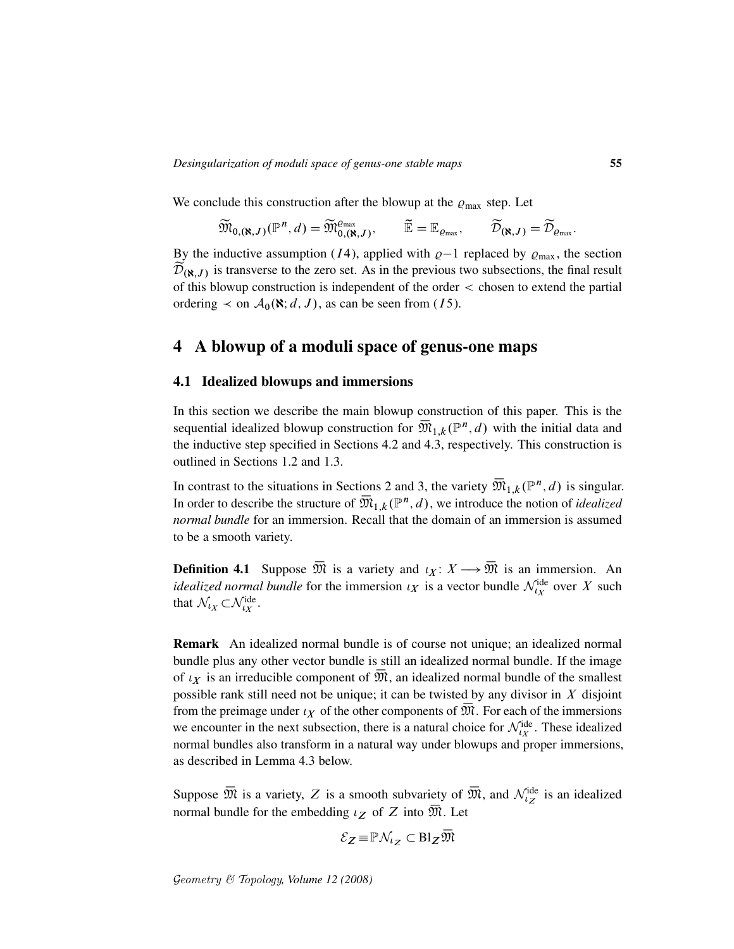We conclude this construction after the blowup at the  $\varrho_{\text{max}}$  step. Let

$$
\widetilde{\mathfrak{M}}_{0,(\aleph,J)}(\mathbb{P}^n,d)=\widetilde{\mathfrak{M}}^{\varrho_{\text{max}}}_{0,(\aleph,J)},\qquad \widetilde{\mathbb{E}}=\mathbb{E}_{\varrho_{\text{max}}},\qquad \widetilde{\mathcal{D}}_{(\aleph,J)}=\widetilde{\mathcal{D}}_{\varrho_{\text{max}}}.
$$

By the inductive assumption (*I*4), applied with  $\varrho-1$  replaced by  $\varrho_{\text{max}}$ , the section  $\mathcal{D}_{(\aleph,J)}$  is transverse to the zero set. As in the previous two subsections, the final result of this blowup construction is independent of the order < chosen to extend the partial ordering  $\prec$  on  $\mathcal{A}_0(\mathbf{R}; d, J)$ , as can be seen from (15).

# 4 A blowup of a moduli space of genus-one maps

#### 4.1 Idealized blowups and immersions

In this section we describe the main blowup construction of this paper. This is the sequential idealized blowup construction for  $\overline{\mathfrak{M}}_{1,k}(\mathbb{P}^n,d)$  with the initial data and the inductive step specified in Sections 4.2 and 4.3, respectively. This construction is outlined in Sections 1.2 and 1.3.

In contrast to the situations in Sections 2 and 3, the variety  $\overline{\mathfrak{M}}_{1,k}(\mathbb{P}^n,d)$  is singular. In order to describe the structure of  $\overline{\mathfrak{M}}_{1,k}(\mathbb{P}^n,d)$ , we introduce the notion of *idealized normal bundle* for an immersion. Recall that the domain of an immersion is assumed to be a smooth variety.

**Definition 4.1** Suppose  $\overline{\mathfrak{M}}$  is a variety and  $\iota_X : X \longrightarrow \overline{\mathfrak{M}}$  is an immersion. An *idealized normal bundle* for the immersion  $\iota_X$  is a vector bundle  $\mathcal{N}^{\text{ide}}_{\iota_X}$  over X such that  $\mathcal{N}_{l_X} \subset \mathcal{N}_{l_X}^{\text{ide}}$ .

Remark An idealized normal bundle is of course not unique; an idealized normal bundle plus any other vector bundle is still an idealized normal bundle. If the image of  $\iota_X$  is an irreducible component of  $\overline{\mathfrak{M}}$ , an idealized normal bundle of the smallest possible rank still need not be unique; it can be twisted by any divisor in  $X$  disjoint from the preimage under  $\iota_X$  of the other components of  $\overline{\mathfrak{M}}$ . For each of the immersions we encounter in the next subsection, there is a natural choice for  $\mathcal{N}_{t_X}^{\text{ide}}$ . These idealized normal bundles also transform in a natural way under blowups and proper immersions, as described in Lemma 4.3 below.

Suppose  $\overline{\mathfrak{M}}$  is a variety, Z is a smooth subvariety of  $\overline{\mathfrak{M}}$ , and  $\mathcal{N}_{\iota}^{\text{ide}}$  is an idealized normal bundle for the embedding  $\iota_Z$  of Z into  $\overline{\mathfrak{M}}$ . Let

$$
\mathcal{E}_Z \! \equiv \! \mathbb{P} \mathcal{N}_{\iota_Z} \subset \mathrm{Bl}_Z \, \overline{\!\mathfrak{M}}
$$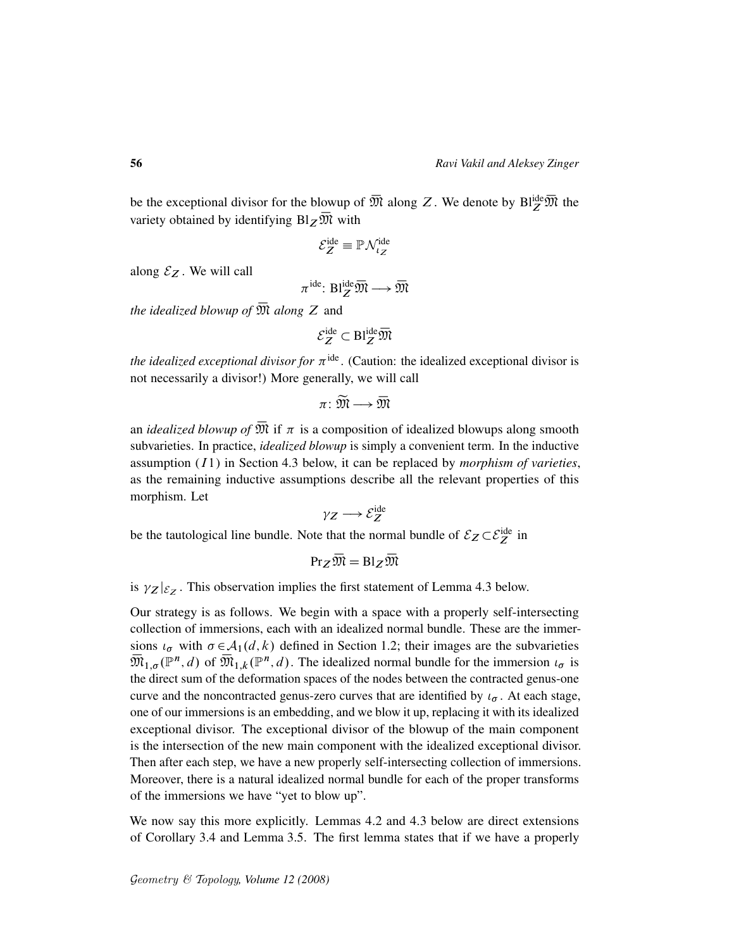be the exceptional divisor for the blowup of  $\overline{\mathfrak{M}}$  along Z. We denote by  $\text{Bl}_{Z}^{\text{ide}}\overline{\mathfrak{M}}$  the variety obtained by identifying  $Bl_Z\overline{\mathfrak{M}}$  with

$$
\mathcal{E}_Z^{\text{ide}} \equiv \mathbb{P} \mathcal{N}_{\iota_Z}^{\text{ide}}
$$

along  $\mathcal{E}_Z$ . We will call

 $\pi^{\text{ide}}: \text{Bl}_{Z}^{\text{ide}} \overline{\mathfrak{M}} \longrightarrow \overline{\mathfrak{M}}$ 

*the idealized blowup of*  $\overline{\mathfrak{M}}$  *along* Z and

$$
\mathcal{E}_Z^{\text{ide}} \subset \text{Bl}_Z^{\text{ide}} \overline{\mathfrak{M}}
$$

*the idealized exceptional divisor for*  $\pi$ <sup>ide</sup>. (Caution: the idealized exceptional divisor is not necessarily a divisor!) More generally, we will call

$$
\pi\colon\widetilde{\mathfrak{M}}\longrightarrow\overline{\mathfrak{M}}
$$

an *idealized blowup of*  $\overline{\mathfrak{M}}$  if  $\pi$  is a composition of idealized blowups along smooth subvarieties. In practice, *idealized blowup* is simply a convenient term. In the inductive assumption  $(I1)$  in Section 4.3 below, it can be replaced by *morphism of varieties*, as the remaining inductive assumptions describe all the relevant properties of this morphism. Let

$$
\gamma_Z \longrightarrow \mathcal{E}_Z^{\text{ide}}
$$

be the tautological line bundle. Note that the normal bundle of  $\mathcal{E}_Z \subset \mathcal{E}_Z^{\text{ide}}$  in

$$
\mathrm{Pr}_Z\,\overline{\mathfrak M}=\mathrm{Bl}_Z\,\overline{\mathfrak M}
$$

is  $\gamma_Z|_{\mathcal{E}_Z}$ . This observation implies the first statement of Lemma 4.3 below.

Our strategy is as follows. We begin with a space with a properly self-intersecting collection of immersions, each with an idealized normal bundle. These are the immersions  $\iota_{\sigma}$  with  $\sigma \in \mathcal{A}_1(d, k)$  defined in Section 1.2; their images are the subvarieties  $\overline{\mathfrak{M}}_{1,\sigma}(\mathbb{P}^n,d)$  of  $\overline{\mathfrak{M}}_{1,k}(\mathbb{P}^n,d)$ . The idealized normal bundle for the immersion  $\iota_{\sigma}$  is the direct sum of the deformation spaces of the nodes between the contracted genus-one curve and the noncontracted genus-zero curves that are identified by  $\iota_{\sigma}$ . At each stage, one of our immersions is an embedding, and we blow it up, replacing it with its idealized exceptional divisor. The exceptional divisor of the blowup of the main component is the intersection of the new main component with the idealized exceptional divisor. Then after each step, we have a new properly self-intersecting collection of immersions. Moreover, there is a natural idealized normal bundle for each of the proper transforms of the immersions we have "yet to blow up".

We now say this more explicitly. Lemmas 4.2 and 4.3 below are direct extensions of Corollary 3.4 and Lemma 3.5. The first lemma states that if we have a properly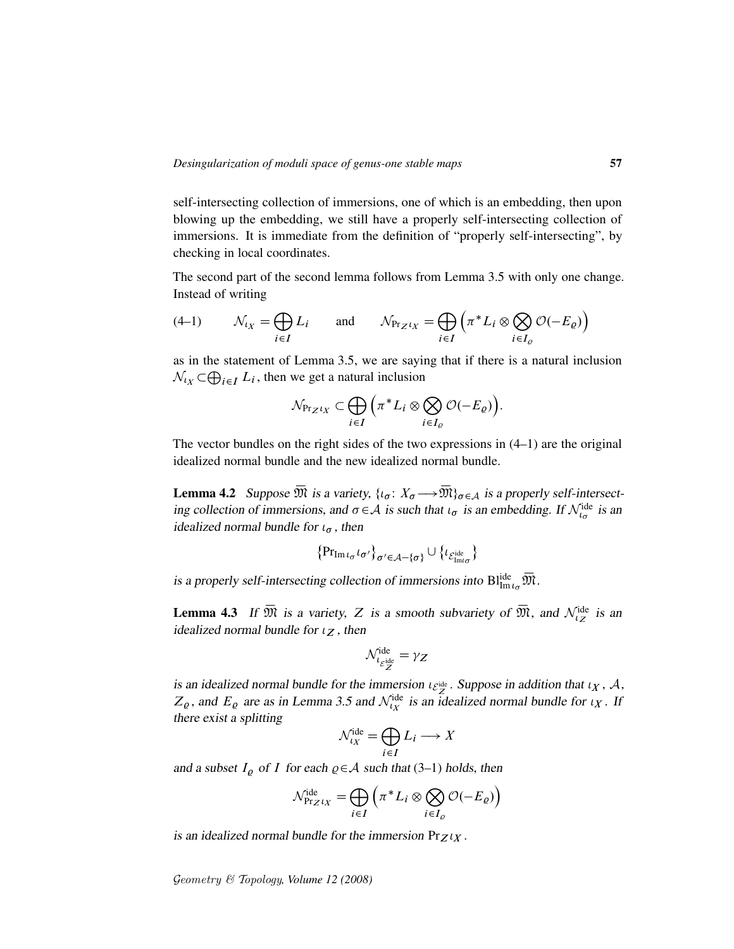self-intersecting collection of immersions, one of which is an embedding, then upon blowing up the embedding, we still have a properly self-intersecting collection of immersions. It is immediate from the definition of "properly self-intersecting", by checking in local coordinates.

The second part of the second lemma follows from Lemma 3.5 with only one change. Instead of writing

$$
(4-1) \qquad \mathcal{N}_{t_X} = \bigoplus_{i \in I} L_i \qquad \text{and} \qquad \mathcal{N}_{\Pr_Z t_X} = \bigoplus_{i \in I} \left( \pi^* L_i \otimes \bigotimes_{i \in I_Q} \mathcal{O}(-E_Q) \right)
$$

as in the statement of Lemma 3.5, we are saying that if there is a natural inclusion  $\mathcal{N}_{lX} \subset \bigoplus_{i \in I} L_i$ , then we get a natural inclusion

$$
\mathcal{N}_{\Pr_Z t_X} \subset \bigoplus_{i \in I} \Big( \pi^* L_i \otimes \bigotimes_{i \in I_{\varrho}} \mathcal{O}(-E_{\varrho}) \Big).
$$

The vector bundles on the right sides of the two expressions in (4–1) are the original idealized normal bundle and the new idealized normal bundle.

**Lemma 4.2** Suppose  $\overline{\mathfrak{M}}$  is a variety,  $\{u_{\sigma}: X_{\sigma} \longrightarrow \overline{\mathfrak{M}}\}_{\sigma \in \mathcal{A}}$  is a properly self-intersecting collection of immersions, and  $\sigma \in A$  is such that  $\iota_{\sigma}$  is an embedding. If  $\mathcal{N}_{\iota_{\sigma}}^{\text{ide}}$  is an idealized normal bundle for  $\iota_{\sigma}$ , then

$$
\left\{\mathrm{Pr}_{\mathrm{Im}\, \iota_{\sigma} \iota_{\sigma'}}\right\}_{\sigma' \in \mathcal{A}-\{\sigma\}} \cup \left\{\iota_{\mathcal{E}^{\mathrm{ide}}_{\mathrm{Im} \iota_{\sigma}}}\right\}
$$

is a properly self-intersecting collection of immersions into  $\text{Bl}^{\text{ide}}_{\text{Im}\iota_{\sigma}}\overline{\mathfrak{M}}$ .

**Lemma 4.3** If  $\overline{\mathfrak{M}}$  is a variety, Z is a smooth subvariety of  $\overline{\mathfrak{M}}$ , and  $\mathcal{N}_{\iota}^{\text{ide}}$  is an idealized normal bundle for  $\iota_Z$ , then

$$
\mathcal{N}^{\text{ide}}_{\iota_{\mathcal{E}^{\text{ide}}_{Z}}} = \gamma_{Z}
$$

is an idealized normal bundle for the immersion  $\iota_{\mathcal{E}_Z^{\text{ide}}}$ . Suppose in addition that  $\iota_X$ , A,  $Z_{\varrho}$ , and  $E_{\varrho}$  are as in Lemma 3.5 and  $\mathcal{N}_{t_X}^{\text{ide}}$  is an idealized normal bundle for  $\iota_X$ . If there exist a splitting

$$
\mathcal{N}_{\iota_X}^{\text{ide}} = \bigoplus_{i \in I} L_i \longrightarrow X
$$

and a subset  $I_{\varrho}$  of I for each  $\varrho \in A$  such that (3–1) holds, then

$$
\mathcal{N}_{\Pr_Z t_X}^{\text{ide}} = \bigoplus_{i \in I} \left( \pi^* L_i \otimes \bigotimes_{i \in I_{\varrho}} \mathcal{O}(-E_{\varrho}) \right)
$$

is an idealized normal bundle for the immersion  $Pr_Z t_X$ .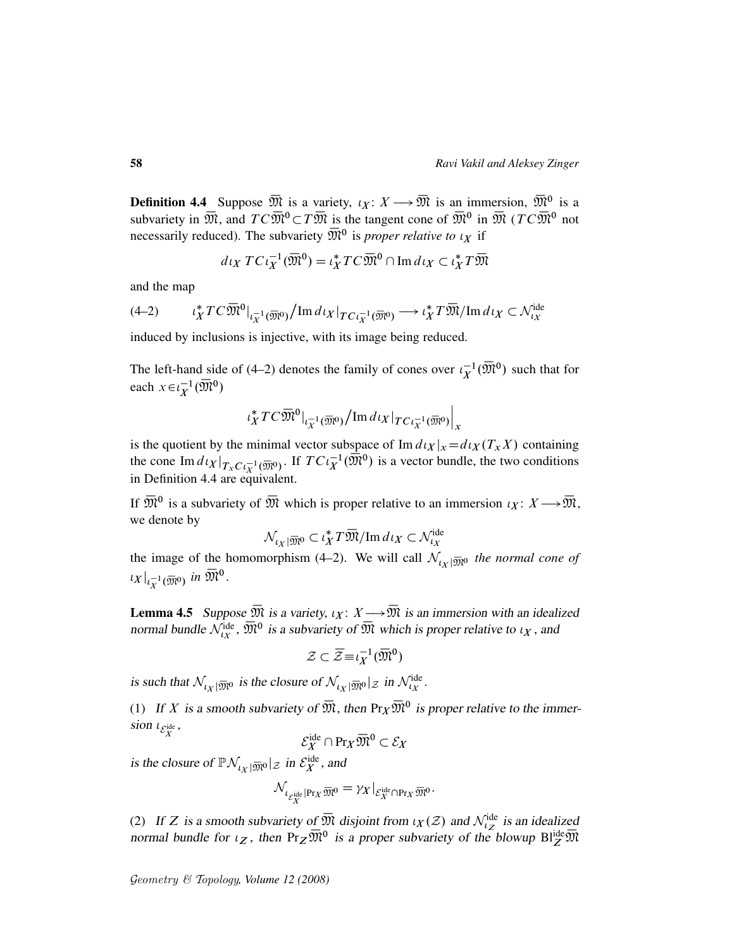**Definition 4.4** Suppose  $\overline{\mathfrak{M}}$  is a variety,  $\iota_X \colon X \longrightarrow \overline{\mathfrak{M}}$  is an immersion,  $\overline{\mathfrak{M}}^0$  is a subvariety in  $\overline{\mathfrak{M}}$ , and  $TC\overline{\mathfrak{M}}^0 \subset T\overline{\mathfrak{M}}$  is the tangent cone of  $\overline{\mathfrak{M}}^0$  in  $\overline{\mathfrak{M}}$  ( $TC\overline{\mathfrak{M}}^0$  not necessarily reduced). The subvariety  $\overline{\mathfrak{M}}^0$  is *proper relative to*  $\iota_X$  if

$$
d\iota_X TC\iota_X^{-1}(\overline{\mathfrak{M}}^0) = \iota_X^* TC\overline{\mathfrak{M}}^0 \cap \text{Im}\, d\iota_X \subset \iota_X^* T\overline{\mathfrak{M}}
$$

and the map

$$
(4-2) \qquad \iota_X^* T C \overline{\mathfrak{M}}^0|_{\iota_X^{-1}(\overline{\mathfrak{M}}^0)} / \operatorname{Im} d\iota_X|_{T C \iota_X^{-1}(\overline{\mathfrak{M}}^0)} \longrightarrow \iota_X^* T \overline{\mathfrak{M}} / \operatorname{Im} d\iota_X \subset \mathcal{N}_{\iota_X}^{\text{ide}}
$$

induced by inclusions is injective, with its image being reduced.

The left-hand side of (4–2) denotes the family of cones over  $\iota_X^{-1}(\overline{\mathfrak{M}}^0)$  such that for each  $x \in \iota_X^{-1}(\overline{\mathfrak{M}})^0$ 

$$
\iota_X^*TC\bar {\frak M}^0|_{\iota_X^{-1}(\overline {\frak M}^0)}/\operatorname{Im} d\iota_X|_{TC\iota_X^{-1}(\overline {\frak M}^0)}\Big|_{x}
$$

is the quotient by the minimal vector subspace of  $\text{Im } d\mu_X |_{x} = d\mu_X(T_X X)$  containing the cone Im  $d_l x|_{T_xC_l(\overline{X})^0}$ . If  $TC_l^{-1}_X(\overline{X})^0$  is a vector bundle, the two conditions in Definition 4.4 are equivalent.

If  $\overline{\mathfrak{M}}^0$  is a subvariety of  $\overline{\mathfrak{M}}$  which is proper relative to an immersion  $\iota_X \colon X \longrightarrow \overline{\mathfrak{M}}$ , we denote by

$$
\mathcal{N}_{\iota_X|\overline{\mathfrak{M}}^0} \subset \iota_X^* T\overline{\mathfrak{M}}/\mathrm{Im}\, d\iota_X \subset \mathcal{N}_{\iota_X}^{\mathrm{ide}}
$$

the image of the homomorphism (4–2). We will call  $\mathcal{N}_{tx}$   $\bar{m}$  *the normal cone of*  $\iota_X|_{\iota_X^{-1}(\overline{\mathfrak{M}}^0)}$  in  $\overline{\mathfrak{M}}^0$ .

**Lemma 4.5** Suppose  $\overline{\mathfrak{M}}$  is a variety,  $\iota_X : X \longrightarrow \overline{\mathfrak{M}}$  is an immersion with an idealized normal bundle  $\mathcal{N}_{tx}^{ide}$ ,  $\overline{\mathfrak{M}}^0$  is a subvariety of  $\overline{\mathfrak{M}}$  which is proper relative to  $\iota_X$ , and

$$
\mathcal{Z} \subset \overline{\mathcal{Z}} \equiv \iota_X^{-1}(\overline{\mathfrak{M}}^0)
$$

is such that  $\mathcal{N}_{l_X|\overline{m}l0}$  is the closure of  $\mathcal{N}_{l_X|\overline{m}l0}|z$  in  $\mathcal{N}_{l_X}^{ide}$ .

(1) If X is a smooth subvariety of  $\overline{\mathfrak{M}}$ , then  $\Pr_X \overline{\mathfrak{M}}^0$  is proper relative to the immersion  $\iota_{\mathcal{E}_X^{\text{ide}}},$ 

$$
\mathcal{E}_X^{\mathrm{ide}} \cap \mathrm{Pr}_X \overline{\mathfrak{M}}^0 \subset \mathcal{E}_X
$$

is the closure of  $\mathbb{P}\mathcal{N}_{U_X|\overline{\mathfrak{M}}^0}$   $|z$  in  $\mathcal{E}_X^{\text{ide}}$ , and

$$
\mathcal{N}_{\iota_{\mathcal{E}_X^{\mathrm{ide}}|\mathrm{Pr}_X\, \overline{\mathfrak{M}}^0}} = \gamma_X|_{\mathcal{E}_X^{\mathrm{ide}} \cap \mathrm{Pr}_X\, \overline{\mathfrak{M}}^0}.
$$

(2) If Z is a smooth subvariety of  $\overline{\mathfrak{M}}$  disjoint from  $\iota_X(\mathcal{Z})$  and  $\mathcal{N}_{\iota_Z}^{\text{ide}}$  is an idealized normal bundle for  $\iota_Z$ , then  $Pr_Z \overline{\mathfrak{M}}^0$  is a proper subvariety of the blowup  $Bl_Z^{ide} \overline{\mathfrak{M}}$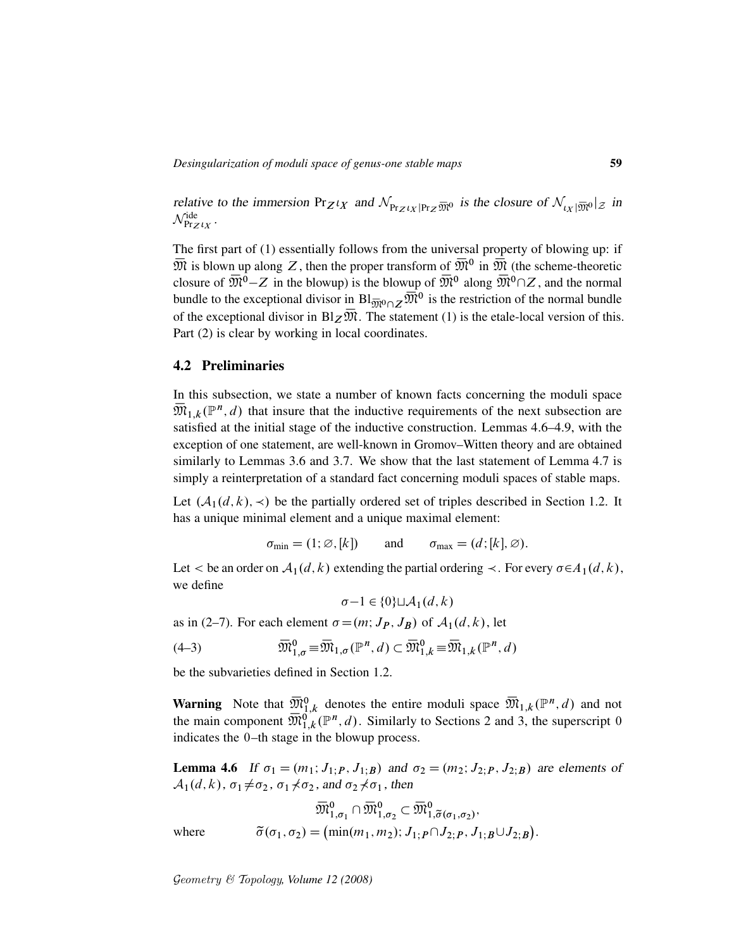relative to the immersion  $Pr_{Z^lX}$  and  $\mathcal{N}_{Pr_{Z^lY}|Pr_{Z}\overline{M}^0}$  is the closure of  $\mathcal{N}_{V_{\mathcal{N}}|\overline{M}^0}|_{Z}$  in  $\mathcal{N}_{\Pr_Z \iota_X}^{\mathrm{ide}}$  .

The first part of (1) essentially follows from the universal property of blowing up: if  $\bar{M}$  is blown up along Z, then the proper transform of  $\bar{M}^0$  in  $\bar{M}$  (the scheme-theoretic closure of  $\overline{\mathfrak{M}}^0$  – Z in the blowup) is the blowup of  $\overline{\mathfrak{M}}^0$  along  $\overline{\mathfrak{M}}^0 \cap Z$ , and the normal bundle to the exceptional divisor in  $Bl_{\overline{M}^0 \cap Z} \overline{M}^0$  is the restriction of the normal bundle of the exceptional divisor in  $B_1 \overline{\mathcal{D}} \overline{\mathcal{D}}$ . The statement (1) is the etale-local version of this. Part (2) is clear by working in local coordinates.

#### 4.2 Preliminaries

In this subsection, we state a number of known facts concerning the moduli space  $\overline{\mathfrak{M}}_{1,k}(\mathbb{P}^n,d)$  that insure that the inductive requirements of the next subsection are satisfied at the initial stage of the inductive construction. Lemmas 4.6–4.9, with the exception of one statement, are well-known in Gromov–Witten theory and are obtained similarly to Lemmas 3.6 and 3.7. We show that the last statement of Lemma 4.7 is simply a reinterpretation of a standard fact concerning moduli spaces of stable maps.

Let  $(A_1(d, k), \prec)$  be the partially ordered set of triples described in Section 1.2. It has a unique minimal element and a unique maximal element:

$$
\sigma_{\min} = (1; \emptyset, [k])
$$
 and  $\sigma_{\max} = (d; [k], \emptyset).$ 

Let  $\lt$  be an order on  $\mathcal{A}_1(d, k)$  extending the partial ordering  $\lt$ . For every  $\sigma \in A_1(d, k)$ , we define

$$
\sigma - 1 \in \{0\} \sqcup \mathcal{A}_1(d, k)
$$

as in (2–7). For each element  $\sigma = (m; J_P, J_B)$  of  $\mathcal{A}_1(d, k)$ , let

(4-3) 
$$
\overline{\mathfrak{M}}_{1,\sigma}^{0} \equiv \overline{\mathfrak{M}}_{1,\sigma}(\mathbb{P}^n,d) \subset \overline{\mathfrak{M}}_{1,k}^{0} \equiv \overline{\mathfrak{M}}_{1,k}(\mathbb{P}^n,d)
$$

be the subvarieties defined in Section 1.2.

**Warning** Note that  $\overline{\mathfrak{M}}_{1,k}^0$  denotes the entire moduli space  $\overline{\mathfrak{M}}_{1,k}(\mathbb{P}^n,d)$  and not the main component  $\overline{\mathfrak{M}}_{1,k}^{0}(\mathbb{P}^n,d)$ . Similarly to Sections 2 and 3, the superscript 0 indicates the 0–th stage in the blowup process.

**Lemma 4.6** If  $\sigma_1 = (m_1; J_1, P, J_1, B)$  and  $\sigma_2 = (m_2; J_2, P, J_2, B)$  are elements of  $\mathcal{A}_1(d, k)$ ,  $\sigma_1 \neq \sigma_2$ ,  $\sigma_1 \neq \sigma_2$ , and  $\sigma_2 \neq \sigma_1$ , then

$$
\overline{\mathfrak{M}}_{1,\sigma_1}^0 \cap \overline{\mathfrak{M}}_{1,\sigma_2}^0 \subset \overline{\mathfrak{M}}_{1,\widetilde{\sigma}(\sigma_1,\sigma_2)}^0,
$$
  
where 
$$
\widetilde{\sigma}(\sigma_1, \sigma_2) = (\min(m_1, m_2); J_{1;P} \cap J_{2;P}, J_{1;B} \cup J_{2;B}).
$$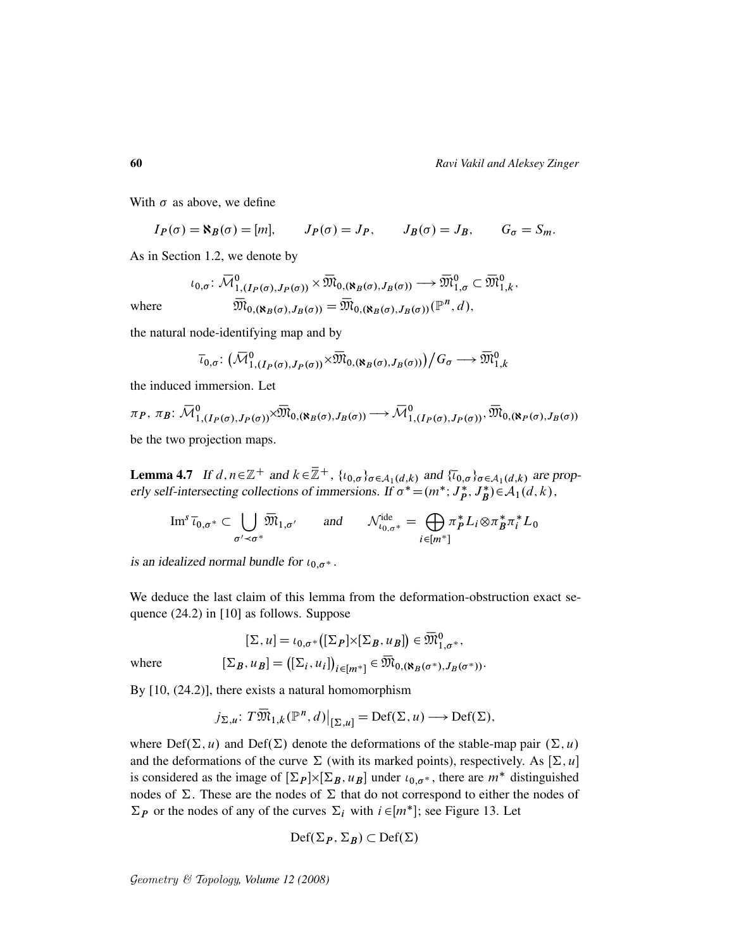With  $\sigma$  as above, we define

$$
I_P(\sigma) = \aleph_B(\sigma) = [m],
$$
  $J_P(\sigma) = J_P,$   $J_B(\sigma) = J_B,$   $G_{\sigma} = S_m.$ 

As in Section 1.2, we denote by

$$
\iota_{0,\sigma} \colon \overline{\mathcal{M}}_{1,(I_P(\sigma),J_P(\sigma))}^0 \times \overline{\mathfrak{M}}_{0,(\aleph_B(\sigma),J_B(\sigma))} \longrightarrow \overline{\mathfrak{M}}_{1,\sigma}^0 \subset \overline{\mathfrak{M}}_{1,k}^0,
$$
  
where 
$$
\overline{\mathfrak{M}}_{0,(\aleph_B(\sigma),J_B(\sigma))} = \overline{\mathfrak{M}}_{0,(\aleph_B(\sigma),J_B(\sigma))}(\mathbb{P}^n,d),
$$

the natural node-identifying map and by

$$
\overline{\iota}_{0,\sigma} \colon \left(\overline{\mathcal{M}}_{1,(I_P(\sigma),J_P(\sigma))}^0 \times \overline{\mathfrak{M}}_{0,(\aleph_B(\sigma),J_B(\sigma))}\right)/G_{\sigma} \longrightarrow \overline{\mathfrak{M}}_{1,k}^0
$$

the induced immersion. Let

$$
\pi_P, \pi_B: \overline{\mathcal{M}}_{1, (I_P(\sigma), J_P(\sigma))}^0 \times \overline{\mathcal{M}}_{0, (\aleph_B(\sigma), J_B(\sigma))} \longrightarrow \overline{\mathcal{M}}_{1, (I_P(\sigma), J_P(\sigma))}^0, \overline{\mathcal{M}}_{0, (\aleph_P(\sigma), J_B(\sigma))}
$$

be the two projection maps.

**Lemma 4.7** If  $d, n \in \mathbb{Z}^+$  and  $k \in \mathbb{Z}^+$ ,  $\{t_{0,\sigma}\}_{\sigma \in A_1(d,k)}$  and  $\{\overline{t}_{0,\sigma}\}_{\sigma \in A_1(d,k)}$  are properly self-intersecting collections of immersions. If  $\sigma^* = (m^*; J_p^*)$  $\stackrel{*}{p}, J_B^*$  $\mathcal{A}_1(d,k)$ ,

$$
\operatorname{Im}^s \overline{\iota}_{0,\sigma^*} \subset \bigcup_{\sigma' \prec \sigma^*} \overline{\mathfrak{M}}_{1,\sigma'} \quad \text{and} \quad \mathcal{N}_{\iota_{0,\sigma^*}}^{\mathrm{ide}} = \bigoplus_{i \in [m^*]} \pi_P^* L_i \otimes \pi_B^* \pi_i^* L_0
$$

is an idealized normal bundle for  $\iota_{0,\sigma^*}$ .

We deduce the last claim of this lemma from the deformation-obstruction exact sequence (24.2) in [10] as follows. Suppose

$$
[\Sigma, u] = \iota_{0,\sigma^*}([\Sigma_P] \times [\Sigma_B, u_B]) \in \overline{\mathfrak{M}}^0_{1,\sigma^*},
$$

where  $[\Sigma_B, u_B] = ([\Sigma_i, u_i])_{i \in [m^*]} \in \overline{\mathfrak{M}}_{0, (\aleph_B(\sigma^*), J_B(\sigma^*))}.$ 

By [10, (24.2)], there exists a natural homomorphism

$$
j_{\Sigma,u}
$$
:  $T\overline{\mathfrak{M}}_{1,k}(\mathbb{P}^n,d)|_{[\Sigma,u]} = \text{Def}(\Sigma,u) \longrightarrow \text{Def}(\Sigma),$ 

where  $Def(\Sigma, u)$  and  $Def(\Sigma)$  denote the deformations of the stable-map pair  $(\Sigma, u)$ and the deformations of the curve  $\Sigma$  (with its marked points), respectively. As  $[\Sigma, u]$ is considered as the image of  $[\Sigma_P] \times [\Sigma_B, u_B]$  under  $\iota_{0,\sigma^*}$ , there are  $m^*$  distinguished nodes of  $\Sigma$ . These are the nodes of  $\Sigma$  that do not correspond to either the nodes of  $\Sigma_P$  or the nodes of any of the curves  $\Sigma_i$  with  $i \in [m^*]$ ; see Figure 13. Let

$$
\mathrm{Def}(\Sigma_P, \Sigma_B) \subset \mathrm{Def}(\Sigma)
$$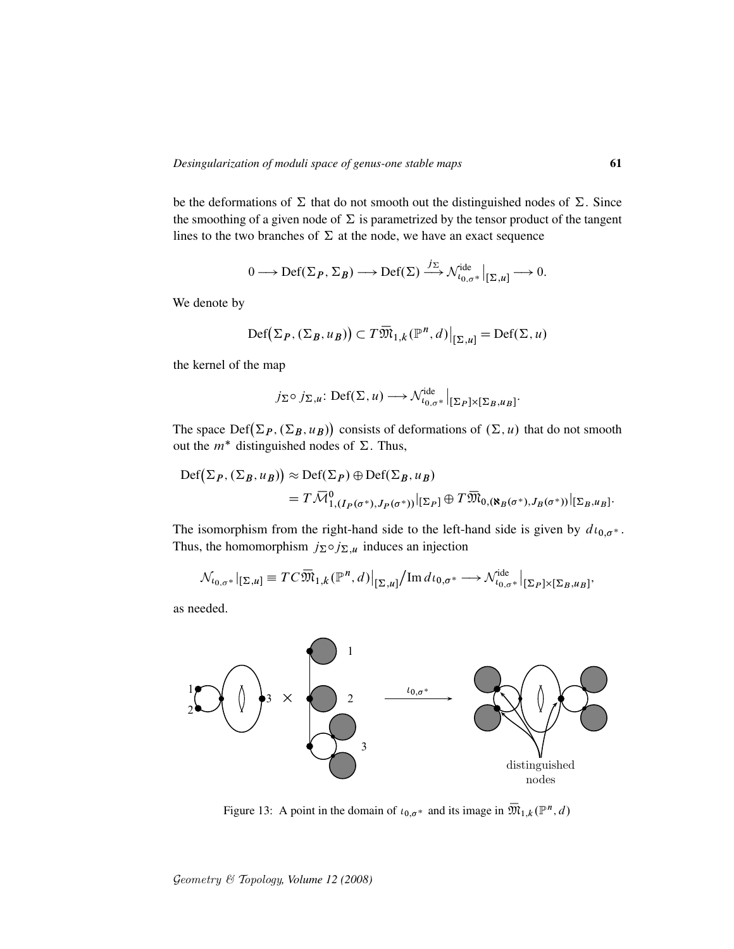be the deformations of  $\Sigma$  that do not smooth out the distinguished nodes of  $\Sigma$ . Since the smoothing of a given node of  $\Sigma$  is parametrized by the tensor product of the tangent lines to the two branches of  $\Sigma$  at the node, we have an exact sequence

$$
0 \longrightarrow \mathrm{Def}(\Sigma_P, \Sigma_B) \longrightarrow \mathrm{Def}(\Sigma) \xrightarrow{j_{\Sigma}} \mathcal{N}_{t_{0,\sigma^*}}^{\mathrm{ide}} \Big|_{[\Sigma, u]} \longrightarrow 0.
$$

We denote by

$$
\mathrm{Def}(\Sigma_P, (\Sigma_B, u_B)) \subset T\overline{\mathfrak{M}}_{1,k}(\mathbb{P}^n, d)|_{[\Sigma, u]} = \mathrm{Def}(\Sigma, u)
$$

the kernel of the map

$$
j_{\Sigma} \circ j_{\Sigma, u}
$$
: Def $(\Sigma, u) \longrightarrow \mathcal{N}_{\iota_{0}, \sigma^*}^{\text{ide}}|_{[\Sigma_P] \times [\Sigma_B, u_B]}$ .

The space  $Def(\Sigma_P, (\Sigma_B, u_B))$  consists of deformations of  $(\Sigma, u)$  that do not smooth out the  $m^*$  distinguished nodes of  $\Sigma$ . Thus,

$$
\begin{aligned} \mathrm{Def}\big(\Sigma_P, (\Sigma_B, u_B)\big) &\approx \mathrm{Def}(\Sigma_P) \oplus \mathrm{Def}(\Sigma_B, u_B) \\ &= T \,\overline{\mathcal{M}}^0_{1, (I_P(\sigma^*), J_P(\sigma^*))} \big|_{[\Sigma_P]} \oplus T \,\overline{\mathfrak{M}}_{0, (\aleph_B(\sigma^*), J_B(\sigma^*))} \big|_{[\Sigma_B, u_B]}.\end{aligned}
$$

The isomorphism from the right-hand side to the left-hand side is given by  $d\iota_{0,\sigma^*}$ . Thus, the homomorphism  $j_{\Sigma} \circ j_{\Sigma,\mu}$  induces an injection

$$
\mathcal{N}_{t_{0,\sigma^*}}|_{[\Sigma,u]} \equiv T C \overline{\mathfrak{M}}_{1,k}(\mathbb{P}^n,d)|_{[\Sigma,u]}/\mathrm{Im}\,d\iota_{0,\sigma^*} \longrightarrow \mathcal{N}_{t_{0,\sigma^*}}^{\mathrm{ide}}|_{[\Sigma_P] \times [\Sigma_B,u_B]},
$$

as needed.



Figure 13: A point in the domain of  $\iota_{0,\sigma^*}$  and its image in  $\overline{\mathfrak{M}}_{1,k}(\mathbb{P}^n,d)$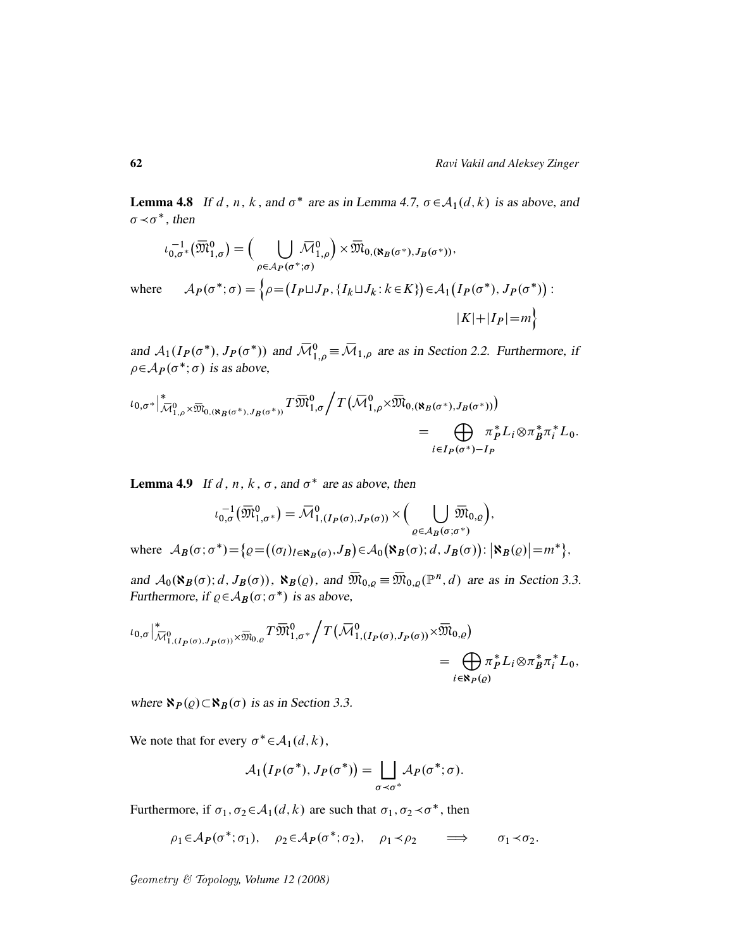**Lemma 4.8** If d, n, k, and  $\sigma^*$  are as in Lemma 4.7,  $\sigma \in A_1(d, k)$  is as above, and  $\sigma \prec \sigma^*$ , then

$$
\iota_{0,\sigma^*}^{-1}(\overline{\mathfrak{M}}_{1,\sigma}^0) = \Big( \bigcup_{\rho \in \mathcal{A}_P(\sigma^*; \sigma)} \overline{\mathcal{M}}_{0, (\aleph_B(\sigma^*), J_B(\sigma^*))},
$$
  
where 
$$
\mathcal{A}_P(\sigma^*; \sigma) = \Big\{\rho = (I_P \sqcup J_P, \{I_k \sqcup J_k : k \in K\}) \in \mathcal{A}_1(I_P(\sigma^*), J_P(\sigma^*)) : |K| + |I_P| = m \Big\}
$$

and  $A_1(I_P(\sigma^*), J_P(\sigma^*))$  and  $\overline{\mathcal{M}}_{1,\rho}^0 \equiv \overline{\mathcal{M}}_{1,\rho}$  are as in Section 2.2. Furthermore, if  $\rho \in A_P(\sigma^*; \sigma)$  is as above,

$$
\iota_{0,\sigma^*}|_{\overline{\mathcal{M}}_{1,\rho}^0 \times \overline{\mathfrak{M}}_{0,(\aleph_B(\sigma^*),J_B(\sigma^*))}} T \overline{\mathfrak{M}}_{1,\sigma}^0 / T(\overline{\mathcal{M}}_{1,\rho}^0 \times \overline{\mathfrak{M}}_{0,(\aleph_B(\sigma^*),J_B(\sigma^*))})
$$
\n
$$
= \bigoplus_{i \in I_P(\sigma^*) - I_P} \pi_P^* L_i \otimes \pi_B^* \pi_i^* L_0.
$$

**Lemma 4.9** If d, n, k,  $\sigma$ , and  $\sigma^*$  are as above, then

$$
\iota_{0,\sigma}^{-1}(\overline{\mathfrak{M}}_{1,\sigma^*}^{0}) = \overline{\mathcal{M}}_{1,(I_{P}(\sigma),J_{P}(\sigma))}^{0} \times \Big( \bigcup_{\varrho \in \mathcal{A}_{B}(\sigma;\sigma^{*})} \overline{\mathfrak{M}}_{0,\varrho}\Big),
$$
  
where 
$$
\mathcal{A}_{B}(\sigma;\sigma^{*}) = \big\{\varrho = \big((\sigma_{I})_{I \in \mathbf{N}_{B}(\sigma)},J_{B}\big) \in \mathcal{A}_{0}\big(\mathbf{N}_{B}(\sigma);d,J_{B}(\sigma)\big) : \big|\mathbf{N}_{B}(\varrho)\big| = m^{*}\big\},
$$

and  $\mathcal{A}_0(\aleph_B(\sigma); d, J_B(\sigma))$ ,  $\aleph_B(\varrho)$ , and  $\overline{\mathfrak{M}}_{0,\varrho} \equiv \overline{\mathfrak{M}}_{0,\varrho}(\mathbb{P}^n, d)$  are as in Section 3.3. Furthermore, if  $\rho \in A_B(\sigma; \sigma^*)$  is as above,

$$
\iota_{0,\sigma}\Big|_{\overline{\mathcal{M}}_{1,(I_P(\sigma),J_P(\sigma))}^{\ast}\times\overline{\mathfrak{M}}_{0,\varrho}}T\overline{\mathfrak{M}}_{1,\sigma^*}^0\Big/T\big(\overline{\mathcal{M}}_{1,(I_P(\sigma),J_P(\sigma))}^0\times\overline{\mathfrak{M}}_{0,\varrho}\big)
$$
\n
$$
=\bigoplus_{i\in\mathbf{N}_P(\varrho)}\pi_P^*L_i\otimes\pi_B^*\pi_i^*L_0,
$$

where  $\aleph_P(\varrho) \subset \aleph_B(\sigma)$  is as in Section 3.3.

We note that for every  $\sigma^* \in \mathcal{A}_1(d, k)$ ,

$$
\mathcal{A}_1(I_P(\sigma^*), J_P(\sigma^*)) = \bigsqcup_{\sigma \prec \sigma^*} \mathcal{A}_P(\sigma^*; \sigma).
$$

Furthermore, if  $\sigma_1, \sigma_2 \in A_1(d, k)$  are such that  $\sigma_1, \sigma_2 \prec \sigma^*$ , then

$$
\rho_1 \in \mathcal{A}_{\mathcal{P}}(\sigma^*; \sigma_1), \quad \rho_2 \in \mathcal{A}_{\mathcal{P}}(\sigma^*; \sigma_2), \quad \rho_1 \prec \rho_2 \quad \Longrightarrow \quad \sigma_1 \prec \sigma_2.
$$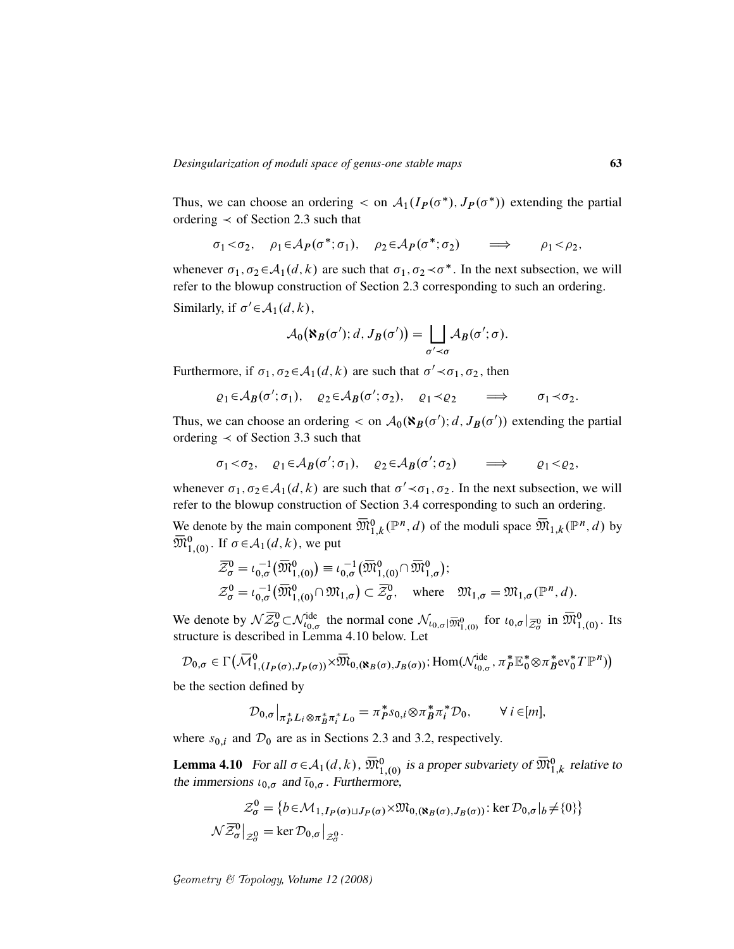Thus, we can choose an ordering  $\langle$  on  $A_1(I_P(\sigma^*), J_P(\sigma^*))$  extending the partial ordering  $\prec$  of Section 2.3 such that

$$
\sigma_1 < \sigma_2, \quad \rho_1 \in \mathcal{A}_P(\sigma^*; \sigma_1), \quad \rho_2 \in \mathcal{A}_P(\sigma^*; \sigma_2) \quad \Longrightarrow \quad \rho_1 < \rho_2,
$$

whenever  $\sigma_1, \sigma_2 \in A_1(d, k)$  are such that  $\sigma_1, \sigma_2 \prec \sigma^*$ . In the next subsection, we will refer to the blowup construction of Section 2.3 corresponding to such an ordering.

Similarly, if  $\sigma' \in \mathcal{A}_1(d, k)$ ,

$$
\mathcal{A}_0(\aleph_B(\sigma'); d, J_B(\sigma')) = \bigsqcup_{\sigma' \prec \sigma} \mathcal{A}_B(\sigma'; \sigma).
$$

Furthermore, if  $\sigma_1, \sigma_2 \in A_1(d, k)$  are such that  $\sigma' \prec \sigma_1, \sigma_2$ , then

$$
\varrho_1 \in \mathcal{A}_B(\sigma'; \sigma_1), \quad \varrho_2 \in \mathcal{A}_B(\sigma'; \sigma_2), \quad \varrho_1 \prec \varrho_2 \quad \Longrightarrow \quad \sigma_1 \prec \sigma_2.
$$

Thus, we can choose an ordering  $\langle$  on  $A_0(\mathbf{R}_B(\sigma'); d, J_B(\sigma'))$  extending the partial ordering  $\prec$  of Section 3.3 such that

$$
\sigma_1 < \sigma_2, \quad \varrho_1 \in \mathcal{A}_B(\sigma'; \sigma_1), \quad \varrho_2 \in \mathcal{A}_B(\sigma'; \sigma_2) \quad \Longrightarrow \quad \varrho_1 < \varrho_2,
$$

whenever  $\sigma_1, \sigma_2 \in A_1(d, k)$  are such that  $\sigma' \prec \sigma_1, \sigma_2$ . In the next subsection, we will refer to the blowup construction of Section 3.4 corresponding to such an ordering.

We denote by the main component  $\overline{\mathfrak{M}}_{1,k}^0(\mathbb{P}^n,d)$  of the moduli space  $\overline{\mathfrak{M}}_{1,k}(\mathbb{P}^n,d)$  by  $\overline{\mathfrak{M}}_{1,(0)}^{0}$ . If  $\sigma \in \mathcal{A}_{1}(d, k)$ , we put

$$
\overline{\mathcal{Z}}_{\sigma}^{0} = \iota_{0,\sigma}^{-1}(\overline{\mathfrak{M}}_{1,(0)}^{0}) \equiv \iota_{0,\sigma}^{-1}(\overline{\mathfrak{M}}_{1,(0)}^{0} \cap \overline{\mathfrak{M}}_{1,\sigma}^{0});
$$
\n
$$
\mathcal{Z}_{\sigma}^{0} = \iota_{0,\sigma}^{-1}(\overline{\mathfrak{M}}_{1,(0)}^{0} \cap \mathfrak{M}_{1,\sigma}) \subset \overline{\mathcal{Z}}_{\sigma}^{0}, \quad \text{where} \quad \mathfrak{M}_{1,\sigma} = \mathfrak{M}_{1,\sigma}(\mathbb{P}^{n},d).
$$

We denote by  $\mathcal{N}\overline{\mathcal{Z}}_{\sigma}^{0} \subset \mathcal{N}_{\iota_{0,\sigma}}^{\text{ide}}$  the normal cone  $\mathcal{N}_{\iota_{0,\sigma}|\overline{\mathfrak{M}}_{1,(0)}^{0}}$  for  $\iota_{0,\sigma}|_{\overline{\mathcal{Z}}_{\sigma}^{0}}$  in  $\overline{\mathfrak{M}}_{1,(0)}^{0}$ . Its structure is described in Lemma 4.10 below. Let

$$
\mathcal{D}_{0,\sigma} \in \Gamma\big(\overline{\mathcal{M}}_{1,(I_P(\sigma),J_P(\sigma))}^0 \times \overline{\mathfrak{M}}_{0,(\aleph_B(\sigma),J_B(\sigma))};\text{Hom}(\mathcal{N}_{\iota_{0,\sigma}}^{\text{ide}},\pi_P^* \mathbb{E}_0^* \otimes \pi_B^* \text{ev}_0^* T \mathbb{P}^n)\big)
$$

be the section defined by

$$
\mathcal{D}_{0,\sigma}\big|_{\pi_P^*L_i\otimes\pi_B^*\pi_i^*L_0}=\pi_P^*s_{0,i}\otimes\pi_B^*\pi_i^*\mathcal{D}_0,\qquad\forall\ i\in[m],
$$

where  $s_{0,i}$  and  $\mathcal{D}_0$  are as in Sections 2.3 and 3.2, respectively.

**Lemma 4.10** For all  $\sigma \in A_1(d, k)$ ,  $\overline{\mathfrak{M}}_{1,(0)}^0$  is a proper subvariety of  $\overline{\mathfrak{M}}_{1,k}^0$  relative to the immersions  $\iota_{0,\sigma}$  and  $\overline{\iota}_{0,\sigma}$ . Furthermore,

$$
\mathcal{Z}_{\sigma}^{0} = \{b \in \mathcal{M}_{1, I_{P}(\sigma) \sqcup J_{P}(\sigma)} \times \mathfrak{M}_{0, (\aleph_{B}(\sigma), J_{B}(\sigma))} : \ker \mathcal{D}_{0, \sigma} |_{b} \neq \{0\}\}
$$

$$
\mathcal{N}\overline{\mathcal{Z}}_{\sigma}^{0} |_{\mathcal{Z}_{\sigma}^{0}} = \ker \mathcal{D}_{0, \sigma} |_{\mathcal{Z}_{\sigma}^{0}}.
$$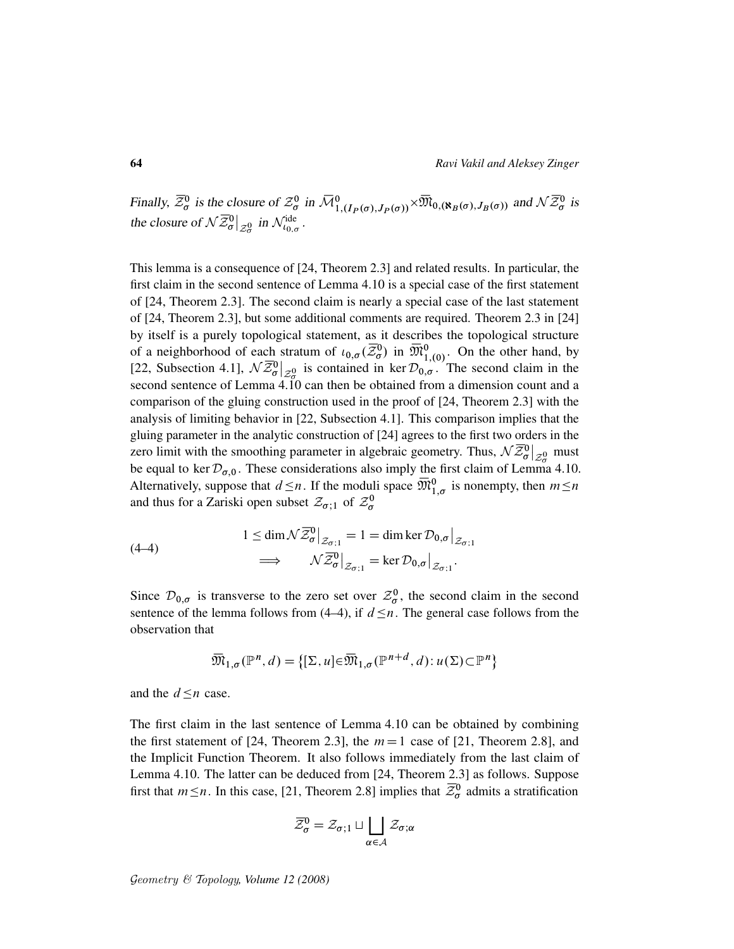Finally,  $\bar{z}_{\sigma}^0$  is the closure of  $z_{\sigma}^0$  in  $\bar{M}_{1,(I_P(\sigma),J_P(\sigma))}^0 \times \bar{\mathfrak{M}}_{0,(\aleph_B(\sigma),J_B(\sigma))}$  and  $\mathcal{N}\bar{z}_{\sigma}^0$  is the closure of  $\mathcal{N}\bar{\mathcal{Z}}_{\sigma}^{0}\big|_{\mathcal{Z}_{\sigma}^{0}}$  in  $\mathcal{N}_{t_{0,\sigma}}^{\text{ide}}$ .

This lemma is a consequence of [24, Theorem 2.3] and related results. In particular, the first claim in the second sentence of Lemma 4.10 is a special case of the first statement of [24, Theorem 2.3]. The second claim is nearly a special case of the last statement of [24, Theorem 2.3], but some additional comments are required. Theorem 2.3 in [24] by itself is a purely topological statement, as it describes the topological structure of a neighborhood of each stratum of  $\iota_{0,\sigma}(\overline{\mathcal{Z}}_0^0)$  in  $\overline{\mathfrak{M}}_{1,(0)}^0$ . On the other hand, by [22, Subsection 4.1],  $\mathcal{N}\overline{\mathcal{Z}_{\sigma}^0}|_{\mathcal{Z}_{\sigma}^0}$  is contained in ker  $\mathcal{D}_{0,\sigma}^{(1,0)}$ . The second claim in the second sentence of Lemma 4.10 can then be obtained from a dimension count and a comparison of the gluing construction used in the proof of [24, Theorem 2.3] with the analysis of limiting behavior in [22, Subsection 4.1]. This comparison implies that the gluing parameter in the analytic construction of [24] agrees to the first two orders in the zero limit with the smoothing parameter in algebraic geometry. Thus,  $\mathcal{N}\bar{Z}_{\sigma}^{0}|_{\mathcal{Z}_{\sigma}^{0}}$  must be equal to ker  $\mathcal{D}_{\sigma,0}$ . These considerations also imply the first claim of Lemma 4.10. Alternatively, suppose that  $d \leq n$ . If the moduli space  $\overline{\mathfrak{M}}_{1,\sigma}^0$  is nonempty, then  $m \leq n$ and thus for a Zariski open subset  $\mathcal{Z}_{\sigma;1}$  of  $\mathcal{Z}_{\sigma}^{0}$ 

(4-4)  
\n
$$
1 \le \dim \mathcal{N} \overline{\mathcal{Z}}_{\sigma}^{0} \big|_{\mathcal{Z}_{\sigma;1}} = 1 = \dim \ker \mathcal{D}_{0,\sigma} \big|_{\mathcal{Z}_{\sigma;1}} \n\implies \qquad \mathcal{N} \overline{\mathcal{Z}}_{\sigma}^{0} \big|_{\mathcal{Z}_{\sigma;1}} = \ker \mathcal{D}_{0,\sigma} \big|_{\mathcal{Z}_{\sigma;1}}.
$$

Since  $\mathcal{D}_{0,\sigma}$  is transverse to the zero set over  $\mathcal{Z}_{\sigma}^0$ , the second claim in the second sentence of the lemma follows from (4–4), if  $d \leq n$ . The general case follows from the observation that

$$
\overline{\mathfrak{M}}_{1,\sigma}(\mathbb{P}^n,d) = \{ [\Sigma, u] \in \overline{\mathfrak{M}}_{1,\sigma}(\mathbb{P}^{n+d},d) : u(\Sigma) \subset \mathbb{P}^n \}
$$

and the  $d \leq n$  case.

The first claim in the last sentence of Lemma 4.10 can be obtained by combining the first statement of [24, Theorem 2.3], the  $m=1$  case of [21, Theorem 2.8], and the Implicit Function Theorem. It also follows immediately from the last claim of Lemma 4.10. The latter can be deduced from [24, Theorem 2.3] as follows. Suppose first that  $m \le n$ . In this case, [21, Theorem 2.8] implies that  $\overline{\mathcal{Z}}_{\sigma}^{0}$  admits a stratification

$$
\overline{\mathcal{Z}}_{\sigma}^{0} = \mathcal{Z}_{\sigma;1} \sqcup \bigsqcup_{\alpha \in \mathcal{A}} \mathcal{Z}_{\sigma;\alpha}
$$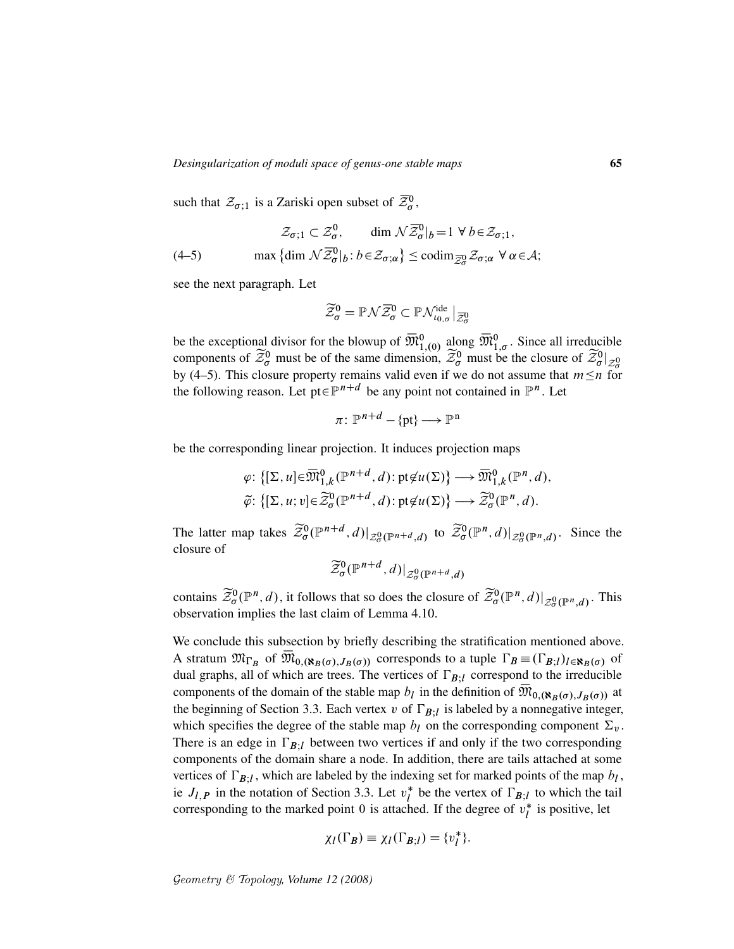such that  $\mathcal{Z}_{\sigma;1}$  is a Zariski open subset of  $\overline{\mathcal{Z}}_{\sigma}^0$ ,

$$
\mathcal{Z}_{\sigma;1} \subset \mathcal{Z}_{\sigma}^{0}, \qquad \dim \mathcal{N} \overline{\mathcal{Z}}_{\sigma}^{0} |_{b} = 1 \ \forall \ b \in \mathcal{Z}_{\sigma;1},
$$
  
(4–5) 
$$
\max \{ \dim \mathcal{N} \overline{\mathcal{Z}}_{\sigma}^{0} |_{b} : b \in \mathcal{Z}_{\sigma;\alpha} \} \leq \operatorname{codim}_{\overline{\mathcal{Z}}_{\sigma}^{0}} \mathcal{Z}_{\sigma;\alpha} \ \forall \ \alpha \in \mathcal{A};
$$

see the next paragraph. Let

$$
\widetilde{\mathcal{Z}}_{\sigma}^{0}=\mathbb{P}\mathcal{N}\overline{\mathcal{Z}}_{\sigma}^{0}\subset \mathbb{P}\mathcal{N}_{\iota_{0,\sigma}}^{\text{ide}}\big|_{\overline{\mathcal{Z}}_{\sigma}^{0}}
$$

be the exceptional divisor for the blowup of  $\overline{\mathfrak{M}}_{1,(0)}^{0}$  along  $\overline{\mathfrak{M}}_{1,\sigma}^{0}$ . Since all irreducible components of  $\widetilde{\mathcal{Z}}_{\sigma}^{0}$  must be of the same dimension,  $\widetilde{\mathcal{Z}}_{\sigma}^{0}$  must be the closure of  $\widetilde{\mathcal{Z}}_{\sigma}^{0}|_{\mathcal{Z}_{\sigma}^{0}}$ by (4–5). This closure property remains valid even if we do not assume that  $m \leq n$  for the following reason. Let pt $\in \mathbb{P}^{n+d}$  be any point not contained in  $\mathbb{P}^n$ . Let

$$
\pi\colon\mathbb{P}^{n+d}-\{\mathrm{pt}\}\longrightarrow\mathbb{P}^{\mathrm{n}}
$$

be the corresponding linear projection. It induces projection maps

$$
\varphi: \{[\Sigma, u] \in \overline{\mathfrak{M}}_{1,k}^{0}(\mathbb{P}^{n+d}, d): \mathrm{pt} \notin u(\Sigma)\} \longrightarrow \overline{\mathfrak{M}}_{1,k}^{0}(\mathbb{P}^{n}, d),
$$
  

$$
\widetilde{\varphi}: \{[\Sigma, u; v] \in \widetilde{\mathcal{Z}}_{\sigma}^{0}(\mathbb{P}^{n+d}, d): \mathrm{pt} \notin u(\Sigma)\} \longrightarrow \widetilde{\mathcal{Z}}_{\sigma}^{0}(\mathbb{P}^{n}, d).
$$

The latter map takes  $\tilde{\mathcal{Z}}_{\sigma}^{0}(\mathbb{P}^{n+d}, d)|_{\mathcal{Z}_{\sigma}^{0}(\mathbb{P}^{n+d}, d)}$  to  $\tilde{\mathcal{Z}}_{\sigma}^{0}(\mathbb{P}^{n}, d)|_{\mathcal{Z}_{\sigma}^{0}(\mathbb{P}^{n}, d)}$ . Since the closure of

$$
\widetilde{\mathcal{Z}}_{\sigma}^{0}(\mathbb{P}^{n+d},d)|_{\mathcal{Z}_{\sigma}^{0}(\mathbb{P}^{n+d},d)}
$$

contains  $\widetilde{\mathcal{Z}}_{\sigma}^{0}(\mathbb{P}^n, d)$ , it follows that so does the closure of  $\widetilde{\mathcal{Z}}_{\sigma}^{0}(\mathbb{P}^n, d)|_{\mathcal{Z}_{\sigma}^{0}(\mathbb{P}^n, d)}$ . This observation implies the last claim of Lemma 4.10.

We conclude this subsection by briefly describing the stratification mentioned above. A stratum  $\mathfrak{M}_{\Gamma_B}$  of  $\overline{\mathfrak{M}}_{0,(\aleph_B(\sigma),J_B(\sigma))}$  corresponds to a tuple  $\Gamma_B \equiv (\Gamma_{B,l})_{l \in \aleph_B(\sigma)}$  of dual graphs, all of which are trees. The vertices of  $\Gamma_{B,l}$  correspond to the irreducible components of the domain of the stable map  $b_l$  in the definition of  $\overline{\mathfrak{M}}_{0,(\aleph_B(\sigma),J_B(\sigma))}$  at the beginning of Section 3.3. Each vertex v of  $\Gamma_{B,l}$  is labeled by a nonnegative integer, which specifies the degree of the stable map  $b_l$  on the corresponding component  $\Sigma_{\nu}$ . There is an edge in  $\Gamma_{B}$ <sub>I</sub> between two vertices if and only if the two corresponding components of the domain share a node. In addition, there are tails attached at some vertices of  $\Gamma_{B;l}$ , which are labeled by the indexing set for marked points of the map  $b_l$ , ie  $J_{l,P}$  in the notation of Section 3.3. Let  $v_l^*$ <sup>\*</sup> be the vertex of  $\Gamma_{B,l}$  to which the tail corresponding to the marked point 0 is attached. If the degree of  $v_l^*$  $i<sub>l</sub>$  is positive, let

$$
\chi_l(\Gamma_B) \equiv \chi_l(\Gamma_{B;l}) = \{v_l^*\}.
$$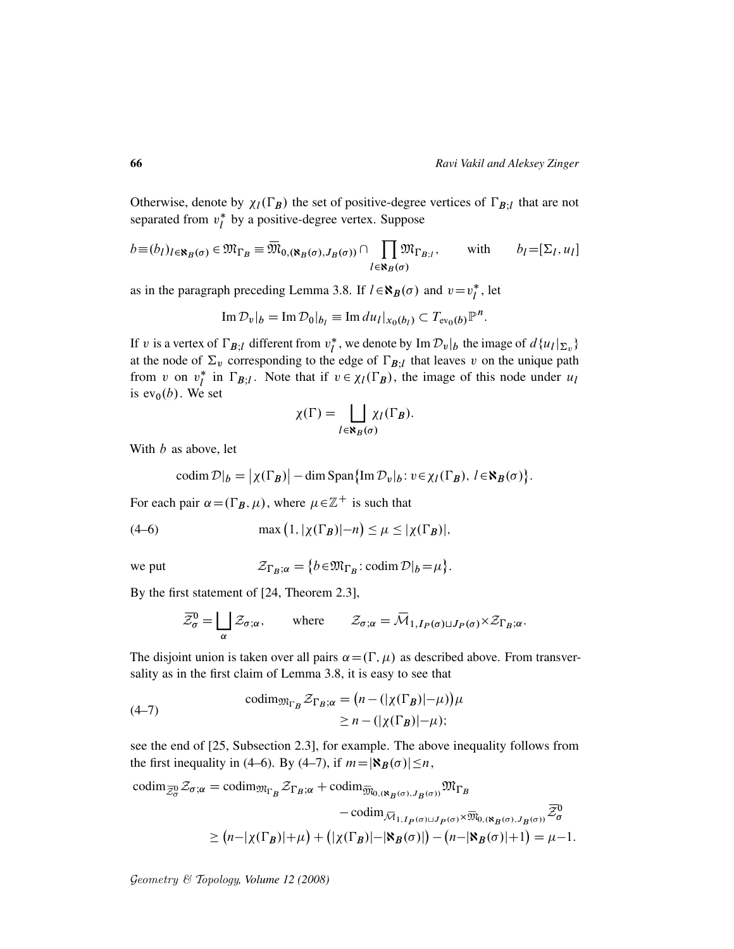Otherwise, denote by  $\chi_l(\Gamma_B)$  the set of positive-degree vertices of  $\Gamma_{B;l}$  that are not separated from  $v_l^*$  $\frac{1}{l}$  by a positive-degree vertex. Suppose

$$
b \equiv (b_l)_{l \in \mathbf{N}_B(\sigma)} \in \mathfrak{M}_{\Gamma_B} \equiv \overline{\mathfrak{M}}_{0,(\mathbf{N}_B(\sigma), J_B(\sigma))} \cap \prod_{l \in \mathbf{N}_B(\sigma)} \mathfrak{M}_{\Gamma_{B;l}}, \quad \text{with} \quad b_l = [\Sigma_l, u_l]
$$

as in the paragraph preceding Lemma 3.8. If  $l \in \mathbf{N}_B(\sigma)$  and  $v=v_l^*$  $\iota^*$ , let

$$
\operatorname{Im} \mathcal{D}_v|_b = \operatorname{Im} \mathcal{D}_0|_{b_l} \equiv \operatorname{Im} du_l|_{x_0(b_l)} \subset T_{ev_0(b)}\mathbb{P}^n.
$$

If v is a vertex of  $\Gamma_{B;l}$  different from  $v_l^*$ <sup>\*</sup>, we denote by  $\text{Im } \mathcal{D}_v|_b$  the image of  $d\{u_l|_{\Sigma_v}\}$ at the node of  $\Sigma_{\nu}$  corresponding to the edge of  $\Gamma_{B;l}$  that leaves v on the unique path from v on  $v_l^*$ <sup>\*</sup> in  $\Gamma_{B;l}$ . Note that if  $v \in \chi_l(\Gamma_B)$ , the image of this node under  $u_l$ is  $ev_0(b)$ . We set

$$
\chi(\Gamma) = \bigsqcup_{l \in \aleph_B(\sigma)} \chi_l(\Gamma_B).
$$

With  $b$  as above, let

$$
\operatorname{codim} \mathcal{D}|_b = |\chi(\Gamma_B)| - \dim \operatorname{Span}\{\operatorname{Im} \mathcal{D}_v|_b : v \in \chi_l(\Gamma_B), \ l \in \aleph_B(\sigma)\}.
$$

For each pair  $\alpha = (\Gamma_B, \mu)$ , where  $\mu \in \mathbb{Z}^+$  is such that

(4-6) 
$$
\max (1, |\chi(\Gamma_B)| - n) \le \mu \le |\chi(\Gamma_B)|,
$$

we put  $\mathcal{Z}$ 

$$
r_{B,\alpha} = \{b \in \mathfrak{M}_{\Gamma_B}: \mathrm{codim}\,\mathcal{D}|_b = \mu\}.
$$

By the first statement of [24, Theorem 2.3],

$$
\overline{\mathcal{Z}}_{\sigma}^{0} = \bigsqcup_{\alpha} \mathcal{Z}_{\sigma;\alpha}, \qquad \text{where} \qquad \mathcal{Z}_{\sigma;\alpha} = \overline{\mathcal{M}}_{1, I_{P}(\sigma) \sqcup J_{P}(\sigma)} \times \mathcal{Z}_{\Gamma_{B};\alpha}.
$$

The disjoint union is taken over all pairs  $\alpha = (\Gamma, \mu)$  as described above. From transversality as in the first claim of Lemma 3.8, it is easy to see that

(4-7)  
\n
$$
\operatorname{codim}_{\mathfrak{M}_{\Gamma_B}} \mathcal{Z}_{\Gamma_B; \alpha} = (n - (|\chi(\Gamma_B)| - \mu))\mu
$$
\n
$$
\geq n - (|\chi(\Gamma_B)| - \mu);
$$

see the end of [25, Subsection 2.3], for example. The above inequality follows from the first inequality in (4–6). By (4–7), if  $m=|\mathcal{R}_B(\sigma)|\leq n$ ,

$$
\operatorname{codim}_{\overline{Z}_{\sigma}^0} \mathcal{Z}_{\sigma;\alpha} = \operatorname{codim}_{\mathfrak{M}_{\Gamma_B}} \mathcal{Z}_{\Gamma_B;\alpha} + \operatorname{codim}_{\overline{\mathfrak{M}}_{0,(\aleph_B(\sigma), J_B(\sigma))}} \mathfrak{M}_{\Gamma_B}
$$

$$
- \operatorname{codim}_{\overline{\mathcal{M}}_{1, I_P(\sigma) \sqcup J_P(\sigma)} \times \overline{\mathfrak{M}}_{0,(\aleph_B(\sigma), J_B(\sigma))}} \overline{\mathcal{Z}}_{\sigma}^0
$$

$$
\geq (n - |\chi(\Gamma_B)| + \mu) + (|\chi(\Gamma_B)| - |\aleph_B(\sigma)|) - (n - |\aleph_B(\sigma)| + 1) = \mu - 1.
$$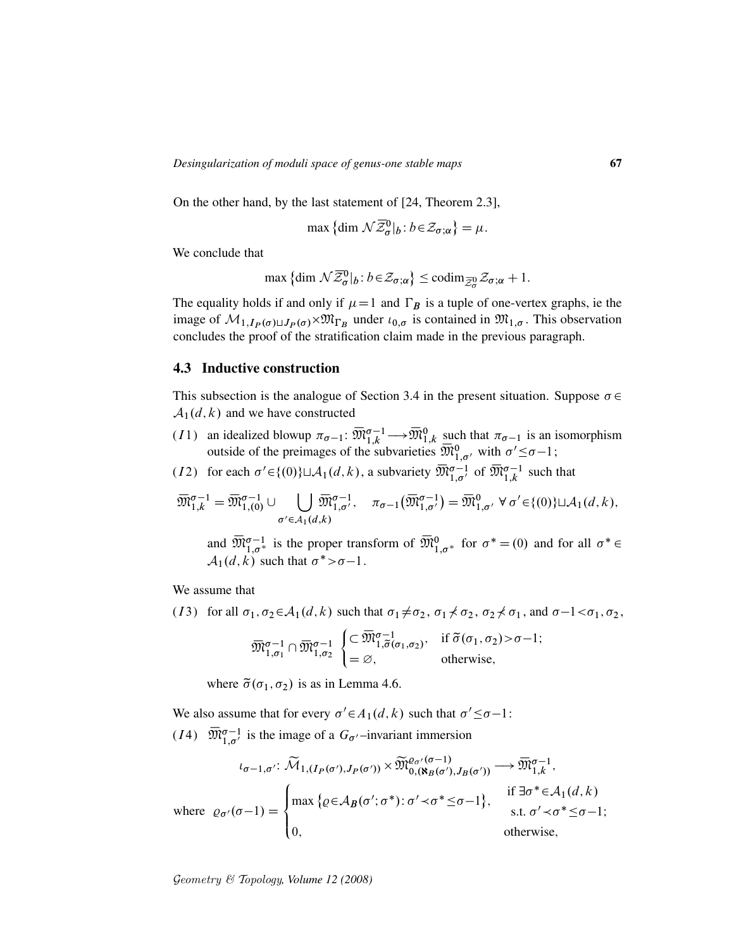On the other hand, by the last statement of [24, Theorem 2.3],

$$
\max\left\{\dim \mathcal{N}\overline{\mathcal{Z}}_{\sigma}^{0}|_{b}: b \in \mathcal{Z}_{\sigma;\alpha}\right\} = \mu.
$$

We conclude that

$$
\max \left\{ \dim \mathcal{N} \overline{\mathcal{Z}}_{\sigma}^0 |_{b} : b \in \mathcal{Z}_{\sigma; \alpha} \right\} \leq \operatorname{codim}_{\overline{\mathcal{Z}}_{\sigma}^0} \mathcal{Z}_{\sigma; \alpha} + 1.
$$

The equality holds if and only if  $\mu=1$  and  $\Gamma_B$  is a tuple of one-vertex graphs, ie the image of  $M_{1,I_P(\sigma)\sqcup J_P(\sigma)}\times \mathfrak{M}_{\Gamma_B}$  under  $\iota_{0,\sigma}$  is contained in  $\mathfrak{M}_{1,\sigma}$ . This observation concludes the proof of the stratification claim made in the previous paragraph.

### 4.3 Inductive construction

This subsection is the analogue of Section 3.4 in the present situation. Suppose  $\sigma \in$  $A_1(d, k)$  and we have constructed

- (11) an idealized blowup  $\pi_{\sigma-1}$ :  $\overline{\mathfrak{M}}_{1,k}^{\sigma-1} \longrightarrow \overline{\mathfrak{M}}_{1,k}^0$  such that  $\pi_{\sigma-1}$  is an isomorphism outside of the preimages of the subvarieties  $\overline{\mathfrak{M}}_{1,\sigma}^{0}$  with  $\sigma' \leq \sigma-1$ ;
- (12) for each  $\sigma' \in \{(0)\} \sqcup \mathcal{A}_1(d, k)$ , a subvariety  $\overline{\mathfrak{M}}_{1, \sigma'}^{\sigma-1}$  of  $\overline{\mathfrak{M}}_{1, k}^{\sigma-1}$  such that

$$
\overline{\mathfrak{M}}_{1,k}^{\sigma-1}=\overline{\mathfrak{M}}_{1,(0)}^{\sigma-1}\cup\bigcup_{\sigma'\in \mathcal{A}_1(d,k)}\overline{\mathfrak{M}}_{1,\sigma'}^{\sigma-1},\quad \pi_{\sigma-1}\big(\overline{\mathfrak{M}}_{1,\sigma'}^{\sigma-1}\big)=\overline{\mathfrak{M}}_{1,\sigma'}^0\ \forall\ \sigma'\!\in\!\{(0)\}\sqcup\mathcal{A}_1(d,k),
$$

and  $\overline{\mathfrak{M}}_{1,\sigma^*}^{\sigma-1}$  is the proper transform of  $\overline{\mathfrak{M}}_{1,\sigma^*}^0$  for  $\sigma^* = (0)$  and for all  $\sigma^* \in$  $\mathcal{A}_1(d, k)$  such that  $\sigma^* > \sigma - 1$ .

We assume that

(I3) for all  $\sigma_1, \sigma_2 \in A_1(d, k)$  such that  $\sigma_1 \neq \sigma_2$ ,  $\sigma_1 \neq \sigma_2$ ,  $\sigma_2 \neq \sigma_1$ , and  $\sigma -1 < \sigma_1, \sigma_2$ ,

$$
\overline{\mathfrak{M}}_{1,\sigma_1}^{\sigma-1} \cap \overline{\mathfrak{M}}_{1,\sigma_2}^{\sigma-1} \begin{cases} \subset \overline{\mathfrak{M}}_{1,\widetilde{\sigma}(\sigma_1,\sigma_2)}^{\sigma-1}, & \text{if } \widetilde{\sigma}(\sigma_1,\sigma_2) > \sigma - 1; \\ = \varnothing, & \text{otherwise}, \end{cases}
$$

where  $\tilde{\sigma}(\sigma_1, \sigma_2)$  is as in Lemma 4.6.

We also assume that for every  $\sigma' \in A_1(d, k)$  such that  $\sigma' \leq \sigma - 1$ : (14)  $\overline{\mathfrak{M}}_{1,\sigma'}^{\sigma-1}$  is the image of a  $G_{\sigma'}$ -invariant immersion

$$
\iota_{\sigma-1,\sigma'} \colon \widetilde{\mathcal{M}}_{1,(I_P(\sigma'),J_P(\sigma'))} \times \widetilde{\mathfrak{M}}_{0,(\aleph_B(\sigma'),J_B(\sigma'))}^{\varrho_{\sigma'}(\sigma-1)} \longrightarrow \overline{\mathfrak{M}}_{1,k}^{\sigma-1},
$$
\nwhere  $\varrho_{\sigma'}(\sigma-1) = \begin{cases} \max \{ \varrho \in \mathcal{A}_B(\sigma'; \sigma^*): \sigma' \prec \sigma^* \leq \sigma - 1 \}, & \text{if } \exists \sigma^* \in \mathcal{A}_1(d,k) \\ 0, & \text{otherwise,} \end{cases}$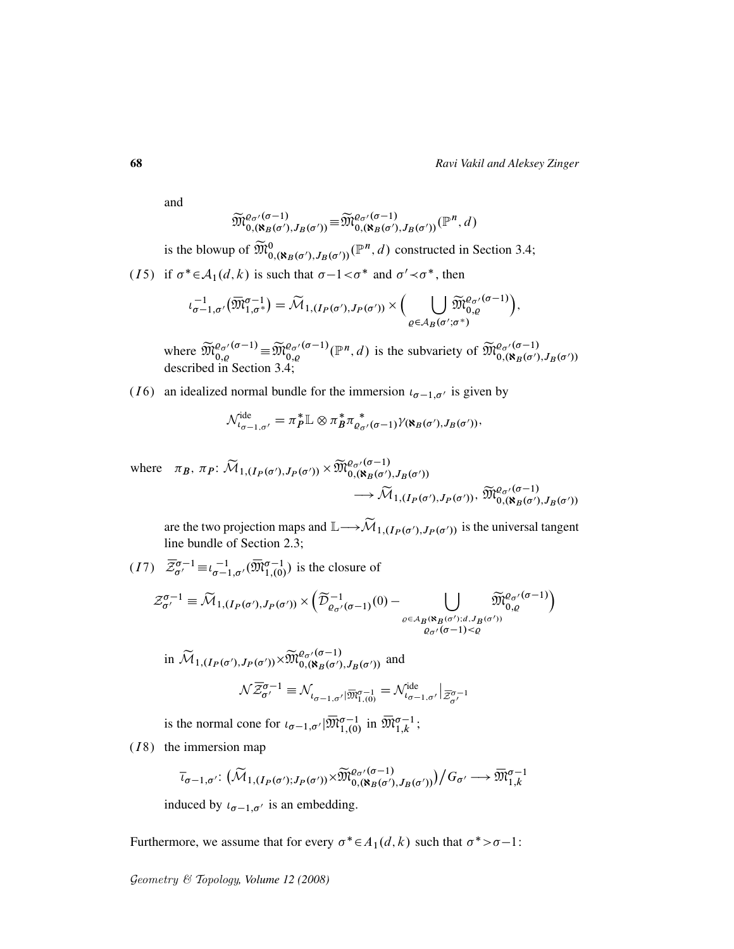and

$$
\widetilde{\mathfrak{M}}_{0,(\aleph_B(\sigma'),J_B(\sigma'))}^{\varrho_{\sigma'}(\sigma-1)} \equiv \widetilde{\mathfrak{M}}_{0,(\aleph_B(\sigma'),J_B(\sigma'))}^{\varrho_{\sigma'}(\sigma-1)}(\mathbb{P}^n,d)
$$

is the blowup of  $\widetilde{M}_{0,(\aleph_B(\sigma'),J_B(\sigma'))}^{0}(\mathbb{P}^n,d)$  constructed in Section 3.4;

(15) if  $\sigma^* \in A_1(d, k)$  is such that  $\sigma -1 < \sigma^*$  and  $\sigma' < \sigma^*$ , then

$$
\iota_{\sigma-1,\sigma'}^{-1}(\overline{\mathfrak{M}}_{1,\sigma^*}^{\sigma-1})=\widetilde{\mathcal{M}}_{1,(I_P(\sigma'),J_P(\sigma'))}\times \Big(\bigcup_{\varrho\in \mathcal{A}_B(\sigma';\sigma^*)}\widetilde{\mathfrak{M}}_{0,\varrho}^{\varrho_{\sigma'}(\sigma-1)}\Big),
$$

where  $\widetilde{\mathfrak{M}}_{0,q}^{\varrho_{\sigma'}(\sigma-1)} \equiv \widetilde{\mathfrak{M}}_{0,\varrho}^{\varrho_{\sigma'}(\sigma-1)}(\mathbb{P}^n,d)$  is the subvariety of  $\widetilde{\mathfrak{M}}_{0,(\aleph_B(\sigma'),J_B(\sigma')}^{\varrho_{\sigma'}(\sigma-1)}$ described in Section 3.4;

(*I* 6) an idealized normal bundle for the immersion  $\iota_{\sigma-1,\sigma'}$  is given by

$$
\mathcal{N}_{\iota_{\sigma-1,\sigma'}}^{\mathrm{ide}} = \pi_P^* \mathbb{L} \otimes \pi_B^* \pi_{\varrho_{\sigma'}(\sigma-1)}^* \gamma_{\mathbf{R}(\sigma'),J_B(\sigma')}^*,
$$

where  $\pi_B$ ,  $\pi_P$ :  $\widetilde{\mathcal{M}}_{1,(I_P(\sigma'),J_P(\sigma'))} \times \widetilde{\mathfrak{M}}_{0,(\aleph_B(\sigma'),J_B(\sigma'))}^{\varrho_{\sigma'}(\sigma-1)}$  $\longrightarrow {\widetilde {\cal M}}_{1,(I_P(\sigma'),J_P(\sigma'))},\, {\widetilde {\frak M}}_{0,({\bf k}_B(\sigma'),J_B(\sigma'))}^{\varrho_{\sigma'}(\sigma-1)}$ 

are the two projection maps and  $\mathbb{L}\longrightarrow \widetilde{\mathcal{M}}_{1,(I_P(\sigma'),J_P(\sigma'))}$  is the universal tangent line bundle of Section 2.3;

 $(I7)$   $\overline{\mathcal{Z}}_{\sigma'}^{\sigma-1} \equiv \iota_{\sigma-1,\sigma'}^{-1}(\overline{\mathfrak{M}}_{1,(0)}^{\sigma-1})$  is the closure of  $\mathcal{Z}_{\sigma'}^{\sigma-1} \equiv \widetilde{\mathcal{M}}_{1, (I_P(\sigma'), J_P(\sigma'))} \times \left( \widetilde{\mathcal{D}}^{-1}_{\varrho_{\sigma'}(\sigma-1)}(0) - \right) \qquad \qquad \bigcup \qquad \widetilde{\mathfrak{M}}_{0, \varrho}^{\varrho_{\sigma'}(\sigma-1)} \right)$ 

$$
\begin{array}{c}\n\varphi \in A_B(\aleph_B(\sigma'); d, J_B(\sigma')) \\
\varphi_{\sigma'}(\sigma-1) < \varrho\n\end{array}
$$
\nin

\n
$$
\widetilde{\mathcal{M}}_{1,(I_P(\sigma'), J_P(\sigma'))} \times \widetilde{\mathcal{M}}_{0,(\aleph_B(\sigma'), J_B(\sigma'))}^{\varrho_{\sigma'}(\sigma-1)}
$$
\nand

$$
\mathcal{N}\overline{\mathcal{Z}}^{\sigma-1}_{\sigma'}\equiv\mathcal{N}_{\iota_{\sigma-1,\sigma'}|\overline{\mathfrak{M}}^{\sigma-1}_{1,(0)}}=\mathcal{N}^{\mathrm{ide}}_{\iota_{\sigma-1,\sigma'}}\big|_{\overline{\mathcal{Z}}^{\sigma-1}_{\sigma'}}
$$

is the normal cone for  $\iota_{\sigma-1,\sigma'}|\overline{\mathfrak{M}}_{1,(0)}^{\sigma-1}$  in  $\overline{\mathfrak{M}}_{1,k}^{\sigma-1}$ ;

 $(I8)$  the immersion map

$$
\overline{\iota}_{\sigma-1,\sigma'}\colon \big(\widetilde{\mathcal{M}}_{1,(I_P(\sigma');J_P(\sigma'))}\times \widetilde{\mathfrak{M}}_{0,(\aleph_B(\sigma'),J_B(\sigma'))}^{\varrho_{\sigma'}(-1)}\big)\big/G_{\sigma'}\longrightarrow \overline{\mathfrak{M}}_{1,k}^{\sigma-1}
$$

induced by  $\iota_{\sigma-1,\sigma'}$  is an embedding.

Furthermore, we assume that for every  $\sigma^* \in A_1(d, k)$  such that  $\sigma^* > \sigma - 1$ :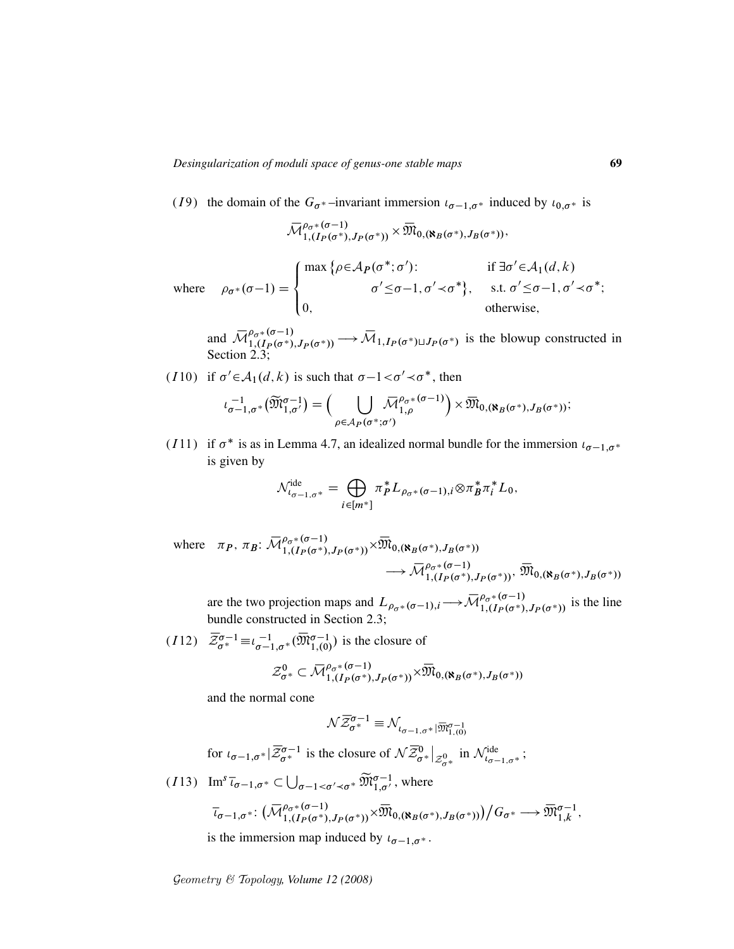(19) the domain of the  $G_{\sigma^*}$ –invariant immersion  $\iota_{\sigma-1,\sigma^*}$  induced by  $\iota_{0,\sigma^*}$  is

$$
{\mathbin{\smash{\,\,\overline{\!\!\mathcal M\!}\,}}}_{1,(I_P(\sigma^*),J_P(\sigma^*))}^{\rho_\sigma*(\sigma-1)}\times{\mathbin{\smash{\,\,\overline{\!\!\mathcal M\!}\,}}}_{0,({\mathbf X}_B(\sigma^*),J_B(\sigma^*))},
$$

where  $\rho_{\sigma^*}(\sigma-1) =$ 8  $\vert$  $\overline{\mathcal{L}}$ max { $\rho \in A_P(\sigma^*; \sigma')$ :  $\sigma' \leq \sigma - 1, \sigma' \prec \sigma^* \},$ if  $\exists \sigma' \in A_1(d, k)$ s.t.  $\sigma' \leq \sigma - 1$ ,  $\sigma' \prec \sigma^*$ ; 0, otherwise,

and  $\overline{\mathcal{M}}_{1,(I_{P}(\sigma^{*}),J_{P}(\sigma^{*}))}^{0,\sigma^{*}} \longrightarrow \overline{\mathcal{M}}_{1,I_{P}(\sigma^{*})\sqcup J_{P}(\sigma^{*})}$  is the blowup constructed in Section 2.3;

(110) if  $\sigma' \in A_1(d, k)$  is such that  $\sigma -1 < \sigma' < \sigma^*$ , then

$$
\iota_{\sigma-1,\sigma^*}^{-1}(\widetilde{\mathfrak{M}}_{1,\sigma'}^{\sigma-1})=\Big(\bigcup_{\rho\in A_P(\sigma^*;\sigma')}\bar{\mathcal{M}}_{1,\rho}^{\rho_{\sigma^*}(\sigma-1)}\Big)\times\overline{\mathfrak{M}}_{0,(\aleph_B(\sigma^*),J_B(\sigma^*))};
$$

(I11) if  $\sigma^*$  is as in Lemma 4.7, an idealized normal bundle for the immersion  $\iota_{\sigma-1,\sigma^*}$ is given by

$$
\mathcal{N}^{\text{ide}}_{\iota_{\sigma-1,\sigma^*}} = \bigoplus_{i \in [m^*]} \pi_P^* L_{\rho_{\sigma^*}(\sigma-1),i} \otimes \pi_B^* \pi_i^* L_0,
$$

where  $\pi_P$ ,  $\pi_B$ :  $\overline{\mathcal{M}}_{1,(I_P(\sigma^*), J_P(\sigma^*))}^{\rho_\sigma*(\sigma-1)} \times \overline{\mathfrak{M}}_{0,(\aleph_B(\sigma^*), J_B(\sigma^*))}$  $\longrightarrow \bar{\mathcal{M}}_{1,(I_P(\sigma^*),J_P(\sigma^*))}^{\rho_{\sigma^*}(\sigma-1)},\ \bar{\mathfrak{M}}_{0,(\mathbf{N}_B(\sigma^*),J_B(\sigma^*))}$ 

are the two projection maps and  $L_{\rho_{\sigma^*}(\sigma-1),i} \to \overline{\mathcal{M}}_{1,(I_P(\sigma^*),J_P(\sigma^*))}^{\rho_{\sigma^*}(\sigma-1)}$  is the line bundle constructed in Section 2.3;

 $(I12)$   $\overline{\mathcal{Z}}_{\sigma^*}^{\sigma-1} \equiv \iota_{\sigma-1,\sigma^*}^{-1}(\overline{\mathfrak{M}}_{1,(0)}^{\sigma-1})$  is the closure of

$$
\mathcal{Z}_{\sigma^*}^0 \subset \overline{\mathcal{M}}_{1,(I_P(\sigma^*), J_P(\sigma^*))}^{\rho_{\sigma^*}(\sigma-1)} \times \overline{\mathfrak{M}}_{0,(\aleph_B(\sigma^*), J_B(\sigma^*))}
$$

and the normal cone

$$
\mathcal{N}\overline{\mathcal{Z}}_{\sigma^*}^{\sigma-1}\equiv\mathcal{N}_{\iota_{\sigma-1,\sigma^*}|\overline{\mathfrak{M}}_{1,(0)}^{\sigma-1}}
$$

for 
$$
\iota_{\sigma-1,\sigma^*}|\overline{\mathcal{Z}}_{\sigma^*}^{\sigma-1}
$$
 is the closure of  $\mathcal{N}\overline{\mathcal{Z}}_{\sigma^*}^0|_{\mathcal{Z}_{\sigma^*}^0}$  in  $\mathcal{N}_{\iota_{\sigma-1,\sigma^*}}^{\text{ide}}$ ;

(113) 
$$
\text{Im}^s \overline{\iota}_{\sigma-1,\sigma^*} \subset \bigcup_{\sigma-1 < \sigma' \prec \sigma^*} \widetilde{\mathfrak{M}}_{1,\sigma'}^{\sigma-1}, \text{ where}
$$
  
\n
$$
\overline{\iota}_{\sigma-1,\sigma^*}: \left( \overline{\mathcal{M}}_{1,(I_P(\sigma^*),J_P(\sigma^*))}^{\rho_{\sigma^*}(\sigma-1)} \times \overline{\mathfrak{M}}_{0,(\aleph_B(\sigma^*),J_B(\sigma^*))} \right) / G_{\sigma^*} \longrightarrow \overline{\mathfrak{M}}_{1,k}^{\sigma-1},
$$

is the immersion map induced by  $t_{\sigma-1,\sigma^*}$ .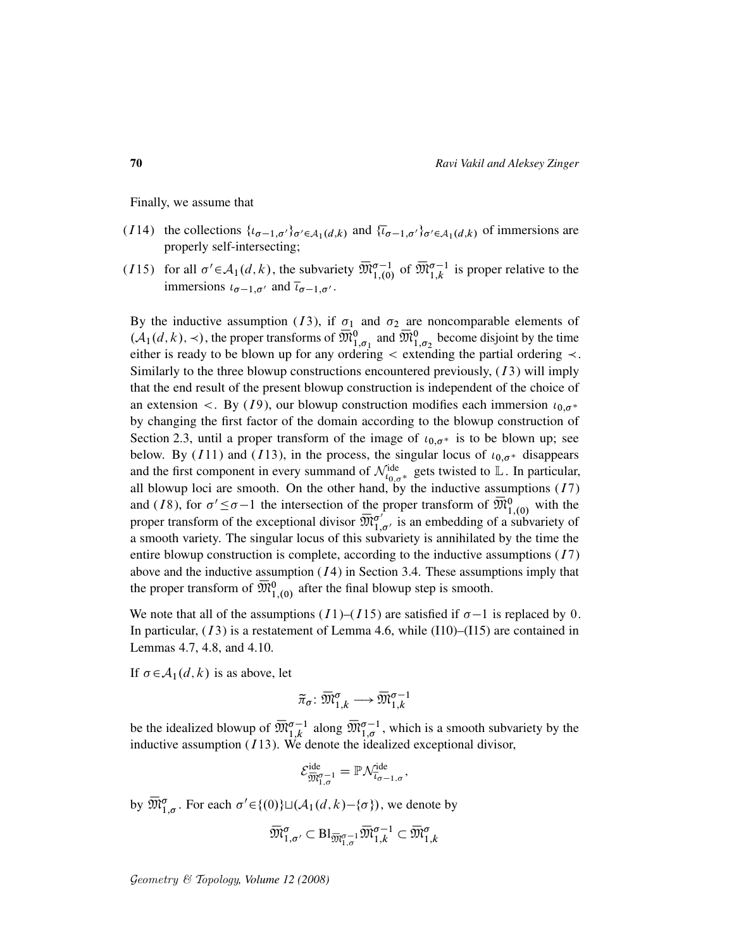Finally, we assume that

- (I14) the collections  $\{t_{\sigma-1,\sigma'}\}_{\sigma'\in\mathcal{A}_1(d,k)}$  and  $\{\bar{t}_{\sigma-1,\sigma'}\}_{\sigma'\in\mathcal{A}_1(d,k)}$  of immersions are properly self-intersecting;
- (115) for all  $\sigma' \in A_1(d, k)$ , the subvariety  $\overline{\mathfrak{M}}_{1,(0)}^{\sigma-1}$  of  $\overline{\mathfrak{M}}_{1,k}^{\sigma-1}$  is proper relative to the immersions  $\iota_{\sigma-1,\sigma'}$  and  $\overline{\iota}_{\sigma-1,\sigma'}$ .

By the inductive assumption (13), if  $\sigma_1$  and  $\sigma_2$  are noncomparable elements of  $(A_1(d, k), \prec)$ , the proper transforms of  $\overline{\mathfrak{M}}_{1, \sigma_1}^0$  and  $\overline{\mathfrak{M}}_{1, \sigma_2}^0$  become disjoint by the time either is ready to be blown up for any ordering  $\lt$  extending the partial ordering  $\lt$ . Similarly to the three blowup constructions encountered previously,  $(13)$  will imply that the end result of the present blowup construction is independent of the choice of an extension <. By (19), our blowup construction modifies each immersion  $\iota_{0,\sigma^*}$ by changing the first factor of the domain according to the blowup construction of Section 2.3, until a proper transform of the image of  $\iota_{0,\sigma^*}$  is to be blown up; see below. By (I11) and (I13), in the process, the singular locus of  $\iota_{0,\sigma^*}$  disappears and the first component in every summand of  $\mathcal{N}_{t_{0,\sigma^*}}^{\text{ide}}$  gets twisted to  $\mathbb{L}$ . In particular, all blowup loci are smooth. On the other hand, by the inductive assumptions  $(17)$ and (18), for  $\sigma' \leq \sigma - 1$  the intersection of the proper transform of  $\overline{\mathfrak{M}}_{1,(0)}^0$  with the proper transform of the exceptional divisor  $\overline{\mathfrak{M}}_1^{\sigma'}$  $\int_{1,\sigma'}^{\sigma'}$  is an embedding of a subvariety of a smooth variety. The singular locus of this subvariety is annihilated by the time the entire blowup construction is complete, according to the inductive assumptions  $(17)$ above and the inductive assumption  $(14)$  in Section 3.4. These assumptions imply that the proper transform of  $\overline{\mathfrak{M}}_{1,(0)}^{0}$  after the final blowup step is smooth.

We note that all of the assumptions  $(I1)$ – $(I15)$  are satisfied if  $\sigma$ –1 is replaced by 0. In particular,  $(13)$  is a restatement of Lemma 4.6, while  $(110)$ – $(115)$  are contained in Lemmas 4.7, 4.8, and 4.10.

If  $\sigma \in A_1(d, k)$  is as above, let

$$
\widetilde{\pi}_{\sigma} \colon \overline{\mathfrak{M}}^{\sigma}_{1,k} \longrightarrow \overline{\mathfrak{M}}^{\sigma-1}_{1,k}
$$

be the idealized blowup of  $\overline{\mathfrak{M}}_{1,k}^{\sigma-1}$  along  $\overline{\mathfrak{M}}_{1,\sigma}^{\sigma-1}$ , which is a smooth subvariety by the inductive assumption  $(I13)$ . We denote the idealized exceptional divisor,

$$
\mathcal{E}_{\overline{\mathfrak{M}}_{1,\sigma}^{\sigma-1}}^{\mathrm{ide}} = \mathbb{P} \mathcal{N}_{\overline{\iota}_{\sigma-1,\sigma}}^{\mathrm{ide}},
$$

by  $\overline{\mathfrak{M}}_{1,\sigma}^{\sigma}$ . For each  $\sigma' \in \{(0)\} \sqcup (\mathcal{A}_1(d,k)-\{\sigma\})$ , we denote by

$$
\overline{\mathfrak{M}}^{\sigma}_{1,\sigma'} \subset \operatorname{Bl}_{\overline{\mathfrak{M}}^{\sigma-1}_{1,\sigma}} \overline{\mathfrak{M}}^{\sigma-1}_{1,k} \subset \overline{\mathfrak{M}}^{\sigma}_{1,k}
$$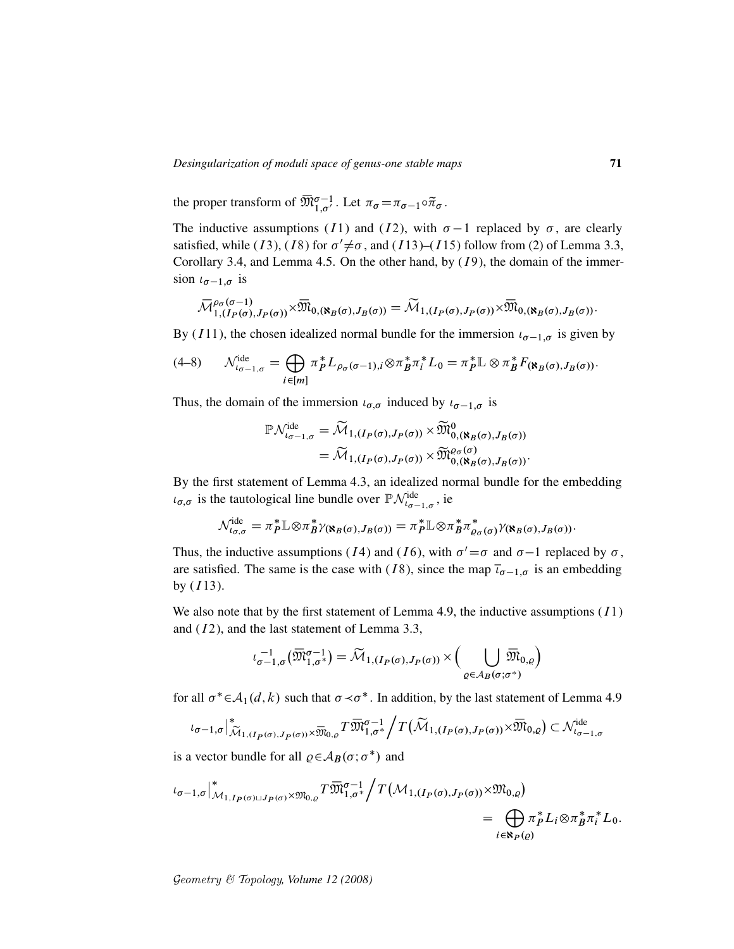the proper transform of  $\overline{\mathfrak{M}}_{1,\sigma'}^{\sigma-1}$ . Let  $\pi_{\sigma} = \pi_{\sigma-1} \circ \widetilde{\pi}_{\sigma}$ .

The inductive assumptions (I1) and (I2), with  $\sigma-1$  replaced by  $\sigma$ , are clearly satisfied, while (*I*3), (*I*8) for  $\sigma' \neq \sigma$ , and (*I*13)–(*I*15) follow from (2) of Lemma 3.3, Corollary 3.4, and Lemma 4.5. On the other hand, by  $(I9)$ , the domain of the immersion  $\iota_{\sigma-1,\sigma}$  is

$$
\overline{\mathcal{M}}_{1,(I_P(\sigma),J_P(\sigma))}^{\rho_{\sigma}(\sigma-1)} \times \overline{\mathfrak{M}}_{0,(\aleph_B(\sigma),J_B(\sigma))} = \widetilde{\mathcal{M}}_{1,(I_P(\sigma),J_P(\sigma))} \times \overline{\mathfrak{M}}_{0,(\aleph_B(\sigma),J_B(\sigma))}.
$$

By (*I*11), the chosen idealized normal bundle for the immersion  $\iota_{\sigma-1,\sigma}$  is given by

$$
(4-8) \qquad \mathcal{N}_{\iota_{\sigma-1,\sigma}}^{\mathrm{ide}} = \bigoplus_{i \in [m]} \pi_P^* L_{\rho_\sigma(\sigma-1),i} \otimes \pi_B^* \pi_i^* L_0 = \pi_P^* \mathbb{L} \otimes \pi_B^* F_{(\aleph_B(\sigma),J_B(\sigma))}.
$$

Thus, the domain of the immersion  $\iota_{\sigma,\sigma}$  induced by  $\iota_{\sigma-1,\sigma}$  is

$$
\mathbb{P}\mathcal{N}_{\iota_{\sigma-1,\sigma}}^{\text{ide}} = \widetilde{\mathcal{M}}_{1,(I_P(\sigma),J_P(\sigma))} \times \widetilde{\mathfrak{M}}_{0,(\aleph_B(\sigma),J_B(\sigma))}^0
$$

$$
= \widetilde{\mathcal{M}}_{1,(I_P(\sigma),J_P(\sigma))} \times \widetilde{\mathfrak{M}}_{0,(\aleph_B(\sigma),J_B(\sigma))}^{\varrho_{\sigma}(\sigma)}.
$$

By the first statement of Lemma 4.3, an idealized normal bundle for the embedding  $u_{\sigma,\sigma}$  is the tautological line bundle over  $\mathbb{P} \mathcal{N}_{t_{\sigma-1,\sigma}}^{i_{\text{de}}}$ , ie

$$
\mathcal{N}_{\iota_{\sigma,\sigma}}^{\mathrm{ide}} = \pi_P^* \mathbb{L} \otimes \pi_B^* \gamma_{(\aleph_B(\sigma),J_B(\sigma))} = \pi_P^* \mathbb{L} \otimes \pi_B^* \pi_{\varrho_{\sigma}(\sigma)}^* \gamma_{(\aleph_B(\sigma),J_B(\sigma))}.
$$

Thus, the inductive assumptions (14) and (16), with  $\sigma' = \sigma$  and  $\sigma - 1$  replaced by  $\sigma$ , are satisfied. The same is the case with (18), since the map  $\bar{i}_{\sigma-1,\sigma}$  is an embedding by  $(113)$ .

We also note that by the first statement of Lemma 4.9, the inductive assumptions  $(11)$ and  $(I2)$ , and the last statement of Lemma 3.3,

$$
\iota_{\sigma-1,\sigma}^{-1}(\overline{\mathfrak{M}}_{1,\sigma}^{\sigma-1}) = \widetilde{\mathcal{M}}_{1,(I_P(\sigma),J_P(\sigma))} \times \Big( \bigcup_{\varrho \in \mathcal{A}_B(\sigma;\sigma^*)} \overline{\mathfrak{M}}_{0,\varrho} \Big)
$$

for all  $\sigma^* \in A_1(d, k)$  such that  $\sigma \prec \sigma^*$ . In addition, by the last statement of Lemma 4.9

$$
\iota_{\sigma-1,\sigma}\big|_{\widetilde{\mathcal{M}}_{1,(\textbf{I}_P(\sigma),\textbf{J}_P(\sigma))}\times\overline{\mathfrak{M}}_{0,\varrho}}T\overline{\mathfrak{M}}_{1,\sigma^*}^{\sigma-1}\bigg/T\big(\widetilde{\mathcal{M}}_{1,(\textbf{I}_P(\sigma),\textbf{J}_P(\sigma))}\times\overline{\mathfrak{M}}_{0,\varrho}\big)\subset \mathcal{N}_{\iota_{\sigma-1,\sigma}}^{\text{ide}}
$$

is a vector bundle for all  $\rho \in A_B(\sigma; \sigma^*)$  and

$$
\iota_{\sigma-1,\sigma}\Big|^*_{\mathcal{M}_{1,I_P(\sigma)\sqcup J_P(\sigma)}\times \mathfrak{M}_{0,\varrho}}T\overline{\mathfrak{M}}_{1,\sigma^*}^{\sigma-1}\Big/T\big(\mathcal{M}_{1,(I_P(\sigma),J_P(\sigma))}\times \mathfrak{M}_{0,\varrho}\big)
$$
  
= 
$$
\bigoplus_{i\in\mathbf{N}_P(\varrho)}\pi_P^*L_i\otimes \pi_B^*\pi_i^*L_0.
$$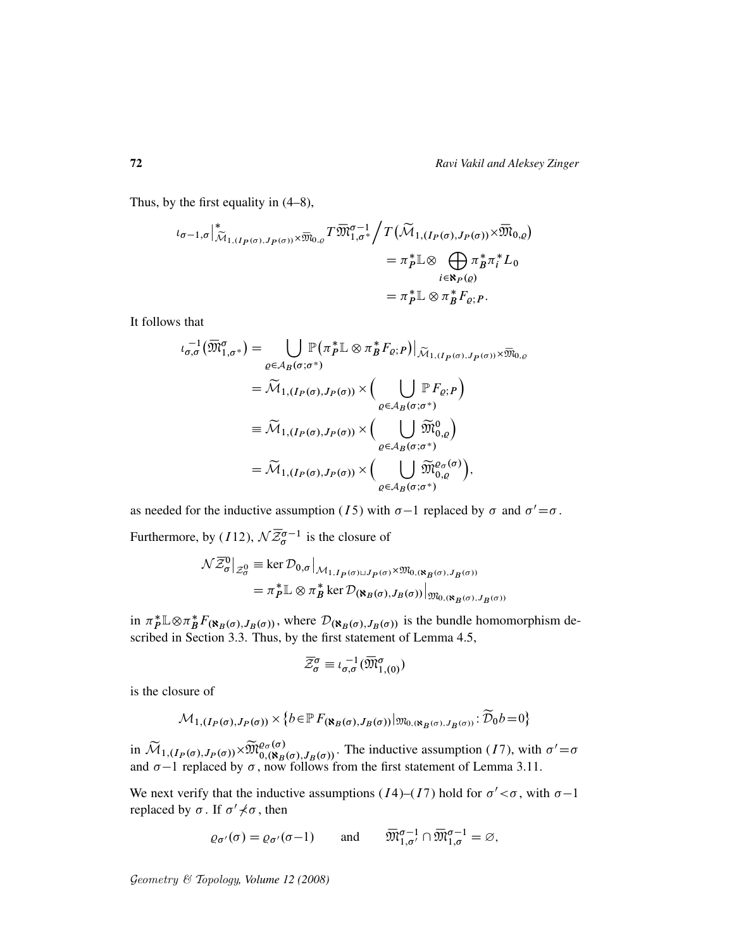Thus, by the first equality in (4–8),

$$
\iota_{\sigma-1,\sigma} \Big|^*_{\widetilde{\mathcal{M}}_{1,(I_P(\sigma),J_P(\sigma))} \times \overline{\mathfrak{M}}_{0,\varrho}} T \overline{\mathfrak{M}}_{1,\sigma^*}^{\sigma-1} \Big/ T \big( \widetilde{\mathcal{M}}_{1,(I_P(\sigma),J_P(\sigma))} \times \overline{\mathfrak{M}}_{0,\varrho} \big) \n= \pi_P^* \mathbb{L} \otimes \bigoplus_{i \in \mathbf{R}_P(\varrho)} \pi_B^* \pi_i^* L_0 \n= \pi_P^* \mathbb{L} \otimes \pi_B^* F_{\varrho;P}.
$$

It follows that

$$
\iota_{\sigma,\sigma}^{-1}(\overline{\mathfrak{M}}_{1,\sigma^*}^{\sigma}) = \bigcup_{\varrho \in \mathcal{A}_B(\sigma;\sigma^*)} \mathbb{P}(\pi_P^* \mathbb{L} \otimes \pi_B^* F_{\varrho;P})|_{\widetilde{\mathcal{M}}_{1,(I_P(\sigma),J_P(\sigma))} \times \overline{\mathfrak{M}}_{0,\varrho}}
$$
\n
$$
= \widetilde{\mathcal{M}}_{1,(I_P(\sigma),J_P(\sigma))} \times \Big(\bigcup_{\varrho \in \mathcal{A}_B(\sigma;\sigma^*)} \mathbb{P} F_{\varrho;P}\Big)
$$
\n
$$
\equiv \widetilde{\mathcal{M}}_{1,(I_P(\sigma),J_P(\sigma))} \times \Big(\bigcup_{\varrho \in \mathcal{A}_B(\sigma;\sigma^*)} \widetilde{\mathfrak{M}}_{0,\varrho}^0\Big)
$$
\n
$$
= \widetilde{\mathcal{M}}_{1,(I_P(\sigma),J_P(\sigma))} \times \Big(\bigcup_{\varrho \in \mathcal{A}_B(\sigma;\sigma^*)} \widetilde{\mathfrak{M}}_{0,\varrho}^{\varrho(\sigma)}\Big),
$$

as needed for the inductive assumption (15) with  $\sigma$ -1 replaced by  $\sigma$  and  $\sigma' = \sigma$ .

Furthermore, by (112),  $\mathcal{N}\overline{\mathcal{Z}}_{\sigma}^{\sigma-1}$  is the closure of

$$
\begin{split} \mathcal{N}\overline{\mathcal{Z}}_{\sigma}^{0}\big|_{\mathcal{Z}_{\sigma}^{0}} &\equiv \ker \mathcal{D}_{0,\sigma}\big|_{\mathcal{M}_{1,I_{P}(\sigma)\sqcup J_{P}(\sigma)}\times \mathfrak{M}_{0,(\aleph_{B}(\sigma),J_{B}(\sigma))}}\\ &= \pi_{P}^{*}\mathbb{L}\otimes\pi_{B}^{*}\ker \mathcal{D}_{(\aleph_{B}(\sigma),J_{B}(\sigma))}\big|_{\mathfrak{M}_{0,(\aleph_{B}(\sigma),J_{B}(\sigma))}} \end{split}
$$

in  $\pi_P^* \mathbb{L} \otimes \pi_B^*$  ${}^*_{B}F_{(\aleph_B(\sigma),J_B(\sigma))}$ , where  $\mathcal{D}_{(\aleph_B(\sigma),J_B(\sigma))}$  is the bundle homomorphism described in Section 3.3. Thus, by the first statement of Lemma 4.5,

$$
\overline{\mathcal{Z}}_{\sigma}^{\sigma} \equiv \iota_{\sigma,\sigma}^{-1}(\overline{\mathfrak{M}}_{1,(0)}^{\sigma})
$$

is the closure of

$$
\mathcal{M}_{1,(I_P(\sigma),J_P(\sigma))} \times \{b \in \mathbb{P} F_{(\aleph_B(\sigma),J_B(\sigma))}|_{\mathfrak{M}_{0,(\aleph_B(\sigma),J_B(\sigma))}} : \widetilde{\mathcal{D}}_0 b = 0\}
$$

in  $\widetilde{\mathcal{M}}_{1,(I_P(\sigma),J_P(\sigma))} \times \widetilde{\mathfrak{M}}_{0,(\aleph_B(\sigma),J_B(\sigma))}^{\varrho_{\sigma}(\sigma)}$ . The inductive assumption (17), with  $\sigma' = \sigma$ and  $\sigma$ -1 replaced by  $\sigma$ , now follows from the first statement of Lemma 3.11.

We next verify that the inductive assumptions ( $I4$ )–( $I7$ ) hold for  $\sigma' < \sigma$ , with  $\sigma$ –1 replaced by  $\sigma$ . If  $\sigma' \nless \sigma$ , then

$$
\varrho_{\sigma'}(\sigma) = \varrho_{\sigma'}(\sigma - 1) \quad \text{and} \quad \overline{\mathfrak{M}}_{1,\sigma'}^{\sigma - 1} \cap \overline{\mathfrak{M}}_{1,\sigma}^{\sigma - 1} = \varnothing,
$$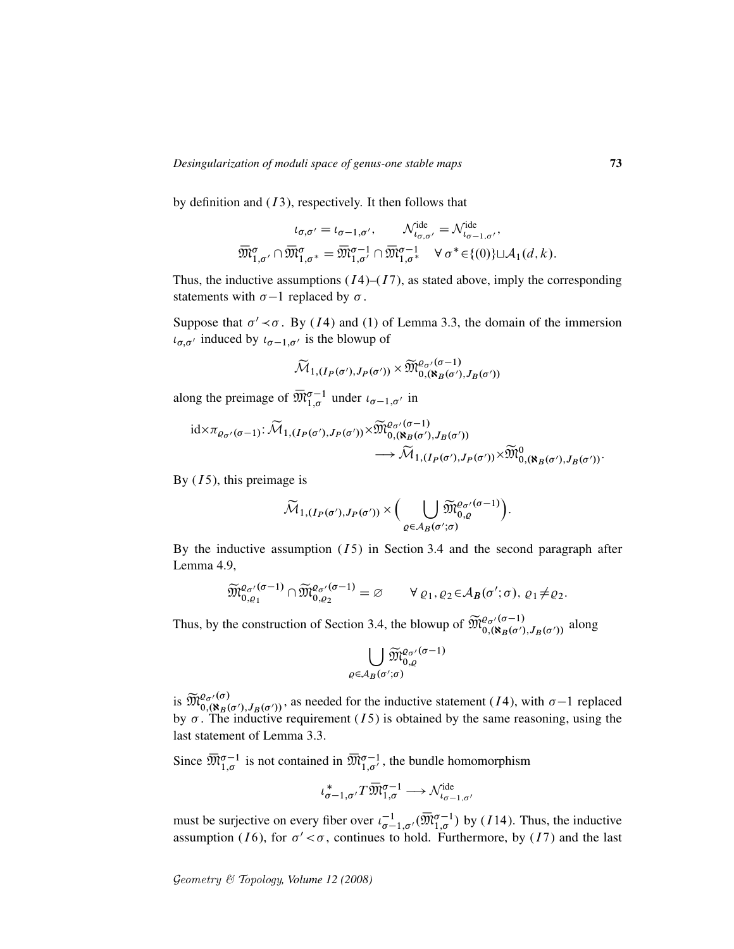by definition and  $(13)$ , respectively. It then follows that

$$
\iota_{\sigma,\sigma'} = \iota_{\sigma-1,\sigma'}, \qquad \mathcal{N}_{\iota_{\sigma,\sigma'}}^{\text{ide}} = \mathcal{N}_{\iota_{\sigma-1,\sigma'}}^{\text{ide}},
$$

$$
\overline{\mathfrak{M}}_{1,\sigma'}^{\sigma} \cap \overline{\mathfrak{M}}_{1,\sigma^*}^{\sigma} = \overline{\mathfrak{M}}_{1,\sigma'}^{\sigma-1} \cap \overline{\mathfrak{M}}_{1,\sigma^*}^{\sigma-1} \qquad \forall \sigma^* \in \{(0)\} \sqcup \mathcal{A}_1(d,k).
$$

Thus, the inductive assumptions  $(I4)-(I7)$ , as stated above, imply the corresponding statements with  $\sigma$ -1 replaced by  $\sigma$ .

Suppose that  $\sigma' \prec \sigma$ . By (14) and (1) of Lemma 3.3, the domain of the immersion  $\iota_{\sigma,\sigma'}$  induced by  $\iota_{\sigma-1,\sigma'}$  is the blowup of

$$
\widetilde{\mathcal{M}}_{1,(I_P(\sigma'),J_P(\sigma'))}\times \widetilde{\mathfrak{M}}^{ \varrho_{\sigma'}(\sigma-1)}_{0,(\aleph_B(\sigma'),J_B(\sigma'))}
$$

along the preimage of  $\overline{\mathfrak{M}}_{1,\sigma}^{\sigma-1}$  under  $\iota_{\sigma-1,\sigma'}$  in

$$
\mathrm{id} \times \pi_{\varrho_{\sigma'}(\sigma-1)}: \widetilde{\mathcal{M}}_{1,(I_P(\sigma'),J_P(\sigma'))} \times \widetilde{\mathfrak{M}}_{0,(\mathbf{R}_B(\sigma'),J_B(\sigma'))}^{\varrho_{\sigma'}(\sigma-1)} \longrightarrow \widetilde{\mathcal{M}}_{1,(I_P(\sigma'),J_P(\sigma'))} \times \widetilde{\mathfrak{M}}_{0,(\mathbf{R}_B(\sigma'),J_B(\sigma'))}^0.
$$

By  $(I5)$ , this preimage is

$$
\widetilde{\mathcal{M}}_{1,(I_P(\sigma'),J_P(\sigma'))} \times \Big( \bigcup_{\varrho \in \mathcal{A}_B(\sigma';\sigma)} \widetilde{\mathfrak{M}}_{0,\varrho}^{\varrho_{\sigma'}(\sigma-1)} \Big).
$$

By the inductive assumption  $(I5)$  in Section 3.4 and the second paragraph after Lemma 4.9,

$$
\widetilde{\mathfrak{M}}_{0,\varrho_1}^{\varrho_{\sigma'}(\sigma-1)} \cap \widetilde{\mathfrak{M}}_{0,\varrho_2}^{\varrho_{\sigma'}(\sigma-1)} = \varnothing \qquad \forall \varrho_1, \varrho_2 \in \mathcal{A}_B(\sigma';\sigma), \varrho_1 \neq \varrho_2.
$$

Thus, by the construction of Section 3.4, the blowup of  $\widetilde{\mathfrak{M}}_{0, (\aleph_B(\sigma'), J_B(\sigma')}^{0, (\sigma-1)}$  along

$$
\bigcup_{\varrho\in \mathcal{A}_B(\sigma';\sigma)}\widetilde{\mathfrak{M}}_{0,\varrho}^{\varrho_{\sigma'}(\sigma-1)}
$$

is  $\widetilde{\mathfrak{M}}_{0,(\aleph_B(\sigma'),J_B(\sigma'))}^{0,\sigma'}$ , as needed for the inductive statement (*I*4), with  $\sigma-1$  replaced by  $\sigma$ . The inductive requirement (*I*5) is obtained by the same reasoning, using the last statement of Lemma 3.3.

Since  $\overline{\mathfrak{M}}_{1,\sigma}^{\sigma-1}$  is not contained in  $\overline{\mathfrak{M}}_{1,\sigma'}^{\sigma-1}$ , the bundle homomorphism

$$
\iota_{\sigma-1,\sigma'}^* T\overline{\mathfrak{M}}_{1,\sigma}^{\sigma-1} \longrightarrow \mathcal{N}_{\iota_{\sigma-1,\sigma'}}^{\mathrm{ide}}
$$

must be surjective on every fiber over  $\iota_{\sigma-1,\sigma'}^{-1}(\overline{\mathfrak{M}}_{1,\sigma}^{\sigma-1})$  by (114). Thus, the inductive assumption (16), for  $\sigma' < \sigma$ , continues to hold. Furthermore, by (17) and the last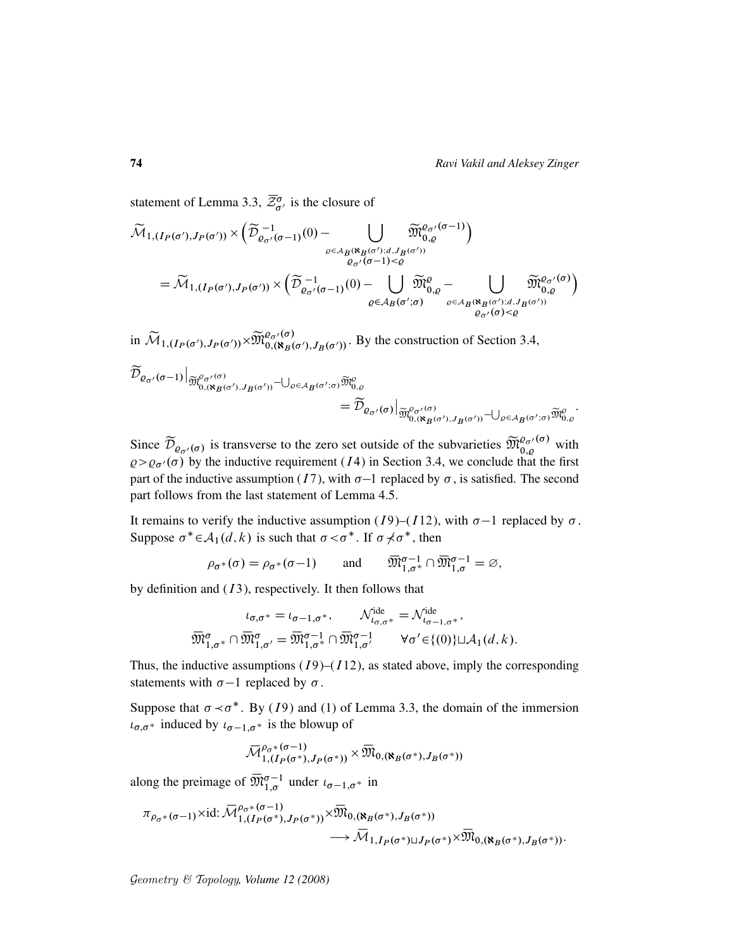statement of Lemma 3.3,  $\overline{\mathcal{Z}}_{\sigma}^{\sigma}$  is the closure of

$$
\begin{split} &\widetilde{\mathcal{M}}_{1,(I_{P}(\sigma'),J_{P}(\sigma'))}\times\Big(\widetilde{\mathcal{D}}^{-1}_{\varrho_{\sigma'}(\sigma-1)}(0)-\bigcup_{\varrho\in A_{B}(\aleph_{B}(\sigma');d,J_{B}(\sigma'))} \widetilde{\mathfrak{M}}^{e_{\sigma'}(\sigma-1)}_{0,\varrho}\Big)\\ &=\widetilde{\mathcal{M}}_{1,(I_{P}(\sigma'),J_{P}(\sigma'))}\times\Big(\widetilde{\mathcal{D}}^{-1}_{\varrho_{\sigma'}(\sigma-1)}(0)-\bigcup_{\varrho\in A_{B}(\sigma';\sigma)} \widetilde{\mathfrak{M}}^{e}_{0,\varrho}-\bigcup_{\varrho\in A_{B}(\aleph_{B}(\sigma');d,J_{B}(\sigma'))} \widetilde{\mathfrak{M}}^{e_{\sigma'}(\sigma)}_{0,\varrho}\\ &\xrightarrow{\varrho_{\sigma'}(\sigma)<\varrho} \widetilde{\mathcal{M}}^{e_{\sigma'}(\sigma)}_{0,\varrho} \end{split}
$$

in  $\widetilde{\mathcal{M}}_{1,(I_P(\sigma'),J_P(\sigma'))} \times \widetilde{\mathfrak{M}}_{0,(\aleph_B(\sigma'),J_B(\sigma'))}^{\varrho,\sigma}$ . By the construction of Section 3.4,

$$
\widetilde{\mathcal{D}}_{\varrho_{\sigma'}(\sigma-1)}\Big|_{\widetilde{\mathfrak{M}}^{0}_{0,(\aleph_{B}(\sigma'),J_{B}(\sigma'))}-\bigcup_{\varrho\in A_{B}(\sigma';\sigma)}\widetilde{\mathfrak{M}}^{0}_{0,\varrho}}=\widetilde{\mathcal{D}}_{\varrho_{\sigma'}(\sigma)}\Big|_{\widetilde{\mathfrak{M}}^{0}_{0,(\aleph_{B}(\sigma'),J_{B}(\sigma'))}-\bigcup_{\varrho\in A_{B}(\sigma';\sigma)}\widetilde{\mathfrak{M}}^{0}_{0,\varrho}}.
$$

Since  $\widetilde{\mathcal{D}}_{\varrho_{\sigma'}(\sigma)}$  is transverse to the zero set outside of the subvarieties  $\widetilde{\mathfrak{M}}_{0,\varrho}^{\varrho_{\sigma'}(\sigma)}$  with  $\varrho > \varrho_{\sigma'}(\sigma)$  by the inductive requirement (*I*4) in Section 3.4, we conclude that the first part of the inductive assumption (*I*7), with  $\sigma$ -1 replaced by  $\sigma$ , is satisfied. The second part follows from the last statement of Lemma 4.5.

It remains to verify the inductive assumption (*I*9)–(*I*12), with  $\sigma$ –1 replaced by  $\sigma$ . Suppose  $\sigma^* \in A_1(d, k)$  is such that  $\sigma < \sigma^*$ . If  $\sigma \neq \sigma^*$ , then

$$
\rho_{\sigma^*}(\sigma) = \rho_{\sigma^*}(\sigma - 1) \quad \text{and} \quad \overline{\mathfrak{M}}_{1,\sigma^*}^{\sigma - 1} \cap \overline{\mathfrak{M}}_{1,\sigma}^{\sigma - 1} = \varnothing,
$$

by definition and  $(13)$ , respectively. It then follows that

$$
\iota_{\sigma,\sigma^*} = \iota_{\sigma-1,\sigma^*}, \qquad \mathcal{N}_{\iota_{\sigma,\sigma^*}}^{\text{ide}} = \mathcal{N}_{\iota_{\sigma-1,\sigma^*}}^{\text{ide}},
$$

$$
\overline{\mathfrak{M}}_{1,\sigma^*}^{\sigma} \cap \overline{\mathfrak{M}}_{1,\sigma'}^{\sigma} = \overline{\mathfrak{M}}_{1,\sigma^*}^{\sigma-1} \cap \overline{\mathfrak{M}}_{1,\sigma'}^{\sigma-1} \qquad \forall \sigma' \in \{(0)\} \sqcup \mathcal{A}_1(d,k).
$$

Thus, the inductive assumptions  $(I9)$ – $(I12)$ , as stated above, imply the corresponding statements with  $\sigma-1$  replaced by  $\sigma$ .

Suppose that  $\sigma \prec \sigma^*$ . By (19) and (1) of Lemma 3.3, the domain of the immersion  $i_{\sigma,\sigma^*}$  induced by  $i_{\sigma-1,\sigma^*}$  is the blowup of

$$
{\mathbin{\smash{\,\,\overline{\!\!\mathcal M\!}\,}}}_{1,(I_P(\sigma^*),J_P(\sigma^*))}^{\rho_\sigma\ast(\sigma-1)}\times{\mathbin{\smash{\,\,\overline{\!\!\mathcal M\!}\,}}}_{0,({\mathbf k}_B(\sigma^*),J_B(\sigma^*))}
$$

along the preimage of  $\overline{\mathfrak{M}}_{1,\sigma}^{\sigma-1}$  under  $\iota_{\sigma-1,\sigma^*}$  in

$$
\pi_{\rho_{\sigma^*}(\sigma-1)} \times id: \overline{\mathcal{M}}^{\rho_{\sigma^*}(\sigma-1)}_{1,(I_P(\sigma^*),J_P(\sigma^*))} \times \overline{\mathcal{M}}_{0,(\aleph_B(\sigma^*),J_B(\sigma^*))} \longrightarrow \overline{\mathcal{M}}_{1,I_P(\sigma^*) \sqcup J_P(\sigma^*)} \times \overline{\mathcal{M}}_{0,(\aleph_B(\sigma^*),J_B(\sigma^*))}.
$$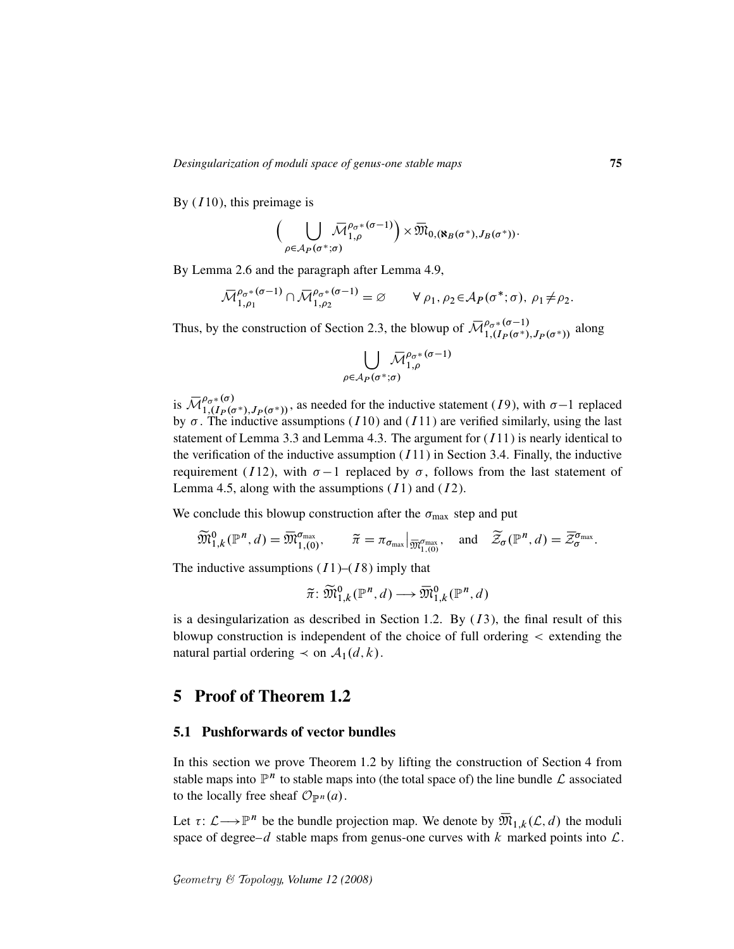By  $(I10)$ , this preimage is

$$
\bigg(\bigcup_{\rho\in\mathcal{A}_P(\sigma^*;\sigma)}\overline{\mathcal{M}}_{1,\rho}^{\rho_{\sigma^*}(\sigma-1)}\bigg)\times\overline{\mathfrak{M}}_{0,(\aleph_B(\sigma^*),J_B(\sigma^*))}.
$$

By Lemma 2.6 and the paragraph after Lemma 4.9,

$$
\overline{\mathcal{M}}_{1,\rho_1}^{\rho_\sigma*(\sigma-1)} \cap \overline{\mathcal{M}}_{1,\rho_2}^{\rho_\sigma*(\sigma-1)} = \varnothing \qquad \forall \rho_1, \rho_2 \in \mathcal{A}_{P}(\sigma^*; \sigma), \ \rho_1 \neq \rho_2.
$$

Thus, by the construction of Section 2.3, the blowup of  $\overline{\mathcal{M}}_{1,(I_P(\sigma^*),J_P(\sigma^*))}^{\rho_{\sigma^*}(\sigma-1)}$  along

$$
\bigcup_{\rho \in \mathcal{A}_P(\sigma^*;\sigma)} \overline{\mathcal{M}}_{1,\rho}^{\rho_{\sigma^*}(\sigma-1)}
$$

is  $\overline{\mathcal{M}}_{1,(I_P(\sigma^*),J_P(\sigma^*))}^{\rho_{\sigma^*}(\sigma)}$ , as needed for the inductive statement (19), with  $\sigma-1$  replaced by  $\sigma$ . The inductive assumptions (*I*10) and (*I*11) are verified similarly, using the last statement of Lemma 3.3 and Lemma 4.3. The argument for  $(111)$  is nearly identical to the verification of the inductive assumption  $(I11)$  in Section 3.4. Finally, the inductive requirement (I12), with  $\sigma-1$  replaced by  $\sigma$ , follows from the last statement of Lemma 4.5, along with the assumptions  $(11)$  and  $(12)$ .

We conclude this blowup construction after the  $\sigma_{\text{max}}$  step and put

$$
\widetilde{\mathfrak{M}}_{1,k}^{0}(\mathbb{P}^n,d)=\overline{\mathfrak{M}}_{1,(0)}^{\sigma_{\max}},\qquad \widetilde{\pi}=\pi_{\sigma_{\max}}|_{\overline{\mathfrak{M}}_{1,(0)}^{\sigma_{\max}}},\quad \text{and}\quad \widetilde{\mathcal{Z}}_{\sigma}(\mathbb{P}^n,d)=\overline{\mathcal{Z}}_{\sigma}^{\sigma_{\max}}.
$$

The inductive assumptions  $(I1)$ – $(I8)$  imply that

$$
\widetilde{\pi} \colon \widetilde{\mathfrak{M}}_{1,k}^0(\mathbb{P}^n,d) \longrightarrow \overline{\mathfrak{M}}_{1,k}^0(\mathbb{P}^n,d)
$$

is a desingularization as described in Section 1.2. By  $(13)$ , the final result of this blowup construction is independent of the choice of full ordering < extending the natural partial ordering  $\prec$  on  $\mathcal{A}_1(d, k)$ .

### 5 Proof of Theorem 1.2

### 5.1 Pushforwards of vector bundles

In this section we prove Theorem 1.2 by lifting the construction of Section 4 from stable maps into  $\mathbb{P}^n$  to stable maps into (the total space of) the line bundle  $\mathcal L$  associated to the locally free sheaf  $\mathcal{O}_{\mathbb{P}^n}(a)$ .

Let  $\tau: \mathcal{L} \longrightarrow \mathbb{P}^n$  be the bundle projection map. We denote by  $\overline{\mathfrak{M}}_{1,k}(\mathcal{L}, d)$  the moduli space of degree–d stable maps from genus-one curves with k marked points into  $\mathcal{L}$ .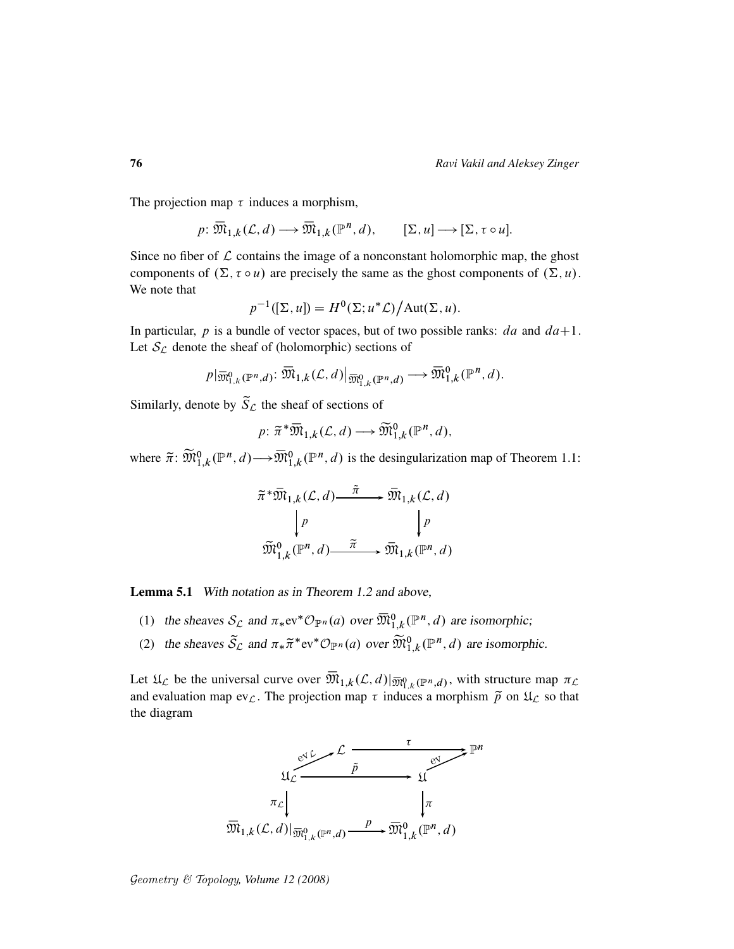The projection map  $\tau$  induces a morphism,

$$
p: \overline{\mathfrak{M}}_{1,k}(\mathcal{L}, d) \longrightarrow \overline{\mathfrak{M}}_{1,k}(\mathbb{P}^n, d), \qquad [\Sigma, u] \longrightarrow [\Sigma, \tau \circ u].
$$

Since no fiber of  $\mathcal L$  contains the image of a nonconstant holomorphic map, the ghost components of  $(\Sigma, \tau \circ u)$  are precisely the same as the ghost components of  $(\Sigma, u)$ . We note that

$$
p^{-1}([\Sigma, u]) = H^0(\Sigma; u^* \mathcal{L}) / \text{Aut}(\Sigma, u).
$$

In particular, p is a bundle of vector spaces, but of two possible ranks:  $da$  and  $da+1$ . Let  $S_{\mathcal{L}}$  denote the sheaf of (holomorphic) sections of

$$
p|\overline{\mathfrak{M}}_{1,k}^{0}(\mathbb{P}^{n},d) : \overline{\mathfrak{M}}_{1,k}(\mathcal{L},d)|_{\overline{\mathfrak{M}}_{1,k}^{0}(\mathbb{P}^{n},d)} \longrightarrow \overline{\mathfrak{M}}_{1,k}^{0}(\mathbb{P}^{n},d).
$$

Similarly, denote by  $\tilde{S}_{\mathcal{L}}$  the sheaf of sections of

$$
p: \widetilde{\pi}^* \overline{\mathfrak{M}}_{1,k}(\mathcal{L}, d) \longrightarrow \widetilde{\mathfrak{M}}_{1,k}^0(\mathbb{P}^n, d),
$$

where  $\tilde{\pi}$ :  $\widetilde{\mathfrak{M}}_{1,k}^0(\mathbb{P}^n,d) \longrightarrow \overline{\mathfrak{M}}_{1,k}^0(\mathbb{P}^n,d)$  is the desingularization map of Theorem 1.1:

$$
\widetilde{\pi}^* \overline{\mathfrak{M}}_{1,k}(\mathcal{L}, d) \xrightarrow{\widetilde{\pi}} \overline{\mathfrak{M}}_{1,k}(\mathcal{L}, d)
$$
\n
$$
\downarrow p \qquad \qquad \downarrow p
$$
\n
$$
\widetilde{\mathfrak{M}}_{1,k}^0(\mathbb{P}^n, d) \xrightarrow{\widetilde{\pi}} \overline{\mathfrak{M}}_{1,k}(\mathbb{P}^n, d)
$$

Lemma 5.1 With notation as in Theorem 1.2 and above,

- (1) the sheaves  $S_{\mathcal{L}}$  and  $\pi_*ev^*{\mathcal{O}}_{\mathbb{P}^n}(a)$  over  $\overline{\mathfrak{M}}_{1,k}^0(\mathbb{P}^n,d)$  are isomorphic;
- (2) the sheaves  $\tilde{S}_{\mathcal{L}}$  and  $\pi_* \tilde{\pi}^*$ ev ${}^* \mathcal{O}_{\mathbb{P}^n}(a)$  over  $\widetilde{\mathfrak{M}}_{1,k}^0(\mathbb{P}^n,d)$  are isomorphic.

Let  $\mathfrak{U}_{\mathcal{L}}$  be the universal curve over  $\overline{\mathfrak{M}}_{1,k}(\mathcal{L},d)|_{\overline{\mathfrak{M}}_{1,k}^0(\mathbb{P}^n,d)}$ , with structure map  $\pi_{\mathcal{L}}$ and evaluation map ev $\mathcal{L}$ . The projection map  $\tau$  induces a morphism  $\tilde{p}$  on  $\mathfrak{U}_{\mathcal{L}}$  so that the diagram

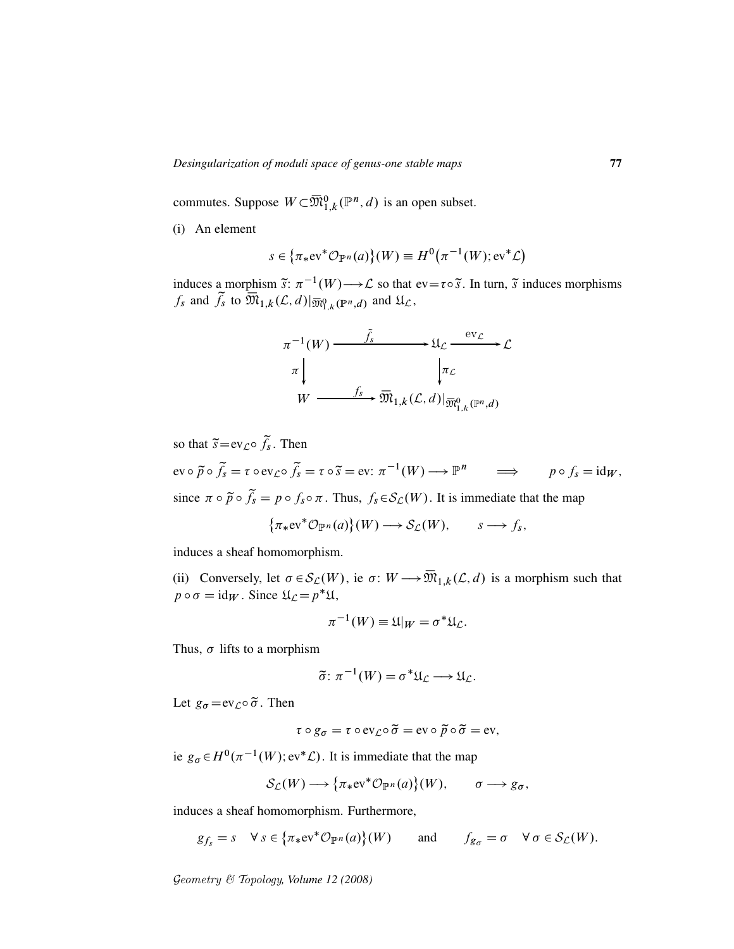commutes. Suppose  $W \subset \overline{\mathfrak{M}}^{0}_{1,k}(\mathbb{P}^n,d)$  is an open subset.

(i) An element

$$
s \in {\pi_*\mathrm{ev}^*\mathcal{O}_{\mathbb{P}^n}(a)}(W) \equiv H^0(\pi^{-1}(W);\mathrm{ev}^*\mathcal{L})
$$

induces a morphism  $\tilde{s}: \pi^{-1}(W) \longrightarrow \mathcal{L}$  so that ev= $\tau \circ \tilde{s}$ . In turn,  $\tilde{s}$  induces morphisms  $f_s$  and  $\widetilde{f}_s$  to  $\overline{\mathfrak{M}}_{1,k}(\mathcal{L},d)|_{\overline{\mathfrak{M}}_{1,k}^0(\mathbb{P}^n,d)}$  and  $\mathfrak{U}_{\mathcal{L}},$ 

$$
\pi^{-1}(W) \xrightarrow{\tilde{f}_s} \mathcal{L} \xrightarrow{\text{ev}_{\mathcal{L}}} \mathcal{L}
$$
\n
$$
\pi \downarrow \qquad \qquad \downarrow \pi_{\mathcal{L}}
$$
\n
$$
W \xrightarrow{f_s} \overline{\mathfrak{M}}_{1,k}(\mathcal{L}, d) |_{\overline{\mathfrak{M}}_{1,k}^0(\mathbb{P}^n, d)}
$$

so that  $\tilde{s} = ev_{\mathcal{L}} \circ \tilde{f}_s$ . Then

 $ev \circ \widetilde{p} \circ \widetilde{f}_s = \tau \circ ev_{\mathcal{L}} \circ \widetilde{f}_s = \tau \circ \widetilde{s} = ev: \pi^{-1}(W) \longrightarrow \mathbb{P}^n \qquad \Longrightarrow \qquad p \circ f_s = id_W,$ since  $\pi \circ \tilde{p} \circ \tilde{f}_s = p \circ f_s \circ \pi$ . Thus,  $f_s \in S_{\mathcal{L}}(W)$ . It is immediate that the map

$$
\{\pi_*\mathrm{ev}^*\mathcal{O}_{\mathbb{P}^n}(a)\}(W)\longrightarrow \mathcal{S}_{\mathcal{L}}(W),\qquad s\longrightarrow f_s,
$$

induces a sheaf homomorphism.

(ii) Conversely, let  $\sigma \in \mathcal{S}_{\mathcal{L}}(W)$ , ie  $\sigma: W \longrightarrow \overline{\mathfrak{M}}_{1,k}(\mathcal{L}, d)$  is a morphism such that  $p \circ \sigma = \text{id}_W$ . Since  $\mathfrak{U}_\mathcal{L} = p^* \mathfrak{U}$ ,

$$
\pi^{-1}(W) \equiv \mathfrak{U}|_W = \sigma^* \mathfrak{U}_{\mathcal{L}}.
$$

Thus,  $\sigma$  lifts to a morphism

$$
\tilde{\sigma} \colon \pi^{-1}(W) = \sigma^* \mathfrak{U}_{\mathcal{L}} \longrightarrow \mathfrak{U}_{\mathcal{L}}.
$$

Let  $g_{\sigma} = ev_{\mathcal{L}} \circ \tilde{\sigma}$ . Then

$$
\tau \circ g_{\sigma} = \tau \circ \mathrm{ev}_{\mathcal{L}} \circ \widetilde{\sigma} = \mathrm{ev} \circ \widetilde{p} \circ \widetilde{\sigma} = \mathrm{ev},
$$

ie  $g_{\sigma} \in H^0(\pi^{-1}(W); \text{ev}^*\mathcal{L})$ . It is immediate that the map

$$
\mathcal{S}_{\mathcal{L}}(W) \longrightarrow \big\{\pi_* \mathrm{ev}^* \mathcal{O}_{\mathbb{P}^n}(a)\big\}(W), \qquad \sigma \longrightarrow g_{\sigma},
$$

induces a sheaf homomorphism. Furthermore,

$$
g_{f_s} = s \quad \forall s \in {\pi_*}ev^* \mathcal{O}_{\mathbb{P}^n}(a) \quad (W) \quad \text{and} \quad f_{g_{\sigma}} = \sigma \quad \forall \sigma \in \mathcal{S}_L(W).
$$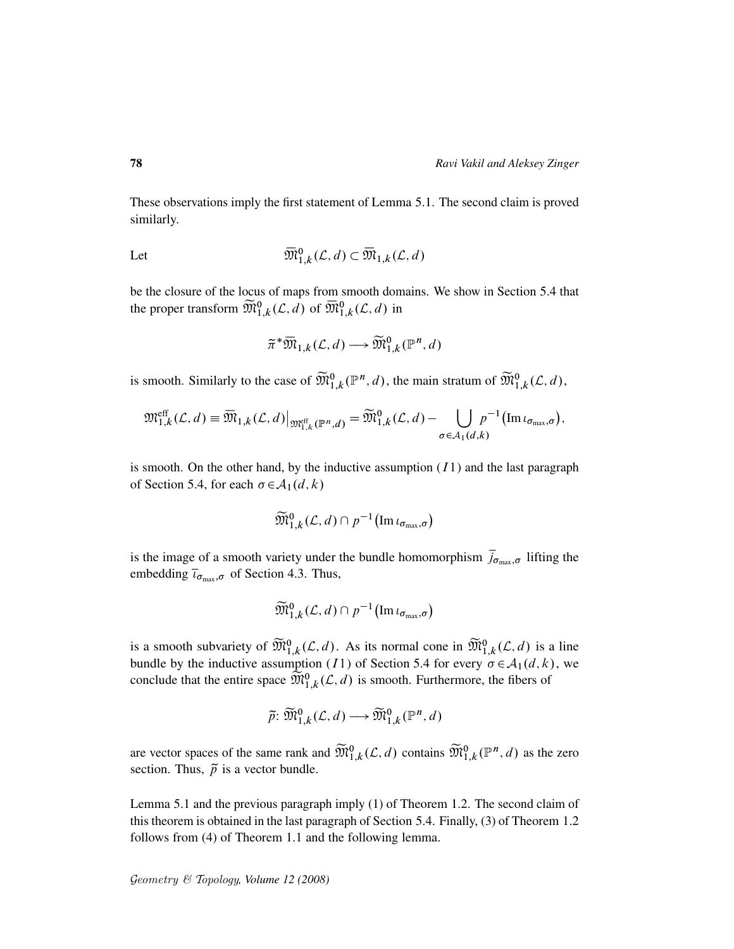These observations imply the first statement of Lemma 5.1. The second claim is proved similarly.

Let 
$$
\overline{\mathfrak{M}}_{1,k}^0(\mathcal{L},d) \subset \overline{\mathfrak{M}}_{1,k}(\mathcal{L},d)
$$

be the closure of the locus of maps from smooth domains. We show in Section 5.4 that the proper transform  $\widetilde{\mathfrak{M}}^{0}_{1,k}(\mathcal{L},d)$  of  $\overline{\mathfrak{M}}^{0}_{1,k}(\mathcal{L},d)$  in

$$
\widetilde{\pi}^* \overline{\mathfrak{M}}_{1,k}(\mathcal{L}, d) \longrightarrow \widetilde{\mathfrak{M}}_{1,k}^0(\mathbb{P}^n, d)
$$

is smooth. Similarly to the case of  $\widetilde{\mathfrak{M}}_{1,k}^{0}(\mathbb{P}^n,d)$ , the main stratum of  $\widetilde{\mathfrak{M}}_{1,k}^{0}(\mathcal{L},d)$ ,

$$
\mathfrak{M}^{\text{eff}}_{1,k}(\mathcal{L},d) \equiv \overline{\mathfrak{M}}_{1,k}(\mathcal{L},d)|_{\mathfrak{M}^{\text{eff}}_{1,k}(\mathbb{P}^n,d)} = \widetilde{\mathfrak{M}}_{1,k}^0(\mathcal{L},d) - \bigcup_{\sigma \in \mathcal{A}_1(d,k)} p^{-1}(\text{Im } \iota_{\sigma_{\text{max}},\sigma}),
$$

is smooth. On the other hand, by the inductive assumption  $(11)$  and the last paragraph of Section 5.4, for each  $\sigma \in \mathcal{A}_1(d, k)$ 

$$
\widetilde{\mathfrak{M}}_{1,k}^0(\mathcal{L},d)\cap p^{-1}(\text{Im } \iota_{\sigma_{\text{max}},\sigma})
$$

is the image of a smooth variety under the bundle homomorphism  $\overline{j}_{\sigma_{\text{max}}, \sigma}$  lifting the embedding  $\overline{\iota}_{\sigma_{\text{max}}, \sigma}$  of Section 4.3. Thus,

$$
\widetilde{\mathfrak{M}}_{1,k}^0(\mathcal{L},d) \cap p^{-1}(\operatorname{Im} \iota_{\sigma_{\max},\sigma})
$$

is a smooth subvariety of  $\widetilde{M}_{1,k}^0(\mathcal{L}, d)$ . As its normal cone in  $\widetilde{M}_{1,k}^0(\mathcal{L}, d)$  is a line bundle by the inductive assumption (I1) of Section 5.4 for every  $\sigma \in \mathcal{A}_1(d, k)$ , we conclude that the entire space  $\widetilde{\mathfrak{M}}_{1,k}^0(\mathcal{L}, d)$  is smooth. Furthermore, the fibers of

$$
\widetilde{p} \colon \widetilde{\mathfrak{M}}_{1,k}^0(\mathcal{L}, d) \longrightarrow \widetilde{\mathfrak{M}}_{1,k}^0(\mathbb{P}^n, d)
$$

are vector spaces of the same rank and  $\widetilde{\mathfrak{M}}_{1,k}^0(\mathcal{L},d)$  contains  $\widetilde{\mathfrak{M}}_{1,k}^0(\mathbb{P}^n,d)$  as the zero section. Thus,  $\tilde{p}$  is a vector bundle.

Lemma 5.1 and the previous paragraph imply (1) of Theorem 1.2. The second claim of this theorem is obtained in the last paragraph of Section 5.4. Finally, (3) of Theorem 1.2 follows from (4) of Theorem 1.1 and the following lemma.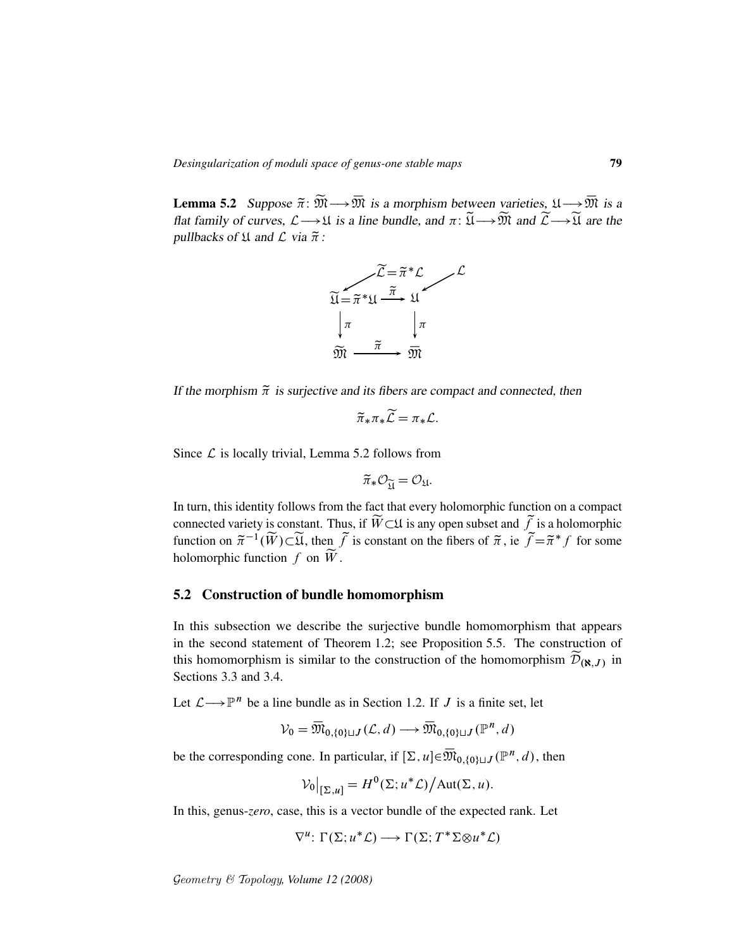**Lemma 5.2** Suppose  $\tilde{\pi}$ :  $\widetilde{\mathfrak{M}} \longrightarrow \overline{\mathfrak{M}}$  is a morphism between varieties,  $\mathfrak{U} \longrightarrow \overline{\mathfrak{M}}$  is a flat family of curves,  $\mathcal{L} \longrightarrow \mathfrak{U}$  is a line bundle, and  $\pi: \widetilde{\mathfrak{U}} \longrightarrow \widetilde{\mathfrak{M}}$  and  $\widetilde{\mathcal{L}} \longrightarrow \widetilde{\mathfrak{U}}$  are the pullbacks of  $\mathfrak U$  and  $\mathcal L$  via  $\widetilde{\pi}$ :



If the morphism  $\tilde{\pi}$  is surjective and its fibers are compact and connected, then

$$
\widetilde{\pi}_*\pi_*\widetilde{\mathcal{L}}=\pi_*\mathcal{L}.
$$

Since  $\mathcal L$  is locally trivial, Lemma 5.2 follows from

$$
\widetilde{\pi}_*\mathcal{O}_{\widetilde{\mathfrak{U}}}=\mathcal{O}_{\mathfrak{U}}.
$$

In turn, this identity follows from the fact that every holomorphic function on a compact connected variety is constant. Thus, if  $\widetilde{W}\subset\mathfrak{U}$  is any open subset and  $\widetilde{f}$  is a holomorphic function on  $\tilde{\pi}^{-1}(\widetilde{W}) \subset \widetilde{\mathfrak{U}}$ , then  $\widetilde{f}$  is constant on the fibers of  $\widetilde{\pi}$ , ie  $\widetilde{f} = \widetilde{\pi}^* f$  for some holomorphic function f on  $\widetilde{W}$ .

#### 5.2 Construction of bundle homomorphism

In this subsection we describe the surjective bundle homomorphism that appears in the second statement of Theorem 1.2; see Proposition 5.5. The construction of this homomorphism is similar to the construction of the homomorphism  $\mathcal{D}_{(\aleph,J)}$  in Sections 3.3 and 3.4.

Let  $\mathcal{L} \longrightarrow \mathbb{P}^n$  be a line bundle as in Section 1.2. If J is a finite set, let

 $V_0 = \overline{\mathfrak{M}}_{0,\{0\}\sqcup J}(\mathcal{L},d) \longrightarrow \overline{\mathfrak{M}}_{0,\{0\}\sqcup J}(\mathbb{P}^n,d)$ 

be the corresponding cone. In particular, if  $[\Sigma, u] \in \overline{\mathfrak{M}}_{0, {0 \leq u \leq v}}(\mathbb{P}^n, d)$ , then

$$
\mathcal{V}_0|_{[\Sigma,u]} = H^0(\Sigma; u^*\mathcal{L})\big/\text{Aut}(\Sigma, u).
$$

In this, genus-*zero*, case, this is a vector bundle of the expected rank. Let

$$
\nabla^u\colon \Gamma(\Sigma; u^*\mathcal{L}) \longrightarrow \Gamma(\Sigma; T^*\Sigma \otimes u^*\mathcal{L})
$$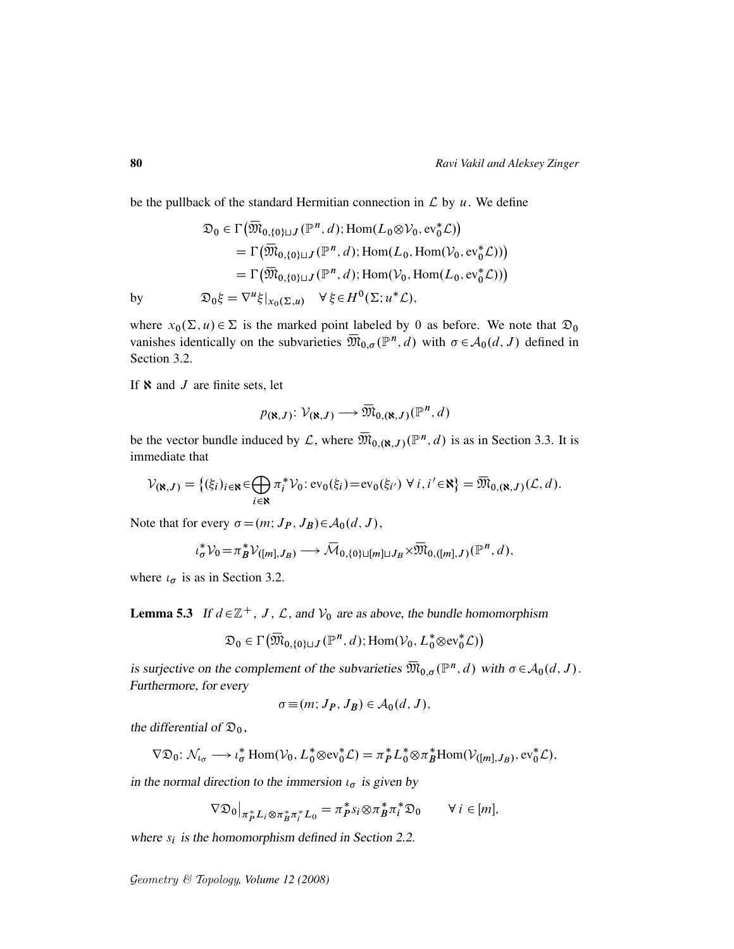be the pullback of the standard Hermitian connection in  $\mathcal L$  by  $u$ . We define

$$
\mathfrak{D}_0 \in \Gamma\big(\overline{\mathfrak{M}}_{0,\{0\}\sqcup J}(\mathbb{P}^n, d); \text{Hom}(L_0 \otimes \mathcal{V}_0, \text{ev}_0^*\mathcal{L})\big)
$$
\n
$$
= \Gamma\big(\overline{\mathfrak{M}}_{0,\{0\}\sqcup J}(\mathbb{P}^n, d); \text{Hom}(L_0, \text{Hom}(\mathcal{V}_0, \text{ev}_0^*\mathcal{L}))\big)
$$
\n
$$
= \Gamma\big(\overline{\mathfrak{M}}_{0,\{0\}\sqcup J}(\mathbb{P}^n, d); \text{Hom}(\mathcal{V}_0, \text{Hom}(L_0, \text{ev}_0^*\mathcal{L}))\big)
$$
\nby\n
$$
\mathfrak{D}_0\xi = \nabla^u\xi|_{x_0(\Sigma, u)} \quad \forall \xi \in H^0(\Sigma; u^*\mathcal{L}),
$$

where  $x_0(\Sigma, u) \in \Sigma$  is the marked point labeled by 0 as before. We note that  $\mathfrak{D}_0$ vanishes identically on the subvarieties  $\overline{\mathfrak{M}}_{0,\sigma}(\mathbb{P}^n,d)$  with  $\sigma \in \mathcal{A}_0(d,J)$  defined in Section 3.2.

If  $\aleph$  and  $J$  are finite sets, let

$$
p(\mathbf{x},J) \colon \mathcal{V}(\mathbf{x},J) \longrightarrow \overline{\mathfrak{M}}_{0,(\mathbf{x},J)}(\mathbb{P}^n,d)
$$

be the vector bundle induced by L, where  $\overline{\mathfrak{M}}_{0,(\aleph,J)}(\mathbb{P}^n,d)$  is as in Section 3.3. It is immediate that

$$
\mathcal{V}_{(\aleph,J)} = \{(\xi_i)_{i \in \aleph} \in \bigoplus_{i \in \aleph} \pi_i^* \mathcal{V}_0 : \text{ev}_0(\xi_i) = \text{ev}_0(\xi_{i'}) \ \forall \ i, i' \in \aleph\} = \overline{\mathfrak{M}}_{0,(\aleph,J)}(\mathcal{L},d).
$$

Note that for every  $\sigma = (m; J_P, J_B) \in A_0(d, J)$ ,

$$
\iota_{\sigma}^* \mathcal{V}_0 = \pi_B^* \mathcal{V}_{([m], J_B)} \longrightarrow \overline{\mathcal{M}}_{0, \{0\} \sqcup [m] \sqcup J_B} \times \overline{\mathfrak{M}}_{0, ([m], J)}(\mathbb{P}^n, d),
$$

where  $\iota_{\sigma}$  is as in Section 3.2.

**Lemma 5.3** If  $d \in \mathbb{Z}^+$ , J, L, and  $V_0$  are as above, the bundle homomorphism

$$
\mathfrak{D}_0 \in \Gamma\big(\overline{\mathfrak{M}}_{0,\{0\}\sqcup J}(\mathbb{P}^n,d);\operatorname{Hom}(\mathcal{V}_0,L_0^* \otimes \text{ev}_0^* \mathcal{L})\big)
$$

is surjective on the complement of the subvarieties  $\overline{\mathfrak{M}}_{0,\sigma}(\mathbb{P}^n,d)$  with  $\sigma \in \mathcal{A}_0(d,J)$ . Furthermore, for every

$$
\sigma \equiv (m; J_P, J_B) \in \mathcal{A}_0(d, J),
$$

the differential of  $\mathfrak{D}_0$ ,

$$
\nabla \mathfrak{D}_0: \mathcal{N}_{\iota_{\sigma}} \longrightarrow \iota_{\sigma}^* \operatorname{Hom}(\mathcal{V}_0, L_0^* \otimes \text{ev}_0^* \mathcal{L}) = \pi_P^* L_0^* \otimes \pi_B^* \operatorname{Hom}(\mathcal{V}_{([m], J_B)}, \text{ev}_0^* \mathcal{L}),
$$

in the normal direction to the immersion  $\iota_{\sigma}$  is given by

$$
\nabla \mathfrak{D}_0|_{\pi_P^* L_i \otimes \pi_B^* \pi_i^* L_0} = \pi_P^* s_i \otimes \pi_B^* \pi_i^* \mathfrak{D}_0 \qquad \forall i \in [m],
$$

where  $s_i$  is the homomorphism defined in Section 2.2.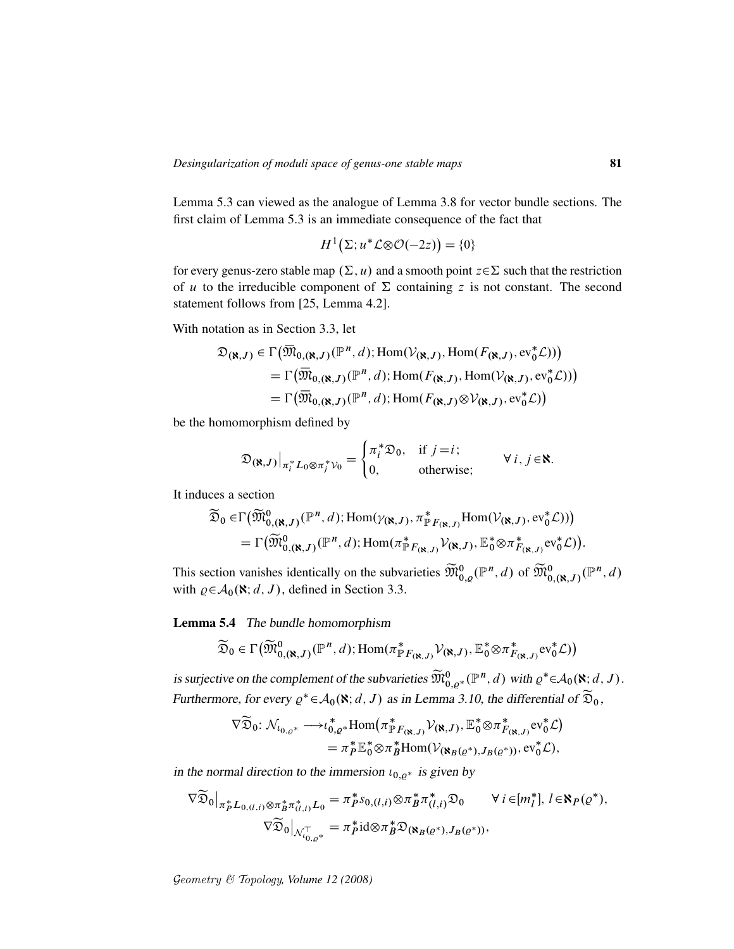Lemma 5.3 can viewed as the analogue of Lemma 3.8 for vector bundle sections. The first claim of Lemma 5.3 is an immediate consequence of the fact that

$$
H^1(\Sigma; u^* \mathcal{L} \otimes \mathcal{O}(-2z)) = \{0\}
$$

for every genus-zero stable map  $(\Sigma, u)$  and a smooth point  $z \in \Sigma$  such that the restriction of u to the irreducible component of  $\Sigma$  containing z is not constant. The second statement follows from [25, Lemma 4.2].

With notation as in Section 3.3, let

$$
\mathfrak{D}_{(\mathbf{N},J)} \in \Gamma\big(\overline{\mathfrak{M}}_{0,(\mathbf{N},J)}(\mathbb{P}^n,d); \text{Hom}(\mathcal{V}_{(\mathbf{N},J)},\text{Hom}(F_{(\mathbf{N},J)},ev_0^*\mathcal{L}))\big) \n= \Gamma\big(\overline{\mathfrak{M}}_{0,(\mathbf{N},J)}(\mathbb{P}^n,d); \text{Hom}(F_{(\mathbf{N},J)},\text{Hom}(\mathcal{V}_{(\mathbf{N},J)},ev_0^*\mathcal{L}))\big) \n= \Gamma\big(\overline{\mathfrak{M}}_{0,(\mathbf{N},J)}(\mathbb{P}^n,d); \text{Hom}(F_{(\mathbf{N},J)}\otimes\mathcal{V}_{(\mathbf{N},J)},ev_0^*\mathcal{L})\big)
$$

be the homomorphism defined by

$$
\mathfrak{D}_{(\mathbf{N},J)}\big|_{\pi_i^* L_0 \otimes \pi_j^* \mathcal{V}_0} = \begin{cases} \pi_i^* \mathfrak{D}_0, & \text{if } j = i; \\ 0, & \text{otherwise}; \end{cases} \forall i, j \in \mathbf{N}.
$$

It induces a section

$$
\widetilde{\mathfrak{D}}_0 \in \Gamma\big(\widetilde{\mathfrak{M}}^0_{0,(\aleph,J)}(\mathbb{P}^n,d);\text{Hom}(\gamma_{(\aleph,J)},\pi^*_{\mathbb{P}F_{(\aleph,J)}}\text{Hom}(\mathcal{V}_{(\aleph,J)},ev_0^*\mathcal{L}))\big) \n= \Gamma\big(\widetilde{\mathfrak{M}}^0_{0,(\aleph,J)}(\mathbb{P}^n,d);\text{Hom}(\pi^*_{\mathbb{P}F_{(\aleph,J)}}\mathcal{V}_{(\aleph,J)},\mathbb{E}_0^*\otimes\pi^*_{F_{(\aleph,J)}}ev_0^*\mathcal{L})\big).
$$

This section vanishes identically on the subvarieties  $\widetilde{M}_{0,\varrho}^0(\mathbb{P}^n,d)$  of  $\widetilde{M}_{0,(\aleph,J)}^0(\mathbb{P}^n,d)$ with  $\varrho \in A_0(\mathbf{N}; d, J)$ , defined in Section 3.3.

Lemma 5.4 The bundle homomorphism

$$
\widetilde{\mathfrak{D}}_0 \in \Gamma\big(\widetilde{\mathfrak{M}}_{0,(\aleph,J)}^{0}(\mathbb{P}^n,d); \mathrm{Hom}(\pi^*_{\mathbb{P}F_{(\aleph,J)}}\mathcal{V}_{(\aleph,J)}, \mathbb{E}_0^* \otimes \pi^*_{F_{(\aleph,J)}} \mathrm{ev}_0^* \mathcal{L})\big)
$$

is surjective on the complement of the subvarieties  $\widetilde{\mathfrak{M}}_{0,\varrho^*}^{0}(\mathbb{P}^n,d)$  with  $\varrho^* \in A_0(\mathbf{N};d,J)$ . Furthermore, for every  $\varrho^* \in A_0(\mathbf{X}; d, J)$  as in Lemma 3.10, the differential of  $\widetilde{\mathfrak{D}}_0$ ,

$$
\nabla \widetilde{\mathfrak{D}}_0: \mathcal{N}_{0,\varrho *} \longrightarrow_{\iota_{0,\varrho}^*} \operatorname{Hom}(\pi_{\mathbb{P}F_{(\mathbf{X},J)}}^* \mathcal{V}_{(\mathbf{X},J)}, \mathbb{E}_0^* \otimes \pi_{F_{(\mathbf{X},J)}}^* \mathrm{ev}_0^* \mathcal{L})
$$
  
=  $\pi_P^* \mathbb{E}_0^* \otimes \pi_B^* \operatorname{Hom}(\mathcal{V}_{(\mathbf{X}_B(\varrho^*), J_B(\varrho^*))}, \mathrm{ev}_0^* \mathcal{L}),$ 

in the normal direction to the immersion  $\iota_{0,q^*}$  is given by

$$
\nabla \widetilde{\mathfrak{D}}_{0}|_{\pi_{P}^{*}L_{0,(l,i)}\otimes\pi_{B}^{*}\pi_{(l,i)}^{*}L_{0}} = \pi_{P}^{*}S_{0,(l,i)}\otimes\pi_{B}^{*}\pi_{(l,i)}^{*}\mathfrak{D}_{0} \qquad \forall i \in [m_{l}^{*}], l \in \mathbb{N}_{P}(\varrho^{*}),
$$

$$
\nabla \widetilde{\mathfrak{D}}_{0}|_{\mathcal{N}_{l_{0,\varrho^{*}}}^{T}} = \pi_{P}^{*}id \otimes \pi_{B}^{*}\mathfrak{D}_{(\mathbf{N}_{B}(\varrho^{*}), J_{B}(\varrho^{*}))},
$$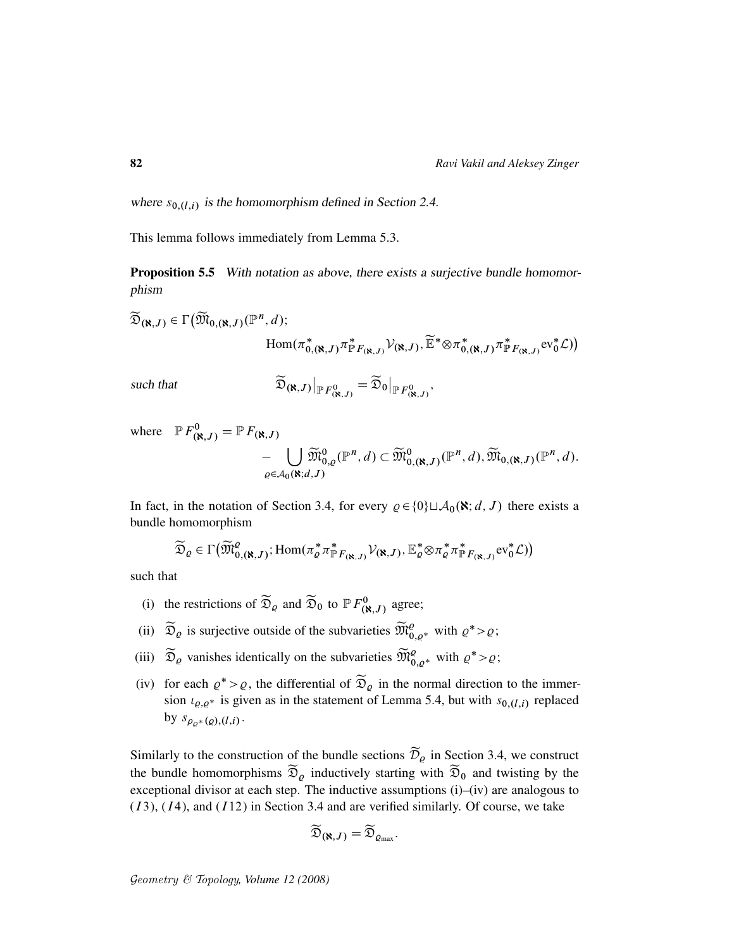where  $s_{0,(l,i)}$  is the homomorphism defined in Section 2.4.

This lemma follows immediately from Lemma 5.3.

Proposition 5.5 With notation as above, there exists a surjective bundle homomorphism

 $\widetilde{\mathfrak{D}}_{(\aleph,J)} \in \Gamma\big(\widetilde{\mathfrak{M}}_{0,(\aleph,J)}(\mathbb{P}^n,d));$  $\text{Hom}(\pi_{0,(\aleph,J)}^*,\pi_{\mathbb{P}}^*)$  $\overset{*}{\mathbb{P}}_{F_{(\mathbf{N},J)}}\mathcal{V}_{(\mathbf{N},J)},\widetilde{\mathbb{E}}^{*}\otimes\pi_{0,j}^{*}$  $_{0,(\aleph,J)}^{\ast}$  $_{\mathbb{P}F_{(\aleph,J)}}^*$ ev $_0^*$  $\mathcal{L})$ 

such that

$$
\widetilde{\mathfrak{D}}_{(\aleph,J)}\big|_{\mathbb{P} F_{(\aleph,J)}^0} = \widetilde{\mathfrak{D}}_0\big|_{\mathbb{P} F_{(\aleph,J)}^0},
$$

where  $\mathbb{P} F^0_{(\mathbf{R},J)} = \mathbb{P} F_{(\mathbf{R},J)}$ 

$$
-\bigcup_{\varrho\in\mathcal{A}_0(\mathbf{N};d,J)}\widetilde{\mathfrak{M}}^0_{0,\varrho}(\mathbb{P}^n,d)\subset\widetilde{\mathfrak{M}}^0_{0,(\mathbf{N},J)}(\mathbb{P}^n,d),\widetilde{\mathfrak{M}}_{0,(\mathbf{N},J)}(\mathbb{P}^n,d).
$$

In fact, in the notation of Section 3.4, for every  $\rho \in \{0\} \sqcup \mathcal{A}_0(\mathbf{X}; d, J)$  there exists a bundle homomorphism

$$
\widetilde{\mathfrak{D}}_{\varrho} \in \Gamma\big(\widetilde{\mathfrak{M}}^{\varrho}_{0,(\aleph,J)}; \mathrm{Hom}(\pi_{\varrho}^*\pi^*_{\mathbb{P} F_{(\aleph,J)}}\mathcal{V}_{(\aleph,J)}, \mathbb{E}_{\varrho}^*\otimes \pi_{\varrho}^*\pi^*_{\mathbb{P} F_{(\aleph,J)}}\mathrm{ev}_0^*\mathcal{L})\big)
$$

such that

- (i) the restrictions of  $\widetilde{\mathfrak{D}}_{\varrho}$  and  $\widetilde{\mathfrak{D}}_{0}$  to  $\mathbb{P} F^{0}_{(\aleph, J)}$  agree;
- (ii)  $\widetilde{\mathfrak{D}}_{\varrho}$  is surjective outside of the subvarieties  $\widetilde{\mathfrak{M}}_{0,\varrho^*}^{\varrho}$  with  $\varrho^* > \varrho$ ;
- (iii)  $\widetilde{\mathfrak{D}}_{\varrho}$  vanishes identically on the subvarieties  $\widetilde{\mathfrak{M}}_{0,\varrho^*}^{\varrho}$  with  $\varrho^* > \varrho$ ;
- (iv) for each  $\varrho^* > \varrho$ , the differential of  $\widetilde{\mathfrak{D}}_{\varrho}$  in the normal direction to the immersion  $\iota_{\varrho,\varrho^*}$  is given as in the statement of Lemma 5.4, but with  $s_{0,\langle l,i\rangle}$  replaced by  $s_{\rho_{\varrho^*}(\varrho),(l,i)}$ .

Similarly to the construction of the bundle sections  $\widetilde{\mathcal{D}}_{\rho}$  in Section 3.4, we construct the bundle homomorphisms  $\widetilde{\mathfrak{D}}_{\rho}$  inductively starting with  $\widetilde{\mathfrak{D}}_0$  and twisting by the exceptional divisor at each step. The inductive assumptions (i)–(iv) are analogous to  $(13)$ ,  $(14)$ , and  $(112)$  in Section 3.4 and are verified similarly. Of course, we take

$$
\widetilde{\mathfrak{D}}_{(\aleph,J)}=\widetilde{\mathfrak{D}}_{\varrho_{\text{max}}}.
$$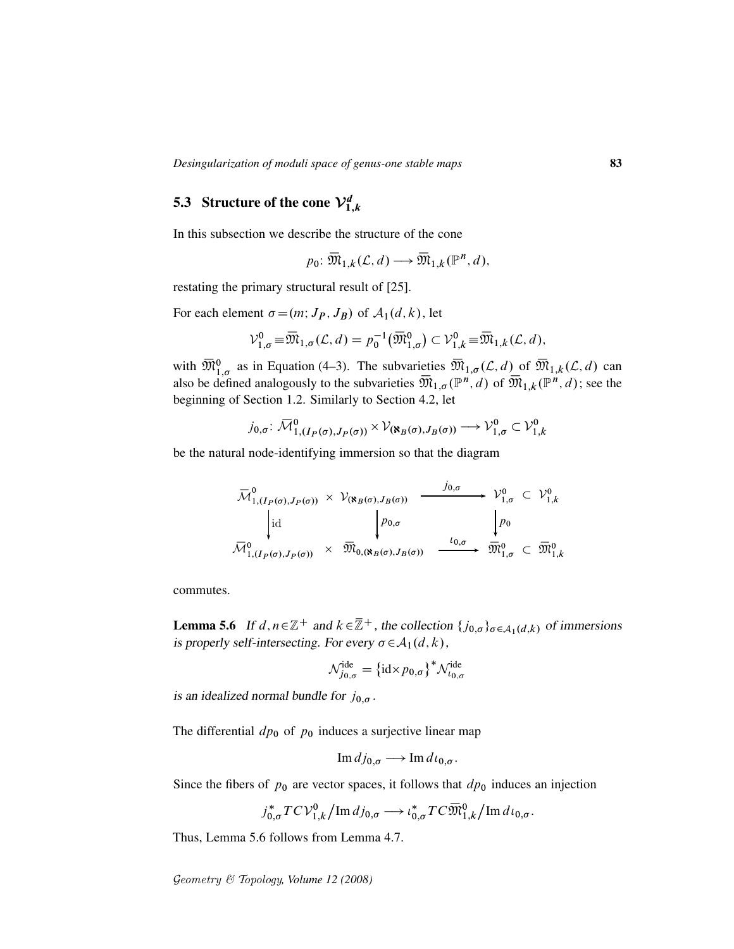## 5.3 Structure of the cone  ${\mathcal V}_{1,k}^d$

In this subsection we describe the structure of the cone

$$
p_0 \colon \overline{\mathfrak{M}}_{1,k}(\mathcal{L},d) \longrightarrow \overline{\mathfrak{M}}_{1,k}(\mathbb{P}^n,d),
$$

restating the primary structural result of [25].

For each element  $\sigma = (m; J_P, J_B)$  of  $\mathcal{A}_1(d, k)$ , let

$$
\mathcal{V}_{1,\sigma}^0 = \overline{\mathfrak{M}}_{1,\sigma}(\mathcal{L},d) = p_0^{-1}(\overline{\mathfrak{M}}_{1,\sigma}^0) \subset \mathcal{V}_{1,k}^0 = \overline{\mathfrak{M}}_{1,k}(\mathcal{L},d),
$$

with  $\overline{\mathfrak{M}}_{1,\sigma}^0$  as in Equation (4–3). The subvarieties  $\overline{\mathfrak{M}}_{1,\sigma}(\mathcal{L},d)$  of  $\overline{\mathfrak{M}}_{1,k}(\mathcal{L},d)$  can also be defined analogously to the subvarieties  $\overline{\mathfrak{M}}_{1,\sigma}(\mathbb{P}^n,d)$  of  $\overline{\mathfrak{M}}_{1,k}(\mathbb{P}^n,d)$ ; see the beginning of Section 1.2. Similarly to Section 4.2, let

$$
j_{0,\sigma} \colon \overline{\mathcal{M}}_{1,(I_P(\sigma),J_P(\sigma))}^0 \times \mathcal{V}_{(\aleph_B(\sigma),J_B(\sigma))} \longrightarrow \mathcal{V}_{1,\sigma}^0 \subset \mathcal{V}_{1,k}^0
$$

be the natural node-identifying immersion so that the diagram

$$
\overline{\mathcal{M}}_{1,(I_P(\sigma),J_P(\sigma))}^0 \times \mathcal{V}_{(\mathbf{R}_B(\sigma),J_B(\sigma))} \xrightarrow{\qquad \qquad j_{0,\sigma} \qquad \qquad} \mathcal{V}_{1,\sigma}^0 \subset \mathcal{V}_{1,k}^0
$$
\n
$$
\downarrow \text{id} \qquad \qquad \downarrow p_{0,\sigma} \qquad \qquad \downarrow p_0
$$
\n
$$
\overline{\mathcal{M}}_{1,(I_P(\sigma),J_P(\sigma))}^0 \times \overline{\mathcal{M}}_{0,(\mathbf{R}_B(\sigma),J_B(\sigma))}^0 \xrightarrow{\qquad \qquad l_{0,\sigma} \qquad \qquad \overline{\mathcal{M}}_{1,\sigma}^0 \subset \overline{\mathcal{M}}_{1,k}^0
$$

commutes.

**Lemma 5.6** If  $d, n \in \mathbb{Z}^+$  and  $k \in \mathbb{Z}^+$ , the collection  $\{j_{0,\sigma}\}_{{\sigma \in A_1(d,k)}}$  of immersions is properly self-intersecting. For every  $\sigma \in A_1(d, k)$ ,

$$
\mathcal{N}_{j_{0,\sigma}}^{\text{ide}} = \{\text{id} \times p_{0,\sigma}\}^* \mathcal{N}_{\iota_{0,\sigma}}^{\text{ide}}
$$

is an idealized normal bundle for  $j_{0,\sigma}$ .

The differential  $dp_0$  of  $p_0$  induces a surjective linear map

$$
\operatorname{Im} d j_{0,\sigma} \longrightarrow \operatorname{Im} d \iota_{0,\sigma}.
$$

Since the fibers of  $p_0$  are vector spaces, it follows that  $dp_0$  induces an injection

$$
j_{0,\sigma}^*TCV_{1,k}^0/\text{Im }dj_{0,\sigma}\longrightarrow \iota_{0,\sigma}^*TC\overline{\mathfrak{M}}_{1,k}^0/\text{Im }d\iota_{0,\sigma}.
$$

Thus, Lemma 5.6 follows from Lemma 4.7.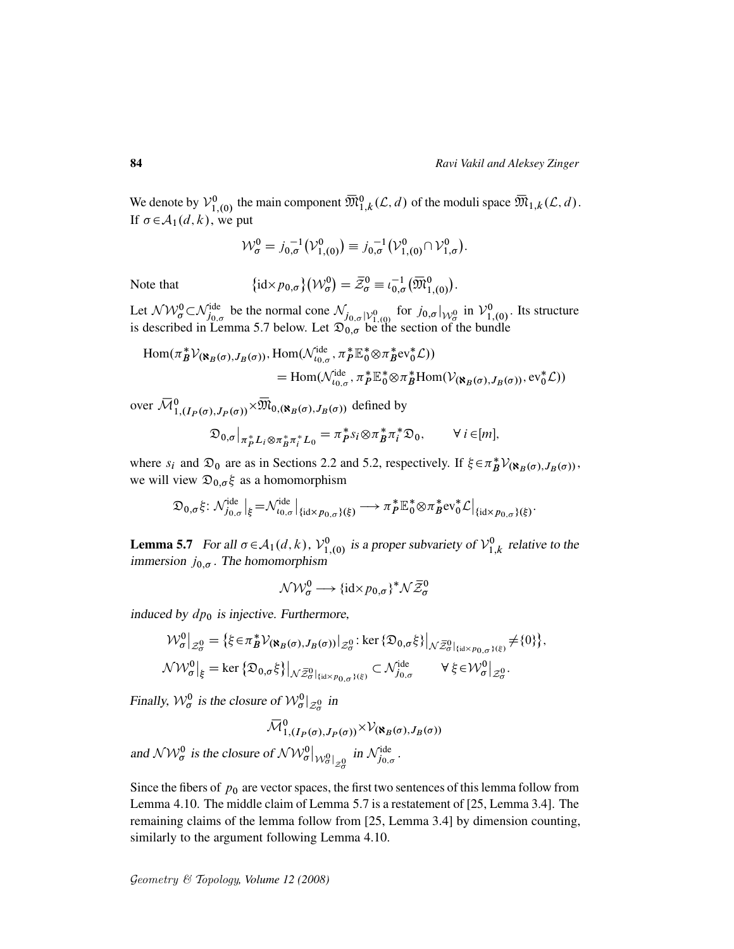We denote by  $\mathcal{V}_{1}^0$  $\overline{M}_{1,(0)}^0$  the main component  $\overline{M}_{1,k}^0(\mathcal{L}, d)$  of the moduli space  $\overline{M}_{1,k}(\mathcal{L}, d)$ . If  $\sigma \in A_1(d, k)$ , we put

$$
\mathcal{W}_{\sigma}^{0} = j_{0,\sigma}^{-1} (\mathcal{V}_{1,(0)}^{0}) \equiv j_{0,\sigma}^{-1} (\mathcal{V}_{1,(0)}^{0} \cap \mathcal{V}_{1,\sigma}^{0}).
$$

Note that

 $\mathrm{id} \times p_{0,\sigma}\big\{ \big( \mathcal{W}_{\sigma}^{0} \big) = \bar{\mathcal{Z}}_{\sigma}^{0} \equiv \iota_{0,\sigma}^{-1} \big( \overline{\mathfrak{M}}_{1,(0)}^{0} \big).$ 

Let  $\mathcal{NW}_{\sigma}^0 \subset \mathcal{N}_{j_0,\sigma}^{\text{ide}}$  be the normal cone  $\mathcal{N}_{j_0,\sigma}|\mathcal{V}_{1,(0)}^0$  for  $j_{0,\sigma}|\mathcal{W}_{\sigma}^0$  in  $\mathcal{V}_{1}^0$  $\frac{1}{1,}(0)$ . Its structure is described in Lemma 5.7 below. Let  $\mathfrak{D}_{0,\sigma}$  be the section of the bundle

$$
\text{Hom}(\pi_B^* \mathcal{V}_{(\mathbf{N}_B(\sigma), J_B(\sigma))}, \text{Hom}(\mathcal{N}_{\iota_{0,\sigma}}^{\text{ide}}, \pi_P^* \mathbb{E}_0^* \otimes \pi_B^* \text{ev}_0^* \mathcal{L}))
$$
\n
$$
= \text{Hom}(\mathcal{N}_{\iota_{0,\sigma}}^{\text{ide}}, \pi_P^* \mathbb{E}_0^* \otimes \pi_B^* \text{Hom}(\mathcal{V}_{(\mathbf{N}_B(\sigma), J_B(\sigma))}, \text{ev}_0^* \mathcal{L}))
$$

over  $\overline{\mathcal{M}}_{1,(I_P(\sigma),J_P(\sigma))}^0 \times \overline{\mathfrak{M}}_{0,(\aleph_B(\sigma),J_B(\sigma))}$  defined by

$$
\mathfrak{D}_{0,\sigma}\big|_{\pi_P^*L_i\otimes\pi_B^*\pi_i^*L_0}=\pi_P^*s_i\otimes\pi_B^*\pi_i^*\mathfrak{D}_0,\qquad\forall\ i\in[m],
$$

where  $s_i$  and  $\mathfrak{D}_0$  are as in Sections 2.2 and 5.2, respectively. If  $\xi \in \pi_B^*$  $B^*V_{(\aleph_B(\sigma),J_B(\sigma))},$ we will view  $\mathfrak{D}_{0,\sigma}$  as a homomorphism

$$
\mathfrak{D}_{0,\sigma}\xi\colon \mathcal{N}_{j_{0,\sigma}}^{\mathrm{ide}}\big|_{\xi}=\mathcal{N}_{\iota_{0,\sigma}}^{\mathrm{ide}}\big|_{\{\mathrm{id}\times p_{0,\sigma}\}}(\xi)\longrightarrow \pi_P^*\mathbb{E}_0^*\otimes \pi_B^*\mathrm{ev}_0^*\mathcal{L}\big|_{\{\mathrm{id}\times p_{0,\sigma}\}}(\xi)\cdot
$$

**Lemma 5.7** For all  $\sigma \in A_1(d, k)$ ,  $\mathcal{V}_1^0$  $\int_{1,(0)}^{0}$  is a proper subvariety of  $\mathcal{V}_{1}^{0}$  $n_{1,k}^0$  relative to the immersion  $j_{0,\sigma}$ . The homomorphism

$$
\mathcal{NW}_{\sigma}^{0} \longrightarrow {\text{idx}}_{p_{0,\sigma}}^{*} \}^* \mathcal{N} \overline{\mathcal{Z}}_{\sigma}^{0}
$$

induced by  $dp_0$  is injective. Furthermore,

$$
\mathcal{W}_{\sigma}^{0}|_{\mathcal{Z}_{\sigma}^{0}} = \{ \xi \in \pi_{B}^{*} \mathcal{V}_{(\aleph_{B}(\sigma), J_{B}(\sigma))}|_{\mathcal{Z}_{\sigma}^{0}} : \ker \{ \mathfrak{D}_{0, \sigma} \xi \} \big|_{\mathcal{N} \overline{\mathcal{Z}}_{\sigma}^{0} \mid \text{Gal} \times p_{0, \sigma} \xi \in \mathcal{W}_{\sigma}^{0} \}} \neq \{0\} \},
$$
  

$$
\mathcal{N} \mathcal{W}_{\sigma}^{0}|_{\xi} = \ker \{ \mathfrak{D}_{0, \sigma} \xi \} \big|_{\mathcal{N} \overline{\mathcal{Z}}_{\sigma}^{0} \mid \text{Gal} \times p_{0, \sigma} \xi \in \mathcal{W}_{\sigma}^{0} \cup \mathcal{Z}_{\sigma}^{0}} \cdot \nabla \xi \in \mathcal{W}_{\sigma}^{0} \mid_{\mathcal{Z}_{\sigma}^{0}}.
$$

Finally,  $\mathcal{W}_{\sigma}^{0}$  is the closure of  $\mathcal{W}_{\sigma}^{0}|_{\mathcal{Z}_{\sigma}^{0}}$  in

$$
\overline{\mathcal{M}}^{0}_{1,(I_{P}(\sigma),J_{P}(\sigma))} \times \mathcal{V}_{(\aleph_{B}(\sigma),J_{B}(\sigma))}
$$

and  $\mathcal{NW}_{\sigma}^0$  is the closure of  $\mathcal{NW}_{\sigma}^0|_{\mathcal{W}_{\sigma}^0|_{\mathcal{Z}_{\sigma}^0}}$  in  $\mathcal{N}_{j_{0,\sigma}}^{j_{\text{de}}}$ .

Since the fibers of  $p_0$  are vector spaces, the first two sentences of this lemma follow from Lemma 4.10. The middle claim of Lemma 5.7 is a restatement of [25, Lemma 3.4]. The remaining claims of the lemma follow from [25, Lemma 3.4] by dimension counting, similarly to the argument following Lemma 4.10.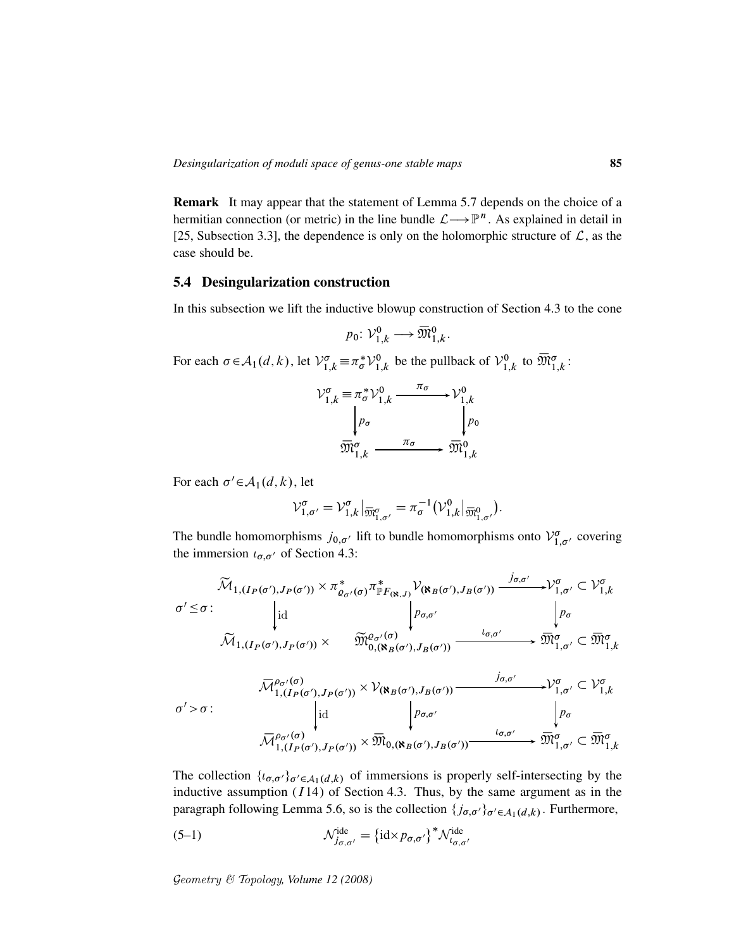Remark It may appear that the statement of Lemma 5.7 depends on the choice of a hermitian connection (or metric) in the line bundle  $\mathcal{L} \longrightarrow \mathbb{P}^n$ . As explained in detail in [25, Subsection 3.3], the dependence is only on the holomorphic structure of  $\mathcal{L}$ , as the case should be.

### 5.4 Desingularization construction

In this subsection we lift the inductive blowup construction of Section 4.3 to the cone

$$
p_0\colon \mathcal{V}_{1,k}^0 \longrightarrow \overline{\mathfrak{M}}_{1,k}^0.
$$

For each  $\sigma \in A_1(d, k)$ , let  $\mathcal{V}_{1,k}^{\sigma} \equiv \pi_{\sigma}^* \mathcal{V}_1^0$  $v_{1,k}^0$  be the pullback of  $\mathcal{V}_1^0$  $\overline{\mathfrak{M}}_{1,k}^0$  to  $\overline{\mathfrak{M}}_{1,k}^{\sigma}$ :

$$
\mathcal{V}_{1,k}^{\sigma} \equiv \pi_{\sigma}^{*} \mathcal{V}_{1,k}^{0} \xrightarrow{\pi_{\sigma}} \mathcal{V}_{1,k}^{0}
$$
\n
$$
\downarrow p_{\sigma} \qquad \qquad p_{\sigma} \qquad \qquad p_{\sigma} \qquad \qquad p_{\sigma} \qquad \qquad p_{\sigma} \qquad \qquad \overline{\mathfrak{M}}_{1,k}^{\sigma}
$$

For each  $\sigma' \in \mathcal{A}_1(d, k)$ , let

$$
\mathcal{V}_{1,\sigma'}^{\sigma} = \mathcal{V}_{1,k}^{\sigma} \big|_{\overline{\mathfrak{M}}_{1,\sigma'}^{\sigma}} = \pi_{\sigma}^{-1} \big( \mathcal{V}_{1,k}^{0} \big|_{\overline{\mathfrak{M}}_{1,\sigma'}^{0}} \big).
$$

The bundle homomorphisms  $j_{0,\sigma'}$  lift to bundle homomorphisms onto  $\mathcal{V}_{1,\sigma'}^{\sigma}$  covering the immersion  $\iota_{\sigma,\sigma'}$  of Section 4.3:

$$
\widetilde{\mathcal{M}}_{1,(I_{P}(\sigma'),J_{P}(\sigma'))} \times \pi_{\varrho_{\sigma'}(\sigma)}^{*} \pi_{\mathbb{P}F_{(\aleph,J)}}^{*} \mathcal{V}_{(\aleph_{B}(\sigma'),J_{B}(\sigma'))} \xrightarrow{j_{\sigma,\sigma'}} \mathcal{V}_{1,\sigma'}^{\sigma} \subset \mathcal{V}_{1,k}^{\sigma} \n\sigma' \leq \sigma : \qquad \qquad \downarrow id \qquad \qquad \varrho_{\sigma,\sigma'} \qquad \qquad \downarrow \rho_{\sigma} \n\widetilde{\mathcal{M}}_{1,(I_{P}(\sigma'),J_{P}(\sigma'))} \times \qquad \widetilde{\mathfrak{M}}_{0,(\aleph_{B}(\sigma'),J_{B}(\sigma'))}^{\varrho_{\sigma,\sigma'}} \xrightarrow{l_{\sigma,\sigma'}} \mathfrak{M}_{1,\sigma'}^{\sigma} \subset \overline{\mathfrak{M}}_{1,k}^{\sigma}
$$

$$
\overline{\mathcal{M}}_{1,(I_{P}(\sigma'),J_{P}(\sigma'))}^{\rho_{\sigma'}(\sigma)} \times \mathcal{V}_{(\aleph_{B}(\sigma'),J_{B}(\sigma'))} \xrightarrow{j_{\sigma,\sigma'}} \mathcal{V}_{1,\sigma'}^{\sigma} \subset \mathcal{V}_{1,k}^{\sigma}
$$
\n
$$
\sigma' > \sigma : \qquad \qquad \downarrow id \qquad \qquad \downarrow \rho_{\sigma,\sigma'} \qquad \qquad \downarrow \rho_{\sigma}
$$
\n
$$
\overline{\mathcal{M}}_{1,(I_{P}(\sigma'),J_{P}(\sigma'))}^{\rho_{\sigma'}(\sigma)} \times \overline{\mathfrak{M}}_{0,(\aleph_{B}(\sigma'),J_{B}(\sigma'))} \xrightarrow{\iota_{\sigma,\sigma'}} \overline{\mathfrak{M}}_{1,\sigma'}^{\sigma} \subset \overline{\mathfrak{M}}_{1,k}^{\sigma}
$$

The collection  $\{t_{\sigma,\sigma'}\}_{\sigma' \in A_1(d,k)}$  of immersions is properly self-intersecting by the inductive assumption  $(114)$  of Section 4.3. Thus, by the same argument as in the paragraph following Lemma 5.6, so is the collection  $\{j_{\sigma,\sigma'}\}_{\sigma'\in\mathcal{A}_1(d,k)}$ . Furthermore,

(5-1) 
$$
\mathcal{N}_{j_{\sigma,\sigma'}}^{\text{ide}} = {\text{idx} p_{\sigma,\sigma'}}^* \mathcal{N}_{l_{\sigma,\sigma'}}^{\text{ide}}
$$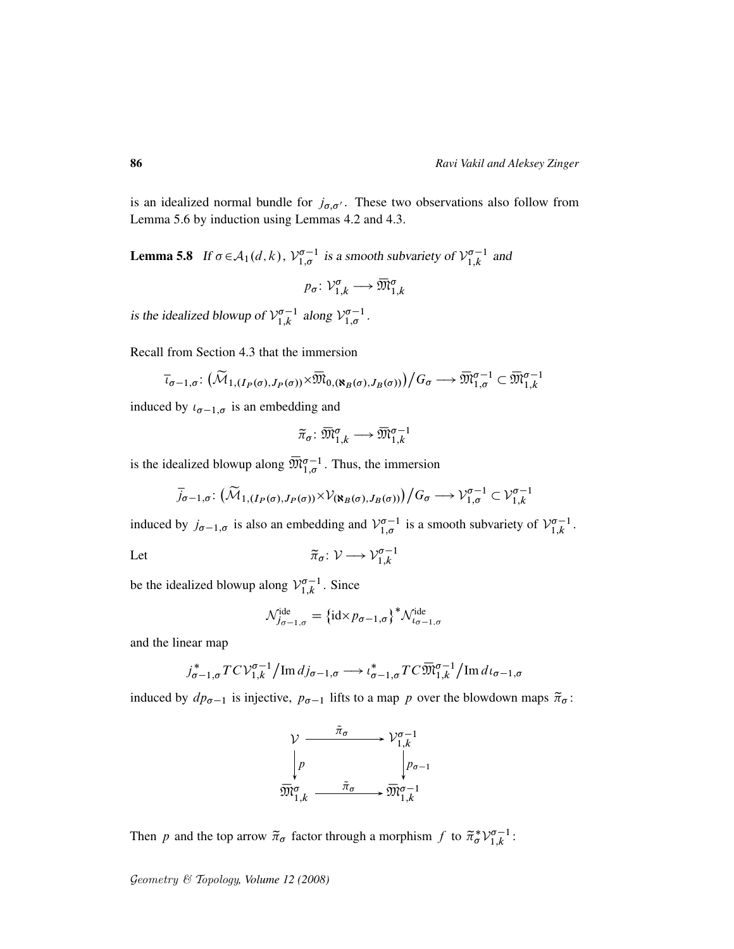is an idealized normal bundle for  $j_{\sigma,\sigma'}$ . These two observations also follow from Lemma 5.6 by induction using Lemmas 4.2 and 4.3.

**Lemma 5.8** If  $\sigma \in A_1(d, k)$ ,  $\mathcal{V}_{1,\sigma}^{\sigma-1}$  is a smooth subvariety of  $\mathcal{V}_{1,k}^{\sigma-1}$  $\int_{1,k}^{\sigma-1}$  and

$$
p_{\sigma} \colon \mathcal{V}_{1,k}^{\sigma} \longrightarrow \overline{\mathfrak{M}}_{1,k}^{\sigma}
$$

is the idealized blowup of  $\mathcal{V}_{1,k}^{\sigma-1}$  $\int_{1,k}^{\sigma-1}$  along  $\mathcal{V}_{1,\sigma}^{\sigma-1}$ .

Recall from Section 4.3 that the immersion

$$
\overline{\iota}_{\sigma-1,\sigma} \colon (\widetilde{\mathcal{M}}_{1,(I_P(\sigma),J_P(\sigma))} \times \overline{\mathfrak{M}}_{0,(\aleph_B(\sigma),J_B(\sigma))})/G_{\sigma} \longrightarrow \overline{\mathfrak{M}}_{1,\sigma}^{\sigma-1} \subset \overline{\mathfrak{M}}_{1,k}^{\sigma-1}
$$

induced by  $t_{\sigma-1,\sigma}$  is an embedding and

$$
\widetilde{\pi}_{\sigma} \colon \overline{\mathfrak{M}}^{\sigma}_{1,k} \longrightarrow \overline{\mathfrak{M}}^{\sigma-1}_{1,k}
$$

is the idealized blowup along  $\overline{\mathfrak{M}}_{1,\sigma}^{\sigma-1}$ . Thus, the immersion

$$
\overline{j}_{\sigma-1,\sigma} \colon (\widetilde{\mathcal{M}}_{1,(I_P(\sigma),J_P(\sigma))} \times \mathcal{V}_{(\aleph_B(\sigma),J_B(\sigma))})/G_{\sigma} \longrightarrow \mathcal{V}_{1,\sigma}^{\sigma-1} \subset \mathcal{V}_{1,k}^{\sigma-1}
$$

induced by  $j_{\sigma-1,\sigma}$  is also an embedding and  $\mathcal{V}_{1,\sigma}^{\sigma-1}$  is a smooth subvariety of  $\mathcal{V}_{1,k}^{\sigma-1}$  $\frac{\sigma-1}{1,k}$ .

Let 
$$
\widetilde{\pi}_{\sigma} \colon \mathcal{V} \longrightarrow \mathcal{V}_{1,k}^{\sigma-1}
$$

be the idealized blowup along  $\mathcal{V}_{1,k}^{\sigma-1}$  $\int_{1,k}^{\infty-1}$ . Since

$$
\mathcal{N}_{j_{\sigma-1,\sigma}}^{\text{ide}} = \{\text{id} \times p_{\sigma-1,\sigma}\}^* \mathcal{N}_{\iota_{\sigma-1,\sigma}}^{\text{ide}}
$$

and the linear map

$$
j_{\sigma-1,\sigma}^* TC\mathcal{V}_{1,k}^{\sigma-1}/\mathrm{Im}\,dj_{\sigma-1,\sigma} \longrightarrow \iota_{\sigma-1,\sigma}^* TC\overline{\mathfrak{M}}_{1,k}^{\sigma-1}/\mathrm{Im}\,d\iota_{\sigma-1,\sigma}
$$

induced by  $dp_{\sigma-1}$  is injective,  $p_{\sigma-1}$  lifts to a map p over the blowdown maps  $\tilde{\pi}_{\sigma}$ :



Then p and the top arrow  $\tilde{\pi}_{\sigma}$  factor through a morphism f to  $\tilde{\pi}_{\sigma}^{*}V_{1,k}^{\sigma-1}$  $\frac{\sigma-1}{1,k}$ :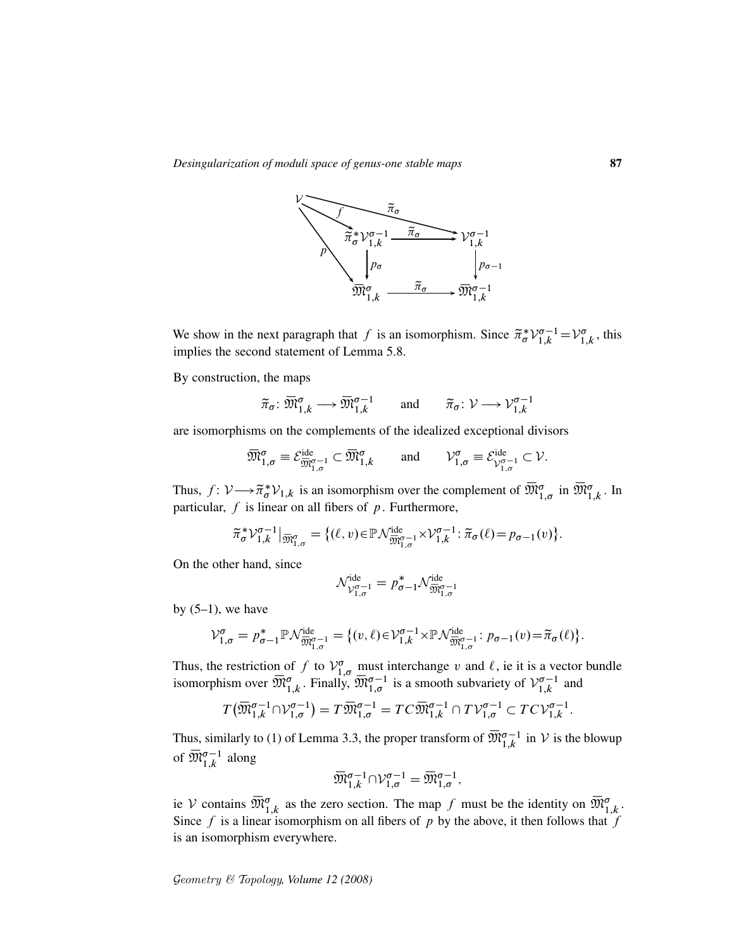

We show in the next paragraph that f is an isomorphism. Since  $\tilde{\pi}_{\sigma}^* V_{1,k}^{\sigma-1} = V_{1,k}^{\sigma}$  $_{1,k}^{\sigma}$ , this implies the second statement of Lemma 5.8.

By construction, the maps

$$
\widetilde{\pi}_{\sigma} \colon \overline{\mathfrak{M}}^{\sigma}_{1,k} \longrightarrow \overline{\mathfrak{M}}^{\sigma-1}_{1,k} \quad \text{and} \quad \widetilde{\pi}_{\sigma} \colon \mathcal{V} \longrightarrow \mathcal{V}^{\sigma-1}_{1,k}
$$

are isomorphisms on the complements of the idealized exceptional divisors

$$
\overline{\mathfrak{M}}^{\sigma}_{1,\sigma} \equiv \mathcal{E}^{\mathrm{ide}}_{\overline{\mathfrak{M}}^{\sigma-1}_{1,\sigma}} \subset \overline{\mathfrak{M}}^{\sigma}_{1,k} \quad \text{and} \quad \mathcal{V}^{\sigma}_{1,\sigma} \equiv \mathcal{E}^{\mathrm{ide}}_{\mathcal{V}^{\sigma-1}_{1,\sigma}} \subset \mathcal{V}.
$$

Thus,  $f: \mathcal{V} \longrightarrow \tilde{\pi}_{\sigma}^* \mathcal{V}_{1,k}$  is an isomorphism over the complement of  $\overline{\mathfrak{M}}_{1,\sigma}^{\sigma}$  in  $\overline{\mathfrak{M}}_{1,k}^{\sigma}$ . In particular,  $f$  is linear on all fibers of  $p$ . Furthermore,

$$
\widetilde{\pi}_{\sigma}^* \mathcal{V}_{1,k}^{\sigma-1} \big|_{\overline{\mathfrak{M}}_{1,\sigma}^{\sigma}} = \big\{ (\ell, v) \in \mathbb{P} \mathcal{N}_{\overline{\mathfrak{M}}_{1,\sigma}^{\sigma-1}}^{\text{ide}} \times \mathcal{V}_{1,k}^{\sigma-1} : \widetilde{\pi}_{\sigma}(\ell) = p_{\sigma-1}(v) \big\}.
$$

On the other hand, since

$$
\mathcal{N}_{\mathcal{V}_{1,\sigma}^{\sigma-1}}^{\mathrm{ide}}=p_{\sigma-1}^*\mathcal{N}_{\overline{\mathfrak{M}}_{1,\sigma}^{\sigma-1}}^{\mathrm{ide}}
$$

by  $(5-1)$ , we have

$$
\mathcal{V}_{1,\sigma}^{\sigma} = p_{\sigma-1}^{*} \mathbb{P} \mathcal{N}_{\overline{\mathfrak{M}}_{1,\sigma}^{\sigma-1}}^{\text{ide}} = \{ (v,\ell) \in \mathcal{V}_{1,k}^{\sigma-1} \times \mathbb{P} \mathcal{N}_{\overline{\mathfrak{M}}_{1,\sigma}^{\sigma-1}}^{\text{ide}} : p_{\sigma-1}(v) = \widetilde{\pi}_{\sigma}(\ell) \}.
$$

Thus, the restriction of f to  $V_{1,\sigma}^{\sigma}$  must interchange v and  $\ell$ , ie it is a vector bundle isomorphism over  $\overline{\mathfrak{M}}_{1,k}^{\sigma}$ . Finally,  $\overline{\mathfrak{M}}_{1,\sigma}^{\sigma-1}$  is a smooth subvariety of  $\mathcal{V}_{1,k}^{\sigma-1}$  $\int_{1,k}^{\infty-1}$  and

$$
T(\overline{\mathfrak{M}}_{1,k}^{\sigma-1} \cap \mathcal{V}_{1,\sigma}^{\sigma-1}) = T\overline{\mathfrak{M}}_{1,\sigma}^{\sigma-1} = TC\overline{\mathfrak{M}}_{1,k}^{\sigma-1} \cap TV_{1,\sigma}^{\sigma-1} \subset TC\mathcal{V}_{1,k}^{\sigma-1}.
$$

Thus, similarly to (1) of Lemma 3.3, the proper transform of  $\overline{\mathfrak{M}}_{1,k}^{\sigma-1}$  in V is the blowup of  $\overline{\mathfrak{M}}_{1,k}^{\sigma-1}$  along

$$
\overline{\mathfrak{M}}_{1,k}^{\sigma-1} \cap \mathcal{V}_{1,\sigma}^{\sigma-1} = \overline{\mathfrak{M}}_{1,\sigma}^{\sigma-1},
$$

ie V contains  $\overline{\mathfrak{M}}_{1,k}^{\sigma}$  as the zero section. The map f must be the identity on  $\overline{\mathfrak{M}}_{1,k}^{\sigma}$ . Since f is a linear isomorphism on all fibers of p by the above, it then follows that f is an isomorphism everywhere.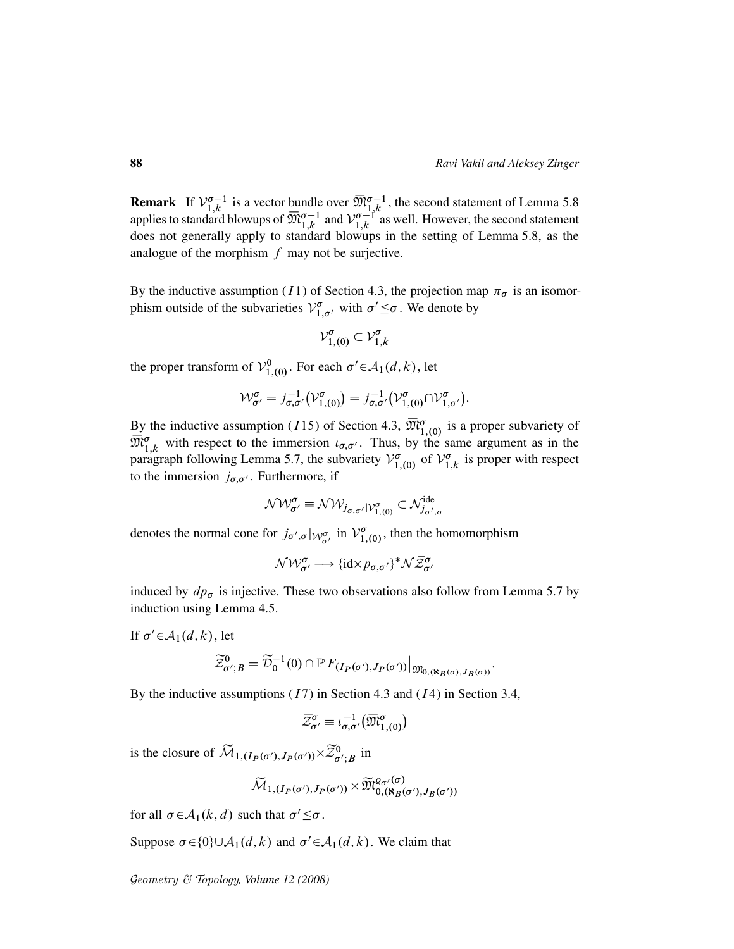**Remark** If  $V_{1,k}^{\sigma-1}$  $\overline{M}_{1,k}^{\sigma-1}$  is a vector bundle over  $\overline{M}_{1,k}^{\sigma-1}$ , the second statement of Lemma 5.8 applies to standard blowups of  $\overline{\mathfrak{M}}_{1,k}^{\sigma-1}$  and  $\mathcal{V}_{1,k}^{\sigma-1}$  $\int_{1,k}^{\sigma-1}$  as well. However, the second statement does not generally apply to standard blowups in the setting of Lemma 5.8, as the analogue of the morphism  $f$  may not be surjective.

By the inductive assumption (I1) of Section 4.3, the projection map  $\pi_{\sigma}$  is an isomorphism outside of the subvarieties  $V_{1,\sigma}^{\sigma}$  with  $\sigma' \leq \sigma$ . We denote by

$$
\mathcal{V}_{1,(0)}^{\sigma} \subset \mathcal{V}_{1,k}^{\sigma}
$$

the proper transform of  $\mathcal{V}_1^0$  $t_{1,(0)}^{0}$ . For each  $\sigma' \in \mathcal{A}_1(d, k)$ , let

$$
\mathcal{W}_{\sigma'}^{\sigma} = j_{\sigma,\sigma'}^{-1}(\mathcal{V}_{1,(0)}^{\sigma}) = j_{\sigma,\sigma'}^{-1}(\mathcal{V}_{1,(0)}^{\sigma} \cap \mathcal{V}_{1,\sigma'}^{\sigma}).
$$

By the inductive assumption (115) of Section 4.3,  $\overline{\mathfrak{M}}_{1,(0)}^{\sigma}$  is a proper subvariety of  $\overline{\mathfrak{M}}_{1,k}^{\sigma}$  with respect to the immersion  $\iota_{\sigma,\sigma'}$ . Thus, by the same argument as in the paragraph following Lemma 5.7, the subvariety  $\mathcal{V}_{1}^{\sigma}$  $\int_{1,(0)}^{\sigma}$  of  $\mathcal{V}_{1,(0)}^{\sigma}$  $\int_{1,k}^{\infty}$  is proper with respect to the immersion  $j_{\sigma,\sigma'}$ . Furthermore, if

$$
\mathcal{NW}_{\sigma'}^{\sigma} \equiv \mathcal{NW}_{j_{\sigma,\sigma'}|\mathcal{V}_{1,(0)}^{\sigma}} \subset \mathcal{N}_{j_{\sigma',\sigma}}^{\text{ide}}
$$

denotes the normal cone for  $j_{\sigma',\sigma}|_{\mathcal{W}^{\sigma}_{\sigma'}}$  in  $\mathcal{V}^{\sigma}_{1}$  $\int_{1,(0)}^{\sigma}$ , then the homomorphism

$$
\mathcal{NW}_{\sigma'}^{\sigma} \longrightarrow \{\text{id} \times p_{\sigma,\sigma'}\}^* \mathcal{N} \bar{\mathcal{Z}}_{\sigma'}^{\sigma}
$$

induced by  $dp_{\sigma}$  is injective. These two observations also follow from Lemma 5.7 by induction using Lemma 4.5.

If  $\sigma' \in A_1(d, k)$ , let

$$
\widetilde{\mathcal{Z}}_{\sigma',B}^0 = \widetilde{\mathcal{D}}_0^{-1}(0) \cap \mathbb{P} F_{(I_P(\sigma'),J_P(\sigma'))}|_{\mathfrak{M}_{0,(\aleph_B(\sigma),J_B(\sigma))}}.
$$

By the inductive assumptions  $(17)$  in Section 4.3 and  $(14)$  in Section 3.4,

$$
\overline{\mathcal{Z}}^{\sigma}_{\sigma'} \equiv \iota^{-1}_{\sigma,\sigma'}(\overline{\mathfrak{M}}^{\sigma}_{1,(0)})
$$

is the closure of  $\widetilde{\mathcal{M}}_{1,(I_P(\sigma'),J_P(\sigma'))} \times \widetilde{\mathcal{Z}}_{\sigma';B}^0$  in

$$
\widetilde{\mathcal{M}}_{1,\left(I_{P}(\sigma'),J_{P}(\sigma')\right)} \times \widetilde{\mathfrak{M}}_{0,\left(\mathbf{R}_{B}(\sigma'),J_{B}(\sigma')\right)}^{e_{\sigma'}(\sigma)}
$$

for all  $\sigma \in A_1(k, d)$  such that  $\sigma' \leq \sigma$ .

Suppose  $\sigma \in \{0\} \cup A_1(d, k)$  and  $\sigma' \in A_1(d, k)$ . We claim that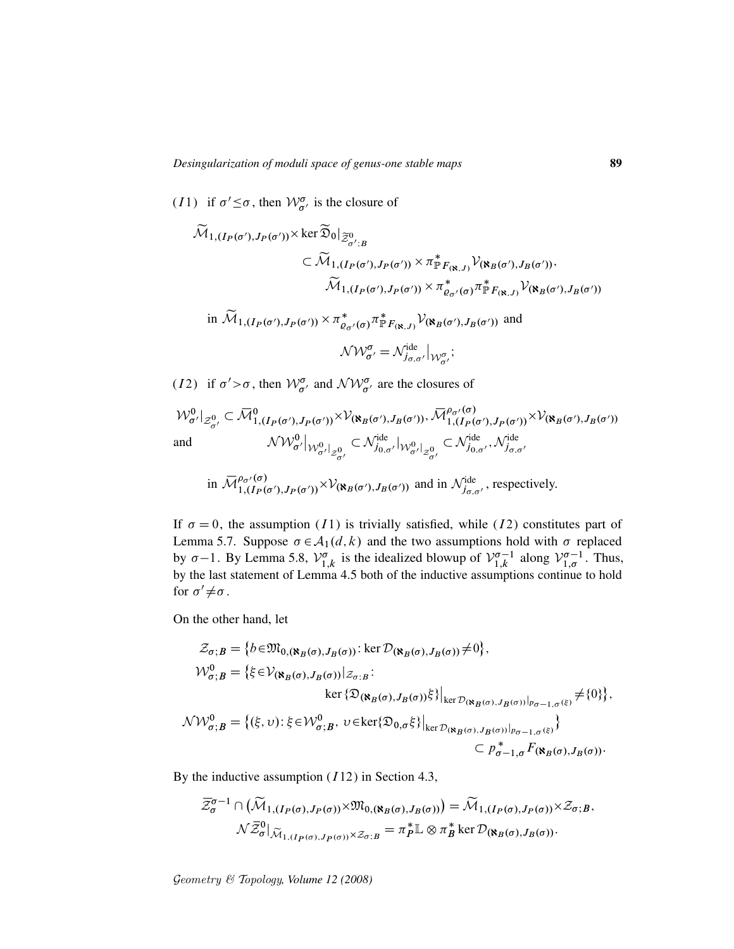(*I*1) if  $\sigma' \leq \sigma$ , then  $\mathcal{W}_{\sigma'}^{\sigma}$  is the closure of

$$
\widetilde{\mathcal{M}}_{1,(I_{P}(\sigma'),J_{P}(\sigma'))} \times \ker \widetilde{\mathfrak{D}}_{0}|_{\widetilde{Z}_{\sigma';B}^{0}}\n\subset \widetilde{\mathcal{M}}_{1,(I_{P}(\sigma'),J_{P}(\sigma'))} \times \pi_{\mathbb{P}F_{(\mathbb{N},J)}}^{*} \mathcal{V}_{(\mathbb{N}_{B}(\sigma'),J_{B}(\sigma'))},\n\widetilde{\mathcal{M}}_{1,(I_{P}(\sigma'),J_{P}(\sigma'))} \times \pi_{\varrho_{\sigma'}(\sigma)}^{*} \pi_{\mathbb{P}F_{(\mathbb{N},J)}}^{*} \mathcal{V}_{(\mathbb{N}_{B}(\sigma'),J_{B}(\sigma'))}\n\text{in } \widetilde{\mathcal{M}}_{1,(I_{P}(\sigma'),J_{P}(\sigma'))} \times \pi_{\varrho_{\sigma'}(\sigma)}^{*} \pi_{\mathbb{P}F_{(\mathbb{N},J)}}^{*} \mathcal{V}_{(\mathbb{N}_{B}(\sigma'),J_{B}(\sigma'))} \text{ and }
$$
\n
$$
\mathcal{N} \mathcal{W}_{\sigma'}^{\sigma} = \mathcal{N}_{j_{\sigma,\sigma'}}^{\text{ide}}|_{\mathcal{W}_{\sigma'}^{\sigma}};
$$

(*I*2) if  $\sigma' > \sigma$ , then  $W_{\sigma'}^{\sigma}$  and  $\mathcal{NW}_{\sigma'}^{\sigma}$  are the closures of

$$
\mathcal{W}^{0}_{\sigma'}|_{\mathcal{Z}^{0}_{\sigma'}} \subset \overline{\mathcal{M}}^{0}_{1,(I_{P}(\sigma'),J_{P}(\sigma'))} \times \mathcal{V}_{(\aleph_{B}(\sigma'),J_{B}(\sigma'))}, \overline{\mathcal{M}}^{\rho_{\sigma'}(\sigma)}_{1,(I_{P}(\sigma'),J_{P}(\sigma'))} \times \mathcal{V}_{(\aleph_{B}(\sigma'),J_{B}(\sigma'))}
$$
  
and 
$$
\mathcal{NW}^{0}_{\sigma'}|_{\mathcal{W}^{0}_{\sigma'}|_{\mathcal{Z}^{0}_{\sigma'}}} \subset \mathcal{N}^{\text{ide}}_{j_{0,\sigma'}}|_{\mathcal{W}^{0}_{\sigma'}|_{\mathcal{Z}^{0}_{\sigma'}}} \subset \mathcal{N}^{\text{ide}}_{j_{0,\sigma'}}, \mathcal{N}^{\text{ide}}_{j_{\sigma,\sigma'}}
$$

in 
$$
\overline{\mathcal{M}}_{1,(I_P(\sigma'),J_P(\sigma'))}^{\rho_{\sigma'}(\sigma)} \times \mathcal{V}_{(\mathbf{R}_B(\sigma'),J_B(\sigma'))}
$$
 and in  $\mathcal{N}_{j_{\sigma,\sigma'}}^{ide}$ , respectively.

If  $\sigma = 0$ , the assumption (I1) is trivially satisfied, while (I2) constitutes part of Lemma 5.7. Suppose  $\sigma \in A_1(d, k)$  and the two assumptions hold with  $\sigma$  replaced by  $\sigma-1$ . By Lemma 5.8,  $\mathcal{V}_1^{\sigma}$  $\int_{1,k}^{\sigma}$  is the idealized blowup of  $\mathcal{V}_{1,k}^{\sigma-1}$  $\sum_{1,k}^{\infty-1}$  along  $\mathcal{V}_{1,\sigma}^{\sigma-1}$ . Thus, by the last statement of Lemma 4.5 both of the inductive assumptions continue to hold for  $\sigma' \neq \sigma$ .

On the other hand, let

$$
\mathcal{Z}_{\sigma;B} = \{b \in \mathfrak{M}_{0,(\aleph_{B}(\sigma),J_{B}(\sigma))}: \ker \mathcal{D}_{(\aleph_{B}(\sigma),J_{B}(\sigma))} \neq 0\},\
$$
\n
$$
\mathcal{W}_{\sigma;B}^{0} = \{\xi \in \mathcal{V}_{(\aleph_{B}(\sigma),J_{B}(\sigma))}|_{\mathcal{Z}_{\sigma;B}}:\
$$
\n
$$
\ker \{\mathfrak{D}_{(\aleph_{B}(\sigma),J_{B}(\sigma))}\xi\}|_{\ker \mathcal{D}_{(\aleph_{B}(\sigma),J_{B}(\sigma))}|_{p_{\sigma-1,\sigma}(\xi)}} \neq \{0\}\},
$$
\n
$$
\mathcal{NW}_{\sigma;B}^{0} = \{(\xi,\upsilon): \xi \in \mathcal{W}_{\sigma;B}^{0}, \upsilon \in \ker \{\mathfrak{D}_{0,\sigma}\xi\}|_{\ker \mathcal{D}_{(\aleph_{B}(\sigma),J_{B}(\sigma))}|_{p_{\sigma-1,\sigma}(\xi)}}\}
$$
\n
$$
\subset p_{\sigma-1,\sigma}^{*}F(\aleph_{B}(\sigma),J_{B}(\sigma))
$$

By the inductive assumption  $(112)$  in Section 4.3,

$$
\overline{\mathcal{Z}}_{\sigma}^{\sigma-1} \cap (\widetilde{\mathcal{M}}_{1,(I_P(\sigma),J_P(\sigma))} \times \mathfrak{M}_{0,(\aleph_B(\sigma),J_B(\sigma))}) = \widetilde{\mathcal{M}}_{1,(I_P(\sigma),J_P(\sigma))} \times \mathcal{Z}_{\sigma;B},
$$
  

$$
\mathcal{N}\overline{\mathcal{Z}}_{\sigma}^0|_{\widetilde{\mathcal{M}}_{1,(I_P(\sigma),J_P(\sigma))} \times \mathcal{Z}_{\sigma;B}} = \pi_P^* \mathbb{L} \otimes \pi_B^* \ker \mathcal{D}_{(\aleph_B(\sigma),J_B(\sigma))}.
$$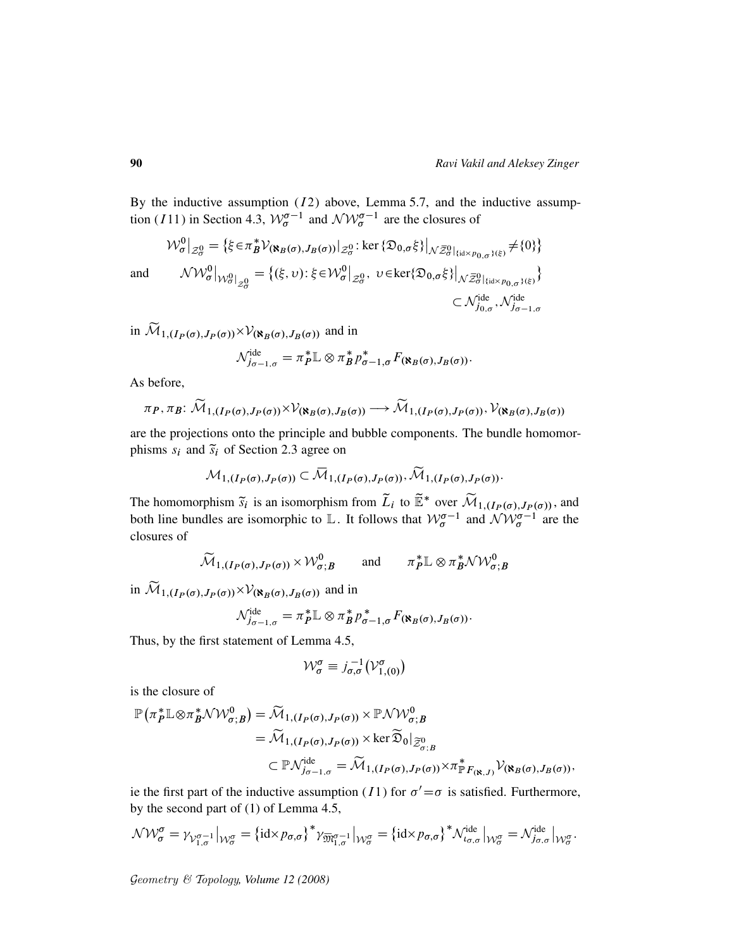By the inductive assumption  $(I2)$  above, Lemma 5.7, and the inductive assumption (111) in Section 4.3,  $W_{\sigma}^{\sigma-1}$  and  $\mathcal{NW}_{\sigma}^{\sigma-1}$  are the closures of

$$
\mathcal{W}^{0}_{\sigma}|_{\mathcal{Z}^{0}_{\sigma}} = \left\{ \xi \in \pi^{*}_{B} \mathcal{V}_{(\aleph_{B}(\sigma), J_{B}(\sigma))}|_{\mathcal{Z}^{0}_{\sigma}} : \ker \left\{ \mathfrak{D}_{0, \sigma} \xi \right\} \middle|_{\mathcal{N} \overline{\mathcal{Z}}^{0}_{\sigma} \left\{ \text{diag}_{\sigma}, \sigma \right\}(\xi)} \neq \left\{ 0 \right\} \right\}
$$
  
and 
$$
\mathcal{NW}^{0}_{\sigma}|_{\mathcal{W}^{0}_{\sigma}|_{\mathcal{Z}^{0}_{\sigma}}} = \left\{ (\xi, \upsilon) : \xi \in \mathcal{W}^{0}_{\sigma}|_{\mathcal{Z}^{0}_{\sigma}}, \upsilon \in \ker \{ \mathfrak{D}_{0, \sigma} \xi \} \middle|_{\mathcal{N} \overline{\mathcal{Z}}^{0}_{\sigma}|_{\{\text{id} \times p_{0, \sigma}\}}(\xi)} \right\}
$$

$$
\subset \mathcal{N}^{\text{ide}}_{j_{0, \sigma}}, \mathcal{N}^{\text{ide}}_{j_{\sigma-1, \sigma}}
$$

in  $\mathcal{M}_{1,(I_P(\sigma),J_P(\sigma))} \times \mathcal{V}_{(\mathbf{R}_B(\sigma),J_B(\sigma))}$  and in

$$
\mathcal{N}_{j_{\sigma-1,\sigma}}^{\text{ide}} = \pi_P^* \mathbb{L} \otimes \pi_B^* p_{\sigma-1,\sigma}^* F_{(\aleph_B(\sigma),J_B(\sigma))}.
$$

As before,

$$
\pi_P, \pi_B: \widetilde{\mathcal{M}}_{1,(I_P(\sigma),J_P(\sigma))} \times \mathcal{V}_{(\mathbf{X}_B(\sigma),J_B(\sigma))} \longrightarrow \widetilde{\mathcal{M}}_{1,(I_P(\sigma),J_P(\sigma))}, \mathcal{V}_{(\mathbf{X}_B(\sigma),J_B(\sigma))}
$$

are the projections onto the principle and bubble components. The bundle homomorphisms  $s_i$  and  $\tilde{s}_i$  of Section 2.3 agree on

$$
\mathcal{M}_{1,(I_P(\sigma),J_P(\sigma))} \subset \overline{\mathcal{M}}_{1,(I_P(\sigma),J_P(\sigma))}, \widetilde{\mathcal{M}}_{1,(I_P(\sigma),J_P(\sigma))}.
$$

The homomorphism  $\tilde{s}_i$  is an isomorphism from  $\tilde{L}_i$  to  $\tilde{\mathbb{E}}^*$  over  $\tilde{\mathcal{M}}_{1,(I_P(\sigma),J_P(\sigma))}$ , and both line bundles are isomorphic to L. It follows that  $W_{\sigma}^{\sigma-1}$  and  $\mathcal{NW}_{\sigma}^{\sigma-1}$  are the closures of

$$
\widetilde{\mathcal{M}}_{1,(I_P(\sigma),J_P(\sigma))} \times \mathcal{W}^0_{\sigma;B} \quad \text{and} \quad \pi_P^* \mathbb{L} \otimes \pi_B^* \mathcal{N} \mathcal{W}^0_{\sigma;B}
$$

in  $\mathcal{M}_{1,(I_P(\sigma),J_P(\sigma))} \times \mathcal{V}_{(\mathbf{R}_B(\sigma),J_B(\sigma))}$  and in

$$
\mathcal{N}_{j_{\sigma-1,\sigma}}^{\text{ide}} = \pi_P^* \mathbb{L} \otimes \pi_B^* p_{\sigma-1,\sigma}^* F_{(\mathbf{R}_B(\sigma),J_B(\sigma))}.
$$

Thus, by the first statement of Lemma 4.5,

$$
\mathcal{W}_{\sigma}^{\sigma} \equiv j_{\sigma,\sigma}^{-1} \left( \mathcal{V}_{1,(0)}^{\sigma} \right)
$$

is the closure of

$$
\mathbb{P}(\pi_P^* \mathbb{L} \otimes \pi_B^* \mathcal{NW}_{\sigma,B}^0) = \widetilde{\mathcal{M}}_{1,(I_P(\sigma), J_P(\sigma))} \times \mathbb{P} \mathcal{NW}_{\sigma,B}^0
$$
\n
$$
= \widetilde{\mathcal{M}}_{1,(I_P(\sigma), J_P(\sigma))} \times \ker \widetilde{\mathfrak{D}}_0|_{\widetilde{Z}_{\sigma,B}^0}
$$
\n
$$
\subset \mathbb{P} \mathcal{N}_{j_{\sigma-1,\sigma}}^{\mathrm{ide}} = \widetilde{\mathcal{M}}_{1,(I_P(\sigma), J_P(\sigma))} \times \pi_{\mathbb{P}F_{(\aleph,J)}}^* \mathcal{V}_{(\aleph_B(\sigma), J_B(\sigma))},
$$

ie the first part of the inductive assumption (11) for  $\sigma' = \sigma$  is satisfied. Furthermore, by the second part of (1) of Lemma 4.5,

$$
\mathcal{NW}_{\sigma}^{\sigma} = \gamma_{\mathcal{V}_{1,\sigma}^{\sigma-1}}|_{\mathcal{W}_{\sigma}^{\sigma}} = \{\mathrm{id} \times p_{\sigma,\sigma}\}^* \gamma_{\overline{\mathfrak{M}}_{1,\sigma}^{\sigma-1}}|_{\mathcal{W}_{\sigma}^{\sigma}} = \{\mathrm{id} \times p_{\sigma,\sigma}\}^* \mathcal{N}_{\iota_{\sigma,\sigma}}^{\mathrm{ide}}|_{\mathcal{W}_{\sigma}^{\sigma}} = \mathcal{N}_{j_{\sigma,\sigma}}^{\mathrm{ide}}|_{\mathcal{W}_{\sigma}^{\sigma}}.
$$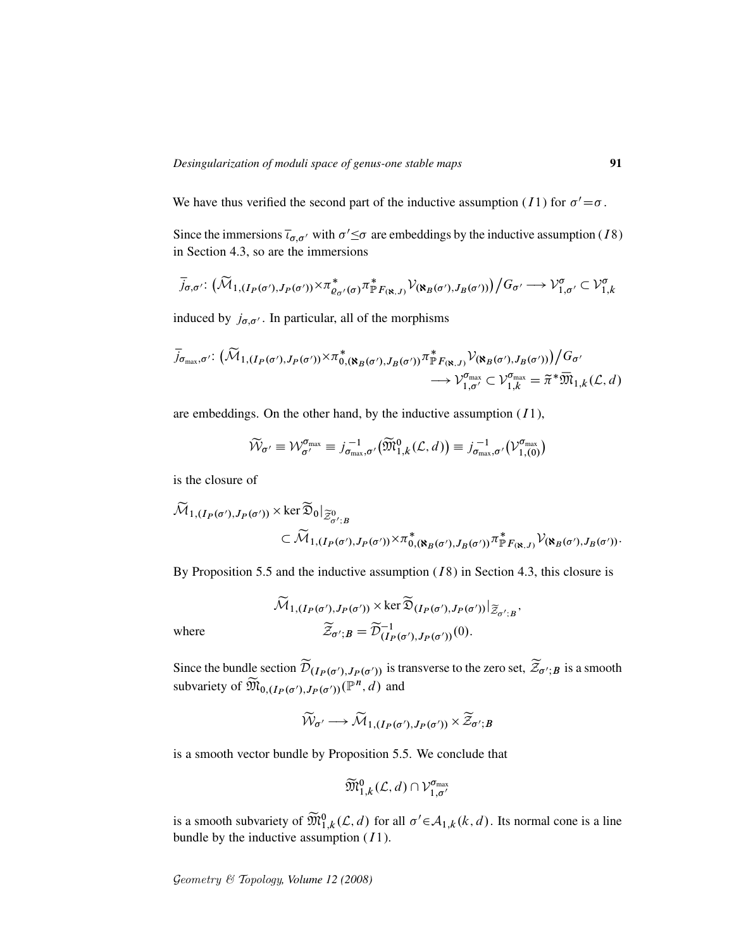We have thus verified the second part of the inductive assumption (*I* 1) for  $\sigma' = \sigma$ .

Since the immersions  $\overline{\iota}_{\sigma,\sigma'}$  with  $\sigma' \leq \sigma$  are embeddings by the inductive assumption (18) in Section 4.3, so are the immersions

$$
\overline{j}_{\sigma,\sigma'}\colon \big(\widetilde{\mathcal{M}}_{1,(I_P(\sigma'),J_P(\sigma'))}\times \pi_{\varrho_{\sigma'}(\sigma)}^* \pi_P^*_{F_{(\aleph,J)}} \mathcal{V}_{(\aleph_B(\sigma'),J_B(\sigma'))}\big) \big/G_{\sigma'} \longrightarrow \mathcal{V}_{1,\sigma'}^{\sigma} \subset \mathcal{V}_{1,k}^{\sigma}
$$

induced by  $j_{\sigma,\sigma'}$ . In particular, all of the morphisms

$$
\overline{j}_{\sigma_{\max},\sigma'}: (\widetilde{\mathcal{M}}_{1,(I_P(\sigma'),J_P(\sigma'))} \times \pi^*_{0,(\aleph_B(\sigma'),J_B(\sigma'))} \pi^*_{\mathbb{P}_{K(\aleph,J)}} \mathcal{V}_{(\aleph_B(\sigma'),J_B(\sigma'))}/G_{\sigma'}
$$
  

$$
\longrightarrow \mathcal{V}_{1,\sigma'}^{\sigma_{\max}} \subset \mathcal{V}_{1,k}^{\sigma_{\max}} = \widetilde{\pi}^* \overline{\mathfrak{M}}_{1,k}(\mathcal{L},d)
$$

are embeddings. On the other hand, by the inductive assumption  $(11)$ ,

$$
\widetilde{\mathcal{W}}_{\sigma'} \equiv \mathcal{W}_{\sigma'}^{\sigma_{\text{max}}} \equiv j_{\sigma_{\text{max}},\sigma'}^{-1}(\widetilde{\mathfrak{M}}_{1,k}^{0}(\mathcal{L},d)) \equiv j_{\sigma_{\text{max}},\sigma'}^{-1}(\mathcal{V}_{1,(0)}^{\sigma_{\text{max}}})
$$

is the closure of

$$
\widetilde{\mathcal{M}}_{1,(I_P(\sigma'),J_P(\sigma'))} \times \ker \widetilde{\mathfrak{D}}_0|_{\widetilde{\mathcal{Z}}_{\sigma';B}^0} \subset \widetilde{\mathcal{M}}_{1,(I_P(\sigma'),J_P(\sigma'))} \times \pi_{0,(\aleph_B(\sigma'),J_B(\sigma'))}^* \pi_{\mathbb{P}_{K(\aleph,J)}}^* \mathcal{V}(\aleph_B(\sigma'),J_B(\sigma'))}.
$$

By Proposition 5.5 and the inductive assumption  $(18)$  in Section 4.3, this closure is

$$
\widetilde{\mathcal{M}}_{1,(I_P(\sigma'),J_P(\sigma'))} \times \ker \widetilde{\mathfrak{D}}_{(I_P(\sigma'),J_P(\sigma'))}|_{\widetilde{\mathcal{Z}}_{\sigma';B}}
$$
  
where  

$$
\widetilde{\mathcal{Z}}_{\sigma';B} = \widetilde{\mathcal{D}}_{(I_P(\sigma'),J_P(\sigma'))}^{-1}(0).
$$

;

Since the bundle section  $\mathcal{D}_{(I_P(\sigma'), J_P(\sigma'))}$  is transverse to the zero set,  $\mathcal{Z}_{\sigma';B}$  is a smooth subvariety of  $\widetilde{M}_{0, (I_P(\sigma'), J_P(\sigma'))}(\mathbb{P}^n, d)$  and

$$
\widetilde{\mathcal{W}}_{\sigma'} \longrightarrow \widetilde{\mathcal{M}}_{1, (I_P(\sigma'), J_P(\sigma'))} \times \widetilde{\mathcal{Z}}_{\sigma'; B}
$$

is a smooth vector bundle by Proposition 5.5. We conclude that

$$
\widetilde{\mathfrak{M}}_{1,k}^0(\mathcal{L},d)\cap \mathcal{V}_{1,\sigma'}^{\sigma_{\max}}
$$

is a smooth subvariety of  $\widetilde{M}_{1,k}^0(\mathcal{L},d)$  for all  $\sigma' \in \mathcal{A}_{1,k}(k,d)$ . Its normal cone is a line bundle by the inductive assumption  $(11)$ .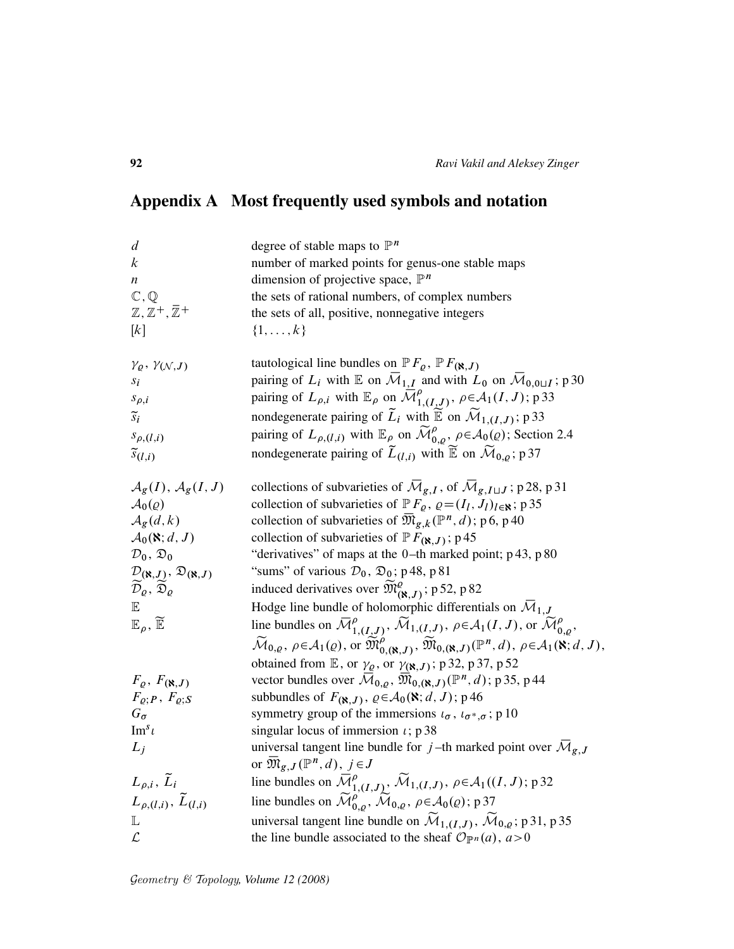# Appendix A Most frequently used symbols and notation

| degree of stable maps to $\mathbb{P}^n$                                                                                                                                                                                          |
|----------------------------------------------------------------------------------------------------------------------------------------------------------------------------------------------------------------------------------|
| number of marked points for genus-one stable maps                                                                                                                                                                                |
| dimension of projective space, $\mathbb{P}^n$                                                                                                                                                                                    |
| the sets of rational numbers, of complex numbers                                                                                                                                                                                 |
| the sets of all, positive, nonnegative integers                                                                                                                                                                                  |
| $\{1,\ldots,k\}$                                                                                                                                                                                                                 |
| tautological line bundles on $\mathbb{P} F_{\varrho}$ , $\mathbb{P} F_{(\aleph, J)}$                                                                                                                                             |
| pairing of $L_i$ with $\mathbb E$ on $\overline{\mathcal M}_{1,I}$ and with $L_0$ on $\overline{\mathcal M}_{0,0\sqcup I}$ ; p 30                                                                                                |
| pairing of $L_{\rho,i}$ with $\mathbb{E}_{\rho}$ on $\overline{\mathcal{M}}_{1,(I,J)}^{\rho}$ , $\rho \in \mathcal{A}_1(I,J)$ ; p 33                                                                                             |
| nondegenerate pairing of $\widetilde{L}_i$ with $\widetilde{\mathbb{E}}$ on $\widetilde{\mathcal{M}}_{1,(I,J)}$ ; p 33                                                                                                           |
| pairing of $L_{\rho,(l,i)}$ with $\mathbb{E}_{\rho}$ on $\widetilde{\mathcal{M}}_{0,\rho}^{\rho}, \rho \in \mathcal{A}_0(\rho)$ ; Section 2.4                                                                                    |
| nondegenerate pairing of $\tilde{L}_{(l,i)}$ with $\tilde{\mathbb{E}}$ on $\tilde{\mathcal{M}}_{0,\rho}$ ; p 37                                                                                                                  |
| collections of subvarieties of $\overline{\mathcal{M}}_{g,I}$ , of $\overline{\mathcal{M}}_{g,I \sqcup J}$ ; p 28, p 31                                                                                                          |
| collection of subvarieties of $\mathbb{P} F_{\varrho}, \varrho = (I_l, J_l)_{l \in \mathbb{N}}$ ; p 35                                                                                                                           |
| collection of subvarieties of $\overline{\mathfrak{M}}_{g,k}(\mathbb{P}^n,d)$ ; p6, p40                                                                                                                                          |
| collection of subvarieties of $P F_{(\aleph, J)}$ ; p45                                                                                                                                                                          |
| "derivatives" of maps at the 0-th marked point; p 43, p 80                                                                                                                                                                       |
| "sums" of various $\mathcal{D}_0$ , $\mathfrak{D}_0$ ; p 48, p 81                                                                                                                                                                |
| induced derivatives over $\widetilde{\mathfrak{M}}_{(\aleph,J)}^{\rho}$ ; p 52, p 82                                                                                                                                             |
| Hodge line bundle of holomorphic differentials on $\overline{\mathcal{M}}_{1,J}$                                                                                                                                                 |
| line bundles on $\overline{\mathcal{M}}_{1,(I,J)}^{\rho}$ , $\widetilde{\mathcal{M}}_{1,(I,J)}, \rho \in \mathcal{A}_1(I,J)$ , or $\widetilde{\mathcal{M}}_{0,\rho}^{\rho}$ ,                                                    |
| $\widetilde{\mathcal{M}}_{0,\varrho}, \rho \in \mathcal{A}_1(\varrho), \text{ or } \widetilde{\mathfrak{M}}^{\rho}_{0,(\aleph,J)}, \widetilde{\mathfrak{M}}_{0,(\aleph,J)}(\mathbb{P}^n,d), \rho \in \mathcal{A}_1(\aleph;d,J),$ |
| obtained from $\mathbb{E}$ , or $\gamma_{\varrho}$ , or $\gamma_{(\aleph, J)}$ ; p 32, p 37, p 52                                                                                                                                |
| vector bundles over $\overline{\mathcal{M}}_{0,\varrho}$ , $\overline{\mathfrak{M}}_{0,(\aleph,J)}(\mathbb{P}^n,d)$ ; p 35, p 44                                                                                                 |
| subbundles of $F_{(\aleph, J)}$ , $\varrho \in A_0(\aleph; d, J)$ ; p46                                                                                                                                                          |
| symmetry group of the immersions $\iota_{\sigma}$ , $\iota_{\sigma^*,\sigma}$ ; p 10                                                                                                                                             |
| singular locus of immersion $\iota$ ; p 38                                                                                                                                                                                       |
| universal tangent line bundle for j-th marked point over $\overline{\mathcal{M}}_{g,J}$                                                                                                                                          |
| or $\mathfrak{M}_{g,J}(\mathbb{P}^n,d), j \in J$                                                                                                                                                                                 |
| line bundles on $\overline{\mathcal{M}}_{1,(I,J)}^{\rho}$ , $\widetilde{\mathcal{M}}_{1,(I,J)}$ , $\rho \in \mathcal{A}_1((I,J); p32)$                                                                                           |
| line bundles on $\widetilde{\mathcal{M}}_{0,\rho}^{\rho}$ , $\widetilde{\mathcal{M}}_{0,\rho}$ , $\rho \in \mathcal{A}_0(\rho)$ ; p 37                                                                                           |
| universal tangent line bundle on $\widetilde{\mathcal{M}}_{1,(I,J)}, \widetilde{\mathcal{M}}_{0,\varrho};$ p 31, p 35                                                                                                            |
| the line bundle associated to the sheaf $\mathcal{O}_{\mathbb{P}^n}(a)$ , $a > 0$                                                                                                                                                |
|                                                                                                                                                                                                                                  |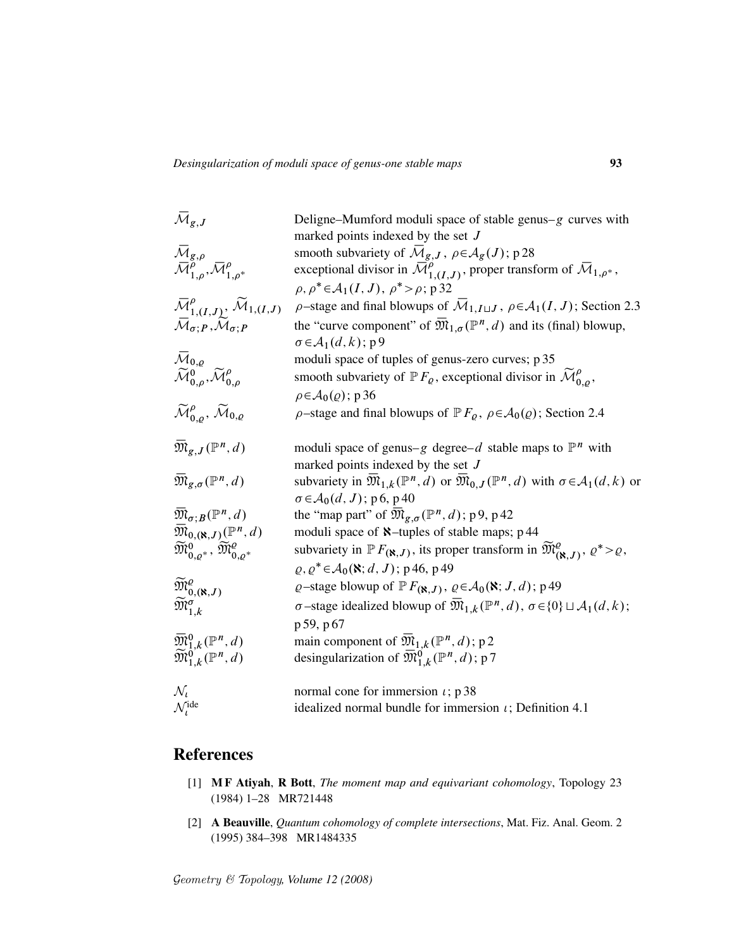| ${\mathbin{\,\,\overline{\!\!\mathcal M\!}\,}}_{g,J}$                                                                                       | Deligne–Mumford moduli space of stable genus– $g$ curves with                                                                                                                                                       |
|---------------------------------------------------------------------------------------------------------------------------------------------|---------------------------------------------------------------------------------------------------------------------------------------------------------------------------------------------------------------------|
|                                                                                                                                             | marked points indexed by the set $J$                                                                                                                                                                                |
| $\bar{\mathcal{M}}_{g,\rho}$                                                                                                                | smooth subvariety of $\mathcal{M}_{g,J}$ , $\rho \in \mathcal{A}_g(J)$ ; p 28                                                                                                                                       |
| $\overline{\mathcal{M}}_{1,\rho}^{\overline{\rho}^{\alpha}},\overline{\mathcal{M}}_{1,\rho^*}^{\rho}$                                       | exceptional divisor in $\overline{\mathcal{M}}_{1,(I,J)}^{\rho}$ , proper transform of $\overline{\mathcal{M}}_{1,\rho^*}$ ,                                                                                        |
|                                                                                                                                             | $\rho, \rho^* \in \mathcal{A}_1(I, J), \rho^* > \rho; \mathfrak{p}$ 32                                                                                                                                              |
| ${\mathbin{\smash{\,\,\overline{\!\!\mathcal M\!}\,}}}_{1,(I,J)}^{\rho},\,{\mathbin{\smash{\,\,\widetilde{\!\!\mathcal M\!}\,}}}_{1,(I,J)}$ | $\rho$ -stage and final blowups of $\overline{\mathcal{M}}_{1,I\sqcup J}$ , $\rho \in \mathcal{A}_1(I,J)$ ; Section 2.3                                                                                             |
| $\overline{\mathcal{M}}_{\sigma;P}, \overline{\mathcal{M}}_{\sigma;P}$                                                                      | the "curve component" of $\overline{\mathfrak{M}}_{1,\sigma}(\mathbb{P}^n,d)$ and its (final) blowup,                                                                                                               |
|                                                                                                                                             | $\sigma \in A_1(d, k);$ p 9                                                                                                                                                                                         |
| $\bar{M}_{0,\rho}$                                                                                                                          | moduli space of tuples of genus-zero curves; p 35                                                                                                                                                                   |
| $\widetilde{\mathcal{M}}_{0.o}^{0}$ , $\widetilde{\mathcal{M}}_{0.o}^{\rho}$                                                                | smooth subvariety of $\mathbb{P} F_{\varrho}$ , exceptional divisor in $\mathcal{M}_{0,\rho}^{\rho}$ ,                                                                                                              |
|                                                                                                                                             | $\rho \in \mathcal{A}_0(\varrho)$ ; p 36                                                                                                                                                                            |
| $\widetilde{\mathcal{M}}^{\rho}_{0,\rho}, \widetilde{\mathcal{M}}_{0,\rho}$                                                                 | $\rho$ -stage and final blowups of $\mathbb{P} F_{\rho}$ , $\rho \in \mathcal{A}_0(\rho)$ ; Section 2.4                                                                                                             |
| $\overline{\mathfrak{M}}_{g,J}({\mathbb P}^n,d)$                                                                                            | moduli space of genus-g degree-d stable maps to $\mathbb{P}^n$ with                                                                                                                                                 |
|                                                                                                                                             | marked points indexed by the set $J$                                                                                                                                                                                |
| $\overline{\mathfrak{M}}_{g,\sigma}(\mathbb{P}^n,d)$                                                                                        | subvariety in $\mathfrak{M}_{1,k}(\mathbb{P}^n,d)$ or $\mathfrak{M}_{0,J}(\mathbb{P}^n,d)$ with $\sigma \in \mathcal{A}_1(d,k)$ or                                                                                  |
|                                                                                                                                             | $\sigma \in \mathcal{A}_0(d, J)$ ; p6, p40                                                                                                                                                                          |
| $\overline{\mathfrak{M}}_{\sigma;B}(\mathbb{P}^n,d)$                                                                                        | the "map part" of $\mathfrak{M}_{g,\sigma}(\mathbb{P}^n,d)$ ; p9, p42                                                                                                                                               |
| $\overline{\mathfrak{M}}_{0,(\aleph,J)}(\mathbb{P}^n,d)$                                                                                    | moduli space of $\aleph$ -tuples of stable maps; p44                                                                                                                                                                |
| $\widetilde{\mathfrak{M}}^{0}_{0,o^*}, \, \widetilde{\mathfrak{M}}^{0}_{0,o^*}$                                                             | subvariety in $\mathbb{P} F_{(\mathbf{R},J)}$ , its proper transform in $\widetilde{\mathfrak{M}}^{\varrho}_{(\mathbf{R},J)}, \varrho^* > \varrho$ ,<br>$\varrho, \varrho^* \in A_0(\mathbf{X}; d, J)$ ; p 46, p 49 |
| $\widetilde{\mathfrak{M}}^{Q}_{0,(\aleph,J)}$                                                                                               | $\varrho$ -stage blowup of $\mathbb{P} F_{(\aleph, J)}, \varrho \in \mathcal{A}_0(\aleph; J, d)$ ; p 49                                                                                                             |
| $\widetilde{\mathfrak{M}}^{\sigma}_{1,k}$                                                                                                   | $\sigma$ -stage idealized blowup of $\overline{\mathfrak{M}}_{1,k}(\mathbb{P}^n,d)$ , $\sigma \in \{0\} \sqcup \mathcal{A}_1(d,k)$ ;                                                                                |
|                                                                                                                                             |                                                                                                                                                                                                                     |
|                                                                                                                                             | p 59, p 67                                                                                                                                                                                                          |
| $\overline{\mathfrak{M}}_{1,k}^{0}(\mathbb{P}^{n},d)$                                                                                       | main component of $\overline{\mathfrak{M}}_{1,k}(\mathbb{P}^n,d)$ ; p 2                                                                                                                                             |
| $\widetilde{\mathfrak{M}}^{0}_{1,k}(\mathbb{P}^n,d)$                                                                                        | desingularization of $\overline{\mathfrak{M}}_{1,k}^{0}(\mathbb{P}^{n},d)$ ; p 7                                                                                                                                    |
| $\mathcal{N}_l$                                                                                                                             | normal cone for immersion $\iota$ ; p 38                                                                                                                                                                            |
| $\mathcal{N}_l^{\text{ide}}$                                                                                                                | idealized normal bundle for immersion $\iota$ ; Definition 4.1                                                                                                                                                      |
|                                                                                                                                             |                                                                                                                                                                                                                     |

### References

- [1] M F Atiyah, R Bott, *The moment map and equivariant cohomology*, Topology 23 (1984) 1–28 MR721448
- [2] A Beauville, *Quantum cohomology of complete intersections*, Mat. Fiz. Anal. Geom. 2 (1995) 384–398 MR1484335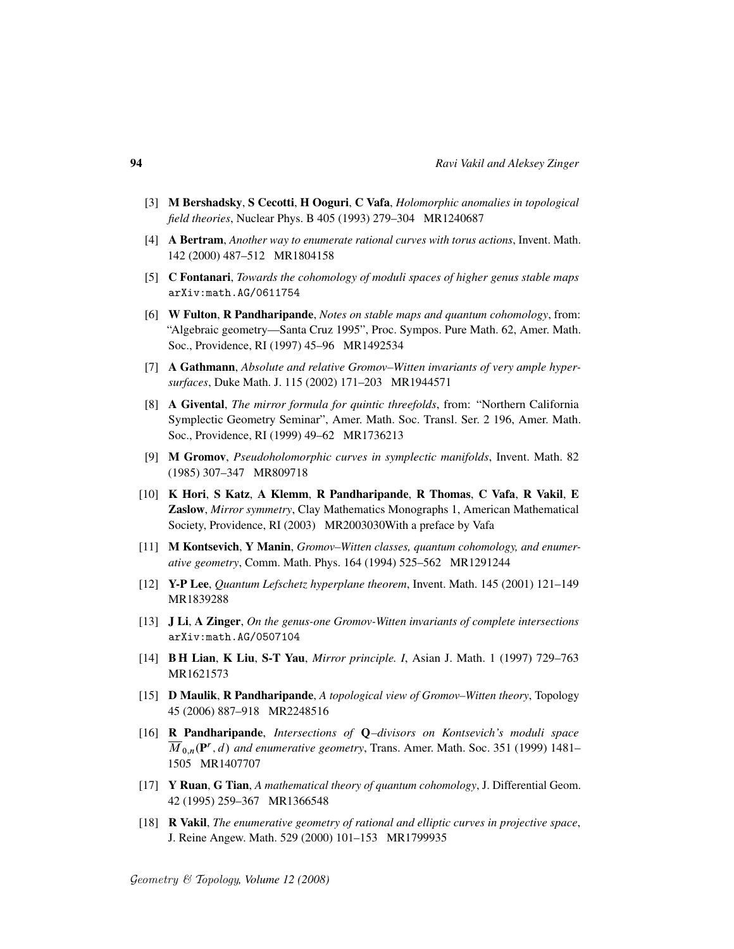- [3] M Bershadsky, S Cecotti, H Ooguri, C Vafa, *Holomorphic anomalies in topological field theories*, Nuclear Phys. B 405 (1993) 279–304 MR1240687
- [4] A Bertram, *Another way to enumerate rational curves with torus actions*, Invent. Math. 142 (2000) 487–512 MR1804158
- [5] C Fontanari, *Towards the cohomology of moduli spaces of higher genus stable maps* arXiv:math.AG/0611754
- [6] W Fulton, R Pandharipande, *Notes on stable maps and quantum cohomology*, from: "Algebraic geometry—Santa Cruz 1995", Proc. Sympos. Pure Math. 62, Amer. Math. Soc., Providence, RI (1997) 45–96 MR1492534
- [7] A Gathmann, *Absolute and relative Gromov–Witten invariants of very ample hypersurfaces*, Duke Math. J. 115 (2002) 171–203 MR1944571
- [8] A Givental, *The mirror formula for quintic threefolds*, from: "Northern California Symplectic Geometry Seminar", Amer. Math. Soc. Transl. Ser. 2 196, Amer. Math. Soc., Providence, RI (1999) 49–62 MR1736213
- [9] M Gromov, *Pseudoholomorphic curves in symplectic manifolds*, Invent. Math. 82 (1985) 307–347 MR809718
- [10] K Hori, S Katz, A Klemm, R Pandharipande, R Thomas, C Vafa, R Vakil, E Zaslow, *Mirror symmetry*, Clay Mathematics Monographs 1, American Mathematical Society, Providence, RI (2003) MR2003030With a preface by Vafa
- [11] **M Kontsevich, Y Manin,** *Gromov-Witten classes, quantum cohomology, and enumerative geometry*, Comm. Math. Phys. 164 (1994) 525–562 MR1291244
- [12] Y-P Lee, *Quantum Lefschetz hyperplane theorem*, Invent. Math. 145 (2001) 121–149 MR1839288
- [13] J Li, A Zinger, *On the genus-one Gromov-Witten invariants of complete intersections* arXiv:math.AG/0507104
- [14] B H Lian, K Liu, S-T Yau, *Mirror principle. I*, Asian J. Math. 1 (1997) 729–763 MR1621573
- [15] D Maulik, R Pandharipande, *A topological view of Gromov–Witten theory*, Topology 45 (2006) 887–918 MR2248516
- [16] R Pandharipande, *Intersections of* Q*–divisors on Kontsevich's moduli space*  $\overline{M}_{0,n}(\mathbf{P}^r, d)$  and enumerative geometry, Trans. Amer. Math. Soc. 351 (1999) 1481– 1505 MR1407707
- [17] Y Ruan, G Tian, *A mathematical theory of quantum cohomology*, J. Differential Geom. 42 (1995) 259–367 MR1366548
- [18] R Vakil, *The enumerative geometry of rational and elliptic curves in projective space*, J. Reine Angew. Math. 529 (2000) 101–153 MR1799935